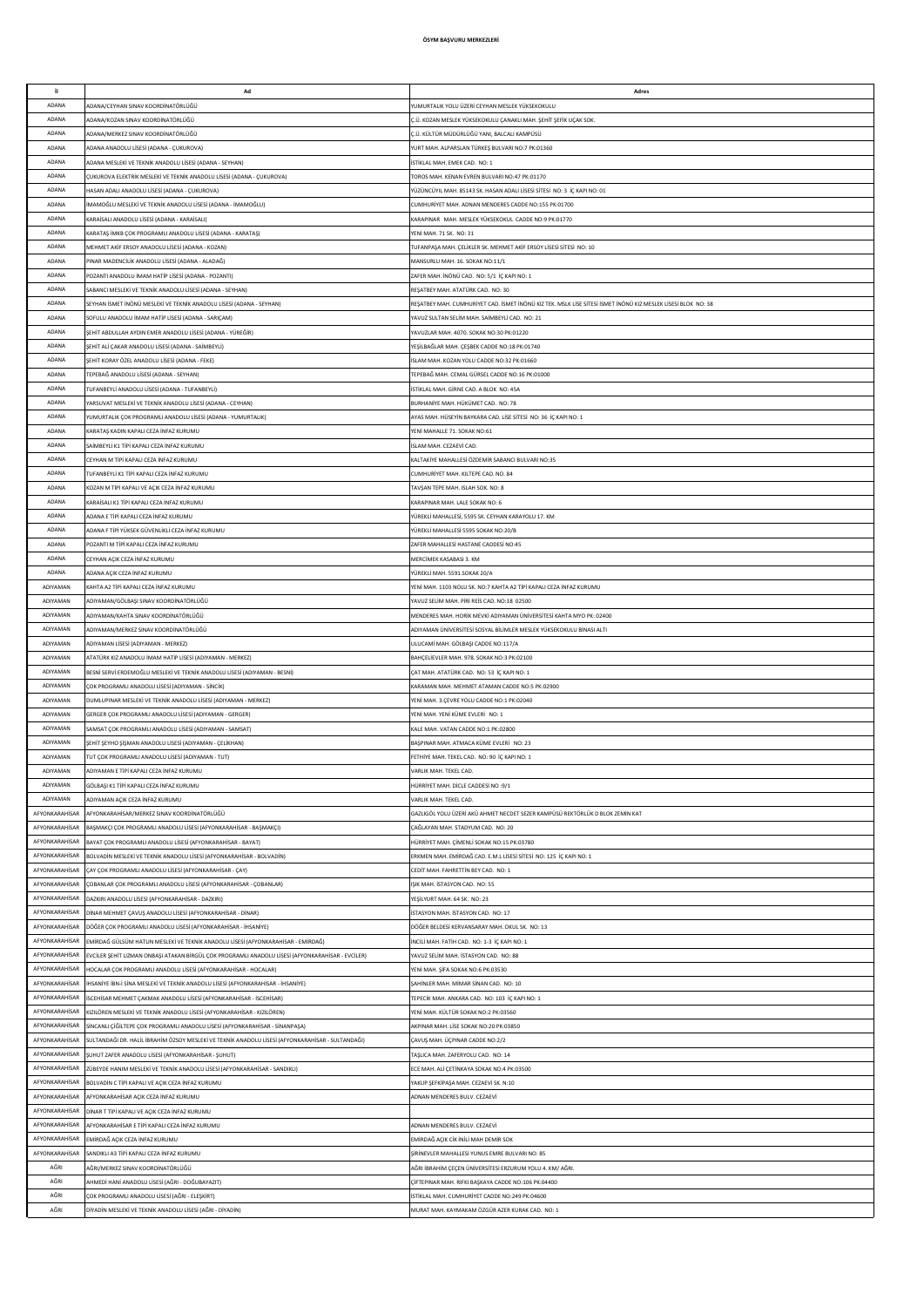| it.            | Ad                                                                                                | Adres                                                                                                         |
|----------------|---------------------------------------------------------------------------------------------------|---------------------------------------------------------------------------------------------------------------|
|                |                                                                                                   |                                                                                                               |
| ADANA          | ADANA/CEYHAN SINAV KOORDİNATÖRLÜĞÜ                                                                | YUMURTALIK YOLU ÜZERİ CEYHAN MESLEK YÜKSEKOKULU                                                               |
| ADANA          | ADANA/KOZAN SINAV KOORDİNATÖRLÜĞÜ                                                                 | Ç.Ü. KOZAN MESLEK YÜKSEKOKULU ÇANAKLI MAH. ŞEHİT ŞEFİK UÇAK SOK.                                              |
| ADANA          | ADANA/MERKEZ SINAV KOORDİNATÖRLÜĞÜ                                                                | Ç.Ü. KÜLTÜR MÜDÜRLÜĞÜ YANI, BALCALI KAMPÜSÜ                                                                   |
| ADANA          | ADANA ANADOLU LİSESİ (ADANA - ÇUKUROVA)                                                           | YURT MAH. ALPARSLAN TÜRKEŞ BULVARI NO:7 PK:01360                                                              |
|                |                                                                                                   |                                                                                                               |
| ADANA          | ADANA MESLEKİ VE TEKNİK ANADOLU LİSESİ (ADANA - SEYHAN)                                           | İSTİKLAL MAH. EMEK CAD. NO: 1                                                                                 |
| ADANA          | ÇUKUROVA ELEKTRİK MESLEKİ VE TEKNİK ANADOLU LİSESİ (ADANA - ÇUKUROVA)                             | TOROS MAH. KENAN EVREN BULVARI NO:47 PK:01170                                                                 |
| ADANA          | HASAN ADALI ANADOLU LİSESİ (ADANA - CUKUROVA)                                                     | YÜZÜNCÜYIL MAH, 85143 SK, HASAN ADALLI İSESİ SİTESİ, NO: 3, İC KAPLNO: 01                                     |
| ADANA          | İMAMOĞLU MESLEKİ VE TEKNİK ANADOLU LİSESİ (ADANA - İMAMOĞLU)                                      | CUMHURİYET MAH. ADNAN MENDERES CADDE NO:155 PK:01700                                                          |
| ADANA          | KARAİSALI ANADOLU LİSESİ (ADANA - KARAİSALI)                                                      | KARAPINAR MAH, MESLEK YÜKSEKOKUL CADDE NO:9 PK:01770                                                          |
| ADANA          | KARATAS İMKB COK PROGRAMLI ANADOLU LİSESİ (ADANA - KARATAS)                                       | YENİ MAH. 71 SK. NO: 31                                                                                       |
| ADANA          |                                                                                                   |                                                                                                               |
|                | MEHMET AKİF ERSOY ANADOLU LİSESİ (ADANA - KOZAN)                                                  | TUFANPAŞA MAH. ÇELİKLER SK. MEHMET AKİF ERSOY LİSESİ SİTESİ NO: 10                                            |
| ADANA          | PINAR MADENCİLİK ANADOLU LİSESİ (ADANA - ALADAĞ)                                                  | MANSURLU MAH. 16. SOKAK NO:11/1                                                                               |
| ADANA          | POZANTI ANADOLU İMAM HATİP LİSESİ (ADANA - POZANTI)                                               | ZAFER MAH. İNÖNÜ CAD. NO: 5/1 İÇ KAPI NO: 1                                                                   |
| ADANA          | SABANCI MESLEKİ VE TEKNİK ANADOLU LİSESİ (ADANA - SEYHAN)                                         | REŞATBEY MAH. ATATÜRK CAD. NO: 30                                                                             |
| ADANA          | SEYHAN İSMET İNÖNÜ MESLEKİ VE TEKNİK ANADOLU LİSESİ (ADANA - SEYHAN)                              | REŞATBEY MAH. CUMHURİYET CAD. İSMET İNÖNÜ KIZ TEK. MSLK LİSE SİTESİ İSMET İNÖNÜ KIZ MESLEK LİSESİ BLOK NO: 38 |
| ADANA          | SOFULU ANADOLU İMAM HATİP LİSESİ (ADANA - SARIÇAM)                                                | YAVUZ SULTAN SELİM MAH, SAİMBEYLİ CAD, NO: 21                                                                 |
| ADANA          | ŞEHİT ABDULLAH AYDIN EMER ANADOLU LİSESİ (ADANA - YÜREĞİR)                                        | YAVUZLAR MAH. 4070. SOKAK NO:30 PK:01220                                                                      |
|                |                                                                                                   |                                                                                                               |
| ADANA          | ŞEHİT ALİ ÇAKAR ANADOLU LİSESİ (ADANA - SAİMBEYLİ)                                                | YEŞİLBAĞLAR MAH. ÇEŞBEK CADDE NO:18 PK:01740                                                                  |
| ADANA          | SEHİT KORAY ÖZEL ANADOLU LİSESİ (ADANA - FEKE)                                                    | İSLAM MAH, KOZAN YOLU CADDE NO:32 PK:01660                                                                    |
| ADANA          | TEPEBAĞ ANADOLU LİSESİ (ADANA - SEYHAN)                                                           | TEPEBAĞ MAH, CEMAL GÜRSEL CADDE NO:16 PK:01000                                                                |
| ADANA          | TUFANBEYLİ ANADOLU LİSESİ (ADANA - TUFANBEYLİ)                                                    | İSTİKLAL MAH, GİRNE CAD, A BLOK NO: 45A                                                                       |
| ADANA          | YARSUVAT MESLEKİ VE TEKNİK ANADOLU LİSESİ (ADANA - CEYHAN)                                        | BURHANİYE MAH. HÜKÜMET CAD. NO: 78                                                                            |
| ADANA          | YUMURTALIK COK PROGRAMLI ANADOLU LİSESİ (ADANA - YUMURTALIK)                                      | AYAS MAH. HÜSEYİN BAYKARA CAD, LİSE SİTESİ NO: 36 İC KAPI NO: 1                                               |
|                |                                                                                                   |                                                                                                               |
| ADANA          | KARATAŞ KADIN KAPALI CEZA İNFAZ KURUMU                                                            | YENİ MAHALLE 71. SOKAK NO:61                                                                                  |
| ADANA          | SAİMBEYLİ K1 TİPİ KAPALI CEZA İNFAZ KURUML                                                        | <b>İSLAM MAH, CEZAEVİ CAD.</b>                                                                                |
| ADANA          | CEYHAN M TİPİ KAPALI CEZA İNFAZ KURUMU                                                            | KALTAKİYE MAHALLESİ ÖZDEMİR SABANCI BULVARI NO:35                                                             |
| ADANA          | TUFANBEYLİ K1 TİPİ KAPALI CEZA İNFAZ KURUMU                                                       | CUMHURİYET MAH. KILTEPE CAD. NO. 84                                                                           |
| ADANA          | (OZAN M TİPİ KAPALI VE AÇIK CEZA İNFAZ KURUMU                                                     | TAVŞAN TEPE MAH. ISLAH SOK. NO: 8                                                                             |
| ADANA          | KARAİSALI K1 TİPİ KAPALI CEZA İNFAZ KURUMU                                                        | KARAPINAR MAH. LALE SOKAK NO: 6                                                                               |
| ADANA          | ADANA E TİPİ KAPALI CEZA İNFAZ KURUMU                                                             | YÜREKLİ MAHALLESİ, 5595 SK. CEYHAN KARAYOLU 17. KM                                                            |
|                |                                                                                                   |                                                                                                               |
| ADANA          | ADANA F TİPİ YÜKSEK GÜVENLİKLİ CEZA İNFAZ KURUMU                                                  | YÜREKLİ MAHALLESİ 5595 SOKAK NO:20/B                                                                          |
| ADANA          | POZANTI M TİPİ KAPALI CEZA İNFAZ KURUMU                                                           | ZAFER MAHALLESİ HASTANE CADDESİ NO:45                                                                         |
| ADANA          | CEYHAN ACIK CEZA İNFAZ KURUMU                                                                     | MERCİMEK KASABASI 3. KM                                                                                       |
| ADANA          | ADANA ACIK CEZA İNFAZ KURUMU                                                                      | YÜREKLİ MAH. 5591.SOKAK 20/A                                                                                  |
| ADIYAMAN       | KAHTA A2 TİPİ KAPALI CEZA İNFAZ KURUMU                                                            | YENİ MAH. 1103 NOLU SK. NO:7 KAHTA A2 TİPİ KAPALI CEZA İNFAZ KURUMU                                           |
| ADIYAMAN       | ADIYAMAN/GÖLBAŞI SINAV KOORDİNATÖRLÜĞÜ                                                            | YAVUZ SELİM MAH. PİRİ REİS CAD. NO:18 02500                                                                   |
| ADIYAMAN       | ADIYAMAN/KAHTA SINAV KOORDİNATÖRLÜĞÜ                                                              | MENDERES MAH. HORİK MEVKİ ADIYAMAN ÜNİVERSİTESİ KAHTA MYO PK: 02400                                           |
|                |                                                                                                   |                                                                                                               |
| ADIYAMAN       | ADIYAMAN/MERKEZ SINAV KOORDİNATÖRLÜĞÜ                                                             | ADIYAMAN ÜNİVERSİTESİ SOSYAL BİLİMLER MESLEK YÜKSEKOKULU BİNASI ALTI                                          |
| ADIYAMAN       | ADIYAMAN LİSESİ (ADIYAMAN - MERKEZ)                                                               | ULUCAMİ MAH. GÖLBAŞI CADDE NO:117/A                                                                           |
| ADIYAMAN       | ATATÜRK KIZ ANADOLU İMAM HATİP LİSESİ (ADIYAMAN - MERKEZ)                                         | BAHÇELİEVLER MAH. 978. SOKAK NO:3 PK:02100                                                                    |
| ADIYAMAN       | BESNÍ SERVÍ ERDEMOĞLU MESLEKİ VE TEKNİK ANADOLU LİSESİ (ADIYAMAN - BESNİ)                         | ÇAT MAH. ATATÜRK CAD. NO: 53 İÇ KAPI NO: 1                                                                    |
| ADIYAMAN       | ÇOK PROGRAMLI ANADOLU LİSESİ (ADIYAMAN - SİNCİK)                                                  | KARAMAN MAH. MEHMET ATAMAN CADDE NO:5 PK:02900                                                                |
| ADIYAMAN       | DUMLUPINAR MESLEKİ VE TEKNİK ANADOLU LİSESİ (ADIYAMAN - MERKEZ)                                   | YENİ MAH. 3.ÇEVRE YOLU CADDE NO:1 PK:02040                                                                    |
| ADIYAMAN       | GERGER COK PROGRAMLI ANADOLU LİSESİ (ADIYAMAN - GERGER)                                           | YENİ MAH, YENİ KÜME EVLERİ NO: 1                                                                              |
| ADIYAMAN       | SAMSAT ÇOK PROGRAMLI ANADOLU LİSESİ (ADIYAMAN - SAMSAT)                                           | KALE MAH. VATAN CADDE NO:1 PK:02800                                                                           |
| ADIYAMAN       | ŞEHİT ŞEYHO ŞİŞMAN ANADOLU LİSESİ (ADIYAMAN - ÇELİKHAN)                                           | BASPINAR MAH, ATMACA KÜME EVLERİ NO: 23                                                                       |
| ADIYAMAN       | TUT ÇOK PROGRAMLI ANADOLU LİSESİ (ADIYAMAN - TUT)                                                 | FETHIYE MAH, TEKEL CAD, NO: 90 IC KAPI NO: 1                                                                  |
| ADIYAMAN       | ADIYAMAN E TİPİ KAPALI CEZA İNFAZ KURUMU                                                          | VARLIK MAH, TEKEL CAD                                                                                         |
|                |                                                                                                   |                                                                                                               |
| ADIYAMAN       | GÖLBAŞI K1 TİPİ KAPALI CEZA İNFAZ KURUMU                                                          | HÜRRİYET MAH. DİCLE CADDESİ NO :9/1                                                                           |
| ADIYAMAN       | ADIYAMAN AÇIK CEZA İNFAZ KURUMU                                                                   | VARLIK MAH. TEKEL CAD.                                                                                        |
| AFYONKARAHİSAR | AFYONKARAHİSAR/MERKEZ SINAV KOORDİNATÖRLÜĞÜ                                                       | GAZLIGÖL YOLU ÜZERİ AKÜ AHMET NECDET SEZER KAMPÜSÜ REKTÖRLÜK D BLOK ZEMİN KAT                                 |
| AFYONKARAHİSAR | BAŞMAKÇI ÇOK PROGRAMLI ANADOLU LİSESİ (AFYONKARAHİSAR - BAŞMAKÇI)                                 | ÇAĞLAYAN MAH. STADYUM CAD. NO: 20                                                                             |
| AFYONKARAHİSAR | BAYAT ÇOK PROGRAMLI ANADOLU LİSESİ (AFYONKARAHİSAR - BAYAT)                                       | HÜRRİYET MAH. ÇİMENLİ SOKAK NO:15 PK:03780                                                                    |
| AFYONKARAHİSAR | BOLVADİN MESLEKİ VE TEKNİK ANADOLU LİSESİ (AFYONKARAHİSAR - BOLVADİN)                             | ERKMEN MAH. EMİRDAĞ CAD. E.M.L LİSESİ SİTESİ NO: 125 İÇ KAPI NO: 1                                            |
|                |                                                                                                   |                                                                                                               |
| AFYONKARAHİSAR | ÇAY ÇOK PROGRAMLI ANADOLU LİSESİ (AFYONKARAHİSAR - ÇAY)                                           | CEDIT MAH. FAHRETTIN BEY CAD. NO: 1                                                                           |
| AFYONKARAHİSAR | COBANLAR COK PROGRAMLI ANADOLU LİSESİ (AFYONKARAHİSAR - COBANLAR)                                 | ISIK MAH, İSTASYON CAD, NO: 55                                                                                |
| AFYONKARAHİSAR | DAZKIRI ANADOLU LİSESİ (AFYONKARAHİSAR - DAZKIRI)                                                 | YESİLYURT MAH, 64 SK. NO: 23                                                                                  |
| AFYONKARAHİSAR | DİNAR MEHMET ÇAVUŞ ANADOLU LİSESİ (AFYONKARAHİSAR - DİNAR)                                        | İSTASYON MAH, İSTASYON CAD. NO: 17                                                                            |
| AFYONKARAHİSAR | DÖĞER COK PROGRAMLI ANADOLU LİSESİ (AFYONKARAHİSAR - İHSANİYE)                                    | DÖĞER BELDESİ KERVANSARAY MAH, OKUL SK. NO: 13                                                                |
| AFYONKARAHİSAR | EMİRDAĞ GÜLSÜM HATUN MESLEKİ VE TEKNİK ANADOLU LİSESİ (AFYONKARAHİSAR - EMİRDAĞ)                  | İNCİLİ MAH. FATİH CAD. NO: 1-3 İÇ KAPI NO: 1                                                                  |
| AFYONKARAHİSAR | EVCİLER ŞEHİT UZMAN ONBAŞI ATAKAN BİRGÜL ÇOK PROGRAMLI ANADOLU LİSESİ (AFYONKARAHİSAR - EVCİLER)  | YAVUZ SELİM MAH. İSTASYON CAD. NO: 88                                                                         |
| AFYONKARAHİSAR | HOCALAR ÇOK PROGRAMLI ANADOLU LİSESİ (AFYONKARAHİSAR - HOCALAR)                                   | YENİ MAH. ŞİFA SOKAK NO:6 PK:03530                                                                            |
| AFYONKARAHİSAR | İHSANİYE İBN-İ SİNA MESLEKİ VE TEKNİK ANADOLU LİSESİ (AFYONKARAHİSAR - İHSANİYE)                  | ŞAHİNLER MAH. MİMAR SİNAN CAD. NO: 10                                                                         |
| AFYONKARAHİSAR | İSCEHİSAR MEHMET ÇAKMAK ANADOLU LİSESİ (AFYONKARAHİSAR - İSCEHİSAR)                               | TEPECİK MAH. ANKARA CAD. NO: 103 İÇ KAPI NO: 1                                                                |
|                |                                                                                                   |                                                                                                               |
| AFYONKARAHİSAR | KIZILÖREN MESLEKİ VE TEKNİK ANADOLU LİSESİ (AFYONKARAHİSAR - KIZILÖREN)                           | YENİ MAH. KÜLTÜR SOKAK NO:2 PK:03560                                                                          |
| AFYONKARAHİSAR | SİNCANLI ÇİĞİLTEPE ÇOK PROGRAMLI ANADOLU LİSESİ (AFYONKARAHİSAR - SİNANPAŞA)                      | AKPINAR MAH. LİSE SOKAK NO:20 PK:03850                                                                        |
| AFYONKARAHİSAR | SULTANDAĞI DR. HALİL İBRAHİM ÖZSOY MESLEKİ VE TEKNİK ANADOLU LİSESİ (AFYONKARAHİSAR - SULTANDAĞI) | ÇAVUŞ MAH. ÜÇPINAR CADDE NO:2/2                                                                               |
| AFYONKARAHİSAR | ŞUHUT ZAFER ANADOLU LİSESİ (AFYONKARAHİSAR - ŞUHUT)                                               | TASLICA MAH, ZAFERYOLU CAD. NO: 14                                                                            |
| AFYONKARAHİSAR | ZÜBEYDE HANIM MESLEKİ VE TEKNİK ANADOLU LİSESİ (AFYONKARAHİSAR - SANDIKLI)                        | ECE MAH, ALİ CETİNKAYA SOKAK NO:4 PK:03500                                                                    |
| AFYONKARAHİSAR | BOLVADİN C TİPİ KAPALI VE AÇIK CEZA İNFAZ KURUMU                                                  | YAKUP SEFKİPASA MAH, CEZAEVİ SK. N:10                                                                         |
| AFYONKARAHİSAR | AFYONKARAHİSAR AÇIK CEZA İNFAZ KURUMU                                                             | ADNAN MENDERES BULV. CEZAEVİ                                                                                  |
| AFYONKARAHİSAR | DİNAR T TİPİ KAPALI VE AÇIK CEZA İNFAZ KURUMU                                                     |                                                                                                               |
| AFYONKARAHİSAR | AFYONKARAHİSAR E TİPİ KAPALI CEZA İNFAZ KURUMU                                                    | ADNAN MENDERES BULV, CEZAEVİ                                                                                  |
| AFYONKARAHİSAR |                                                                                                   |                                                                                                               |
|                | EMİRDAĞ AÇIK CEZA İNFAZ KURUMU                                                                    | EMİRDAĞ AÇIK CİK İNİLİ MAH DEMİR SOK                                                                          |
| AFYONKARAHİSAR | SANDIKLI A3 TİPİ KAPALI CEZA İNFAZ KURUMU                                                         | ŞİRİNEVLER MAHALLESİ YUNUS EMRE BULVARI NO: 85                                                                |
| AĞRI           | AĞRI/MERKEZ SINAV KOORDİNATÖRLÜĞÜ                                                                 | AĞRI İBRAHİM ÇEÇEN ÜNİVERSİTESİ ERZURUM YOLU 4. KM/ AĞRI.                                                     |
| AĞRI           | AHMEDİ HANİ ANADOLU LİSESİ (AĞRI - DOĞUBAYAZIT)                                                   | ÇİFTEPINAR MAH. RIFKI BAŞKAYA CADDE NO:106 PK:04400                                                           |
| AĞRI           | ÇOK PROGRAMLI ANADOLU LİSESİ (AĞRI - ELEŞKİRT)                                                    | İSTİKLAL MAH. CUMHURİYET CADDE NO:249 PK:04600                                                                |
| AĞRI           | DİYADİN MESLEKİ VE TEKNİK ANADOLU LİSESİ (AĞRI - DİYADİN)                                         | MURAT MAH. KAYMAKAM ÖZGÜR AZER KURAK CAD. NO: 1                                                               |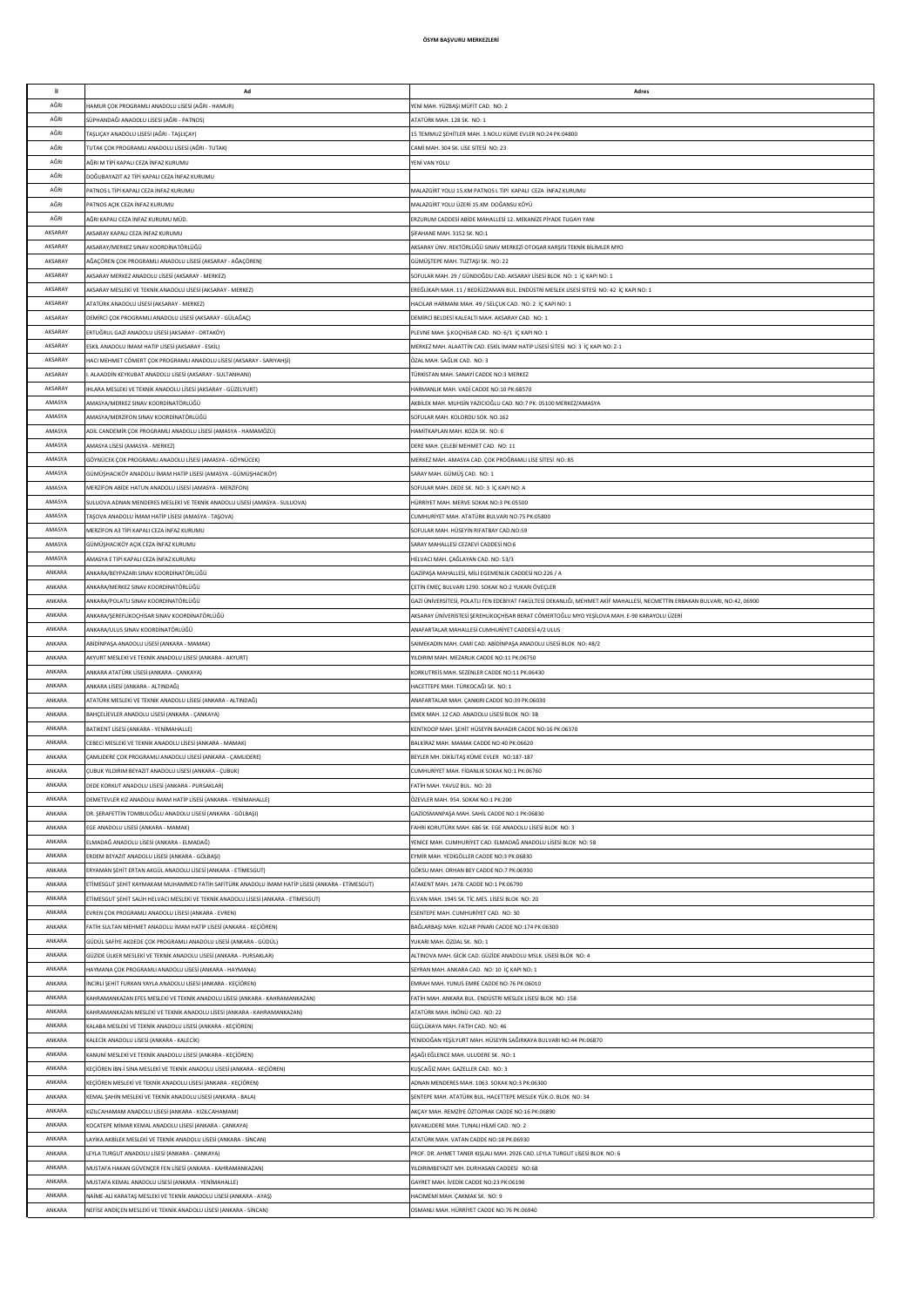| it.     | Ad                                                                                              | Adres                                                                                                                       |
|---------|-------------------------------------------------------------------------------------------------|-----------------------------------------------------------------------------------------------------------------------------|
|         |                                                                                                 |                                                                                                                             |
| AĞRI    | HAMUR ÇOK PROGRAMLI ANADOLU LİSESİ (AĞRI - HAMUR)                                               | YENİ MAH. YÜZBAŞI MÜFİT CAD. NO: 2                                                                                          |
| AĞRI    | SÜPHANDAĞI ANADOLU LİSESİ (AĞRI - PATNOS)                                                       | ATATÜRK MAH. 128 SK. NO: 1                                                                                                  |
| AĞRI    | AŞLIÇAY ANADOLU LİSESİ (AĞRI - TAŞLIÇAY)                                                        | 15 TEMMUZ ŞEHİTLER MAH. 3.NOLU KÜME EVLER NO:24 PK:04800                                                                    |
| AĞRI    | <b>FUTAK ÇOK PROGRAMLI ANADOLU LİSESİ (AĞRI - TUTAK)</b>                                        | CAMİ MAH. 304 SK. LİSE SİTESİ NO: 23                                                                                        |
| AĞRI    | AĞRI M TİPİ KAPALI CEZA İNFAZ KURUMU                                                            | YENİ VAN YOLU                                                                                                               |
| AĞRI    | DOĞUBAYAZIT A2 TİPİ KAPALI CEZA İNFAZ KURUMU                                                    |                                                                                                                             |
|         |                                                                                                 |                                                                                                                             |
| AĞRI    | PATNOS L TÍPÍ KAPALI CEZA ÍNFAZ KURUMU                                                          | MALAZGİRT YOLU 15.KM PATNOS L TİPİ KAPALI CEZA İNFAZ KURUMU                                                                 |
| AĞRI    | PATNOS ACIK CEZA İNFAZ KURUMU                                                                   | MALAZGİRT YOLU ÜZERİ 15.KM DOĞANSU KÖYÜ                                                                                     |
| AĞRI    | AĞRI KAPALI CEZA İNFAZ KURUMU MÜD.                                                              | ERZURUM CADDESİ ABİDE MAHALLESİ 12. MEKANİZE PİYADE TUGAYI YANI                                                             |
| AKSARAY | AKSARAY KAPALI CEZA İNFAZ KURUMU                                                                | SİFAHANE MAH. 3152 SK. NO:1                                                                                                 |
| AKSARAY | AKSARAY/MERKEZ SINAV KOORDİNATÖRLÜĞÜ                                                            | AKSARAY ÜNV. REKTÖRLÜĞÜ SINAV MERKEZİ OTOGAR KARŞISI TEKNİK BİLİMLER MYO                                                    |
| AKSARAY | AĞAÇÖREN ÇOK PROGRAMLI ANADOLU LİSESİ (AKSARAY - AĞAÇÖREN)                                      | GÜMÜŞTEPE MAH. TUZTAŞI SK. NO: 22                                                                                           |
| AKSARAY |                                                                                                 |                                                                                                                             |
|         | AKSARAY MERKEZ ANADOLU LİSESİ (AKSARAY - MERKEZ)                                                | SOFULAR MAH. 29 / GÜNDOĞDU CAD. AKSARAY LİSESİ BLOK NO: 1 İÇ KAPI NO: 1                                                     |
| AKSARAY | AKSARAY MESLEKİ VE TEKNİK ANADOLU LİSESİ (AKSARAY - MERKEZ)                                     | EREĞLİKAPI MAH. 11 / BEDİÜZZAMAN BUL. ENDÜSTRİ MESLEK LİSESİ SİTESİ NO: 42 İÇ KAPI NO: 1                                    |
| AKSARAY | ATATÜRK ANADOLU LİSESİ (AKSARAY - MERKEZ)                                                       | HACILAR HARMANI MAH. 49 / SELÇUK CAD. NO: 2 İÇ KAPI NO: 1                                                                   |
| AKSARAY | DEMİRCİ ÇOK PROGRAMLI ANADOLU LİSESİ (AKSARAY - GÜLAĞAÇ)                                        | DEMÍRCÍ BELDESÍ KALEALTI MAH. AKSARAY CAD. NO: 1                                                                            |
| AKSARAY | ERTUĞRUL GAZİ ANADOLU LİSESİ (AKSARAY - ORTAKÖY)                                                | PLEVNE MAH. Ş.KOÇHİSAR CAD. NO: 6/1 İÇ KAPI NO: 1                                                                           |
| AKSARAY | ESKİL ANADOLU İMAM HATİP LİSESİ (AKSARAY - ESKİL)                                               | MERKEZ MAH. ALAATTİN CAD. ESKİL İMAM HATİP LİSESİ SİTESİ NO: 3 İÇ KAPI NO: Z-1                                              |
|         |                                                                                                 |                                                                                                                             |
| AKSARAY | HACI MEHMET CÖMERT ÇOK PROGRAMLI ANADOLU LİSESİ (AKSARAY - SARIYAHŞİ)                           | ÖZAL MAH, SAĞLIK CAD, NO: 3                                                                                                 |
| AKSARAY | . ALAADDİN KEYKUBAT ANADOLU LİSESİ (AKSARAY - SULTANHANI)                                       | TÜRKİSTAN MAH, SANAYİ CADDE NO:3 MERKEZ                                                                                     |
| AKSARAY | HLARA MESLEKİ VE TEKNİK ANADOLU LİSESİ (AKSARAY - GÜZELYURT)                                    | HARMANI IK MAH, VADİ CADDE NO:10 PK:68570                                                                                   |
| AMASYA  | MASYA/MERKEZ SINAV KOORDINATÖRLÜĞÜ                                                              | AKBİLEK MAH. MUHSİN YAZICIOĞLU CAD. NO:7 PK: 05100 MERKEZ/AMASYA                                                            |
| AMASYA  | AMASYA/MERZİFON SINAV KOORDİNATÖRLÜĞÜ                                                           | SOFULAR MAH, KOLORDU SOK, NO.162                                                                                            |
| AMASYA  |                                                                                                 |                                                                                                                             |
|         | ADİL CANDEMİR ÇOK PROGRAMLI ANADOLU LİSESİ (AMASYA - HAMAMÖZÜ)                                  | HAMİTKAPLAN MAH, KOZA SK. NO: 6                                                                                             |
| AMASYA  | AMASYA LİSESİ (AMASYA - MERKEZ)                                                                 | DERE MAH, CELEBİ MEHMET CAD. NO: 11                                                                                         |
| AMASYA  | GÖYNÜCEK ÇOK PROGRAMLI ANADOLU LİSESİ (AMASYA - GÖYNÜCEK)                                       | MERKEZ MAH. AMASYA CAD. ÇOK PROĞRAMLI LİSE SİTESİ NO: 85                                                                    |
| AMASYA  | GÜMÜŞHACIKÖY ANADOLU İMAM HATİP LİSESİ (AMASYA - GÜMÜŞHACIKÖY)                                  | SARAY MAH. GÜMÜŞ CAD. NO: 1                                                                                                 |
| AMASYA  | MERZÍFON ABÍDE HATUN ANADOLU LÍSESÍ (AMASYA - MERZÍFON)                                         | SOFULAR MAH. DEDE SK. NO: 3 İÇ KAPI NO: A                                                                                   |
|         |                                                                                                 |                                                                                                                             |
| AMASYA  | SULUOVA ADNAN MENDERES MESLEKİ VE TEKNİK ANADOLU LİSESİ (AMASYA - SULUOVA)                      | HÜRRİYET MAH. MERVE SOKAK NO:3 PK:05500                                                                                     |
| AMASYA  | [AŞOVA ANADOLU İMAM HATİP LİSESİ (AMASYA - TAŞOVA)                                              | CUMHURİYET MAH. ATATÜRK BULVARI NO:75 PK:05800                                                                              |
| AMASYA  | MERZÍFON A3 TÍPÍ KAPALI CEZA ÍNFAZ KURUMU                                                       | SOFULAR MAH. HÜSEYİN RIFATBAY CAD.NO:59                                                                                     |
| AMASYA  | GÜMÜŞHACIKÖY AÇIK CEZA İNFAZ KURUMU                                                             | SARAY MAHALLESİ CEZAEVİ CADDESİ NO:6                                                                                        |
| AMASYA  | AMASYA E TİPİ KAPALI CEZA İNFAZ KURUMU                                                          | HELVACI MAH. ÇAĞLAYAN CAD. NO: 53/3                                                                                         |
|         |                                                                                                 |                                                                                                                             |
| ANKARA  | ANKARA/BEYPAZARI SINAV KOORDİNATÖRLÜĞÜ                                                          | GAZİPAŞA MAHALLESİ, MİLİ EGEMENLİK CADDESİ NO:226 / A                                                                       |
| ANKARA  | ANKARA/MERKEZ SINAV KOORDİNATÖRLÜĞÜ                                                             | ÇETİN EMEÇ BULVARI 1290. SOKAK NO:2 YUKARI ÖVEÇLER                                                                          |
| ANKARA  | ANKARA/POLATLI SINAV KOORDİNATÖRLÜĞÜ                                                            | GAZİ ÜNİVERSİTESİ, POLATLI FEN EDEBİYAT FAKÜLTESİ DEKANLIĞI, MEHMET AKİF MAHALLESİ, NECMETTİN ERBAKAN BULVARI, NO:42, 06900 |
| ANKARA  | ANKARA/ŞEREFLİKOÇHİSAR SINAV KOORDİNATÖRLÜĞÜ                                                    | AKSARAY ÜNİVERİSTESİ ŞEREHLİKOÇHİSAR BERAT CÖMERTOĞLU MYO YEŞİLOVA MAH. E-90 KARAYOLU ÜZERİ                                 |
| ANKARA  | ANKARA/ULUS SINAV KOORDİNATÖRLÜĞÜ                                                               | ANAFARTALAR MAHALLESİ CUMHURİYET CADDESİ 4/2 ULUS                                                                           |
|         |                                                                                                 |                                                                                                                             |
| ANKARA  | ABİDİNPAŞA ANADOLU LİSESİ (ANKARA - MAMAK)                                                      | SAİMEKADIN MAH. CAMİ CAD. ABİDİNPAŞA ANADOLU LİSESİ BLOK NO: 48/2                                                           |
| ANKARA  | AKYURT MESLEKİ VE TEKNİK ANADOLU LİSESİ (ANKARA - AKYURT)                                       | YILDIRIM MAH. MEZARLIK CADDE NO:11 PK:06750                                                                                 |
| ANKARA  | ANKARA ATATÜRK LİSESİ (ANKARA - ÇANKAYA)                                                        | KORKUTREIS MAH. SEZENLER CADDE NO:11 PK:06430                                                                               |
| ANKARA  | ANKARA LİSESİ (ANKARA - ALTINDAĞ)                                                               | HACETTEPE MAH. TÜRKOCAĞI SK. NO: 1                                                                                          |
| ANKARA  | ATATÜRK MESLEKİ VE TEKNİK ANADOLU LİSESİ (ANKARA - ALTINDAĞ)                                    | ANAFARTALAR MAH. ÇANKIRI CADDE NO:39 PK:06030                                                                               |
|         |                                                                                                 |                                                                                                                             |
| ANKARA  | BAHÇELİEVLER ANADOLU LİSESİ (ANKARA - ÇANKAYA)                                                  | EMEK MAH. 12 CAD. ANADOLU LİSESİ BLOK NO: 3B                                                                                |
| ANKARA  | BATIKENT LİSESİ (ANKARA - YENİMAHALLE)                                                          | KENTKOOP MAH. ŞEHİT HÜSEYİN BAHADIR CADDE NO:16 PK:06370                                                                    |
| ANKARA  | CEBECİ MESLEKİ VE TEKNİK ANADOLU LİSESİ (ANKARA - MAMAK)                                        | BALKİRAZ MAH, MAMAK CADDE NO:40 PK:06620                                                                                    |
| ANKARA  | ÇAMLIDERE ÇOK PROGRAMLI ANADOLU LİSESİ (ANKARA - ÇAMLIDERE)                                     | BEYLER MH. DİKİLİTAŞ KÜME EVLER NO:187-187                                                                                  |
| ANKARA  | ÇUBUK YILDIRIM BEYAZIT ANADOLU LİSESİ (ANKARA - ÇUBUK)                                          | CUMHURİYET MAH, FİDANLIK SOKAK NO:1 PK:06760                                                                                |
| ANKARA  |                                                                                                 |                                                                                                                             |
|         | DEDE KORKUT ANADOLU LİSESİ (ANKARA - PURSAKLAR)                                                 | FATİH MAH. YAVUZ BUL. NO: 20                                                                                                |
| ANKARA  | DEMETEVLER KIZ ANADOLU İMAM HATİP LİSESİ (ANKARA - YENİMAHALLE)                                 | ÖZEVLER MAH. 954. SOKAK NO:1 PK:200                                                                                         |
| ANKARA  | DR. ŞERAFETTİN TOMBULOĞLU ANADOLU LİSESİ (ANKARA - GÖLBAŞI)                                     | GAZİOSMANPAŞA MAH. SAHİL CADDE NO:1 PK:06830                                                                                |
| ANKARA  | EGE ANADOLU LİSESİ (ANKARA - MAMAK)                                                             | FAHRİ KORUTÜRK MAH. 686 SK. EGE ANADOLU LİSESİ BLOK NO: 3                                                                   |
| ANKARA  | ELMADAĞ ANADOLU LİSESİ (ANKARA - ELMADAĞ)                                                       | YENİCE MAH. CUMHURİYET CAD. ELMADAĞ ANADOLU LİSESİ BLOK NO: 58                                                              |
| ANKARA  |                                                                                                 |                                                                                                                             |
|         | ERDEM BEYAZIT ANADOLU LİSESİ (ANKARA - GÖLBAŞI)                                                 | EYMİR MAH. YEDİGÖLLER CADDE NO:3 PK:06830                                                                                   |
| ANKARA  | ERYAMAN ŞEHİT ERTAN AKGÜL ANADOLU LİSESİ (ANKARA - ETİMESGUT)                                   | GÖKSU MAH. ORHAN BEY CADDE NO:7 PK:06930                                                                                    |
| ANKARA  | ETİMESGUT ŞEHİT KAYMAKAM MUHAMMED FATİH SAFİTÜRK ANADOLU İMAM HATİP LİSESİ (ANKARA - ETİMESGUT) | ATAKENT MAH. 1478. CADDE NO:1 PK:06790                                                                                      |
| ANKARA  | ETÎMESGUT SEHÎT SALÎH HELVACI MESLEKÎ VE TEKNÎK ANADOLU LÎSESÎ (ANKARA - ETÎMESGUT)             | ELVAN MAH. 1945 SK. TİC.MES. LİSESİ BLOK NO: 20                                                                             |
| ANKARA  | EVREN COK PROGRAMI LANADOLLI I İSESİ (ANKARA - EVREN)                                           | ESENTEPE MAH, CUMHURIYET CAD, NO: 30                                                                                        |
| ANKARA  | FATİH SULTAN MEHMET ANADOLU İMAM HATİP LİSESİ (ANKARA - KEÇİÖREN)                               | BAĞLARBAŞI MAH. KIZLAR PINARI CADDE NO:174 PK:06300                                                                         |
|         |                                                                                                 |                                                                                                                             |
| ANKARA  | GÜDÜL SAFİYE AKDEDE ÇOK PROGRAMLI ANADOLU LİSESİ (ANKARA - GÜDÜL)                               | YUKARI MAH. ÖZDAL SK. NO: 1                                                                                                 |
| ANKARA  | GÜZİDE ÜLKER MESLEKİ VE TEKNİK ANADOLU LİSESİ (ANKARA - PURSAKLAR)                              | ALTINOVA MAH, GİCİK CAD, GÜZİDE ANADOLU MSLK, LİSESİ BLOK NO: 4                                                             |
| ANKARA  | HAYMANA ÇOK PROGRAMLI ANADOLU LİSESİ (ANKARA - HAYMANA)                                         | SEYRAN MAH. ANKARA CAD. NO: 10 İÇ KAPI NO: 1                                                                                |
| ANKARA  | İNCİRLİ ŞEHİT FURKAN YAYLA ANADOLU LİSESİ (ANKARA - KEÇİÖREN)                                   | EMRAH MAH. YUNUS EMRE CADDE NO:76 PK:06010                                                                                  |
| ANKARA  | KAHRAMANKAZAN EFES MESLEKİ VE TEKNİK ANADOLU LİSESİ (ANKARA - KAHRAMANKAZAN)                    | FATİH MAH. ANKARA BUL. ENDÜSTRİ MESLEK LİSESİ BLOK NO: 158                                                                  |
|         |                                                                                                 |                                                                                                                             |
| ANKARA  | KAHRAMANKAZAN MESLEKİ VE TEKNİK ANADOLU LİSESİ (ANKARA - KAHRAMANKAZAN)                         | ATATÜRK MAH. İNÖNÜ CAD. NO: 22                                                                                              |
| ANKARA  | KALABA MESLEKİ VE TEKNİK ANADOLU LİSESİ (ANKARA - KEÇİÖREN)                                     | GÜÇLÜKAYA MAH. FATİH CAD. NO: 46                                                                                            |
| ANKARA  | KALECÍK ANADOLU LÍSESÍ (ANKARA - KALECÍK)                                                       | YENİDOĞAN YEŞİLYURT MAH. HÜSEYİN SAĞIRKAYA BULVARI NO:44 PK:06870                                                           |
| ANKARA  | KANUNİ MESLEKİ VE TEKNİK ANADOLU LİSESİ (ANKARA - KEÇİÖREN)                                     | ASAĞI EĞLENCE MAH. ULUDERE SK. NO: 1                                                                                        |
| ANKARA  | KEÇİÖREN İBN-İ SİNA MESLEKİ VE TEKNİK ANADOLU LİSESİ (ANKARA - KEÇİÖREN)                        | KUSCAĞIZ MAH, GAZELLER CAD, NO: 3                                                                                           |
| ANKARA  | KEÇİÖREN MESLEKİ VE TEKNİK ANADOLU LİSESİ (ANKARA - KEÇİÖREN)                                   | ADNAN MENDERES MAH. 1063. SOKAK NO:3 PK:06300                                                                               |
|         |                                                                                                 |                                                                                                                             |
| ANKARA  | KEMAL ŞAHİN MESLEKİ VE TEKNİK ANADOLU LİSESİ (ANKARA - BALA)                                    | SENTEPE MAH. ATATÜRK BUL, HACETTEPE MESLEK YÜK.O. BLOK NO: 34                                                               |
| ANKARA  | KIZILCAHAMAM ANADOLU LİSESİ (ANKARA - KIZILCAHAMAM)                                             | AKÇAY MAH. REMZİYE ÖZTOPRAK CADDE NO:16 PK:06890                                                                            |
| ANKARA  | KOCATEPE MİMAR KEMAL ANADOLU LİSESİ (ANKARA - ÇANKAYA)                                          | KAVAKLIDERE MAH. TUNALI HİLMİ CAD. NO: 2                                                                                    |
| ANKARA  | LAYİKA AKBİLEK MESLEKİ VE TEKNİK ANADOLU LİSESİ (ANKARA - SİNCAN)                               | ATATÜRK MAH. VATAN CADDE NO:18 PK:06930                                                                                     |
| ANKARA  | LEYLA TURGUT ANADOLU LİSESİ (ANKARA - ÇANKAYA)                                                  | PROF. DR. AHMET TANER KIŞLALI MAH. 2926 CAD. LEYLA TURGUT LİSESİ BLOK NO: 6                                                 |
|         |                                                                                                 |                                                                                                                             |
| ANKARA  | MUSTAFA HAKAN GÜVENÇER FEN LİSESİ (ANKARA - KAHRAMANKAZAN)                                      | YILDIRIMBEYAZIT MH. DURHASAN CADDESİ NO:68                                                                                  |
| ANKARA  | MUSTAFA KEMAL ANADOLU LİSESİ (ANKARA - YENİMAHALLE)                                             | GAYRET MAH. İVEDİK CADDE NO:23 PK:06190                                                                                     |
| ANKARA  | NAİME-ALİ KARATAŞ MESLEKİ VE TEKNİK ANADOLU LİSESİ (ANKARA - AYAŞ)                              | HACIMEMİ MAH. ÇAKMAK SK. NO: 9                                                                                              |
| ANKARA  | NEFİSE ANDİÇEN MESLEKİ VE TEKNİK ANADOLU LİSESİ (ANKARA - SİNCAN)                               | OSMANLI MAH. HÜRRİYET CADDE NO:76 PK:06940                                                                                  |
|         |                                                                                                 |                                                                                                                             |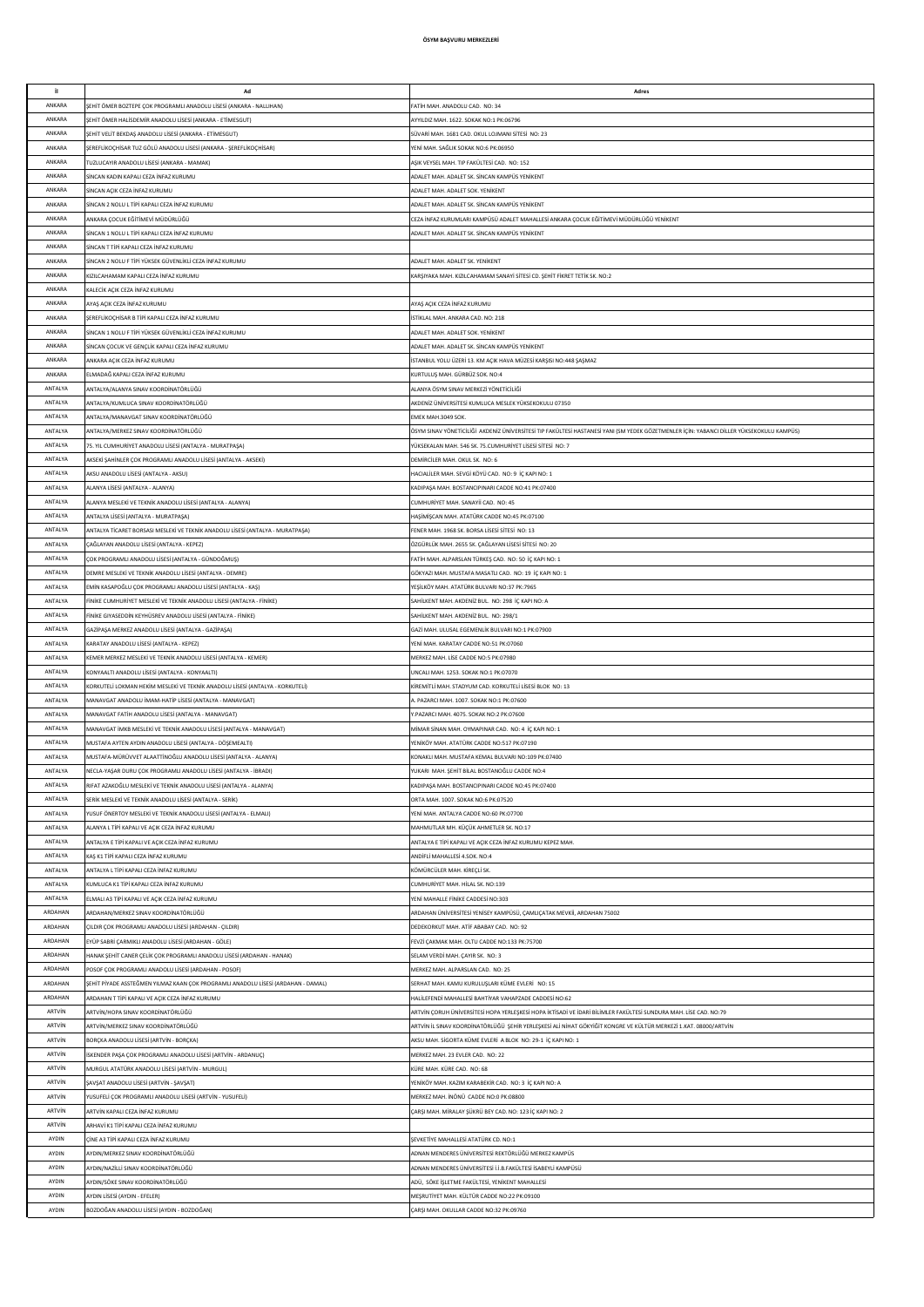| il.                | Ad                                                                                                                             | Adres                                                                                                                                                                           |
|--------------------|--------------------------------------------------------------------------------------------------------------------------------|---------------------------------------------------------------------------------------------------------------------------------------------------------------------------------|
| ANKARA             | SEHİT ÖMER BOZTEPE ÇOK PROGRAMLI ANADOLU LİSESİ (ANKARA - NALLIHAN)                                                            | FATİH MAH. ANADOLU CAD. NO: 34                                                                                                                                                  |
| ANKARA             | ŞEHİT ÖMER HALİSDEMİR ANADOLU LİSESİ (ANKARA - ETİMESGUT)                                                                      | AYYILDIZ MAH. 1622. SOKAK NO:1 PK:06796                                                                                                                                         |
| ANKARA             | ŞEHİT VELİT BEKDAŞ ANADOLU LİSESİ (ANKARA - ETİMESGUT)                                                                         | SÜVARİ MAH. 1681 CAD. OKUL LOJMANI SİTESİ NO: 23                                                                                                                                |
| ANKARA<br>ANKARA   | ŞEREFLİKOÇHİSAR TUZ GÖLÜ ANADOLU LİSESİ (ANKARA - ŞEREFLİKOÇHİSAR)<br><b>TUZLUCAYIR ANADOLU LİSESİ (ANKARA - MAMAK)</b>        | YENİ MAH, SAĞLIK SOKAK NO:6 PK:06950<br>ASIK VEYSEL MAH. TIP FAKÜLTESİ CAD. NO: 152                                                                                             |
| ANKARA             | SİNCAN KADIN KAPALI CEZA İNFAZ KURUMU                                                                                          | ADALET MAH, ADALET SK, SİNCAN KAMPÜS YENİKENT                                                                                                                                   |
| ANKARA             | SİNCAN AÇIK CEZA İNFAZ KURUMU                                                                                                  | ADALET MAH, ADALET SOK, YENİKENT                                                                                                                                                |
| ANKARA             | SİNCAN 2 NOLU L TİPİ KAPALI CEZA İNFAZ KURUMU                                                                                  | ADALET MAH. ADALET SK. SİNCAN KAMPÜS YENİKENT                                                                                                                                   |
| ANKARA             | ANKARA ÇOCUK EĞİTİMEVİ MÜDÜRLÜĞÜ                                                                                               | CEZA İNFAZ KURUMLARI KAMPÜSÜ ADALET MAHALLESİ ANKARA ÇOCUK EĞİTİMEVİ MÜDÜRLÜĞÜ YENİKENT                                                                                         |
| ANKARA             | SİNCAN 1 NOLU L TİPİ KAPALI CEZA İNFAZ KURUMU                                                                                  | ADALET MAH. ADALET SK. SİNCAN KAMPÜS YENİKENT                                                                                                                                   |
| ANKARA             | SİNCAN T TİPİ KAPALI CEZA İNFAZ KURUMU                                                                                         |                                                                                                                                                                                 |
| ANKARA             | SİNCAN 2 NOLU F TİPİ YÜKSEK GÜVENLİKLİ CEZA İNFAZ KURUMU                                                                       | ADALET MAH. ADALET SK. YENİKENT                                                                                                                                                 |
| ANKARA<br>ANKARA   | KIZILCAHAMAM KAPALI CEZA İNFAZ KURUMU<br><b>KALECÍK AÇIK CEZA İNFAZ KURUMU</b>                                                 | KARŞIYAKA MAH. KIZILCAHAMAM SANAYİ SİTESİ CD. ŞEHİT FİKRET TETİK SK. NO:2                                                                                                       |
| ANKARA             | AYAŞ AÇIK CEZA İNFAZ KURUMU                                                                                                    | AYAŞ AÇIK CEZA İNFAZ KURUMU                                                                                                                                                     |
| ANKARA             | SEREFLİKOÇHİSAR B TİPİ KAPALI CEZA İNFAZ KURUMU                                                                                | İSTİKLAL MAH, ANKARA CAD, NO: 218                                                                                                                                               |
| ANKARA             | SİNCAN 1 NOLU F TİPİ YÜKSEK GÜVENLİKLİ CEZA İNFAZ KURUMU                                                                       | ADALET MAH, ADALET SOK, YENİKENT                                                                                                                                                |
| ANKARA             | SİNCAN ÇOCUK VE GENÇLİK KAPALI CEZA İNFAZ KURUMU                                                                               | ADALET MAH, ADALET SK, SİNCAN KAMPÜS YENİKENT                                                                                                                                   |
| ANKARA             | ANKARA AÇIK CEZA İNFAZ KURUMU                                                                                                  | İSTANBUL YOLU ÜZERİ 13. KM AÇIK HAVA MÜZESİ KARŞISI NO:448 ŞAŞMAZ                                                                                                               |
| ANKARA             | ELMADAĞ KAPALI CEZA İNFAZ KURUMU                                                                                               | KURTULUŞ MAH. GÜRBÜZ SOK. NO:4                                                                                                                                                  |
| ANTALYA            | ANTALYA/ALANYA SINAV KOORDİNATÖRLÜĞÜ                                                                                           | ALANYA ÖSYM SINAV MERKEZİ YÖNETİCİLİĞİ                                                                                                                                          |
| ANTALYA<br>ANTALYA | ANTALYA/KUMLUCA SINAV KOORDİNATÖRLÜĞÜ                                                                                          | AKDENİZ ÜNİVERSİTESİ KUMLUCA MESLEK YÜKSEKOKULU 07350                                                                                                                           |
| ANTALYA            | ANTALYA/MANAVGAT SINAV KOORDİNATÖRLÜĞÜ<br>ANTALYA/MERKEZ SINAV KOORDİNATÖRLÜĞÜ                                                 | EMEK MAH.3049 SOK.<br>ÖSYM SINAV YÖNETİCİLİĞİ AKDENİZ ÜNİVERSİTESİ TIP FAKÜLTESİ HASTANESİ YANI (SM YEDEK GÖZETMENLER İÇİN: YABANCI DİLLER YÜKSEKOKULU KAMPÜS)                  |
| ANTALYA            | 75. YIL CUMHURİYET ANADOLU LİSESİ (ANTALYA - MURATPAŞA)                                                                        | YÜKSEKALAN MAH. 546 SK. 75.CUMHURİYET LİSESİ SİTESİ NO: 7                                                                                                                       |
| ANTALYA            | KSEKİ ŞAHİNLER ÇOK PROGRAMLI ANADOLU LİSESİ (ANTALYA - AKSEKİ)                                                                 | DEMİRCİLER MAH. OKUL SK. NO: 6                                                                                                                                                  |
| ANTALYA            | AKSU ANADOLU LİSESİ (ANTALYA - AKSU)                                                                                           | HACIALİLER MAH. SEVGİ KÖYÜ CAD. NO: 9 İÇ KAPI NO: 1                                                                                                                             |
| ANTALYA            | LLANYA LİSESİ (ANTALYA - ALANYA)                                                                                               | KADIPAŞA MAH. BOSTANCIPINARI CADDE NO:41 PK:07400                                                                                                                               |
| ANTALYA            | ALANYA MESLEKİ VE TEKNİK ANADOLU LİSESİ (ANTALYA - ALANYA)                                                                     | CUMHURİYET MAH, SANAYİİ CAD, NO: 45                                                                                                                                             |
| ANTALYA            | ANTALYA LİSESİ (ANTALYA - MURATPASA)                                                                                           | HASİMİSCAN MAH, ATATÜRK CADDE NO:45 PK:07100                                                                                                                                    |
| ANTALYA<br>ANTALYA | ANTALYA TİCARET BORSASI MESLEKİ VE TEKNİK ANADOLU LİSESİ (ANTALYA - MURATPAŞA)                                                 | FENER MAH. 1968 SK, BORSA LİSESİ SİTESİ NO: 13                                                                                                                                  |
| ANTALYA            | ÇAĞLAYAN ANADOLU LİSESİ (ANTALYA - KEPEZ)<br>ÇOK PROGRAMLI ANADOLU LİSESİ (ANTALYA - GÜNDOĞMUŞ)                                | ÖZGÜRLÜK MAH. 2655 SK. ÇAĞLAYAN LİSESİ SİTESİ NO: 20<br>FATİH MAH. ALPARSLAN TÜRKEŞ CAD. NO: 50 İÇ KAPI NO: 1                                                                   |
| ANTALYA            | DEMRE MESLEKİ VE TEKNİK ANADOLU LİSESİ (ANTALYA - DEMRE)                                                                       | GÖKYAZI MAH. MUSTAFA MASATLI CAD. NO: 19 İÇ KAPI NO: 1                                                                                                                          |
| ANTALYA            | EMİN KASAPOĞLU ÇOK PROGRAMLI ANADOLU LİSESİ (ANTALYA - KAŞ)                                                                    | YEŞİLKÖY MAH. ATATÜRK BULVARI NO:37 PK:7965                                                                                                                                     |
| ANTALYA            | inike CUMHURİYET MESLEKİ VE TEKNİK ANADOLU LİSESİ (ANTALYA - FİNİKE)                                                           | SAHİLKENT MAH. AKDENİZ BUL. NO: 298 İÇ KAPI NO: A                                                                                                                               |
| ANTALYA            | inike GIYASEDDİN KEYHÜSREV ANADOLU LİSESİ (ANTALYA - FİNİKE)                                                                   | SAHİLKENT MAH. AKDENİZ BUL. NO: 298/1                                                                                                                                           |
| ANTALYA            | SAZİPAŞA MERKEZ ANADOLU LİSESİ (ANTALYA - GAZİPAŞA)                                                                            | GAZİ MAH. ULUSAL EGEMENLİK BULVARI NO:1 PK:07900                                                                                                                                |
| ANTALYA            | (ARATAY ANADOLU LİSESİ (ANTALYA - KEPEZ)                                                                                       | YENİ MAH, KARATAY CADDE NO:51 PK:07060                                                                                                                                          |
| ANTALYA<br>ANTALYA | KEMER MERKEZ MESLEKÎ VE TEKNÎK ANADOLU LÎSESÎ (ANTALYA - KEMER)<br>KONYAALTI ANADOLU LİSESİ (ANTALYA - KONYAALTI)              | MERKEZ MAH. LİSE CADDE NO:5 PK:07980<br>UNCALI MAH. 1253. SOKAK NO:1 PK:07070                                                                                                   |
| ANTALYA            | KORKUTELİ LOKMAN HEKİM MESLEKİ VE TEKNİK ANADOLU LİSESİ (ANTALYA - KORKUTELİ)                                                  | KİREMİTLİ MAH, STADYUM CAD, KORKUTELİ LİSESİ BLOK NO: 13                                                                                                                        |
| ANTALYA            | MANAVGAT ANADOLU İMAM-HATİP LİSESİ (ANTALYA - MANAVGAT)                                                                        | A PAZARCI MAH 1007 SOKAK NO:1 PK:07600                                                                                                                                          |
| ANTALYA            | MANAVGAT FATİH ANADOLU LİSESİ (ANTALYA - MANAVGAT)                                                                             | Y.PAZARCI MAH, 4075, SOKAK NO:2 PK:07600                                                                                                                                        |
| ANTALYA            | MANAVGAT İMKB MESLEKİ VE TEKNİK ANADOLU LİSESİ (ANTALYA - MANAVGAT)                                                            | MİMAR SİNAN MAH. OYMAPINAR CAD. NO: 4 İÇ KAPI NO: 1                                                                                                                             |
| ANTALYA            | MUSTAFA AYTEN AYDIN ANADOLU LİSESİ (ANTALYA - DÖŞEMEALTI)                                                                      | YENİKÖY MAH, ATATÜRK CADDE NO:517 PK:07190                                                                                                                                      |
| ANTALYA            | MUSTAFA-MÜRÜVVET ALAATTİNOĞLU ANADOLU LİSESİ (ANTALYA - ALANYA)                                                                | KONAKLI MAH. MUSTAFA KEMAL BULVARI NO:109 PK:07400                                                                                                                              |
| ANTALYA<br>ANTALYA | NECLA-YAŞAR DURU ÇOK PROGRAMLI ANADOLU LİSESİ (ANTALYA - İBRADI)                                                               | YUKARI MAH. ŞEHİT BİLAL BOSTANOĞLU CADDE NO:4                                                                                                                                   |
| ANTALYA            | RIFAT AZAKOĞLU MESLEKİ VE TEKNİK ANADOLU LİSESİ (ANTALYA - ALANYA)<br>SERİK MESLEKİ VE TEKNİK ANADOLU LİSESİ (ANTALYA - SERİK) | KADIPAŞA MAH. BOSTANCIPINARI CADDE NO:45 PK:07400<br>ORTA MAH. 1007. SOKAK NO:6 PK:07520                                                                                        |
| ANTALYA            | USUF ÖNERTOY MESLEKİ VE TEKNİK ANADOLU LİSESİ (ANTALYA - ELMALI)                                                               | YENİ MAH. ANTALYA CADDE NO:60 PK:07700                                                                                                                                          |
| ANTALYA            | LANYA L TİPİ KAPALI VE AÇIK CEZA İNFAZ KURUMU                                                                                  | MAHMUTLAR MH. KÜÇÜK AHMETLER SK. NO:17                                                                                                                                          |
| ANTALYA            | ANTALYA E TİPİ KAPALI VE ACIK CEZA İNFAZ KURUMU                                                                                | ANTALYA E TÎPÎ KAPALI VE ACIK CEZA ÎNFAZ KURUMU KEPEZ MAH.                                                                                                                      |
| ANTALYA            | KAS K1 TİPİ KAPALI CEZA İNFAZ KURUMU                                                                                           | ANDİFLİ MAHALLESİ 4.SOK, NO:4                                                                                                                                                   |
| ANTALYA            | ANTALYA L TİPİ KAPALI CEZA İNFAZ KURUMU                                                                                        | KÖMÜRCÜLER MAH, KİRECLİ SK.                                                                                                                                                     |
| ANTALYA            | KUMLUCA K1 TİPİ KAPALI CEZA İNFAZ KURUMU                                                                                       | CUMHURİYET MAH. HİLAL SK. NO:139                                                                                                                                                |
| ANTALYA<br>ARDAHAN | ELMALI A3 TİPİ KAPALI VE AÇIK CEZA İNFAZ KURUMU<br>ARDAHAN/MERKEZ SINAV KOORDİNATÖRLÜĞÜ                                        | YENİ MAHALLE FİNİKE CADDESİ NO:303                                                                                                                                              |
| ARDAHAN            | ÇILDIR ÇOK PROGRAMLI ANADOLU LİSESİ (ARDAHAN - ÇILDIR)                                                                         | ARDAHAN ÜNİVERSİTESİ YENİSEY KAMPÜSÜ, ÇAMLIÇATAK MEVKİİ, ARDAHAN 75002<br>DEDEKORKUT MAH. ATİF ABABAY CAD. NO: 92                                                               |
| ARDAHAN            | EYÜP SABRİ ÇARMIKLI ANADOLU LİSESİ (ARDAHAN - GÖLE)                                                                            | FEVZİ ÇAKMAK MAH. OLTU CADDE NO:133 PK:75700                                                                                                                                    |
| ARDAHAN            | HANAK ŞEHİT CANER ÇELİK ÇOK PROGRAMLI ANADOLU LİSESİ (ARDAHAN - HANAK)                                                         | SELAM VERDİ MAH. ÇAYIR SK. NO: 3                                                                                                                                                |
| ARDAHAN            | POSOF ÇOK PROGRAMLI ANADOLU LİSESİ (ARDAHAN - POSOF)                                                                           | MERKEZ MAH. ALPARSLAN CAD. NO: 25                                                                                                                                               |
| ARDAHAN            | ŞEHİT PİYADE ASSTEĞMEN YILMAZ KAAN ÇOK PROGRAMLI ANADOLU LİSESİ (ARDAHAN - DAMAL)                                              | SERHAT MAH. KAMU KURULUŞLARI KÜME EVLERİ NO: 15                                                                                                                                 |
| ARDAHAN            | ARDAHAN T TİPİ KAPALI VE AÇIK CEZA İNFAZ KURUMU                                                                                | HALİLEFENDİ MAHALLESİ BAHTİYAR VAHAPZADE CADDESİ NO:62                                                                                                                          |
| ARTVİN             | ARTVİN/HOPA SINAV KOORDİNATÖRLÜĞÜ                                                                                              | ARTVİN ÇORUH ÜNİVERSİTESİ HOPA YERLEŞKESİ HOPA İKTİSADİ VE İDARİ BİLİMLER FAKÜLTESİ SUNDURA MAH. LİSE CAD. NO:79                                                                |
| ARTVİN<br>ARTVİN   | ARTVİN/MERKEZ SINAV KOORDİNATÖRLÜĞÜ<br>BORÇKA ANADOLU LİSESİ (ARTVİN - BORÇKA)                                                 | ARTVİN İL SINAV KOORDİNATÖRLÜĞÜ ŞEHİR YERLEŞKESİ ALİ NİHAT GÖKYİĞİT KONGRE VE KÜLTÜR MERKEZİ 1.KAT. 08000/ARTVİN<br>AKSU MAH, SİGORTA KÜME EVLERİ A BLOK NO: 29-1 İC KAPI NO: 1 |
| ARTVİN             | SKENDER PAŞA ÇOK PROGRAMLI ANADOLU LİSESİ (ARTVİN - ARDANUÇ)                                                                   | MERKEZ MAH. 23 EVLER CAD. NO: 22                                                                                                                                                |
| ARTVİN             | MURGUL ATATÜRK ANADOLU LİSESİ (ARTVİN - MURGUL)                                                                                | KÜRE MAH. KÜRE CAD. NO: 68                                                                                                                                                      |
| ARTVİN             | ŞAVŞAT ANADOLU LİSESİ (ARTVİN - ŞAVŞAT)                                                                                        | YENİKÖY MAH. KAZIM KARABEKİR CAD. NO: 3 İÇ KAPI NO: A                                                                                                                           |
| ARTVİN             | YUSUFELİ ÇOK PROGRAMLI ANADOLU LİSESİ (ARTVİN - YUSUFELİ)                                                                      | MERKEZ MAH, İNÖNÜ CADDE NO:0 PK:08800                                                                                                                                           |
| ARTVİN             | ARTVİN KAPALI CEZA İNFAZ KURUMU                                                                                                | ÇARŞI MAH. MİRALAY ŞÜKRÜ BEY CAD. NO: 123 İÇ KAPI NO: 2                                                                                                                         |
| ARTVİN             | ARHAVÎ K1 TÎPÎ KAPALI CEZA ÎNFAZ KURUMU                                                                                        |                                                                                                                                                                                 |
| AYDIN              | ÇİNE A3 TİPİ KAPALI CEZA İNFAZ KURUMU                                                                                          | ŞEVKETİYE MAHALLESİ ATATÜRK CD. NO:1                                                                                                                                            |
| AYDIN<br>AYDIN     | YDIN/MERKEZ SINAV KOORDİNATÖRLÜĞÜ<br>YDIN/NAZİLLİ SINAV KOORDİNATÖRLÜĞÜ                                                        | ADNAN MENDERES ÜNİVERSİTESİ REKTÖRLÜĞÜ MERKEZ KAMPÜS<br>ADNAN MENDERES ÜNİVERSİTESİ İ.İ.B.FAKÜLTESİ İSABEYLI KAMPÜSÜ                                                            |
| AYDIN              | YDIN/SÖKE SINAV KOORDİNATÖRLÜĞÜ                                                                                                | ADÜ, SÖKE İŞLETME FAKÜLTESİ, YENİKENT MAHALLESİ                                                                                                                                 |
| AYDIN              | AYDIN LİSESİ (AYDIN - EFELER)                                                                                                  | MESRUTİYET MAH, KÜLTÜR CADDE NO:22 PK:09100                                                                                                                                     |
| AYDIN              | BOZDOĞAN ANADOLU LİSESİ (AYDIN - BOZDOĞAN)                                                                                     | CARSI MAH, OKULLAR CADDE NO:32 PK:09760                                                                                                                                         |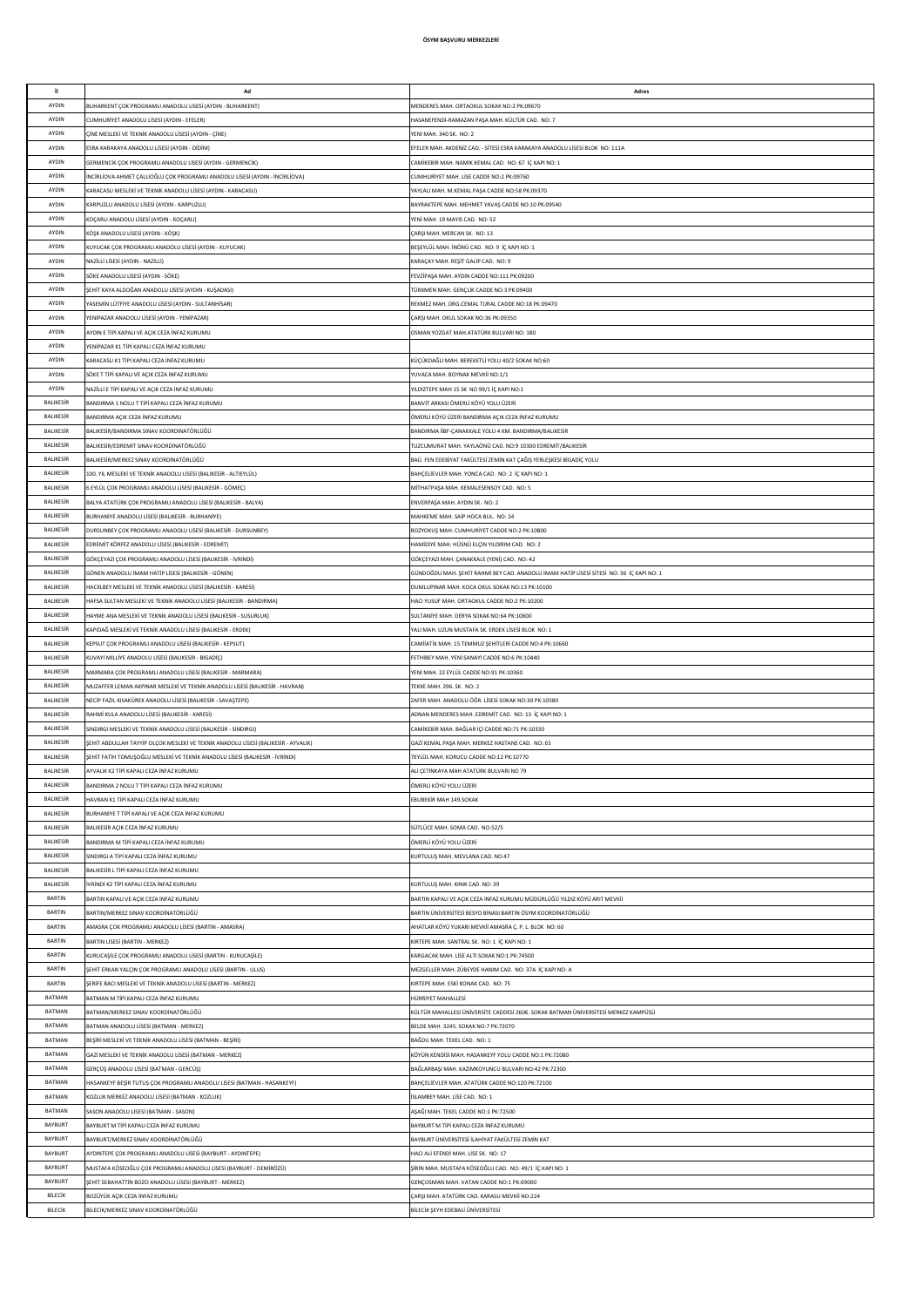| it.                            | Ad                                                                                                                                         | Adres                                                                                                                                |
|--------------------------------|--------------------------------------------------------------------------------------------------------------------------------------------|--------------------------------------------------------------------------------------------------------------------------------------|
| AYDIN                          | IUHARKENT ÇOK PROGRAMLI ANADOLU LİSESİ (AYDIN - BUHARKENT)                                                                                 | MENDERES MAH. ORTAOKUL SOKAK NO:2 PK:09670                                                                                           |
| AYDIN                          | CUMHURİYET ANADOLU LİSESİ (AYDIN - EFELER)                                                                                                 | HASANEFENDİ-RAMAZAN PAŞA MAH. KÜLTÜR CAD. NO: 7                                                                                      |
| AYDIN                          | INE MESLEKİ VE TEKNİK ANADOLU LİSESİ (AYDIN - ÇİNE)                                                                                        | YENİ MAH. 340 SK. NO: 2                                                                                                              |
| AYDIN<br>AYDIN                 | ESRA KARAKAYA ANADOLU LİSESİ (AYDIN - DİDİM)                                                                                               | EFELER MAH. AKDENİZ CAD. - SİTESİ ESRA KARAKAYA ANADOLU LİSESİ BLOK NO: 111A<br>CAMİKEBİR MAH, NAMIK KEMAL CAD, NO: 67 İC KAPI NO: 1 |
| AYDIN                          | GERMENCİK ÇOK PROGRAMLI ANADOLU LİSESİ (AYDIN - GERMENCİK)<br>INCIRLIOVA AHMET ÇALLIOĞLU ÇOK PROGRAMLI ANADOLU LİSESİ (AYDIN - İNCIRLIOVA) | CUMHURİYET MAH, LİSE CADDE NO:2 PK:09760                                                                                             |
| AYDIN                          | (ARACASU MESLEKİ VE TEKNİK ANADOLU LİSESİ (AYDIN - KARACASU)                                                                               | YAYLALI MAH. M.KEMAL PASA CADDE NO:58 PK:09370                                                                                       |
| AYDIN                          | (ARPUZLU ANADOLU LİSESİ (AYDIN - KARPUZLU)                                                                                                 | BAYRAKTEPE MAH. MEHMET YAVAŞ CADDE NO:10 PK:09540                                                                                    |
| AYDIN                          | KOÇARLI ANADOLU LİSESİ (AYDIN - KOÇARLI)                                                                                                   | YENİ MAH. 19 MAYIS CAD. NO: 52                                                                                                       |
| AYDIN                          | KÖSK ANADOLU LİSESİ (AYDIN - KÖSK)                                                                                                         | CARSI MAH. MERCAN SK. NO: 13                                                                                                         |
| AYDIN                          | KUYUCAK ÇOK PROGRAMLI ANADOLU LİSESİ (AYDIN - KUYUCAK)                                                                                     | BEŞEYLÜL MAH. İNÖNÜ CAD. NO: 9 İÇ KAPI NO: 1                                                                                         |
| AYDIN<br>AYDIN                 | NAZİLLİ LİSESİ (AYDIN - NAZİLLİ)<br>SÖKE ANADOLU LİSESİ (AYDIN - SÖKE)                                                                     | KARAÇAY MAH. REŞİT GALİP CAD. NO: 9                                                                                                  |
| AYDIN                          | ŞEHİT KAYA ALDOĞAN ANADOLU LİSESİ (AYDIN - KUŞADASI)                                                                                       | FEVZİPAŞA MAH. AYDIN CADDE NO:111 PK:09200<br>TÜRKMEN MAH. GENÇLİK CADDE NO:3 PK:09400                                               |
| AYDIN                          | ASEMÍN LÜTFİYE ANADOLU LİSESİ (AYDIN - SULTANHİSAR)                                                                                        | REKMEZ MAH. ORG.CEMAL TURAL CADDE NO:18 PK:09470                                                                                     |
| AYDIN                          | YENİPAZAR ANADOLU LİSESİ (AYDIN - YENİPAZAR)                                                                                               | CARSI MAH, OKUL SOKAK NO:36 PK:09350                                                                                                 |
| AYDIN                          | AYDIN E TİPİ KAPALI VE AÇIK CEZA İNFAZ KURUMU                                                                                              | OSMAN YOZGAT MAH.ATATÜRK BULVARI NO: 180                                                                                             |
| AYDIN                          | YENİPAZAR K1 TİPİ KAPALI CEZA İNFAZ KURUMU                                                                                                 |                                                                                                                                      |
| AYDIN                          | KARACASU K1 TİPİ KAPALI CEZA İNFAZ KURUMU                                                                                                  | KÜÇÜKDAĞLI MAH. BEREKETLİ YOLU 40/2 SOKAK NO:60                                                                                      |
| AYDIN<br>AYDIN                 | SÖKE T TİPİ KAPALI VE AÇIK CEZA İNFAZ KURUMU<br>NAZİLLİ E TİPİ KAPALI VE ACIK CEZA İNFAZ KURUMU                                            | YUVACA MAH. BOYNAK MEVKİİ NO:1/1<br>YILDIZTEPE MAH 15 SK NO 99/1 İÇ KAPI NO:1                                                        |
| <b>BALIKESIF</b>               | BANDIRMA 1 NOLU T TİPİ KAPALI CEZA İNFAZ KURUMU                                                                                            | BANVİT ARKASI ÖMERLİ KÖYÜ YOLU ÜZERİ                                                                                                 |
| <b>BALIKESIF</b>               | BANDIRMA AÇIK CEZA İNFAZ KURUMU                                                                                                            | ÖMERLİ KÖYÜ ÜZERİ BANDIRMA AÇIK CEZA İNFAZ KURUMU                                                                                    |
| <b>BALIKESIF</b>               | ALIKESİR/BANDIRMA SINAV KOORDİNATÖRLÜĞÜ                                                                                                    | BANDIRMA İİBF-ÇANAKKALE YOLU 4 KM. BANDIRMA/BALIKESİR                                                                                |
| BALIKESİR                      | BALIKESİR/EDREMİT SINAV KOORDİNATÖRLÜĞÜ                                                                                                    | TUZCUMURAT MAH. YAYLAÖNÜ CAD. NO:9 10300 EDREMİT/BALIKESİR                                                                           |
| BALIKESİR                      | ALIKESİR/MERKEZ SINAV KOORDİNATÖRLÜĞÜ                                                                                                      | BAÜ. FEN EDEBİYAT FAKÜLTESİ ZEMİN KAT ÇAĞIŞ YERLEŞKESİ BİGADİÇ YOLU                                                                  |
| BALIKESİR                      | 100. YIL MESLEKİ VE TEKNİK ANADOLU LİSESİ (BALIKESİR - ALTIEYLÜL)                                                                          | BAHÇELİEVLER MAH. YONCA CAD. NO: 2 İÇ KAPI NO: 1                                                                                     |
| BALIKESİR<br>BALIKESİR         | EYLÜL ÇOK PROGRAMLI ANADOLU LİSESİ (BALIKESİR - GÖMEÇ)<br>BALYA ATATÜRK COK PROGRAMLI ANADOLLI IİSESİ (BALIKESİR - BALYA)                  | MİTHATPAŞA MAH. KEMALESENSOY CAD. NO: 5<br>ENVERPASA MAH, AYDIN SK. NO: 2                                                            |
| BALIKESİR                      | BURHANİYE ANADOLU LİSESİ (BALIKESİR - BURHANİYE)                                                                                           | MAHKEME MAH, SAİP HOCA BUL, NO: 24                                                                                                   |
| BALIKESİR                      | DURSUNBEY COK PROGRAMLI ANADOLU LİSESİ (BALIKESİR - DURSUNBEY)                                                                             | BOZYOKUS MAH, CUMHURİYET CADDE NO:2 PK:10800                                                                                         |
| <b>BALIKESIR</b>               | EDREMİT KÖRFEZ ANADOLU LİSESİ (BALIKESİR - EDREMİT)                                                                                        | HAMİDİYE MAH. HÜSNÜ ELÇİN YILDIRIM CAD. NO: 2                                                                                        |
| <b>BALIKESIR</b>               | GÖKÇEYAZI ÇOK PROGRAMLI ANADOLU LİSESİ (BALIKESİR - İVRİNDİ)                                                                               | GÖKÇEYAZI MAH. ÇANAKKALE (YENİ) CAD. NO: 42                                                                                          |
| <b>BALIKESIR</b>               | GÖNEN ANADOLU İMAM HATİP LİSESİ (BALIKESİR - GÖNEN)                                                                                        | GÜNDOĞDU MAH. ŞEHİT RAHMİ BEY CAD. ANADOLU İMAM HATİP LİSESİ SİTESİ NO: 36 İÇ KAPI NO: 1                                             |
| <b>BALIKESIR</b>               | HACIİLBEY MESLEKİ VE TEKNİK ANADOLU LİSESİ (BALIKESİR - KARESİ)                                                                            | DUMLUPINAR MAH. KOCA OKUL SOKAK NO:13 PK:10100                                                                                       |
| BALIKESİR<br><b>BALIKESIR</b>  | HAFSA SULTAN MESLEKİ VE TEKNİK ANADOLU LİSESİ (BALIKESİR - BANDIRMA)<br>HAYME ANA MESLEKİ VE TEKNİK ANADOLU LİSESİ (BALIKESİR - SUSURLUK)  | HACI YUSUF MAH. ORTAOKUL CADDE NO:2 PK:10200<br>SULTANIYE MAH. DERYA SOKAK NO:64 PK:10600                                            |
| BALIKESİR                      | (APIDAĞ MESLEKİ VE TEKNİK ANADOLU LİSESİ (BALIKESİR - ERDEK)                                                                               | YALI MAH. UZUN MUSTAFA SK. ERDEK LİSESİ BLOK NO: 1                                                                                   |
| BALIKESİR                      | KEPSUT ÇOK PROGRAMLI ANADOLU LİSESİ (BALIKESİR - KEPSUT)                                                                                   | CAMİİATİK MAH. 15 TEMMUZ ŞEHİTLERİ CADDE NO:4 PK:10660                                                                               |
| BALIKESİR                      | KUVAYİ MİLLİYE ANADOLU LİSESİ (BALIKESİR - BİGADİÇ)                                                                                        | FETHİBEY MAH. YENİ SANAYİ CADDE NO:6 PK:10440                                                                                        |
| BALIKESİR                      | MARMARA ÇOK PROGRAMLI ANADOLU LİSESİ (BALIKESİR - MARMARA)                                                                                 | YENİ MAH. 22 EYLÜL CADDE NO:91 PK:10360                                                                                              |
| BALIKESİR                      | MUZAFFER LEMAN AKPINAR MESLEKÎ VE TEKNÎK ANADOLU LÎSESÎ (BALIKESÎR - HAVRAN)                                                               | TEKKE MAH 296 SK NO: 2                                                                                                               |
| BALIKESİR<br><b>BALIKESIR</b>  | NECİP FAZIL KISAKÜREK ANADOLU LİSESİ (BALIKESİR - SAVASTEPE)<br>RAHMİ KULA ANADOLU LİSESİ (BALIKESİR - KARESİ)                             | ZAFER MAH, ANADOLU ÖĞR, LİSESİ SOKAK NO:30 PK:10580<br>ADNAN MENDERES MAH. EDREMİT CAD. NO: 13 İÇ KAPI NO: 1                         |
| <b>BALIKESIR</b>               | SINDIRGI MESLEKİ VE TEKNİK ANADOLU LİSESİ (BALIKESİR - SINDIRGI)                                                                           | CAMİKEBİR MAH. BAĞLAR İÇİ CADDE NO:71 PK:10330                                                                                       |
| <b>BALIKESIR</b>               | ŞEHİT ABDULLAH TAYYİP OLÇOK MESLEKİ VE TEKNİK ANADOLU LİSESİ (BALIKESİR - AYVALIK)                                                         | GAZİ KEMAL PAŞA MAH. MERKEZ HASTANE CAD. NO: 65                                                                                      |
| <b>BALIKESIR</b>               | ŞEHİT FATİH TOMUŞOĞLU MESLEKİ VE TEKNİK ANADOLU LİSESİ (BALIKESİR - İVRİNDİ)                                                               | 7EYLÜL MAH. KORUCU CADDE NO:12 PK:10770                                                                                              |
| <b>BALIKESIR</b>               | AYVALIK K2 TİPİ KAPALI CEZA İNFAZ KURUMU                                                                                                   | ALİ ÇETİNKAYA MAH ATATÜRK BULVARI NO 79                                                                                              |
| BALIKESİR                      | BANDIRMA 2 NOLU T TİPİ KAPALI CEZA İNFAZ KURUMU                                                                                            | JMERLİ KÖYÜ YOLU ÜZERİ                                                                                                               |
| BALIKESİR<br>BALIKESİR         | HAVRAN K1 TİPİ KAPALI CEZA İNFAZ KURUMU                                                                                                    | EBUBEKİR MAH 149.SOKAK                                                                                                               |
| BALIKESİR                      | BURHANİYE T TİPİ KAPALI VE AÇIK CEZA İNFAZ KURUMU<br>BALIKESİR AÇIK CEZA İNFAZ KURUMU                                                      | SÜTLÜCE MAH. SOMA CAD. NO:52/5                                                                                                       |
| BALIKESİR                      | BANDIRMA M TİPİ KAPALI CEZA İNFAZ KURUMU                                                                                                   | ÖMERLİ KÖYÜ YOLU ÜZERİ                                                                                                               |
| BALIKESİR                      | SINDIRGI A TİPİ KAPALI CEZA İNFAZ KURUMU                                                                                                   | KURTULUS MAH, MEVLANA CAD, NO 47                                                                                                     |
| BALIKESİR                      | BALIKESİR L TİPİ KAPALI CEZA İNFAZ KURUMU                                                                                                  |                                                                                                                                      |
| <b>BALIKESIR</b>               | VRINDI K2 TIPI KAPALI CEZA INFAZ KURUMU                                                                                                    | KURTULUŞ MAH. KINIK CAD. NO: 39                                                                                                      |
| BARTIN<br><b>BARTIN</b>        | BARTIN KAPALI VE AÇIK CEZA İNFAZ KURUMU                                                                                                    | BARTIN KAPALI VE AÇIK CEZA İNFAZ KURUMU MÜDÜRLÜĞÜ YILDIZ KÖYÜ ARIT MEVKİİ                                                            |
| BARTIN                         | BARTIN/MERKEZ SINAV KOORDİNATÖRLÜĞÜ<br>AMASRA ÇOK PROGRAMLI ANADOLU LİSESİ (BARTIN - AMASRA)                                               | BARTIN ÜNİVERSİTESİ BESYO BİNASI BARTIN ÖSYM KOORDİNATÖRLÜĞÜ<br>AHATLAR KÖYÜ YUKARI MEVKİİ AMASRA Ç. P. L. BLOK NO: 60               |
| BARTIN                         | BARTIN LİSESİ (BARTIN - MERKEZ)                                                                                                            | KIRTEPE MAH. SANTRAL SK. NO: 1 İÇ KAPI NO: 1                                                                                         |
| BARTIN                         | KURUCAŞİLE ÇOK PROGRAMLI ANADOLU LİSESİ (BARTIN - KURUCAŞİLE)                                                                              | KARGACAK MAH. LİSE ALTI SOKAK NO:1 PK:74500                                                                                          |
| BARTIN                         | SEHİT ERKAN YALÇIN ÇOK PROGRAMLI ANADOLU LİSESİ (BARTIN - ULUS)                                                                            | MEZGELLER MAH. ZÜBEYDE HANIM CAD. NO: 37A İÇ KAPI NO: A                                                                              |
| BARTIN                         | ŞERİFE BACI MESLEKİ VE TEKNİK ANADOLU LİSESİ (BARTIN - MERKEZ)                                                                             | KIRTEPE MAH. ESKİ KONAK CAD. NO: 75                                                                                                  |
| <b>BATMAN</b>                  | BATMAN M TİPİ KAPALI CEZA İNFAZ KURUMU                                                                                                     | HÜRRİYET MAHALLESİ                                                                                                                   |
| <b>BATMAN</b><br><b>BATMAN</b> | BATMAN/MERKEZ SINAV KOORDİNATÖRLÜĞÜ<br>BATMAN ANADOLU LİSESİ (BATMAN - MERKEZ)                                                             | KÜLTÜR MAHALLESİ ÜNİVERSİTE CADDESİ 2606. SOKAK BATMAN ÜNİVERSİTESİ MERKEZ KAMPÜSÜ<br>BELDE MAH, 3245, SOKAK NO:7 PK:72070           |
| <b>BATMAN</b>                  | BEŞİRİ MESLEKİ VE TEKNİK ANADOLU LİSESİ (BATMAN - BEŞİRİ)                                                                                  | BAĞDU MAH, TEKEL CAD, NO: 1                                                                                                          |
| BATMAN                         | GAZİ MESLEKİ VE TEKNİK ANADOLU LİSESİ (BATMAN - MERKEZ)                                                                                    | KÖYÜN KENDİSİ MAH. HASANKEYF YOLU CADDE NO:1 PK:72080                                                                                |
| BATMAN                         | GERÇÜŞ ANADOLU LİSESİ (BATMAN - GERCÜŞ)                                                                                                    | BAĞLARBAŞI MAH. KAZIMKOYUNCU BULVARI NO:42 PK:72300                                                                                  |
| BATMAN                         | HASANKEYF BEŞİR TUTUŞ ÇOK PROGRAMLI ANADOLU LİSESİ (BATMAN - HASANKEYF)                                                                    | BAHÇELİEVLER MAH. ATATÜRK CADDE NO:120 PK:72100                                                                                      |
| BATMAN                         | KOZLUK MERKEZ ANADOLU LİSESİ (BATMAN - KOZLUK)                                                                                             | <b>İSLAMBEY MAH. LİSE CAD. NO: 1</b>                                                                                                 |
| BATMAN                         | SASON ANADOLU LİSESİ (BATMAN - SASON)                                                                                                      | AŞAĞI MAH. TEKEL CADDE NO:1 PK:72500                                                                                                 |
| BAYBURT<br>BAYBURT             | BAYBURT M TİPİ KAPALI CEZA İNFAZ KURUMU<br>3AYBURT/MERKEZ SINAV KOORDİNATÖRLÜĞÜ                                                            | BAYBURT M TİPİ KAPALI CEZA İNFAZ KURUMU<br>BAYBURT ÜNİVERSİTESİ İLAHİYAT FAKÜLTESİ ZEMİN KAT                                         |
| BAYBURT                        | YDINTEPE ÇOK PROGRAMLI ANADOLU LİSESİ (BAYBURT - AYDINTEPE)                                                                                | HACI ALÍ EFENDÍ MAH. LÍSE SK. NO: 17                                                                                                 |
| BAYBURT                        | MUSTAFA KÖSEOĞLU ÇOK PROGRAMLI ANADOLU LİSESİ (BAYBURT - DEMİRÖZÜ)                                                                         | ŞİRİN MAH. MUSTAFA KÖSEOĞLU CAD. NO: 49/1 İÇ KAPI NO: 1                                                                              |
| BAYBURT                        | ŞEHİT SEBAHATTİN BOZO ANADOLU LİSESİ (BAYBURT - MERKEZ)                                                                                    | GENÇOSMAN MAH. VATAN CADDE NO:1 PK:69000                                                                                             |
| BİLECİK                        | BOZÜYÜK ACIK CEZA İNFAZ KURUMU                                                                                                             | CARSI MAH. ATATÜRK CAD. KARASU MEVKİİ NO:224                                                                                         |
| BİLECİK                        | BİLECİK/MERKEZ SINAV KOORDİNATÖRLÜĞÜ                                                                                                       | BİLECİK ŞEYH EDEBALİ ÜNİVERSİTESİ                                                                                                    |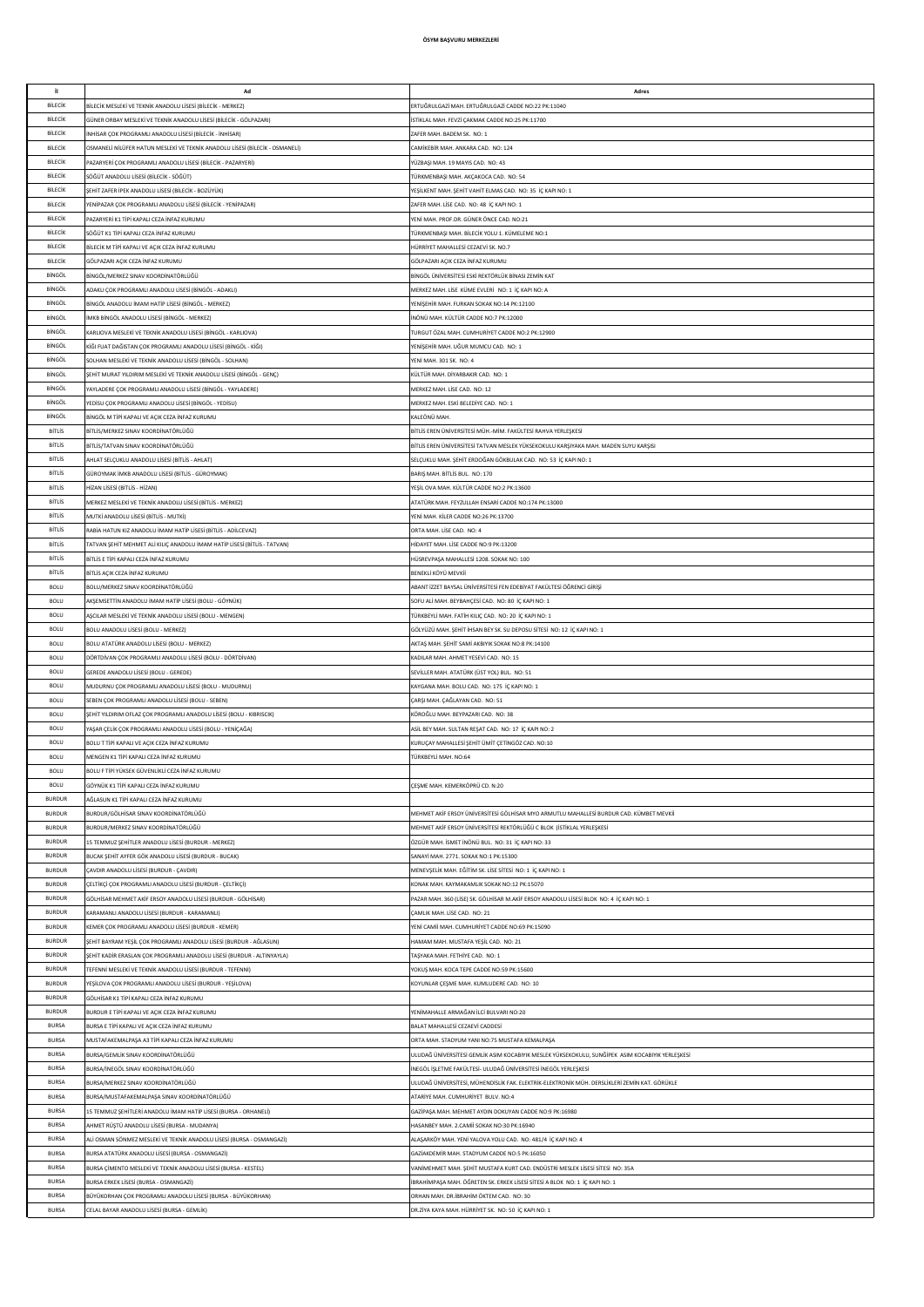| il.           | Ad                                                                           | Adres                                                                                            |
|---------------|------------------------------------------------------------------------------|--------------------------------------------------------------------------------------------------|
|               |                                                                              |                                                                                                  |
| BİLECİK       | BİLECİK MESLEKİ VE TEKNİK ANADOLU LİSESİ (BİLECİK - MERKEZ)                  | ERTUĞRULGAZİ MAH. ERTUĞRULGAZİ CADDE NO:22 PK:11040                                              |
| BİLECİK       | GÜNER ORBAY MESLEKİ VE TEKNİK ANADOLU LİSESİ (BİLECİK - GÖLPAZARI)           | İSTİKLAL MAH. FEVZİ ÇAKMAK CADDE NO:25 PK:11700                                                  |
| BİLECİK       | NHİSAR ÇOK PROGRAMLI ANADOLU LİSESİ (BİLECİK - İNHİSAR)                      | ZAFER MAH. BADEM SK. NO: 1                                                                       |
| BİLECİK       | OSMANELİ NİLÜFER HATUN MESLEKİ VE TEKNİK ANADOLU LİSESİ (BİLECİK - OSMANELİ) | CAMİKEBİR MAH. ANKARA CAD. NO: 124                                                               |
| BİLECİK       | AZARYERİ ÇOK PROGRAMLI ANADOLU LİSESİ (BİLECİK - PAZARYERİ)                  | YÜZBAŞI MAH. 19 MAYIS CAD. NO: 43                                                                |
| BİLECİK       | SÖĞÜT ANADOLU LİSESİ (BİLECİK - SÖĞÜT)                                       | TÜRKMENBAŞI MAH. AKÇAKOCA CAD. NO: 54                                                            |
| BİLECİK       | SEHİT ZAFER İPEK ANADOLLI İSESİ (RİLECİK - ROZÜYÜK)                          |                                                                                                  |
|               |                                                                              | YEŞİLKENT MAH. ŞEHİT VAHİT ELMAS CAD. NO: 35 İÇ KAPI NO: 1                                       |
| BİLECİK       | YENİPAZAR COK PROGRAMLI ANADOLU LİSESİ (BİLECİK - YENİPAZAR)                 | ZAFER MAH. LİSE CAD. NO: 48 İÇ KAPI NO: 1                                                        |
| BİLECİK       | PAZARYERİ K1 TİPİ KAPALI CEZA İNFAZ KURUMU                                   | YENİ MAH, PROF.DR, GÜNER ÖNCE CAD, NO:21                                                         |
| BİLECİK       | SÖĞÜT K1 TİPİ KAPALI CEZA İNFAZ KURUMU                                       | TÜRKMENBAŞI MAH. BİLECİK YOLU 1. KÜMELEME NO:1                                                   |
| BİLECİK       | BİLECİK M TİPİ KAPALI VE AÇIK CEZA İNFAZ KURUMU                              | HÜRRİYET MAHALLESİ CEZAEVİ SK. NO.7                                                              |
| BİLECİK       | GÖLPAZARI AÇIK CEZA İNFAZ KURUMU                                             | GÖLPAZARI ACIK CEZA İNFAZ KURUMU                                                                 |
| BİNGÖL        | BİNGÖL/MERKEZ SINAV KOORDİNATÖRLÜĞÜ                                          | BİNGÖL ÜNİVERSİTESİ ESKİ REKTÖRLÜK BİNASI ZEMİN KAT                                              |
|               |                                                                              |                                                                                                  |
| BİNGÖL        | ADAKLI ÇOK PROGRAMLI ANADOLU LİSESİ (BİNGÖL - ADAKLI)                        | MERKEZ MAH. LİSE KÜME EVLERİ NO: 1 İÇ KAPI NO: A                                                 |
| BİNGÖL        | BİNGÖL ANADOLU İMAM HATİP LİSESİ (BİNGÖL - MERKEZ)                           | YENİŞEHİR MAH. FURKAN SOKAK NO:14 PK:12100                                                       |
| BİNGÖL        | IMKB BİNGÖL ANADOLU LİSESİ (BİNGÖL - MERKEZ)                                 | İNÖNÜ MAH. KÜLTÜR CADDE NO:7 PK:12000                                                            |
| BİNGÖL        | KARLIOVA MESLEKİ VE TEKNİK ANADOLU LİSESİ (BİNGÖL - KARLIOVA)                | TURGUT ÖZAL MAH. CUMHURİYET CADDE NO:2 PK:12900                                                  |
| BİNGÖL        | KİĞI FUAT DAĞISTAN ÇOK PROGRAMLI ANADOLU LİSESİ (BİNGÖL - KİĞI)              | YENİŞEHİR MAH. UĞUR MUMCU CAD. NO: 1                                                             |
| BİNGÖL        | SOLHAN MESLEKİ VE TEKNİK ANADOLU LİSESİ (BİNGÖL - SOLHAN)                    | YENİ MAH. 301 SK. NO: 4                                                                          |
| BİNGÖL        | SEHİT MURAT YILDIRIM MESLEKİ VE TEKNİK ANADOLU LİSESİ (BİNGÖL - GENÇ)        | KÜLTÜR MAH, DİYARBAKIR CAD, NO: 1                                                                |
| BİNGÖL        | YAYI ADERE COK PROGRAMI LANADOLU LİSESİ (RİNGÖL - YAYI ADERE)                | MERKEZ MAH, LİSE CAD, NO: 12                                                                     |
|               |                                                                              |                                                                                                  |
| BİNGÖL        | FEDİSU ÇOK PROGRAMLI ANADOLU LİSESİ (BİNGÖL - YEDİSU)                        | MERKEZ MAH. ESKÍ BELEDÍYE CAD. NO: 1                                                             |
| BİNGÖL        | BİNGÖL M TİPİ KAPALI VE AÇIK CEZA İNFAZ KURUMU                               | KALEÖNÜ MAH                                                                                      |
| <b>BİTLİS</b> | BİTLİS/MERKEZ SINAV KOORDİNATÖRLÜĞÜ                                          | BİTLİS EREN ÜNİVERSİTESİ MÜH.-MİM. FAKÜLTESİ RAHVA YERLEŞKESİ                                    |
| <b>BİTLİS</b> | BİTLİS/TATVAN SINAV KOORDİNATÖRLÜĞÜ                                          | BİTLİS EREN ÜNİVERSİTESİ TATVAN MESLEK YÜKSEKOKULU KARŞIYAKA MAH. MADEN SUYU KARŞISI             |
| BİTLİS        | AHLAT SELÇUKLU ANADOLU LİSESİ (BİTLİS - AHLAT)                               | SELÇUKLU MAH. ŞEHİT ERDOĞAN GÖKBULAK CAD. NO: 53 İÇ KAPI NO: 1                                   |
| <b>BİTLİS</b> | GÜROYMAK İMKB ANADOLU LİSESİ (BİTLİS - GÜROYMAK)                             | BARIȘ MAH. BİTLİS BUL. NO: 170                                                                   |
|               |                                                                              |                                                                                                  |
| <b>BİTLİS</b> | HİZAN LİSESİ (BİTLİS - HİZAN)                                                | YEŞİL OVA MAH. KÜLTÜR CADDE NO:2 PK:13600                                                        |
| <b>BİTLİS</b> | MERKEZ MESLEKİ VE TEKNİK ANADOLU LİSESİ (BİTLİS - MERKEZ)                    | ATATÜRK MAH. FEYZULLAH ENSARİ CADDE NO:174 PK:13000                                              |
| BİTLİS        | MUTKİ ANADOLU LİSESİ (BİTLİS - MUTKİ)                                        | YENİ MAH. KİLER CADDE NO:26 PK:13700                                                             |
| <b>BİTLİS</b> | RABİA HATUN KIZ ANADOLU İMAM HATİP LİSESİ (BİTLİS - ADİLCEVAZ)               | ORTA MAH, LİSE CAD. NO: 4                                                                        |
| <b>BİTLİS</b> | FATVAN ŞEHİT MEHMET ALİ KILIÇ ANADOLU İMAM HATİP LİSESİ (BİTLİS - TATVAN)    | HİDAYET MAH, LİSE CADDE NO:9 PK:13200                                                            |
| <b>BİTLİS</b> | BİTLİS E TİPİ KAPALI CEZA İNFAZ KURUMU                                       | HÜSREVPAŞA MAHALLESİ 1208. SOKAK NO: 100                                                         |
|               |                                                                              |                                                                                                  |
| <b>BİTLİS</b> | BİTLİS ACIK CEZA İNFAZ KURUMU                                                | BENEKLİ KÖYÜ MEVKİİ                                                                              |
| <b>BOLU</b>   | BOLU/MERKEZ SINAV KOORDİNATÖRLÜĞÜ                                            | ABANT İZZET BAYSAL ÜNİVERSİTESİ FEN EDEBİYAT FAKÜLTESİ ÖĞRENCİ GİRİSİ                            |
| <b>BOLU</b>   | AKŞEMSETTİN ANADOLU İMAM HATİP LİSESİ (BOLU - GÖYNÜK)                        | SOFU ALİ MAH. BEYBAHÇESİ CAD. NO: 80 İÇ KAPI NO: 1                                               |
| <b>BOLU</b>   | ASCILAR MESLEKİ VE TEKNİK ANADOLU LİSESİ (BOLU - MENGEN)                     | TÜRKBEYLİ MAH. FATİH KILIÇ CAD. NO: 20 İÇ KAPI NO: 1                                             |
| <b>BOLU</b>   | BOLU ANADOLU LİSESİ (BOLU - MERKEZ)                                          | GÖLYÜZÜ MAH. ŞEHİT İHSAN BEY SK. SU DEPOSU SİTESİ NO: 12 İÇ KAPI NO: 1                           |
| <b>BOLU</b>   | BOLU ATATÜRK ANADOLU LİSESİ (BOLU - MERKEZ)                                  | AKTAŞ MAH. ŞEHİT SAMİ AKBIYIK SOKAK NO:8 PK:14100                                                |
| <b>BOLU</b>   | DÖRTDİVAN ÇOK PROGRAMLI ANADOLU LİSESİ (BOLU - DÖRTDİVAN)                    | KADILAR MAH. AHMET YESEVİ CAD. NO: 15                                                            |
|               |                                                                              |                                                                                                  |
| <b>BOLU</b>   | GEREDE ANADOLU LISESI (BOLU - GEREDE)                                        | SEVİLLER MAH. ATATÜRK (ÜST YOL) BUL. NO: 51                                                      |
| <b>BOLU</b>   | MUDURNU ÇOK PROGRAMLI ANADOLU LİSESİ (BOLU - MUDURNU)                        | KAYGANA MAH. BOLU CAD. NO: 175 İÇ KAPI NO: 1                                                     |
| <b>BOLU</b>   | SEBEN ÇOK PROGRAMLI ANADOLU LİSESİ (BOLU - SEBEN)                            | CARŞI MAH. ÇAĞLAYAN CAD. NO: 51                                                                  |
| <b>BOLU</b>   | ŞEHİT YILDIRIM OFLAZ ÇOK PROGRAMLI ANADOLU LİSESİ (BOLU - KIBRISCIK)         | KÖROĞLU MAH. BEYPAZARI CAD. NO: 38                                                               |
| <b>BOLU</b>   | YAŞAR ÇELİK ÇOK PROGRAMLI ANADOLU LİSESİ (BOLU - YENİÇAĞA)                   | ASİL BEY MAH. SULTAN REŞAT CAD. NO: 17 İÇ KAPI NO: 2                                             |
| <b>BOLU</b>   | <b>BOLUTTIPI KAPALLVE ACIK CEZA İNFAZ KURUMU</b>                             | KURUÇAY MAHALLESİ ŞEHİT ÜMİT ÇETİNGÖZ CAD. NO:10                                                 |
| <b>BOLU</b>   | MENGEN K1 TİPİ KAPALI CEZA İNFAZ KURUMU                                      | lürkbeyli MAH. NO:64                                                                             |
| <b>BOLU</b>   |                                                                              |                                                                                                  |
|               | BOLU F TİPİ YÜKSEK GÜVENLİKLİ CEZA İNFAZ KURUMU                              |                                                                                                  |
| <b>BOLU</b>   | GÖYNÜK K1 TİPİ KAPALI CEZA İNFAZ KURUMU                                      | CESME MAH, KEMERKÖPRÜ CD, N:20                                                                   |
| <b>BURDUR</b> | AĞLASUN K1 TİPİ KAPALI CEZA İNFAZ KURUMU                                     |                                                                                                  |
| <b>BURDUR</b> | BURDUR/GÖLHÍSAR SINAV KOORDÍNATÖRLÜĞÜ                                        | MEHMET AKİF ERSOY ÜNİVERSİTESİ GÖLHİSAR MYO ARMUTLU MAHALLESİ BURDUR CAD. KÜMBET MEVKİİ          |
| <b>BURDUR</b> | BURDUR/MERKEZ SINAV KOORDİNATÖRLÜĞÜ                                          | MEHMET AKİF ERSOY ÜNİVERSİTESİ REKTÖRLÜĞÜ C BLOK (İSTİKLAL YERLEŞKESİ                            |
| <b>BURDUR</b> | 15 TEMMUZ ŞEHİTLER ANADOLU LİSESİ (BURDUR - MERKEZ)                          | ÖZGÜR MAH. İSMET İNÖNÜ BUL. NO: 31 İÇ KAPI NO: 33                                                |
| <b>BURDUR</b> | BUCAK ŞEHİT AYFER GÖK ANADOLU LİSESİ (BURDUR - BUCAK)                        | SANAYİ MAH. 2771. SOKAK NO:1 PK:15300                                                            |
|               |                                                                              |                                                                                                  |
| <b>BURDUR</b> | ÇAVDIR ANADOLU LİSESİ (BURDUR - ÇAVDIR)                                      | MENEVŞELİK MAH. EĞİTİM SK. LİSE SİTESİ NO: 1 İÇ KAPI NO: 1                                       |
| <b>BURDUR</b> | CELTÍKCÍ COK PROGRAMLI ANADOLU LÍSESÍ (BURDUR - CELTÍKCÍ)                    | KONAK MAH. KAYMAKAMLIK SOKAK NO:12 PK:15070                                                      |
| <b>BURDUR</b> | GÖLHÍSAR MEHMET AKÍF FRSOY ANADOLLI LÍSESÍ (BURDUR - GÖLHÍSAR)               | PAZAR MAH. 360 (LİSE) SK. GÖLHİSAR M.AKİF ERSOY ANADOLU LİSESİ BLOK NO: 4 İÇ KAPI NO: 1          |
| <b>BURDUR</b> | KARAMANLI ANADOLU LİSESİ (BURDUR - KARAMANLI)                                | CAMLIK MAH, LİSE CAD, NO: 21                                                                     |
| <b>BURDUR</b> | KEMER ÇOK PROGRAMLI ANADOLU LİSESİ (BURDUR - KEMER)                          | YENİ CAMİİ MAH, CUMHURİYET CADDE NO:69 PK:15090                                                  |
| <b>BURDUR</b> | ŞEHİT BAYRAM YEŞİL ÇOK PROGRAMLI ANADOLU LİSESİ (BURDUR - AĞLASUN)           | HAMAM MAH. MUSTAFA YEŞİL CAD. NO: 21                                                             |
| <b>BURDUR</b> | ŞEHİT KADİR ERASLAN ÇOK PROGRAMLI ANADOLU LİSESİ (BURDUR - ALTINYAYLA)       | TAŞYAKA MAH. FETHİYE CAD. NO: 1                                                                  |
|               |                                                                              |                                                                                                  |
| <b>BURDUR</b> | TEFENNİ MESLEKİ VE TEKNİK ANADOLU LİSESİ (BURDUR - TEFENNİ)                  | YOKUŞ MAH. KOCA TEPE CADDE NO:59 PK:15600                                                        |
| <b>BURDUR</b> | YEŞİLOVA ÇOK PROGRAMLI ANADOLU LİSESİ (BURDUR - YEŞİLOVA)                    | KOYUNLAR ÇEŞME MAH. KUMLUDERE CAD. NO: 10                                                        |
| <b>BURDUR</b> | GÖLHÍSAR K1 TÍPÍ KAPALI CEZA ÍNFAZ KURUMU                                    |                                                                                                  |
| <b>BURDUR</b> | BURDUR E TİPİ KAPALI VE AÇIK CEZA İNFAZ KURUMU                               | YENİMAHALLE ARMAĞAN İLCİ BULVARI NO:20                                                           |
| <b>BURSA</b>  | BURSA E TİPİ KAPALI VE AÇIK CEZA İNFAZ KURUMU                                | BALAT MAHALLESİ CEZAEVİ CADDESİ                                                                  |
| <b>BURSA</b>  | MUSTAFAKEMALPAŞA A3 TİPİ KAPALI CEZA İNFAZ KURUMU                            | ORTA MAH. STADYUM YANI NO:75 MUSTAFA KEMALPAŞA                                                   |
|               |                                                                              |                                                                                                  |
| <b>BURSA</b>  | BURSA/GEMLİK SINAV KOORDİNATÖRLÜĞÜ                                           | ULUDAĞ ÜNİVERSİTESİ GEMLİK ASIM KOCABIYIK MESLEK YÜKSEKOKULU, SUNĞİPEK ASIM KOCABIYIK YERLEŞKESİ |
| <b>BURSA</b>  | BURSA/İNEGÖL SINAV KOORDİNATÖRLÜĞÜ                                           | İNEGÖL İŞLETME FAKÜLTESİ- ULUDAĞ ÜNİVERSİTESİ İNEGÖL YERLEŞKESİ                                  |
| <b>BURSA</b>  | BURSA/MERKEZ SINAV KOORDİNATÖRLÜĞÜ                                           | ULUDAĞ ÜNİVERSİTESİ, MÜHENDİSLİK FAK. ELEKTRİK-ELEKTRONİK MÜH. DERSLİKLERİ ZEMİN KAT. GÖRÜKLE    |
| <b>BURSA</b>  | BURSA/MUSTAFAKEMALPAŞA SINAV KOORDİNATÖRLÜĞÜ                                 | ATARIYE MAH, CUMHURIYET BULV, NO:4                                                               |
| <b>BURSA</b>  | 15 TEMMUZ ŞEHİTLERİ ANADOLU İMAM HATİP LİSESİ (BURSA - ORHANELİ)             | GAZİPAŞA MAH. MEHMET AYDIN DOKUYAN CADDE NO:9 PK:16980                                           |
| <b>BURSA</b>  | AHMET RÜŞTÜ ANADOLU LİSESİ (BURSA - MUDANYA)                                 | HASANBEY MAH. 2.CAMİİ SOKAK NO:30 PK:16940                                                       |
| <b>BURSA</b>  |                                                                              |                                                                                                  |
|               | ALİ OSMAN SÖNMEZ MESLEKİ VE TEKNİK ANADOLU LİSESİ (BURSA - OSMANGAZİ)        | ALAŞARKÖY MAH. YENİ YALOVA YOLU CAD. NO: 481/4 İÇ KAPI NO: 4                                     |
| <b>BURSA</b>  | BURSA ATATÜRK ANADOLU LİSESİ (BURSA - OSMANGAZİ)                             | GAZİAKDEMİR MAH. STADYUM CADDE NO:5 PK:16050                                                     |
| <b>BURSA</b>  | BURSA ÇİMENTO MESLEKİ VE TEKNİK ANADOLU LİSESİ (BURSA - KESTEL)              | ANİMEHMET MAH. ŞEHİT MUSTAFA KURT CAD. ENDÜSTRİ MESLEK LİSESİ SİTESİ NO: 35A                     |
| <b>BURSA</b>  | BURSA ERKEK LİSESİ (BURSA - OSMANGAZİ)                                       | İBRAHİMPAŞA MAH. ÖĞRETEN SK. ERKEK LİSESİ SİTESİ A BLOK NO: 1 İÇ KAPI NO: 1                      |
| <b>BURSA</b>  | BÜYÜKORHAN ÇOK PROGRAMLI ANADOLU LİSESİ (BURSA - BÜYÜKORHAN)                 | ORHAN MAH. DR. İBRAHİM ÖKTEM CAD. NO: 30                                                         |
| <b>BURSA</b>  | CELAL BAYAR ANADOLU LİSESİ (BURSA - GEMLİK)                                  | DR.ZİYA KAYA MAH. HÜRRİYET SK. NO: 50 İÇ KAPI NO: 1                                              |
|               |                                                                              |                                                                                                  |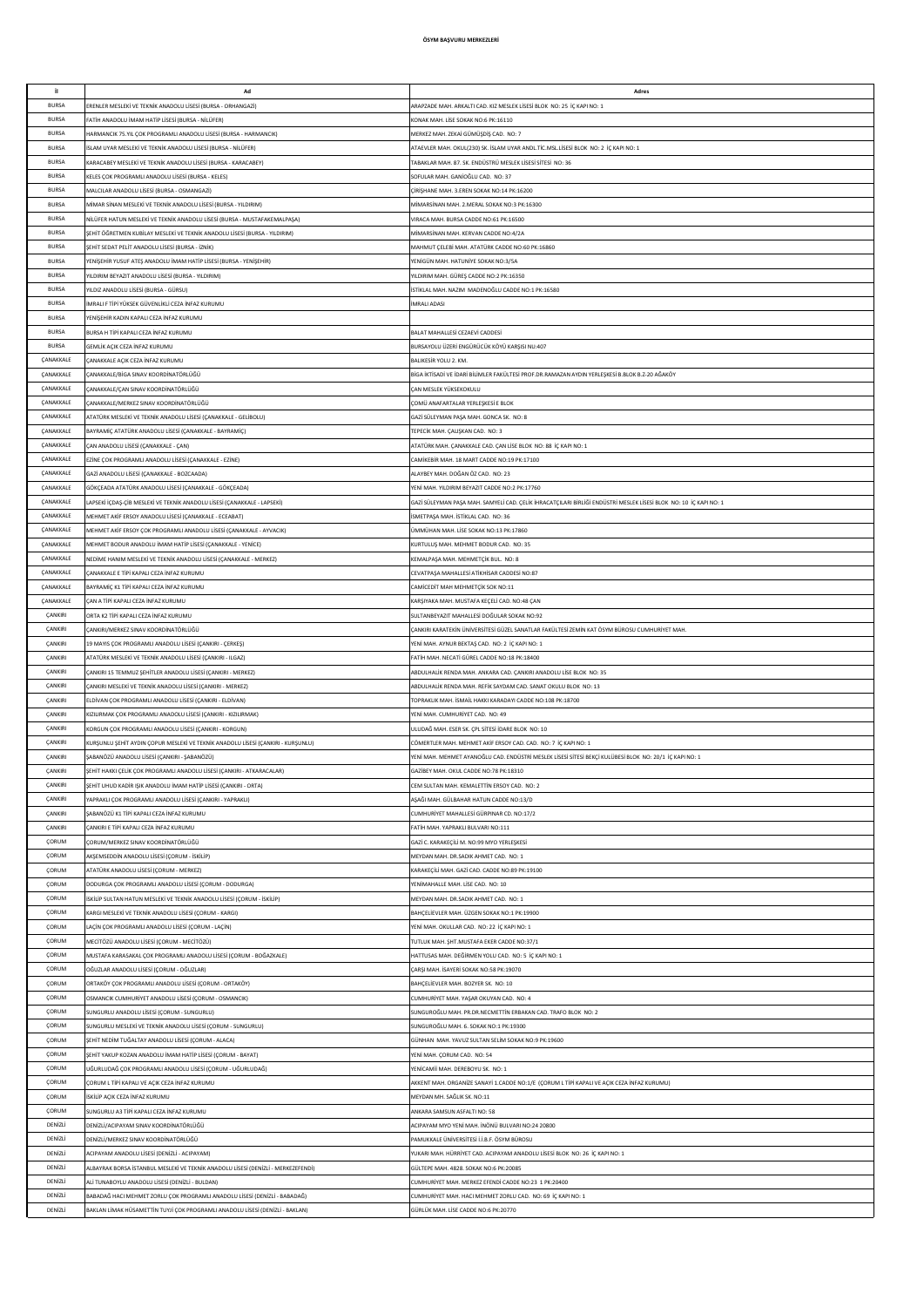| j.           | Ad                                                                                | Adres                                                                                                             |
|--------------|-----------------------------------------------------------------------------------|-------------------------------------------------------------------------------------------------------------------|
| <b>BURSA</b> | ERENLER MESLEKİ VE TEKNİK ANADOLU LİSESİ (BURSA - ORHANGAZİ)                      | ARAPZADE MAH. ARKALTI CAD. KIZ MESLEK LİSESİ BLOK NO: 25 İÇ KAPI NO: 1                                            |
| <b>BURSA</b> | FATİH ANADOLU İMAM HATİP LİSESİ (BURSA - NİLÜFER)                                 | KONAK MAH. LİSE SOKAK NO:6 PK:16110                                                                               |
| <b>BURSA</b> | HARMANCIK 75.YIL ÇOK PROGRAMLI ANADOLU LİSESİ (BURSA - HARMANCIK)                 | MERKEZ MAH. ZEKAİ GÜMÜŞDİŞ CAD. NO: 7                                                                             |
| <b>BURSA</b> | SLAM UYAR MESLEKİ VE TEKNİK ANADOLU LİSESİ (BURSA - NİLÜFER)                      | ATAEVLER MAH. OKUL(230) SK. İSLAM UYAR ANDL.TİC.MSL.LİSESİ BLOK NO: 2 İÇ KAPI NO: 1                               |
|              |                                                                                   |                                                                                                                   |
| <b>BURSA</b> | (ARACABEY MESLEKİ VE TEKNİK ANADOLU LİSESİ (BURSA - KARACABEY)                    | TABAKLAR MAH. 87. SK. ENDÜSTRÜ MESLEK LİSESİ SİTESİ NO: 36                                                        |
| <b>BURSA</b> | KELES ÇOK PROGRAMLI ANADOLU LİSESİ (BURSA - KELES)                                | SOFULAR MAH. GANÍOĞLU CAD. NO: 37                                                                                 |
| <b>BURSA</b> | MALCILAR ANADOLU LİSESİ (BURSA - OSMANGAZİ)                                       | ÇİRİŞHANE MAH. 3.EREN SOKAK NO:14 PK:16200                                                                        |
| <b>BURSA</b> | MİMAR SİNAN MESLEKİ VE TEKNİK ANADOLU LİSESİ (BURSA - YILDIRIM)                   | MİMARSİNAN MAH. 2.MERAL SOKAK NO:3 PK:16300                                                                       |
| <b>BURSA</b> | NİLÜFER HATUN MESLEKİ VE TEKNİK ANADOLU LİSESİ (BURSA - MUSTAFAKEMALPAŞA)         | VIRACA MAH. BURSA CADDE NO:61 PK:16500                                                                            |
| <b>BURSA</b> | ŞEHİT ÖĞRETMEN KUBİLAY MESLEKİ VE TEKNİK ANADOLU LİSESİ (BURSA - YILDIRIM)        | MİMARSİNAN MAH. KERVAN CADDE NO:4/2A                                                                              |
|              |                                                                                   |                                                                                                                   |
| <b>BURSA</b> | SEHİT SEDAT PELİT ANADOLU LİSESİ (BURSA - İZNİK)                                  | MAHMUT CELEBİ MAH, ATATÜRK CADDE NO:60 PK:16860                                                                   |
| <b>BURSA</b> | YENİŞEHİR YUSUF ATEŞ ANADOLU İMAM HATİP LİSESİ (BURSA - YENİŞEHİR)                | YENİGÜN MAH, HATUNİYE SOKAK NO:3/5A                                                                               |
| <b>BURSA</b> | /ILDIRIM BEYAZIT ANADOLU LİSESİ (BURSA - YILDIRIM)                                | YILDIRIM MAH. GÜREŞ CADDE NO:2 PK:16350                                                                           |
| <b>BURSA</b> | /ILDIZ ANADOLU LİSESİ (BURSA - GÜRSU)                                             | ISTIKLAL MAH, NAZIM, MADENOĞLU CADDE NO:1 PK:16580                                                                |
| <b>BURSA</b> | İMRALI F TİPİ YÜKSEK GÜVENLİKLİ CEZA İNFAZ KURUMU                                 | İMRALI ADASI                                                                                                      |
| <b>BURSA</b> | FENİŞEHİR KADIN KAPALI CEZA İNFAZ KURUMU                                          |                                                                                                                   |
| <b>BURSA</b> |                                                                                   |                                                                                                                   |
|              | BURSA H TİPİ KAPALI CEZA İNFAZ KURUMU                                             | BALAT MAHALLESİ CEZAEVİ CADDESİ                                                                                   |
| <b>BURSA</b> | SEMLİK AÇIK CEZA İNFAZ KURUMU                                                     | BURSAYOLU ÜZERİ ENGÜRÜCÜK KÖYÜ KARŞISI NU:407                                                                     |
| ÇANAKKALE    | ÇANAKKALE AÇIK CEZA İNFAZ KURUMU                                                  | BALIKESİR YOLU 2. KM                                                                                              |
| ÇANAKKALE    | ANAKKALE/BİGA SINAV KOORDİNATÖRLÜĞÜ;                                              | BİGA İKTİSADİ VE İDARİ BİLİMLER FAKÜLTESİ PROF.DR.RAMAZAN AYDIN YERLEŞKESİ B.BLOK B.Z-20 AĞAKÖY                   |
| ÇANAKKALE    | ÇANAKKALE/ÇAN SINAV KOORDİNATÖRLÜĞÜ                                               | CAN MESLEK YÜKSEKOKULU                                                                                            |
| ÇANAKKALE    | CANAKKAI F/MERKEZ SINAV KOORDÍNATÖRI ÜĞÜ                                          | COMÜ ANAFARTALAR YERI ESKESİ E RI OK                                                                              |
| ÇANAKKALE    | ATATÜRK MESLEKİ VE TEKNİK ANADOLU LİSESİ (CANAKKALE - GELİBOLU)                   | GAZİ SÜLEYMAN PAŞA MAH. GONCA SK. NO: 8                                                                           |
| ÇANAKKALE    | BAYRAMİÇ ATATÜRK ANADOLU LİSESİ (ÇANAKKALE - BAYRAMİÇ)                            | TEPECIK MAH, CALISKAN CAD, NO: 3                                                                                  |
|              |                                                                                   |                                                                                                                   |
| CANAKKALE    | ÇAN ANADOLU LİSESİ (ÇANAKKALE - ÇAN)                                              | ATATÜRK MAH. ÇANAKKALE CAD. ÇAN LİSE BLOK NO: 88 İÇ KAPI NO: 1                                                    |
| CANAKKALE    | EZİNE ÇOK PROGRAMLI ANADOLU LİSESİ (ÇANAKKALE - EZİNE)                            | CAMİKEBİR MAH. 18 MART CADDE NO:19 PK:17100                                                                       |
| CANAKKALE    | GAZİ ANADOLU LİSESİ (ÇANAKKALE - BOZCAADA)                                        | ALAYBEY MAH, DOĞAN ÖZ CAD. NO: 23                                                                                 |
| CANAKKALE    | GÖKÇEADA ATATÜRK ANADOLU LİSESİ (ÇANAKKALE - GÖKÇEADA)                            | YENİ MAH. YILDIRIM BEYAZIT CADDE NO:2 PK:17760                                                                    |
| CANAKKALE    | LAPSEKİ İÇDAŞ-ÇİB MESLEKİ VE TEKNİK ANADOLU LİSESİ (ÇANAKKALE - LAPSEKİ)          | GAZİ SÜLEYMAN PAŞA MAH. SAMYELİ CAD. ÇELİK İHRACATÇILARI BİRLİĞİ ENDÜSTRİ MESLEK LİSESİ BLOK NO: 10 İÇ KAPI NO: 1 |
| CANAKKALE    | MEHMET AKİF ERSOY ANADOLU LİSESİ (ÇANAKKALE - ECEABAT)                            | İSMETPAŞA MAH. İSTİKLAL CAD. NO: 36                                                                               |
| CANAKKALE    |                                                                                   |                                                                                                                   |
|              | MEHMET AKİF ERSOY ÇOK PROGRAMLI ANADOLU LİSESİ (ÇANAKKALE - AYVACIK)              | ÜMMÜHAN MAH. LİSE SOKAK NO:13 PK:17860                                                                            |
| ÇANAKKALE    | MEHMET BODUR ANADOLU İMAM HATİP LİSESİ (ÇANAKKALE - YENİCE)                       | KURTULUŞ MAH. MEHMET BODUR CAD. NO: 35                                                                            |
| ÇANAKKALE    | NEDİME HANIM MESLEKİ VE TEKNİK ANADOLU LİSESİ (ÇANAKKALE - MERKEZ)                | KEMALPAŞA MAH. MEHMETÇİK BUL. NO: 8                                                                               |
| ÇANAKKALE    | ÇANAKKALE E TİPİ KAPALI CEZA İNFAZ KURUMU                                         | CEVATPAŞA MAHALLESİ ATİKHİSAR CADDESİ NO:87                                                                       |
| ÇANAKKALE    | BAYRAMİC K1 TİPİ KAPALI CEZA İNFAZ KURUMU                                         | CAMİCEDİT MAH MEHMETÇİK SOK NO:11                                                                                 |
| ÇANAKKALE    | ÇAN A TİPİ KAPALI CEZA İNFAZ KURUMU                                               | KARŞIYAKA MAH. MUSTAFA KEÇELİ CAD. NO:48 ÇAN                                                                      |
| ÇANKIRI      | ORTA K2 TİPİ KAPALI CEZA İNFAZ KURUMU                                             | SULTANBEYAZIT MAHALLESİ DOĞULAR SOKAK NO:92                                                                       |
| CANKIRI      |                                                                                   |                                                                                                                   |
|              | ANKIRI/MERKEZ SINAV KOORDINATÖRLÜĞÜ                                               | ÇANKIRI KARATEKİN ÜNİVERSİTESİ GÜZEL SANATLAR FAKÜLTESİ ZEMİN KAT ÖSYM BÜROSU CUMHURİYET MAH.                     |
| CANKIRI      | 19 MAYIS ÇOK PROGRAMLI ANADOLU LİSESİ (ÇANKIRI - ÇERKEŞ)                          | YENİ MAH. AYNUR BEKTAŞ CAD. NO: 2 İÇ KAPI NO: 1                                                                   |
| CANKIRI      | ATATÜRK MESLEKİ VE TEKNİK ANADOLU LİSESİ (ÇANKIRI - ILGAZ)                        | FATİH MAH. NECATİ GÜREL CADDE NO:18 PK:18400                                                                      |
| CANKIRI      | CANKIRI 15 TEMMUZ ŞEHİTLER ANADOLU LİSESİ (ÇANKIRI - MERKEZ)                      | ABDULHALİK RENDA MAH. ANKARA CAD. ÇANKIRI ANADOLU LİSE BLOK NO: 35                                                |
| CANKIRI      | CANKIRI MESLEKİ VE TEKNİK ANADOLU LİSESİ (ÇANKIRI - MERKEZ)                       | ABDULHALİK RENDA MAH. REFİK SAYDAM CAD. SANAT OKULU BLOK NO: 13                                                   |
| CANKIRI      | LDİVAN ÇOK PROGRAMLI ANADOLU LİSESİ (ÇANKIRI - ELDİVAN)                           | TOPRAKLIK MAH. İSMAİL HAKKI KARADAYI CADDE NO:108 PK:18700                                                        |
| ÇANKIRI      | (IZILIRMAK ÇOK PROGRAMLI ANADOLU LİSESİ (ÇANKIRI - KIZILIRMAK)                    | YENİ MAH. CUMHURİYET CAD. NO: 49                                                                                  |
| ÇANKIRI      | ORGUN ÇOK PROGRAMLI ANADOLU LİSESİ (ÇANKIRI - KORGUN)                             | ULUDAĞ MAH. ESER SK. ÇPL SİTESİ İDARE BLOK NO: 10                                                                 |
| ÇANKIRI      | URŞUNLU ŞEHİT AYDIN ÇOPUR MESLEKİ VE TEKNİK ANADOLU LİSESİ (ÇANKIRI - KURŞUNLU)   | CÖMERTLER MAH. MEHMET AKİF ERSOY CAD. CAD. NO: 7 İÇ KAPI NO: 1                                                    |
| ÇANKIRI      | SABANÖZÜ ANADOLU LİSESİ (ÇANKIRI - ŞABANÖZÜ)                                      | YENÎ MAH. MEHMET AYANOĞLU CAD. ENDÜSTRÎ MESLEK LÎSESÎ SÎTESÎ BEKCÎ KULÜBESÎ BLOK NO: 20/1 ÎC KAPI NO: 1           |
|              |                                                                                   |                                                                                                                   |
| ÇANKIRI      | ŞEHİT HAKKI ÇELİK ÇOK PROGRAMLI ANADOLU LİSESİ (ÇANKIRI - ATKARACALAR)            | GAZİBEY MAH, OKUL CADDE NO:78 PK:18310                                                                            |
| ÇANKIRI      | ŞEHİT UHUD KADİR IŞIK ANADOLU İMAM HATİP LİSESİ (ÇANKIRI - ORTA)                  | CEM SULTAN MAH, KEMALETTİN ERSOY CAD. NO: 2                                                                       |
| CANKIRI      | YAPRAKLI COK PROGRAMLI ANADOLU LİSESİ (CANKIRI - YAPRAKLI)                        | ASAĞI MAH. GÜLBAHAR HATUN CADDE NO:13/D                                                                           |
| CANKIRI      | SABANÖZÜ K1 TİPİ KAPALI CEZA İNFAZ KURUMU                                         | CUMHURİYET MAHALLESİ GÜRPINAR CD. NO:17/2                                                                         |
| CANKIRI      | ÇANKIRI E TİPİ KAPALI CEZA İNFAZ KURUMU                                           | FATİH MAH. YAPRAKLI BULVARI NO:111                                                                                |
| CORUM        | ÇORUM/MERKEZ SINAV KOORDİNATÖRLÜĞÜ                                                | GAZİ C. KARAKEÇİLİ M. NO:99 MYO YERLEŞKESİ                                                                        |
| CORUM        | AKŞEMSEDDİN ANADOLU LİSESİ (ÇORUM - İSKİLİP)                                      | MEYDAN MAH. DR.SADIK AHMET CAD. NO: 1                                                                             |
| CORUM        |                                                                                   | KARAKEÇİLİ MAH. GAZİ CAD. CADDE NO:89 PK:19100                                                                    |
|              | ATATÜRK ANADOLU LİSESİ (ÇORUM - MERKEZ)                                           |                                                                                                                   |
| ÇORUM        | DODURGA ÇOK PROGRAMLI ANADOLU LİSESİ (ÇORUM - DODURGA)                            | YENİMAHALLE MAH. LİSE CAD. NO: 10                                                                                 |
| CORUM        | İSKİLİP SULTAN HATUN MESLEKİ VE TEKNİK ANADOLU LİSESİ (ÇORUM - İSKİLİP)           | MEYDAN MAH, DR.SADIK AHMET CAD. NO: 1                                                                             |
| ÇORUM        | (ARGI MESLEKİ VE TEKNİK ANADOLU LİSESİ (ÇORUM - KARGI)                            | BAHÇELİEVLER MAH. ÜZGEN SOKAK NO:1 PK:19900                                                                       |
| ÇORUM        | AÇİN ÇOK PROGRAMLI ANADOLU LİSESİ (ÇORUM - LAÇİN)                                 | YENİ MAH. OKULLAR CAD. NO: 22 İÇ KAPI NO: 1                                                                       |
| ÇORUM        | MECÍTÖZÜ ANADOLU LÍSESÍ (ÇORUM - MECÍTÖZÜ)                                        | TUTLUK MAH. SHT.MUSTAFA EKER CADDE NO:37/1                                                                        |
| ÇORUM        | MUSTAFA KARASAKAL ÇOK PROGRAMLI ANADOLU LİSESİ (ÇORUM - BOĞAZKALE)                | HATTUSAS MAH, DEĞİRMEN YOLU CAD. NO: 5 İC KAPI NO: 1                                                              |
| CORUM        | OĞUZLAR ANADOLU LİSESİ (ÇORUM - OĞUZLAR)                                          | ÇARŞI MAH. İSAYERİ SOKAK NO:58 PK:19070                                                                           |
| CORUM        | ORTAKÖY ÇOK PROGRAMLI ANADOLU LİSESİ (ÇORUM - ORTAKÖY)                            | BAHÇELİEVLER MAH. BOZYER SK. NO: 10                                                                               |
| CORUM        |                                                                                   |                                                                                                                   |
|              | OSMANCIK CUMHURİYET ANADOLU LİSESİ (ÇORUM - OSMANCIK)                             | CUMHURİYET MAH. YAŞAR OKUYAN CAD. NO: 4                                                                           |
| CORUM        | SUNGURLU ANADOLU LİSESİ (ÇORUM - SUNGURLU)                                        | SUNGUROĞLU MAH. PR.DR.NECMETTİN ERBAKAN CAD. TRAFO BLOK NO: 2                                                     |
| CORUM        | SUNGURLU MESLEKİ VE TEKNİK ANADOLU LİSESİ (ÇORUM - SUNGURLU)                      | SUNGUROĞLU MAH. 6. SOKAK NO:1 PK:19300                                                                            |
| CORUM        | ŞEHİT NEDİM TUĞALTAY ANADOLU LİSESİ (ÇORUM - ALACA)                               | GÜNHAN MAH. YAVUZ SULTAN SELİM SOKAK NO:9 PK:19600                                                                |
| ÇORUM        | EHİT YAKUP KOZAN ANADOLU İMAM HATİP LİSESİ (ÇORUM - BAYAT)                        | YENİ MAH. ÇORUM CAD. NO: 54                                                                                       |
| ÇORUM        | UĞURLUDAĞ ÇOK PROGRAMLI ANADOLU LİSESİ (ÇORUM - UĞURLUDAĞ)                        | YENİCAMİİ MAH. DEREBOYU SK. NO: 1                                                                                 |
| ÇORUM        | ÇORUM L TİPİ KAPALI VE AÇIK CEZA İNFAZ KURUMU                                     | AKKENT MAH. ORGANİZE SANAYİ 1.CADDE NO:1/E (ÇORUM L TİPİ KAPALI VE AÇIK CEZA İNFAZ KURUMU)                        |
| ÇORUM        | SKİLİP AÇIK CEZA İNFAZ KURUMU                                                     | MEYDAN MH, SAĞLIK SK, NO:11                                                                                       |
| ÇORUM        | SUNGURLU A3 TİPİ KAPALI CEZA İNFAZ KURUMU                                         | ANKARA SAMSUN ASFALTI NO: 58                                                                                      |
| DENİZLİ      | DENİZLİ/ACIPAYAM SINAV KOORDİNATÖRLÜĞÜ                                            | ACIPAYAM MYO YENİ MAH. İNÖNÜ BULVARI NO:24 20800                                                                  |
| DENİZLİ      |                                                                                   |                                                                                                                   |
|              | DENİZLİ/MERKEZ SINAV KOORDİNATÖRLÜĞÜ                                              | PAMUKKALE ÜNİVERSİTESİ İ.İ.B.F. ÖSYM BÜROSU                                                                       |
| DENİZLİ      | ACIPAYAM ANADOLU LİSESİ (DENİZLİ - ACIPAYAM)                                      | YUKARI MAH. HÜRRİYET CAD. ACIPAYAM ANADOLU LİSESİ BLOK NO: 26 İÇ KAPI NO: 1                                       |
| DENİZLİ      | ALBAYRAK BORSA İSTANBUL MESLEKİ VE TEKNİK ANADOLU LİSESİ (DENİZLİ - MERKEZEFENDİ) | GÜLTEPE MAH. 4828. SOKAK NO:6 PK:20085                                                                            |
| DENİZLİ      | ALİ TUNABOYLU ANADOLU LİSESİ (DENİZLİ - BULDAN)                                   | CUMHURİYET MAH. MERKEZ EFENDİ CADDE NO:23 1 PK:20400                                                              |
| DENİZLİ      | BABADAĞ HACI MEHMET ZORLU ÇOK PROGRAMLI ANADOLU LİSESİ (DENİZLİ - BABADAĞ)        | CUMHURİYET MAH. HACI MEHMET ZORLU CAD. NO: 69 İÇ KAPI NO: 1                                                       |
| DENİZLİ      | BAKLAN LİMAK HÜSAMETTİN TUYJİ ÇOK PROGRAMLI ANADOLU LİSESİ (DENİZLİ - BAKLAN)     | GÜRLÜK MAH. LİSE CADDE NO:6 PK:20770                                                                              |
|              |                                                                                   |                                                                                                                   |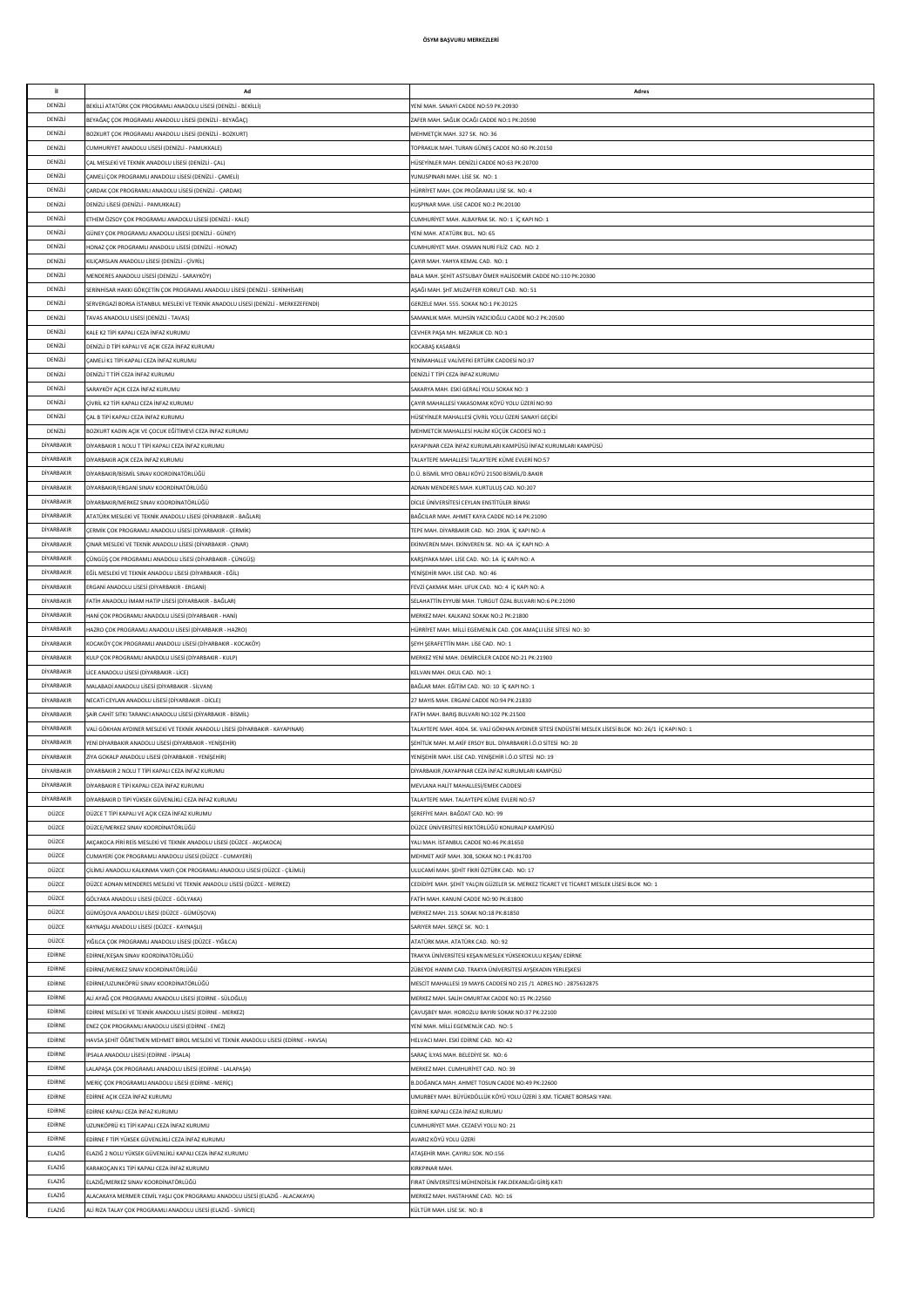| il.           |                                                                                     |                                                                                                        |
|---------------|-------------------------------------------------------------------------------------|--------------------------------------------------------------------------------------------------------|
|               | Ad                                                                                  | Adres                                                                                                  |
| DENİZLİ       | BEKİLLİ ATATÜRK COK PROGRAMLI ANADOLU LİSESİ (DENİZLİ - BEKİLLİ)                    | YENİ MAH, SANAYİ CADDE NO:59 PK:20930                                                                  |
| DENİZLİ       | BEYAĞAÇ ÇOK PROGRAMLI ANADOLU LİSESİ (DENİZLİ - BEYAĞAÇ)                            | ZAFER MAH. SAĞLIK OCAĞI CADDE NO:1 PK:20590                                                            |
| DENİZLİ       | BOZKURT COK PROGRAMLI ANADOLU LİSESİ (DENİZLİ - BOZKURT)                            | MEHMETCİK MAH. 327 SK. NO: 36                                                                          |
| DENİZLİ       | CUMHURİYET ANADOLU LİSESİ (DENİZLİ - PAMUKKALE)                                     | TOPRAKLIK MAH. TURAN GÜNEŞ CADDE NO:60 PK:20150                                                        |
| DENİZLİ       | AL MESLEKİ VE TEKNİK ANADOLU LİSESİ (DENİZLİ - ÇAL)                                 | HÜSEYİNLER MAH. DENİZLİ CADDE NO:63 PK:20700                                                           |
| DENİZLİ       | AMELİ ÇOK PROGRAMLI ANADOLU LİSESİ (DENİZLİ - ÇAMELİ)                               | YUNUSPINARI MAH, LİSE SK. NO: 1                                                                        |
|               |                                                                                     |                                                                                                        |
| DENİZLİ       | ARDAK ÇOK PROGRAMLI ANADOLU LİSESİ (DENİZLİ - ÇARDAK)                               | HÜRRİYET MAH. ÇOK PROĞRAMLI LİSE SK. NO: 4                                                             |
| DENİZLİ       | DENİZLİ LİSESİ (DENİZLİ - PAMUKKALE)                                                | KUŞPINAR MAH. LİSE CADDE NO:2 PK:20100                                                                 |
| DENİZLİ       | ETHEM ÖZSOY ÇOK PROGRAMLI ANADOLU LİSESİ (DENİZLİ - KALE)                           | CUMHURİYET MAH. ALBAYRAK SK. NO: 1 İÇ KAPI NO: 1                                                       |
| DENİZLİ       | SÜNEY ÇOK PROGRAMLI ANADOLU LİSESİ (DENİZLİ - GÜNEY)                                | YENİ MAH, ATATÜRK BUL, NO: 65                                                                          |
| DENİZLİ       | IONAZ ÇOK PROGRAMLI ANADOLU LİSESİ (DENİZLİ - HONAZ)                                | CUMHURİYET MAH. OSMAN NURİ FİLİZ CAD. NO: 2                                                            |
| DENİZLİ       | KILIÇARSLAN ANADOLU LİSESİ (DENİZLİ - ÇİVRİL)                                       | CAYIR MAH, YAHYA KEMAL CAD, NO: 1                                                                      |
|               |                                                                                     |                                                                                                        |
| DENİZLİ       | MENDERES ANADOLU LİSESİ (DENİZLİ - SARAYKÖY)                                        | BALA MAH. SEHİT ASTSUBAY ÖMER HALİSDEMİR CADDE NO:110 PK:20300                                         |
| DENİZLİ       | SERİNHİSAR HAKKI GÖKÇETİN ÇOK PROGRAMLI ANADOLU LİSESİ (DENİZLİ - SERİNHİSAR)       | AŞAĞI MAH. ŞHT.MUZAFFER KORKUT CAD. NO: 51                                                             |
| DENİZLİ       | SERVERGAZİ BORSA İSTANBUL MESLEKİ VE TEKNİK ANADOLU LİSESİ (DENİZLİ - MERKEZEFENDİ) | GERZELE MAH, 555, SOKAK NO:1 PK:20125                                                                  |
| DENİZLİ       | AVAS ANADOLU LISESİ (DENİZLİ - TAVAS)                                               | SAMANLIK MAH. MUHSİN YAZICIOĞLU CADDE NO:2 PK:20500                                                    |
| DENİZLİ       | (ALE K2 TİPİ KAPALI CEZA İNFAZ KURUMU                                               | CEVHER PASA MH. MEZARLIK CD. NO:1                                                                      |
| DENİZLİ       | JENIZLI D TIPI KAPALI VE AÇIK CEZA İNFAZ KURUMU                                     | KOCABAŞ KASABASI                                                                                       |
| DENİZLİ       |                                                                                     |                                                                                                        |
|               | AMELİ K1 TİPİ KAPALI CEZA İNFAZ KURUMU;                                             | YENİMAHALLE VALİVEFKİ ERTÜRK CADDESİ NO:37                                                             |
| DENİZLİ       | JENIZLI T TIPI CEZA INFAZ KURUMU                                                    | DENİZLİ T TİPİ CEZA İNFAZ KURUMU                                                                       |
| DENİZLİ       | ARAYKÖY AÇIK CEZA İNFAZ KURUMU                                                      | SAKARYA MAH. ESKİ GERALİ YOLU SOKAK NO: 3                                                              |
| DENİZLİ       | IVRİL K2 TİPİ KAPALI CEZA İNFAZ KURUMU;                                             | ÇAYIR MAHALLESİ YAKASOMAK KÖYÜ YOLU ÜZERİ NO:90                                                        |
| DENİZLİ       | CAL B TİPİ KAPALI CEZA İNFAZ KURUMU                                                 | HÜSEYİNLER MAHALLESİ ÇİVRİL YOLU ÜZERİ SANAYİ GEÇİDİ                                                   |
| DENİZLİ       | BOZKURT KADIN AÇIK VE ÇOCUK EĞİTİMEVİ CEZA İNFAZ KURUMU                             | MEHMETCİK MAHALLESİ HALİM KÜÇÜK CADDESİ NO:1                                                           |
| DİYARBAKIR    | DİYARBAKIR 1 NOLU T TİPİ KAPALI CEZA İNFAZ KURUMU                                   | KAYAPINAR CEZA İNFAZ KURUMLARI KAMPÜSÜ İNFAZ KURUMLARI KAMPÜSÜ                                         |
|               |                                                                                     |                                                                                                        |
| DİYARBAKIR    | <b>DİYARBAKIR ACIK CEZA İNFAZ KURUMU</b>                                            | TALAYTEPE MAHALLESİ TALAYTEPE KÜME EVLERİ NO:57                                                        |
| DİYARBAKIR    | DİYARBAKIR/BİSMİL SINAV KOORDİNATÖRLÜĞÜ                                             | D.Ü. BİSMİL MYO OBALI KÖYÜ 21500 BİSMİL/D.BAKIR                                                        |
| DİYARBAKIR    | DİYARBAKIR/ERGANİ SINAV KOORDİNATÖRLÜĞÜ                                             | ADNAN MENDERES MAH. KURTULUS CAD. NO:207                                                               |
| DİYARBAKIR    | DİYARBAKIR/MERKEZ SINAV KOORDİNATÖRLÜĞÜ                                             | DİCLE ÜNİVERSİTESİ CEYLAN ENSTİTÜLER BİNASI                                                            |
| DİYARBAKIR    | ATATÜRK MESLEKİ VE TEKNİK ANADOLU LİSESİ (DİYARBAKIR - BAĞLAR)                      | BAĞCILAR MAH, AHMET KAYA CADDE NO:14 PK:21090                                                          |
| DİYARBAKIR    |                                                                                     |                                                                                                        |
|               | ÇERMİK ÇOK PROGRAMLI ANADOLU LİSESİ (DİYARBAKIR - ÇERMİK)                           | TEPE MAH. DİYARBAKIR CAD. NO: 290A İÇ KAPI NO: A                                                       |
| DİYARBAKIR    | CINAR MESLEKÎ VE TEKNÎK ANADOLU LÎSESÎ (DÎYARBAKIR - ÇINAR)                         | EKİNVEREN MAH. EKİNVEREN SK. NO: 4A İÇ KAPI NO: A                                                      |
| DİYARBAKIR    | ÇÜNGÜŞ ÇOK PROGRAMLI ANADOLU LİSESİ (DİYARBAKIR - ÇÜNGÜŞ)                           | KARŞIYAKA MAH. LİSE CAD. NO: 1A İÇ KAPI NO: A                                                          |
| DİYARBAKIR    | EĞİL MESLEKİ VE TEKNİK ANADOLU LİSESİ (DİYARBAKIR - EĞİL)                           | YENİŞEHİR MAH. LİSE CAD. NO: 46                                                                        |
| DİYARBAKIR    | ERGANİ ANADOLU LİSESİ (DİYARBAKIR - ERGANİ)                                         | FEVZİ ÇAKMAK MAH. UFUK CAD. NO: 4 İÇ KAPI NO: A                                                        |
| DİYARBAKIR    | ATİH ANADOLU İMAM HATİP LİSESİ (DİYARBAKIR - BAĞLAR)                                | SELAHATTİN EYYUBİ MAH. TURGUT ÖZAL BULVARI NO:6 PK:21090                                               |
| DİYARBAKIR    |                                                                                     |                                                                                                        |
|               | IANİ ÇOK PROGRAMLI ANADOLU LİSESİ (DİYARBAKIR - HANİ)                               | MERKEZ MAH. KALKAN2 SOKAK NO:2 PK:21800                                                                |
| DİYARBAKIR    | HAZRO COK PROGRAMLI ANADOLU LİSESİ (DİYARBAKIR - HAZRO)                             | HÜRRİYET MAH. MİLLİ EGEMENLİK CAD. ÇOK AMAÇLI LİSE SİTESİ NO: 30                                       |
| DİYARBAKIR    | KOCAKÖY ÇOK PROGRAMLI ANADOLU LİSESİ (DİYARBAKIR - KOCAKÖY)                         | SEYH SERAFETTİN MAH. LİSE CAD. NO: 1                                                                   |
| DİYARBAKIR    | KULP ÇOK PROGRAMLI ANADOLU LİSESİ (DİYARBAKIR - KULP)                               | MERKEZ YENİ MAH. DEMİRCİLER CADDE NO:21 PK:21900                                                       |
| DİYARBAKIR    | ICE ANADOLU LİSESİ (DİYARBAKIR - LİCE)                                              | KELVAN MAH, OKUL CAD, NO: 1                                                                            |
| DİYARBAKIR    | MALABADİ ANADOLU LİSESİ (DİYARBAKIR - SİLVAN)                                       | BAĞLAR MAH. EĞİTİM CAD. NO: 10 İÇ KAPI NO: 1                                                           |
| DİYARBAKIR    | NECATÍ CEYLAN ANADOLU LÍSESÍ (DÍYARBAKIR - DÍCLE)                                   | 27 MAYIS MAH, ERGANÍ CADDE NO:94 PK:21830                                                              |
|               |                                                                                     |                                                                                                        |
| DİYARBAKIR    | AIR CAHIT SITKI TARANCI ANADOLU LISESI (DIYARBAKIR - BISMIL)                        | FATİH MAH. BARIŞ BULVARI NO:102 PK:21500                                                               |
| DİYARBAKIR    | ALİ GÖKHAN AYDINER MESLEKİ VE TEKNİK ANADOLU LİSESİ (DİYARBAKIR - KAYAPINAR)        | TALAYTEPE MAH. 4004. SK. VALİ GÖKHAN AYDINER SİTESİ ENDÜSTRİ MESLEK LİSESİ BLOK NO: 26/1 İÇ KAPI NO: 1 |
| DİYARBAKIR    | ENİ DİYARBAKIR ANADOLU LİSESİ (DİYARBAKIR - YENİŞEHİR)                              | ŞEHİTLİK MAH. M.AKİF ERSOY BUL. DİYARBAKIR İ.Ö.O SİTESİ NO: 20                                         |
| DİYARBAKIR    | ZİYA GOKALP ANADOLU LİSESİ (DİYARBAKIR - YENİŞEHİR)                                 | YENİŞEHİR MAH. LİSE CAD. YENİŞEHİR İ.Ö.O SİTESİ NO: 19                                                 |
| DİYARBAKIR    | DİYARBAKIR 2 NOLU T TİPİ KAPALI CEZA İNFAZ KURUMU                                   | DİYARBAKIR / KAYAPINAR CEZA İNFAZ KURUMLARI KAMPÜSÜ                                                    |
| DİYARBAKIR    | DİYARBAKIR E TİPİ KAPALI CEZA İNFAZ KURUMU                                          | MEVLANA HALİT MAHALLESİ/EMEK CADDESİ                                                                   |
|               |                                                                                     |                                                                                                        |
| DİYARBAKIR    | DİYARBAKIR D TİPİ YÜKSEK GÜVENLİKLİ CEZA İNFAZ KURUMU                               | TALAYTEPE MAH. TALAYTEPE KÜME EVLERİ NO:57                                                             |
| DÜZCE         | <b>DÜZCE T TİPİ KAPALI VE ACIK CEZA İNFAZ KURUMU</b>                                | SEREFİYE MAH, BAĞDAT CAD, NO: 99                                                                       |
| DÜZCE         | DÜZCE/MERKEZ SINAV KOORDİNATÖRLÜĞÜ                                                  | DÜZCE ÜNİVERSİTESİ REKTÖRLÜĞÜ KONURALP KAMPÜSÜ                                                         |
| DÜZCE         | KÇAKOCA PİRİ REİS MESLEKİ VE TEKNİK ANADOLU LİSESİ (DÜZCE - AKÇAKOCA)               | YALI MAH. İSTANBUL CADDE NO:46 PK:81650                                                                |
| DÜZCE         | CUMAYERİ ÇOK PROGRAMLI ANADOLU LİSESİ (DÜZCE - CUMAYERİ)                            | MEHMET AKİF MAH 308 SOKAK NO:1 PK:81700                                                                |
| DÜZCE         | ÇİLİMLİ ANADOLU KALKINMA VAKFI ÇOK PROGRAMLI ANADOLU LİSESİ (DÜZCE - ÇİLİMLİ)       | ULUCAMİ MAH. ŞEHİT FİKRİ ÖZTÜRK CAD. NO: 17                                                            |
|               |                                                                                     |                                                                                                        |
| DÜZCE         | DÜZCE ADNAN MENDERES MESLEKİ VE TEKNİK ANADOLU LİSESİ (DÜZCE - MERKEZ)              | CEDIDIYE MAH. ŞEHİT YALÇIN GÜZELER SK. MERKEZ TİCARET VE TİCARET MESLEK LİSESİ BLOK NO: 1              |
| DÜZCE         | GÖLYAKA ANADOLU LİSESİ (DÜZCE - GÖLYAKA)                                            | FATİH MAH. KANUNİ CADDE NO:90 PK:81800                                                                 |
| DÜZCE         | GÜMÜŞOVA ANADOLU LİSESİ (DÜZCE - GÜMÜŞOVA)                                          | MERKEZ MAH. 213. SOKAK NO:18 PK:81850                                                                  |
| DÜZCE         | (AYNAŞLI ANADOLU LİSESİ (DÜZCE - KAYNAŞLI)                                          | SARIYER MAH. SERÇE SK. NO: 1                                                                           |
| DÜZCE         | rığılca çok Programlı Anadolu Lisesi (Düzce - Yığılca)                              | ATATÜRK MAH. ATATÜRK CAD. NO: 92                                                                       |
| EDİRNE        | EDİRNE/KEŞAN SINAV KOORDİNATÖRLÜĞÜ                                                  | TRAKYA ÜNİVERSİTESİ KEŞAN MESLEK YÜKSEKOKULU KEŞAN/ EDİRNE                                             |
| EDİRNE        | EDİRNE/MERKEZ SINAV KOORDİNATÖRLÜĞÜ                                                 |                                                                                                        |
|               |                                                                                     | ZÜBEYDE HANIM CAD. TRAKYA ÜNİVERSİTESİ AYŞEKADIN YERLEŞKESİ                                            |
| EDİRNE        | EDİRNE/UZUNKÖPRÜ SINAV KOORDİNATÖRLÜĞÜ                                              | MESCÍT MAHALLESÍ 19 MAYIS CADDESÍ NO 215 /1 ADRES NO : 2875632875                                      |
| EDİRNE        | ALİ AYAĞ ÇOK PROGRAMLI ANADOLU LİSESİ (EDİRNE - SÜLOĞLU)                            | MERKEZ MAH. SALİH OMURTAK CADDE NO:15 PK:22560                                                         |
| EDİRNE        | EDİRNE MESLEKİ VE TEKNİK ANADOLU LİSESİ (EDİRNE - MERKEZ)                           | CAVUSBEY MAH. HOROZLU BAYIRI SOKAK NO:37 PK:22100                                                      |
| EDİRNE        | NEZ ÇOK PROGRAMLI ANADOLU LİSESİ (EDİRNE - ENEZ)                                    | YENİ MAH. MİLLİ EGEMENLİK CAD. NO: 5                                                                   |
| EDİRNE        | HAVSA ŞEHİT ÖĞRETMEN MEHMET BİROL MESLEKİ VE TEKNİK ANADOLU LİSESİ (EDİRNE - HAVSA) | HELVACI MAH. ESKİ EDİRNE CAD. NO: 42                                                                   |
| <b>FDIRNE</b> |                                                                                     |                                                                                                        |
|               | PSALA ANADOLU LİSESİ (EDİRNE - İPSALA)                                              | SARAÇ İLYAS MAH. BELEDİYE SK. NO: 6                                                                    |
| EDİRNE        | ALAPAŞA ÇOK PROGRAMLI ANADOLU LİSESİ (EDİRNE - LALAPAŞA)                            | MERKEZ MAH. CUMHURİYET CAD. NO: 39                                                                     |
| EDİRNE        | AERİÇ ÇOK PROGRAMLI ANADOLU LİSESİ (EDİRNE - MERİÇ)                                 | B.DOĞANCA MAH. AHMET TOSUN CADDE NO:49 PK:22600                                                        |
| EDİRNE        | EDÎRNE AÇIK CEZA ÎNFAZ KURUMU                                                       | UMURBEY MAH. BÜYÜKDÖLLÜK KÖYÜ YOLU ÜZERİ 3.KM. TİCARET BORSASI YANI                                    |
| EDİRNE        | DİRNE KAPALI CEZA İNFAZ KURUMU                                                      | EDİRNE KAPALI CEZA İNFAZ KURUMU                                                                        |
| EDİRNE        | JZUNKÖPRÜ K1 TİPİ KAPALI CEZA İNFAZ KURUMU                                          | CUMHURİYET MAH. CEZAEVİ YOLU NO: 21                                                                    |
| EDİRNE        | DİRNE F TİPİ YÜKSEK GÜVENLİKLİ CEZA İNFAZ KURUMU:                                   | AVARIZ KÖYÜ YOLU ÜZERİ                                                                                 |
|               |                                                                                     |                                                                                                        |
| ELAZIĞ        | ELAZIĞ 2 NOLU YÜKSEK GÜVENLİKLİ KAPALI CEZA İNFAZ KURUMU                            | ATASEHİR MAH, CAYIRLI SOK, NO:156                                                                      |
| ELAZIĞ        | (ARAKOCAN K1 TİPİ KAPALI CEZA İNFAZ KURUMU                                          | KIRKPINAR MAH.                                                                                         |
| ELAZIĞ        | ELAZIĞ/MERKEZ SINAV KOORDİNATÖRLÜĞÜ                                                 | FIRAT ÜNİVERSİTESİ MÜHENDİSLİK FAK.DEKANLIĞI GİRİŞ KATI                                                |
| ELAZIĞ        | ALACAKAYA MERMER CEMİL YAŞLI ÇOK PROGRAMLI ANADOLU LİSESİ (ELAZIĞ - ALACAKAYA)      | MERKEZ MAH. HASTAHANE CAD. NO: 16                                                                      |
| ELAZIĞ        | ALİ RIZA TALAY ÇOK PROGRAMLI ANADOLU LİSESİ (ELAZIĞ - SİVRİCE)                      | KÜLTÜR MAH, LİSE SK. NO: 8                                                                             |
|               |                                                                                     |                                                                                                        |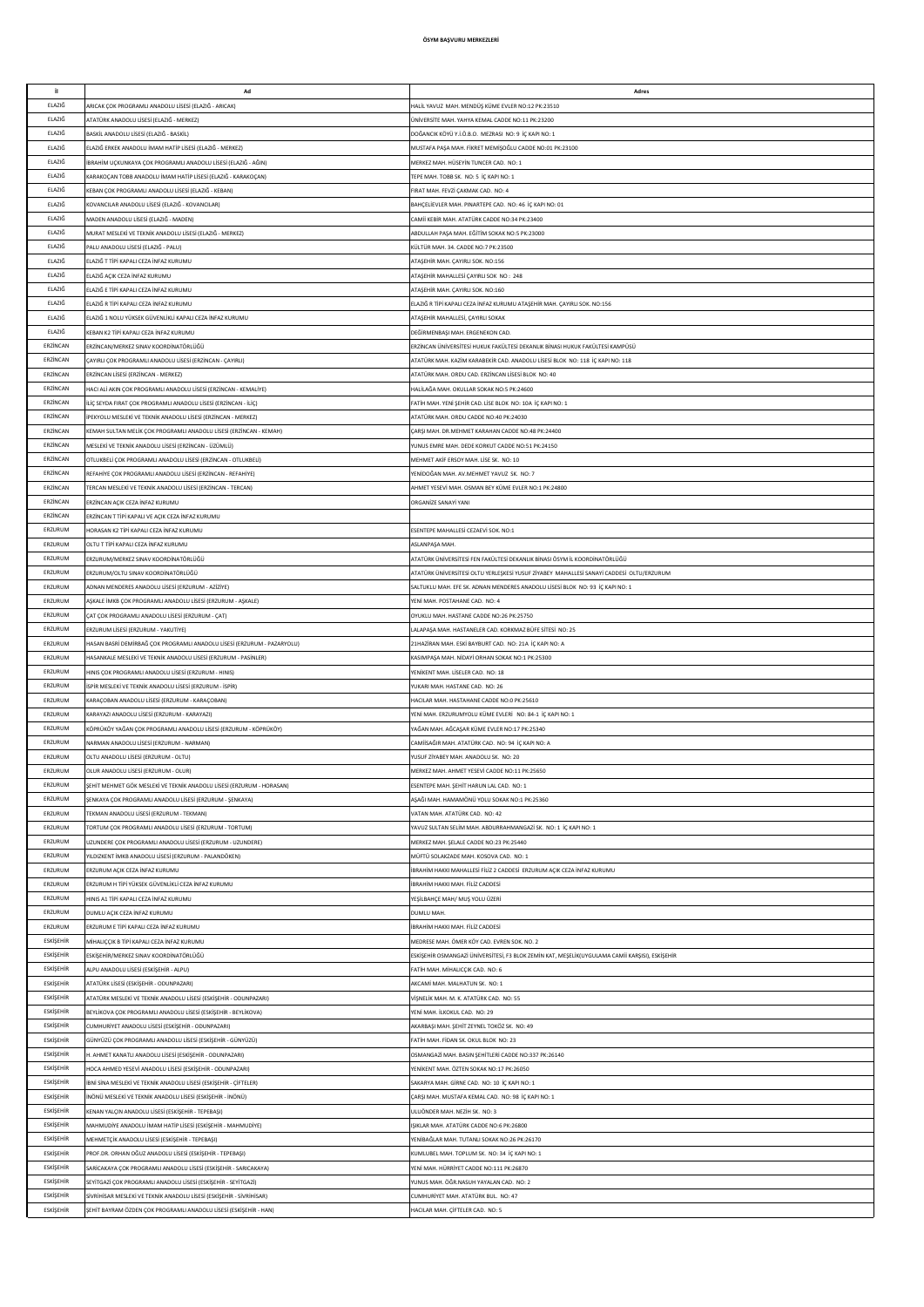| il.       | Ad                                                                      | Adres                                                                                           |
|-----------|-------------------------------------------------------------------------|-------------------------------------------------------------------------------------------------|
|           |                                                                         |                                                                                                 |
| ELAZIĞ    | <b>IRICAK COK PROGRAMLI ANADOLU LİSESİ (ELAZIĞ - ARICAK)</b>            | HALİL YAVUZ MAH, MENDÜS KÜME EVLER NO:12 PK:23510                                               |
| ELAZIĞ    | ATATÜRK ANADOLU LİSESİ (ELAZIĞ - MERKEZ)                                | ÜNİVERSİTE MAH, YAHYA KEMAL CADDE NO:11 PK:23200                                                |
| ELAZIĞ    | BASKİL ANADOLU LİSESİ (ELAZIĞ - BASKİL)                                 | DOĞANCIK KÖYÜ Y.İ.Ö.B.O. MEZRASI NO: 9 İC KAPI NO: 1                                            |
| ELAZIĞ    | ELAZIĞ ERKEK ANADOLU İMAM HATİP LİSESİ (ELAZIĞ - MERKEZ)                | MUSTAFA PAŞA MAH. FİKRET MEMİŞOĞLU CADDE NO:01 PK:23100                                         |
| ELAZIĞ    | İBRAHİM UCKUNKAYA COK PROGRAMLI ANADOLU LİSESİ (ELAZIĞ - AĞIN)          | MERKEZ MAH. HÜSEYİN TUNCER CAD. NO: 1                                                           |
| ELAZIĞ    | (ARAKOÇAN TOBB ANADOLU İMAM HATİP LİSESİ (ELAZIĞ - KARAKOÇAN)           | TEPE MAH. TOBB SK. NO: 5 İÇ KAPI NO: 1                                                          |
| ELAZIĞ    | KEBAN ÇOK PROGRAMLI ANADOLU LİSESİ (ELAZIĞ - KEBAN)                     | FIRAT MAH. FEVZİ ÇAKMAK CAD. NO: 4                                                              |
| ELAZIĞ    | KOVANCILAR ANADOLU LİSESİ (ELAZIĞ - KOVANCILAR)                         | BAHÇELİEVLER MAH. PINARTEPE CAD. NO: 46 İÇ KAPI NO: 01                                          |
| ELAZIĞ    | MADEN ANADOLU LİSESİ (ELAZIĞ - MADEN)                                   | CAMİİ KEBİR MAH. ATATÜRK CADDE NO:34 PK:23400                                                   |
| ELAZIĞ    | MURAT MESLEKİ VE TEKNİK ANADOLU LİSESİ (ELAZIĞ - MERKEZ)                | ABDULLAH PAŞA MAH. EĞİTİM SOKAK NO:5 PK:23000                                                   |
| ELAZIĞ    | PALU ANADOLU LİSESİ (ELAZIĞ - PALU)                                     | KÜLTÜR MAH. 34. CADDE NO:7 PK:23500                                                             |
| ELAZIĞ    | ELAZIĞ T TİPİ KAPALI CEZA İNFAZ KURUMU                                  | ATAŞEHİR MAH. ÇAYIRLI SOK. NO:156                                                               |
| ELAZIĞ    | FI AZIĞ ACIK CEZA İNFAZ KURUMU                                          | ATAŞEHİR MAHALLESİ ÇAYIRLI SOK NO: 248                                                          |
| ELAZIĞ    | ELAZIĞ E TİPİ KAPALI CEZA İNFAZ KURUMU                                  | ATAŞEHİR MAH. ÇAYIRLI SOK. NO:160                                                               |
| ELAZIĞ    | ELAZIĞ R TİPİ KAPALI CEZA İNFAZ KURUMU                                  | ELAZIĞ R TİPİ KAPALI CEZA İNFAZ KURUMU ATAŞEHİR MAH. ÇAYIRLI SOK. NO:156                        |
| ELAZIĞ    | LAZIĞ 1 NOLU YÜKSEK GÜVENLİKLİ KAPALI CEZA İNFAZ KURUMU                 | ATAŞEHİR MAHALLESİ, ÇAYIRLI SOKAK                                                               |
| ELAZIĞ    | KEBAN K2 TİPİ KAPALI CEZA İNFAZ KURUMU                                  | DEĞİRMENBAŞI MAH. ERGENEKON CAD.                                                                |
| ERZÍNCAN  |                                                                         |                                                                                                 |
|           | :RZİNCAN/MERKEZ SINAV KOORDİNATÖRLÜĞÜ                                   | ERZİNCAN ÜNİVERSİTESİ HUKUK FAKÜLTESİ DEKANLIK BİNASI HUKUK FAKÜLTESİ KAMPÜSÜ                   |
| ERZÍNCAN  | AYIRLI ÇOK PROGRAMLI ANADOLU LİSESİ (ERZİNCAN - ÇAYIRLI)                | ATATÜRK MAH. KAZİM KARABEKİR CAD. ANADOLU LİSESİ BLOK NO: 118 İÇ KAPI NO: 118                   |
| ERZÍNCAN  | RZINCAN LİSESİ (ERZİNCAN - MERKEZ)                                      | ATATÜRK MAH. ORDU CAD. ERZİNCAN LİSESİ BLOK NO: 40                                              |
| ERZÍNCAN  | IACI ALİ AKIN ÇOK PROGRAMLI ANADOLU LİSESİ (ERZİNCAN - KEMALİYE)        | HALİLAĞA MAH. OKULLAR SOKAK NO:5 PK:24600                                                       |
| ERZİNCAN  | LİÇ SEYDA FIRAT ÇOK PROGRAMLI ANADOLU LİSESİ (ERZİNCAN - İLİÇ)          | FATİH MAH. YENİ ŞEHİR CAD. LİSE BLOK NO: 10A İÇ KAPI NO: 1                                      |
| ERZİNCAN  | PEKYOLU MESLEKİ VE TEKNİK ANADOLU LİSESİ (ERZİNCAN - MERKEZ)            | ATATÜRK MAH. ORDU CADDE NO:40 PK:24030                                                          |
| ERZİNCAN  | (EMAH SULTAN MELİK ÇOK PROGRAMLI ANADOLU LİSESİ (ERZİNCAN - KEMAH)      | ÇARŞI MAH. DR.MEHMET KARAHAN CADDE NO:48 PK:24400                                               |
| ERZİNCAN  | MESLEKİ VE TEKNİK ANADOLU LİSESİ (ERZİNCAN - ÜZÜMLÜ)                    | YUNUS EMRE MAH. DEDE KORKUT CADDE NO:51 PK:24150                                                |
| ERZÍNCAN  | OTLUKBELİ COK PROGRAMLI ANADOLU LİSESİ (ERZİNCAN - OTLUKBELİ)           | MEHMET AKİF ERSOY MAH, LİSE SK. NO: 10                                                          |
| ERZİNCAN  | REFAHİYE COK PROGRAMLI ANADOLU LİSESİ (ERZİNCAN - REFAHİYE)             | YENİDOĞAN MAH, AV MEHMET YAVLIZ SK. NO: 7                                                       |
| ERZİNCAN  | ERCAN MESLEKÎ VE TEKNÎK ANADOLU LÎSESÎ (ERZÎNCAN - TERCAN)              | AHMET YESEVİ MAH, OSMAN BEY KÜME EVLER NO:1 PK:24800                                            |
| ERZÍNCAN  | ERZÍNCAN ACIK CEZA ÍNFAZ KURUMU                                         | ORGANIZE SANAYİ YANI                                                                            |
| ERZİNCAN  | ERZİNCAN T TİPİ KAPALI VE AÇIK CEZA İNFAZ KURUMU                        |                                                                                                 |
| ERZURUM   | IORASAN K2 TİPİ KAPALI CEZA İNFAZ KURUMU                                | ESENTEPE MAHALLESİ CEZAEVİ SOK. NO:1                                                            |
| ERZURUM   | OLTU T TİPİ KAPALI CEZA İNFAZ KURUMU                                    | ASLANPASA MAH.                                                                                  |
| ERZURUM   | ERZURUM/MERKEZ SINAV KOORDİNATÖRLÜĞÜ                                    | ATATÜRK ÜNİVERSİTESİ FEN FAKÜLTESİ DEKANLIK BİNASI ÖSYM İL KOORDİNATÖRLÜĞÜ                      |
| ERZURUM   | ERZURUM/OLTU SINAV KOORDİNATÖRLÜĞÜ                                      | ATATÜRK ÜNİVERSİTESİ OLTU YERLEŞKESİ YUSUF ZİYABEY MAHALLESİ SANAYİ CADDESİ OLTU/ERZURUM        |
| ERZURUM   |                                                                         |                                                                                                 |
|           | ADNAN MENDERES ANADOLU LİSESİ (ERZURUM - AZİZİYE)                       | SALTUKLU MAH. EFE SK. ADNAN MENDERES ANADOLU LİSESİ BLOK NO: 93 İÇ KAPI NO: 1                   |
| ERZURUM   | SKALE İMKB ÇOK PROGRAMLI ANADOLU LİSESİ (ERZURUM - AŞKALE)              | YENİ MAH. POSTAHANE CAD. NO: 4                                                                  |
| ERZURUM   | ÇAT ÇOK PROGRAMLI ANADOLU LİSESİ (ERZURUM - ÇAT)                        | OYUKLU MAH. HASTANE CADDE NO:26 PK:25750                                                        |
| ERZURUM   | ERZURUM LÍSESÍ (ERZURUM - YAKUTÍYE)                                     | LALAPASA MAH. HASTANELER CAD. KORKMAZ BÜFE SİTESİ NO: 25                                        |
| ERZURUM   | HASAN BASRİ DEMİRBAĞ ÇOK PROGRAMLI ANADOLU LİSESİ (ERZURUM - PAZARYOLU) | 21HAZİRAN MAH. ESKİ BAYBURT CAD. NO: 21A İÇ KAPI NO: A                                          |
| ERZURUM   | IASANKALE MESLEKİ VE TEKNİK ANADOLU LİSESİ (ERZURUM - PASİNLER)         | KASIMPASA MAH. NÍDAYÍ ORHAN SOKAK NO:1 PK:25300                                                 |
| ERZURUM   | IINIS ÇOK PROGRAMLI ANADOLU LİSESİ (ERZURUM - HINIS)                    | YENİKENT MAH. LİSELER CAD. NO: 18                                                               |
| ERZURUM   | SPİR MESLEKİ VE TEKNİK ANADOLU LİSESİ (ERZURUM - İSPİR)                 | YUKARI MAH, HASTANE CAD, NO: 26                                                                 |
| ERZURUM   | (ARAÇOBAN ANADOLU LİSESİ (ERZURUM - KARAÇOBAN)                          | HACILAR MAH. HASTAHANE CADDE NO:0 PK:25610                                                      |
| ERZURUM   | (ARAYAZI ANADOLU LİSESİ (ERZURUM - KARAYAZI)                            | YENİ MAH. ERZURUMYOLU KÜME EVLERİ NO: 84-1 İÇ KAPI NO: 1                                        |
| ERZURUM   | ÖPRÜKÖY YAĞAN ÇOK PROGRAMLI ANADOLU LİSESİ (ERZURUM - KÖPRÜKÖY)         | AĞAN MAH. AĞCAŞAR KÜME EVLER NO:17 PK:25340                                                     |
| ERZURUM   | VARMAN ANADOLU LİSESİ (ERZURUM - NARMAN)                                | CAMİİSAĞIR MAH. ATATÜRK CAD. NO: 94 İÇ KAPI NO: A                                               |
| ERZURUM   | OLTU ANADOLU LİSESİ (ERZURUM - OLTU)                                    | YUSUF ZİYABEY MAH. ANADOLU SK. NO: 20                                                           |
| ERZURUM   | OLUR ANADOLU LİSESİ (ERZURUM - OLUR)                                    | MERKEZ MAH. AHMET YESEVİ CADDE NO:11 PK:25650                                                   |
| ERZURUM   | ŞEHİT MEHMET GÖK MESLEKİ VE TEKNİK ANADOLU LİSESİ (ERZURUM - HORASAN)   | ESENTEPE MAH. ŞEHİT HARUN LAL CAD. NO: 1                                                        |
| ERZURUM   | SENKAYA COK PROGRAMLI ANADOLU LİSESİ (ERZURUM - SENKAYA)                | AŞAĞI MAH. HAMAMÖNÜ YOLU SOKAK NO:1 PK:25360                                                    |
| ERZURUM   | EKMAN ANADOLU LİSESİ (ERZURUM - TEKMAN)                                 | VATAN MAH ATATÜRK CAD NO: 42                                                                    |
| ERZURUM   | ORTUM COK PROGRAMLI ANADOLU LISESI (ERZURUM - TORTUM)                   | YAVUZ SULTAN SELİM MAH. ABDURRAHMANGAZİ SK. NO: 1 İÇ KAPI NO: 1                                 |
| ERZURUM   | JZUNDERE COK PROGRAMLI ANADOLU LİSESİ (ERZURUM - UZUNDERE)              | MERKEZ MAH. SELALE CADDE NO:23 PK:25440                                                         |
| ERZURUM   | ILDIZKENT İMKB ANADOLU LİSESİ (ERZURUM - PALANDÖKEN)                    | MÜFTÜ SOLAKZADE MAH, KOSOVA CAD. NO: 1                                                          |
| ERZURUM   | ERZURUM ACIK CEZA İNFAZ KURUMU                                          | İBRAHİM HAKKI MAHALLESİ FİLİZ 2 CADDESİ ERZURUM AÇIK CEZA İNFAZ KURUMU                          |
| ERZURUM   |                                                                         |                                                                                                 |
|           | ERZURUM H TÍPÍ YÜKSEK GÜVENLÍKLÍ CEZA İNFAZ KURUMU                      | İBRAHİM HAKKI MAH. FİLİZ CADDESİ                                                                |
| ERZURUM   | IINIS A1 TİPİ KAPALI CEZA İNFAZ KURUMU                                  | YEŞİLBAHÇE MAH/ MUŞ YOLU ÜZERİ                                                                  |
| ERZURUM   | DUMLU AÇIK CEZA İNFAZ KURUMU                                            | DUMLU MAH.                                                                                      |
| ERZURUM   | ERZURUM E TİPİ KAPALI CEZA İNFAZ KURUMU                                 | İBRAHİM HAKKI MAH. FİLİZ CADDESİ                                                                |
| ESKİŞEHİR | MİHALIÇÇIK B TİPİ KAPALI CEZA İNFAZ KURUMU                              | MEDRESE MAH. ÖMER KÖY CAD. EVREN SOK. NO. 2                                                     |
| ESKİŞEHİR | ESKİŞEHİR/MERKEZ SINAV KOORDİNATÖRLÜĞÜ                                  | ESKİŞEHİR OSMANGAZİ ÜNİVERSİTESİ, F3 BLOK ZEMİN KAT, MEŞELİK(UYGULAMA CAMİİ KARŞISI), ESKİŞEHİR |
| ESKİŞEHİR | ALPU ANADOLU LİSESİ (ESKİŞEHİR - ALPU)                                  | FATİH MAH, MİHALICCIK CAD, NO: 6                                                                |
| ESKİŞEHİR | ATATÜRK LİSESİ (ESKİŞEHİR - ODUNPAZARI)                                 | AKCAMİ MAH, MALHATUN SK. NO: 1                                                                  |
| ESKİŞEHİR | ATATÜRK MESLEKİ VE TEKNİK ANADOLU LİSESİ (ESKİŞEHİR - ODUNPAZARI)       | VÍSNELÍK MAH, M. K. ATATÜRK CAD. NO: 55                                                         |
| ESKİŞEHİR | BEYLİKOVA ÇOK PROGRAMLI ANADOLU LİSESİ (ESKİŞEHİR - BEYLİKOVA)          | YENİ MAH. İLKOKUL CAD. NO: 29                                                                   |
| ESKİŞEHİR | CUMHURİYET ANADOLU LİSESİ (ESKİŞEHİR - ODUNPAZARI)                      | AKARBAŞI MAH. ŞEHİT ZEYNEL TOKÖZ SK. NO: 49                                                     |
| ESKİŞEHİR | GÜNYÜZÜ ÇOK PROGRAMLI ANADOLU LİSESİ (ESKİŞEHİR - GÜNYÜZÜ)              | FATİH MAH, FİDAN SK, OKUL BLOK NO: 23                                                           |
| ESKİŞEHİR | I. AHMET KANATLI ANADOLU LİSESİ (ESKİŞEHİR - ODUNPAZARI)                | OSMANGAZİ MAH. BASIN ŞEHİTLERİ CADDE NO:337 PK:26140                                            |
| ESKİŞEHİR | IOCA AHMED YESEVİ ANADOLU LİSESİ (ESKİŞEHİR - ODUNPAZARI)               | YENİKENT MAH. ÖZTEN SOKAK NO:17 PK:26050                                                        |
| ESKİŞEHİR | BNÍ SÍNA MESLEKÍ VE TEKNÍK ANADOLU LÍSESÍ (ESKÍŞEHÍR - ÇÍFTELER)        | SAKARYA MAH. GİRNE CAD. NO: 10 İÇ KAPI NO: 1                                                    |
| ESKİŞEHİR | İNÖNÜ MESLEKİ VE TEKNİK ANADOLU LİSESİ (ESKİŞEHİR - İNÖNÜ)              | ÇARŞI MAH. MUSTAFA KEMAL CAD. NO: 98 İÇ KAPI NO: 1                                              |
| ESKİŞEHİR | KENAN YALÇIN ANADOLU LİSESİ (ESKİŞEHİR - TEPEBAŞI)                      | ULUÖNDER MAH. NEZİH SK. NO: 3                                                                   |
| ESKİŞEHİR | MAHMUDİYE ANADOLU İMAM HATİP LİSESİ (ESKİŞEHİR - MAHMUDİYE)             | IŞIKLAR MAH. ATATÜRK CADDE NO:6 PK:26800                                                        |
| ESKİŞEHİR | MEHMETÇİK ANADOLU LİSESİ (ESKİŞEHİR - TEPEBAŞI)                         | YENİBAĞLAR MAH. TUTANLI SOKAK NO:26 PK:26170                                                    |
| ESKİŞEHİR | PROF.DR. ORHAN OĞUZ ANADOLU LİSESİ (ESKİŞEHİR - TEPEBAŞI)               | KUMLUBEL MAH, TOPLUM SK. NO: 34 İC KAPI NO: 1                                                   |
| ESKİŞEHİR |                                                                         | YENİ MAH. HÜRRİYET CADDE NO:111 PK:26870                                                        |
|           | SARİCAKAYA ÇOK PROGRAMLI ANADOLU LİSESİ (ESKİŞEHİR - SARICAKAYA)        |                                                                                                 |
| ESKİŞEHİR | SEYİTGAZİ ÇOK PROGRAMLI ANADOLU LİSESİ (ESKİŞEHİR - SEYİTGAZİ)          | YUNUS MAH, ÖĞR, NASUH YAYALAN CAD, NO: 2                                                        |
| ESKİŞEHİR | SİVRİHİSAR MESLEKİ VE TEKNİK ANADOLU LİSESİ (ESKİŞEHİR - SİVRİHİSAR)    | CUMHURİYET MAH, ATATÜRK BUL. NO: 47                                                             |
| ESKİŞEHİR | ŞEHİT BAYRAM ÖZDEN ÇOK PROGRAMLI ANADOLU LİSESİ (ESKİŞEHİR - HAN)       | HACILAR MAH. ÇİFTELER CAD. NO: 5                                                                |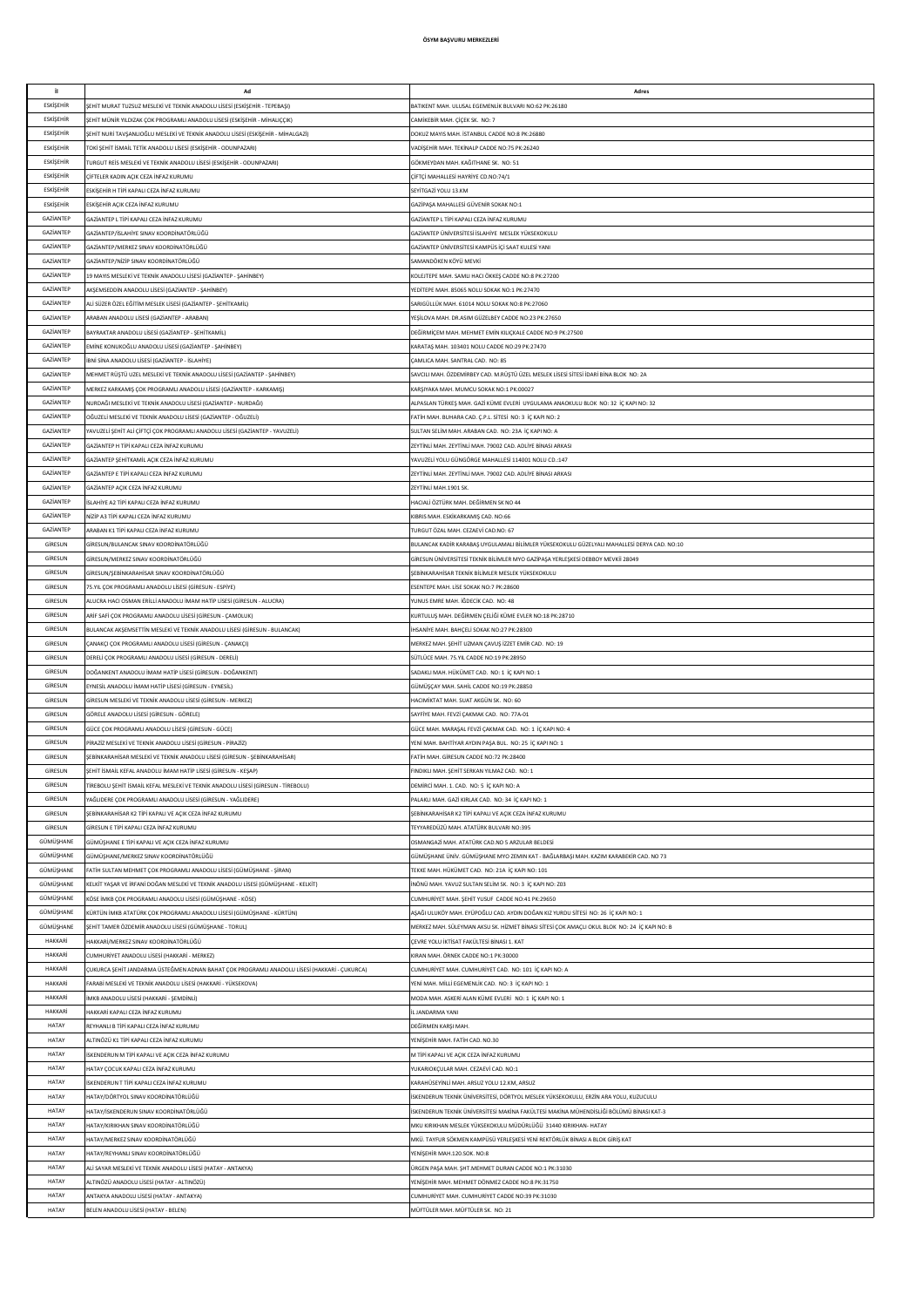| il.              | Ad                                                                                           | Adres                                                                                        |
|------------------|----------------------------------------------------------------------------------------------|----------------------------------------------------------------------------------------------|
| ESKİŞEHİR        | ŞEHİT MURAT TUZSUZ MESLEKİ VE TEKNİK ANADOLU LİSESİ (ESKİŞEHİR - TEPEBAŞI)                   | BATIKENT MAH. ULUSAL EGEMENLİK BULVARI NO:62 PK:26180                                        |
| ESKİSEHİR        | ŞEHİT MÜNİR YILDIZAK ÇOK PROGRAMLI ANADOLU LİSESİ (ESKİŞEHİR - MİHALIÇÇIK)                   | CAMİKEBİR MAH, CİCEK SK. NO: 7                                                               |
| ESKİSEHİR        | ŞEHİT NURİ TAVŞANLIOĞLU MESLEKİ VE TEKNİK ANADOLU LİSESİ (ESKİŞEHİR - MİHALGAZİ)             | DOKUZ MAYIS MAH. İSTANBUL CADDE NO:8 PK:26880                                                |
| <b>ESKİŞEHİR</b> | TOKİ ŞEHİT İSMAİL TETİK ANADOLU LİSESİ (ESKİŞEHİR - ODUNPAZARI)                              | VADİŞEHİR MAH. TEKİNALP CADDE NO:75 PK:26240                                                 |
| <b>ESKİŞEHİR</b> |                                                                                              |                                                                                              |
|                  | TURGUT REİS MESLEKİ VE TEKNİK ANADOLU LİSESİ (ESKİŞEHİR - ODUNPAZARI)                        | GÖKMEYDAN MAH. KAĞITHANE SK. NO: 51                                                          |
| <b>ESKİŞEHİR</b> | ÇİFTELER KADIN AÇIK CEZA İNFAZ KURUMU                                                        | ÇİFTÇİ MAHALLESİ HAYRİYE CD.NO:74/1                                                          |
| ESKİŞEHİR        | ESKİŞEHİR H TİPİ KAPALI CEZA İNFAZ KURUMU                                                    | SEYİTGAZİ YOLU 13.KM                                                                         |
| ESKİŞEHİR        | ESKİŞEHİR AÇIK CEZA İNFAZ KURUMU                                                             | GAZİPAŞA MAHALLESİ GÜVENİR SOKAK NO:1                                                        |
| GAZİANTEP        | GAZİANTEP L TİPİ KAPALI CEZA İNFAZ KURUMU                                                    | GAZİANTEP L TİPİ KAPALI CEZA İNFAZ KURUMU                                                    |
| GAZİANTEP        | GAZİANTEP/İSLAHİYE SINAV KOORDİNATÖRLÜĞÜ                                                     | GAZİANTEP ÜNİVERSİTESİ İSLAHİYE MESLEK YÜKSEKOKULU                                           |
| GAZİANTEP        | GAZİANTEP/MERKEZ SINAV KOORDİNATÖRLÜĞÜ                                                       | GAZİANTEP ÜNİVERSİTESİ KAMPÜS İÇİ SAAT KULESİ YANI                                           |
| GAZİANTEP        | GAZİANTEP/NİZİP SINAV KOORDİNATÖRLÜĞÜ                                                        | SAMANDÖKEN KÖYÜ MEVKİ                                                                        |
|                  |                                                                                              |                                                                                              |
| GAZIANTEP        | 19 MAYIS MESLEKİ VE TEKNİK ANADOLU LİSESİ (GAZİANTEP - ŞAHİNBEY)                             | KOLEJTEPE MAH. SAMLI HACI ÖKKEŞ CADDE NO:8 PK:27200                                          |
| GAZİANTEP        | AKSEMSEDDİN ANADOLU LİSESİ (GAZİANTEP - ŞAHİNBEY)                                            | YEDİTEPE MAH. 85065 NOLU SOKAK NO:1 PK:27470                                                 |
| GAZIANTEP        | ALİ SÜZER ÖZEL EĞİTİM MESLEK LİSESİ (GAZİANTEP - ŞEHİTKAMİL)                                 | SARIGÜLLÜK MAH. 61014 NOLU SOKAK NO:8 PK:27060                                               |
| GAZIANTEP        | ARABAN ANADOLU LİSESİ (GAZİANTEP - ARABAN)                                                   | YEŞİLOVA MAH. DR.ASIM GÜZELBEY CADDE NO:23 PK:27650                                          |
| GAZIANTEP        | BAYRAKTAR ANADOLU LİSESİ (GAZİANTEP - ŞEHİTKAMİL)                                            | DEĞİRMİÇEM MAH. MEHMET EMİN KILIÇKALE CADDE NO:9 PK:27500                                    |
| GAZİANTEP        | EMİNE KONUKOĞLU ANADOLU LİSESİ (GAZİANTEP - ŞAHİNBEY)                                        | (ARATAŞ MAH. 103401 NOLU CADDE NO:29 PK:27470                                                |
| GAZİANTEP        | İBNİ SİNA ANADOLU LİSESİ (GAZİANTEP - İSLAHİYE)                                              | ÇAMLICA MAH. SANTRAL CAD. NO: 85                                                             |
| GAZİANTEP        | MEHMET RÜŞTÜ UZEL MESLEKİ VE TEKNİK ANADOLU LİSESİ (GAZİANTEP - ŞAHİNBEY)                    | SAVCILI MAH. ÖZDEMİRBEY CAD. M.RÜŞTÜ ÜZEL MESLEK LİSESİ SİTESİ İDARİ BİNA BLOK NO: 2A        |
| GAZİANTEP        | MERKEZ KARKAMIŞ ÇOK PROGRAMLI ANADOLU LİSESİ (GAZİANTEP - KARKAMIŞ)                          | KARŞIYAKA MAH. MUMCU SOKAK NO:1 PK:00027                                                     |
| GAZİANTEP        | NURDAĞI MESLEKİ VE TEKNİK ANADOLU LİSESİ (GAZİANTEP - NURDAĞI)                               | ALPASLAN TÜRKEŞ MAH. GAZİ KÜME EVLERİ UYGULAMA ANAOKULU BLOK NO: 32 İÇ KAPI NO: 32           |
|                  |                                                                                              |                                                                                              |
| GAZİANTEP        | OĞUZELİ MESLEKİ VE TEKNİK ANADOLU LİSESİ (GAZİANTEP - OĞUZELİ)                               | FATİH MAH, BUHARA CAD, C.P.L. SİTESİ NO: 3 İC KAPI NO: 2                                     |
| GAZİANTEP        | YAVUZELİ ŞEHİT ALİ ÇİFTÇİ ÇOK PROGRAMLI ANADOLU LİSESİ (GAZİANTEP - YAVUZELİ)                | SULTAN SELİM MAH, ARABAN CAD, NO: 23A İC KAPI NO: A                                          |
| GAZIANTEP        | GAZİANTEP H TİPİ KAPALI CEZA İNFAZ KURUMU                                                    | ZEYTİNI İ MAH, ZEYTİNI İ MAH, 79002 CAD, ADI İYE RİNASI ARKASI                               |
| GAZIANTEP        | GAZİANTEP ŞEHİTKAMİL AÇIK CEZA İNFAZ KURUMU                                                  | YAVUZELİ YOLU GÜNGÖRGE MAHALLESİ 114001 NOLU CD.:147                                         |
| GAZIANTEP        | GAZİANTEP E TİPİ KAPALI CEZA İNFAZ KURUMU                                                    | ZEYTİNLİ MAH. ZEYTİNLİ MAH. 79002 CAD. ADLİYE BİNASI ARKASI                                  |
| GAZIANTEP        | GAZİANTEP AÇIK CEZA İNFAZ KURUMU                                                             | ZEYTİNLİ MAH.1901 SK                                                                         |
| GAZIANTEP        | İSLAHİYE A2 TİPİ KAPALI CEZA İNFAZ KURUMU                                                    | HACIALİ ÖZTÜRK MAH. DEĞİRMEN SK NO 44                                                        |
| GAZIANTEP        | NİZİP A3 TİPİ KAPALI CEZA İNFAZ KURUMU                                                       | KIBRIS MAH. ESKİKARKAMIŞ CAD. NO:66                                                          |
| GAZIANTEP        | ARABAN K1 TİPİ KAPALI CEZA İNFAZ KURUMU                                                      | TURGUT ÖZAL MAH. CEZAEVİ CAD.NO: 67                                                          |
|                  |                                                                                              |                                                                                              |
| GİRESUN          | GİRESUN/BULANCAK SINAV KOORDİNATÖRLÜĞÜ                                                       | BULANCAK KADİR KARABAŞ UYGULAMALI BİLİMLER YÜKSEKOKULU GÜZELYALI MAHALLESİ DERYA CAD. NO:10  |
| GİRESUN          | GİRESUN/MERKEZ SINAV KOORDİNATÖRLÜĞÜ                                                         | GİRESUN ÜNİVERSİTESİ TEKNİK BİLİMLER MYO GAZİPAŞA YERLEŞKESİ DEBBOY MEVKİİ 28049             |
| GİRESUN          | GİRESUN/ŞEBİNKARAHİSAR SINAV KOORDİNATÖRLÜĞÜ                                                 | ŞEBİNKARAHİSAR TEKNİK BİLİMLER MESLEK YÜKSEKOKULU                                            |
| GİRESUN          | 75.YIL COK PROGRAMLI ANADOLU LİSESİ (GİRESUN - ESPİYE)                                       | ESENTEPE MAH. LİSE SOKAK NO:7 PK:28600                                                       |
| GİRESUN          | ALUCRA HACI OSMAN ERİLLİ ANADOLU İMAM HATİP LİSESİ (GİRESUN - ALUCRA)                        | YUNUS EMRE MAH. İĞDECİK CAD. NO: 48                                                          |
| GİRESUN          | ARİF SAFİ ÇOK PROGRAMLI ANADOLU LİSESİ (GİRESUN - ÇAMOLUK)                                   | KURTULUŞ MAH. DEĞİRMEN ÇELİĞİ KÜME EVLER NO:18 PK:28710                                      |
| GİRESUN          | BULANCAK AKŞEMSETTİN MESLEKİ VE TEKNİK ANADOLU LİSESİ (GİRESUN - BULANCAK)                   | IHSANIYE MAH. BAHÇELİ SOKAK NO:27 PK:28300                                                   |
| GİRESUN          | ÇANAKÇI ÇOK PROGRAMLI ANADOLU LİSESİ (GİRESUN - ÇANAKÇI)                                     | MERKEZ MAH. ŞEHİT UZMAN ÇAVUŞ İZZET EMİR CAD. NO: 19                                         |
| GİRESUN          | DERELİ ÇOK PROGRAMLI ANADOLU LİSESİ (GİRESUN - DERELİ)                                       | SÜTLÜCE MAH. 75.YIL CADDE NO:19 PK:28950                                                     |
| GİRESUN          |                                                                                              |                                                                                              |
|                  | DOĞANKENT ANADOLU İMAM HATİP LİSESİ (GİRESUN - DOĞANKENT)                                    | SADAKLI MAH. HÜKÜMET CAD. NO: 1 İÇ KAPI NO: 1                                                |
| GİRESUN          | EYNESİL ANADOLU İMAM HATİP LİSESİ (GİRESUN - EYNESİL)                                        | GÜMÜŞÇAY MAH. SAHİL CADDE NO:19 PK:28850                                                     |
| GİRESUN          | GİRESUN MESLEKİ VE TEKNİK ANADOLU LİSESİ (GİRESUN - MERKEZ)                                  | HACIMİKTAT MAH. SUAT AKGÜN SK. NO: 60                                                        |
| GİRESUN          | GÖRELE ANADOLU LİSESİ (GİRESUN - GÖRELE)                                                     | SAYFİYE MAH. FEVZİ ÇAKMAK CAD. NO: 77A-01                                                    |
| GİRESUN          | GÜCE COK PROGRAMLI ANADOLU LİSESİ (GİRESUN - GÜCE)                                           | GÜCE MAH. MARAŞAL FEVZİ ÇAKMAK CAD. NO: 1 İÇ KAPI NO: 4                                      |
| GİRESUN          | PİRAZİZ MESLEKİ VE TEKNİK ANADOLU LİSESİ (GİRESUN - PİRAZİZ)                                 | YENİ MAH. BAHTİYAR AYDIN PAŞA BUL. NO: 25 İÇ KAPI NO: 1                                      |
| GİRESUN          | SEBİNKARAHİSAR MESLEKİ VE TEKNİK ANADOLU LİSESİ (GİRESUN - ŞEBİNKARAHİSAR)                   | FATİH MAH. GİRESUN CADDE NO:72 PK:28400                                                      |
| GİRESUN          | ŞEHİT İSMAİL KEFAL ANADOLU İMAM HATİP LİSESİ (GİRESUN - KEŞAP)                               | FINDIKLI MAH. ŞEHİT SERKAN YILMAZ CAD. NO: 1                                                 |
| GİRESUN          | TİREBOLU ŞEHİT İSMAİL KEFAL MESLEKİ VE TEKNİK ANADOLU LİSESİ (GİRESUN - TİREBOLU)            | DEMİRCİ MAH. 1. CAD. NO: 5 İÇ KAPI NO: A                                                     |
| GİRESUN          | YAĞLIDERE ÇOK PROGRAMLI ANADOLU LİSESİ (GİRESUN - YAĞLIDERE)                                 | PALAKLI MAH. GAZİ KIRLAK CAD. NO: 34 İÇ KAPI NO: 1                                           |
| GİRESUN          | ŞEBİNKARAHİSAR K2 TİPİ KAPALI VE AÇIK CEZA İNFAZ KURUMU                                      | ŞEBİNKARAHİSAR K2 TİPİ KAPALI VE AÇIK CEZA İNFAZ KURUMU                                      |
| GİRESUN          |                                                                                              |                                                                                              |
|                  | GİRESUN E TİPİ KAPALI CEZA İNFAZ KURUMU                                                      | TEYYAREDÜZÜ MAH. ATATÜRK BULVARI NO:395                                                      |
| GÜMÜŞHANE        | GÜMÜŞHANE E TİPİ KAPALI VE AÇIK CEZA İNFAZ KURUMU                                            | OSMANGAZİ MAH. ATATÜRK CAD.NO 5 ARZULAR BELDESİ                                              |
| GÜMÜŞHANE        | GÜMÜŞHANE/MERKEZ SINAV KOORDİNATÖRLÜĞÜ                                                       | GÜMÜŞHANE ÜNİV. GÜMÜŞHANE MYO ZEMIN KAT - BAĞLARBAŞI MAH. KAZIM KARABEKİR CAD. NO 73         |
| GÜMÜŞHANE        | FATİH SULTAN MEHMET ÇOK PROGRAMLI ANADOLU LİSESİ (GÜMÜŞHANE - ŞİRAN)                         | TEKKE MAH. HÜKÜMET CAD. NO: 21A İÇ KAPI NO: 101                                              |
| GÜMÜŞHANE        | KELKİT YAŞAR VE İRFANİ DOĞAN MESLEKİ VE TEKNİK ANADOLU LİSESİ (GÜMÜŞHANE - KELKİT)           | İNÖNÜ MAH. YAVUZ SULTAN SELİM SK. NO: 3 İÇ KAPI NO: Z03                                      |
| GÜMÜŞHANE        | KÖSE İMKB ÇOK PROGRAMLI ANADOLU LİSESİ (GÜMÜŞHANE - KÖSE)                                    | CUMHURİYET MAH. ŞEHİT YUSUF CADDE NO:41 PK:29650                                             |
| GÜMÜŞHANE        | KÜRTÜN İMKB ATATÜRK ÇOK PROGRAMLI ANADOLU LİSESİ (GÜMÜŞHANE - KÜRTÜN)                        | AŞAĞI ULUKÖY MAH. EYÜPOĞLU CAD. AYDIN DOĞAN KIZ YURDU SİTESİ NO: 26 İÇ KAPI NO: 1            |
| GÜMÜŞHANE        | SEHİT TAMER ÖZDEMİR ANADOLU LİSESİ (GÜMÜŞHANE - TORUL)                                       | MERKEZ MAH. SÜLEYMAN AKSU SK. HİZMET BİNASI SİTESİ ÇOK AMAÇLI OKUL BLOK NO: 24 İÇ KAPI NO: B |
| HAKKARİ          | HAKKARİ/MERKEZ SINAV KOORDİNATÖRLÜĞÜ                                                         | CEVRE YOLU İKTİSAT FAKÜLTESİ BİNASI 1. KAT                                                   |
| HAKKARİ          | CUMHURİYET ANADOLU LİSESİ (HAKKARİ - MERKEZ)                                                 | KIRAN MAH, ÖRNEK CADDE NO:1 PK:30000                                                         |
| <b>HAKKAR</b>    | ÇUKURCA ŞEHİT JANDARMA ÜSTEĞMEN ADNAN BAHAT ÇOK PROGRAMLI ANADOLU LİSESİ (HAKKARİ - ÇUKURCA) |                                                                                              |
|                  |                                                                                              | CUMHURİYET MAH. CUMHURİYET CAD. NO: 101 İÇ KAPI NO: A                                        |
| <b>HAKKAR</b>    | FARABİ MESLEKİ VE TEKNİK ANADOLU LİSESİ (HAKKARİ - YÜKSEKOVA)                                | YENİ MAH. MİLLİ EGEMENLİK CAD. NO: 3 İÇ KAPI NO: 1                                           |
| <b>HAKKAR</b>    | İMKB ANADOLU LİSESİ (HAKKARİ - ŞEMDİNLİ)                                                     | MODA MAH. ASKERÎ ALAN KÜME EVLERÎ NO: 1 İÇ KAPI NO: 1                                        |
| HAKKARİ          | HAKKARİ KAPALI CEZA İNFAZ KURUMU                                                             | İL JANDARMA YANI                                                                             |
| HATAY            | REYHANLI B TİPİ KAPALI CEZA İNFAZ KURUMU                                                     | DEĞİRMEN KARŞI MAH.                                                                          |
| HATAY            | ALTINÖZÜ K1 TİPİ KAPALI CEZA İNFAZ KURUMU                                                    | YENİŞEHİR MAH. FATİH CAD. NO.30                                                              |
| HATAY            | SKENDERUN M TİPİ KAPALI VE AÇIK CEZA İNFAZ KURUMU                                            | VI TİPİ KAPALI VE AÇIK CEZA İNFAZ KURUMU                                                     |
| HATAY            | HATAY ÇOCUK KAPALI CEZA İNFAZ KURUMU                                                         | YUKARIOKÇULAR MAH. CEZAEVİ CAD. NO:1                                                         |
| HATAY            | SKENDERUN T TİPİ KAPALI CEZA İNFAZ KURUMU                                                    | KARAHÜSEYİNLİ MAH. ARSUZ YOLU 12.KM, ARSUZ                                                   |
| HATAY            | HATAY/DÖRTYOL SINAV KOORDİNATÖRLÜĞÜ                                                          | İSKENDERUN TEKNİK ÜNİVERSİTESİ, DÖRTYOL MESLEK YÜKSEKOKULU, ERZİN ARA YOLU, KUZUCULU         |
| <b>HATAY</b>     | HATAY/İSKENDERUN SINAV KOORDİNATÖRLÜĞÜ                                                       | İSKENDERUN TEKNİK ÜNİVERSİTESİ MAKİNA FAKÜLTESİ MAKİNA MÜHENDİSLİĞİ BÖLÜMÜ BİNASI KAT-3      |
| <b>HATAY</b>     |                                                                                              |                                                                                              |
|                  | HATAY/KIRIKHAN SINAV KOORDİNATÖRLÜĞÜ                                                         | MKU KIRIKHAN MESLEK YÜKSEKOKULU MÜDÜRLÜĞÜ 31440 KIRIKHAN- HATAY                              |
| HATAY            | HATAY/MERKEZ SINAV KOORDİNATÖRLÜĞÜ                                                           | MKÜ. TAYFUR SÖKMEN KAMPÜSÜ YERLEŞKESİ YENİ REKTÖRLÜK BİNASI A BLOK GİRİŞ KAT                 |
| <b>HATAY</b>     | HATAY/REYHANLI SINAV KOORDİNATÖRLÜĞÜ                                                         | YENİSEHİR MAH.120.SOK, NO:8                                                                  |
| HATAY            | ALİ SAYAR MESLEKİ VE TEKNİK ANADOLU LİSESİ (HATAY - ANTAKYA)                                 | ÜRGEN PAŞA MAH. ŞHT.MEHMET DURAN CADDE NO:1 PK:31030                                         |
| <b>HATAY</b>     | ALTINÖZÜ ANADOLU LİSESİ (HATAY - ALTINÖZÜ)                                                   | YENİŞEHİR MAH. MEHMET DÖNMEZ CADDE NO:8 PK:31750                                             |
| <b>HATAY</b>     | ANTAKYA ANADOLU LİSESİ (HATAY - ANTAKYA)                                                     | CUMHURİYET MAH. CUMHURİYET CADDE NO:39 PK:31030                                              |
| <b>HATAY</b>     | BELEN ANADOLU LİSESİ (HATAY - BELEN)                                                         | MÜFTÜLER MAH. MÜFTÜLER SK. NO: 21                                                            |
|                  |                                                                                              |                                                                                              |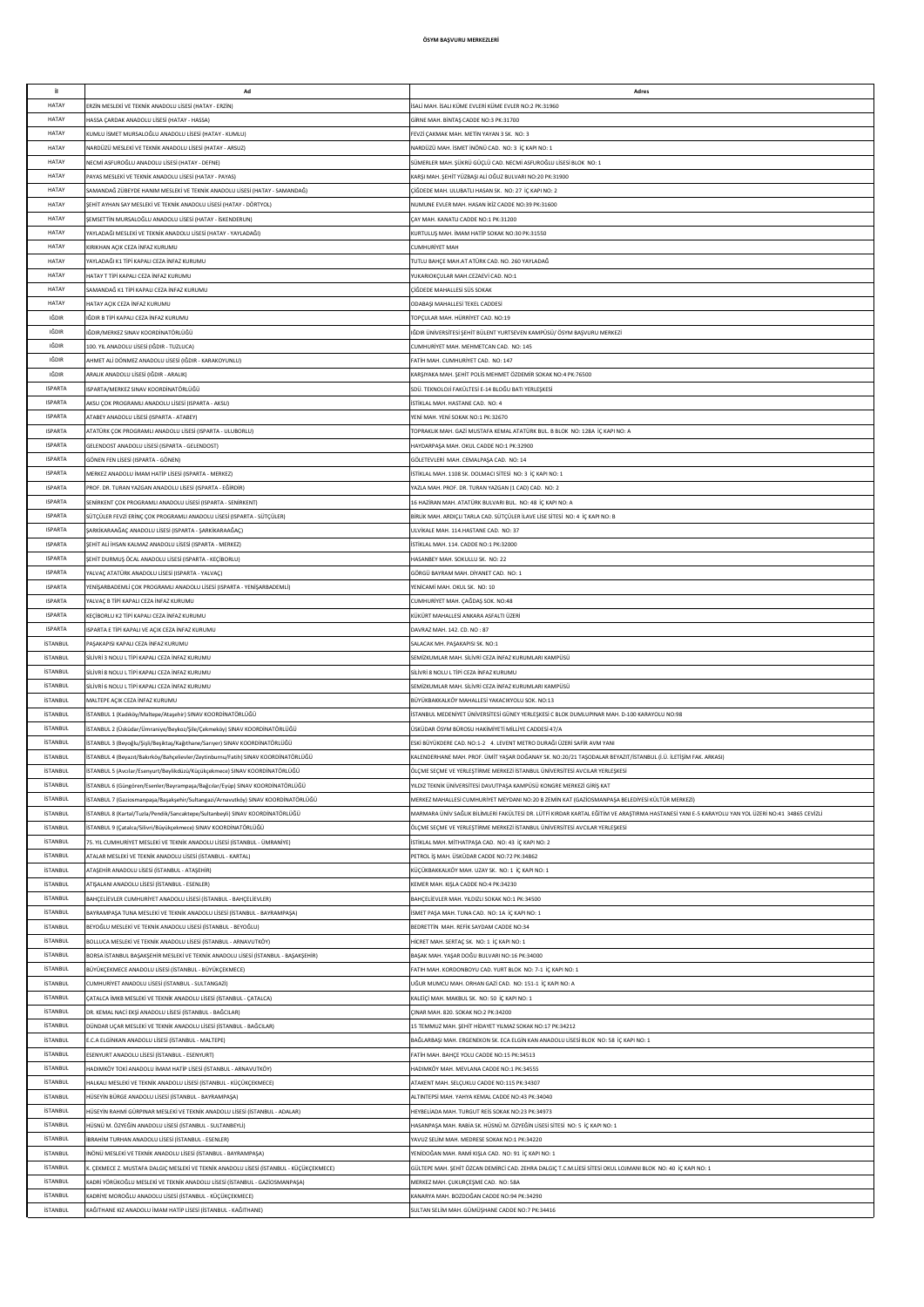| it.                                | Ad                                                                                                                                                                | Adres                                                                                                                                                                                                                                                |
|------------------------------------|-------------------------------------------------------------------------------------------------------------------------------------------------------------------|------------------------------------------------------------------------------------------------------------------------------------------------------------------------------------------------------------------------------------------------------|
| HATAY<br>HATAY                     | RZIN MESLEKİ VE TEKNİK ANADOLU LİSESİ (HATAY - ERZİN)<br><b>IASSA CARDAK ANADOLU LİSESİ (HATAY - HASSA)</b>                                                       | SALİ MAH. İSALI KÜME EVLERİ KÜME EVLER NO:2 PK:31960<br>GİRNE MAH. BİNTAŞ CADDE NO:3 PK:31700                                                                                                                                                        |
| HATAY                              | (UMLU İSMET MURSALOĞLU ANADOLU LİSESİ (HATAY - KUMLU)                                                                                                             | FEVZİ ÇAKMAK MAH. METİN YAYAN 3 SK. NO: 3                                                                                                                                                                                                            |
| HATAY                              | NARDÜZÜ MESLEKİ VE TEKNİK ANADOLU LİSESİ (HATAY - ARSUZ)                                                                                                          | NARDÜZÜ MAH. İSMET İNÖNÜ CAD. NO: 3 İÇ KAPI NO: 1                                                                                                                                                                                                    |
| HATAY<br>HATAY                     | VECMİ ASFUROĞLU ANADOLU LİSESİ (HATAY - DEFNE)<br>PAYAS MESLEKÎ VE TEKNÎK ANADOLLI LÎSESÎ (HATAY - PAYAS)                                                         | SÜMERLER MAH. ŞÜKRÜ GÜÇLÜ CAD. NECMİ ASFUROĞLU LİSESİ BLOK NO: 1<br>KARŞI MAH. ŞEHİT YÜZBAŞI ALİ OĞUZ BULVARI NO:20 PK:31900                                                                                                                         |
| HATAY                              | SAMANDAĞ ZÜBEYDE HANIM MESLEKİ VE TEKNİK ANADOLU LİSESİ (HATAY - SAMANDAĞ)                                                                                        | ÇİĞDEDE MAH. ULUBATLI HASAN SK. NO: 27 İÇ KAPI NO: 2                                                                                                                                                                                                 |
| HATAY                              | ŞEHİT AYHAN SAY MESLEKİ VE TEKNİK ANADOLU LİSESİ (HATAY - DÖRTYOL)                                                                                                | NUMUNE EVLER MAH. HASAN İKİZ CADDE NO:39 PK:31600                                                                                                                                                                                                    |
| HATAY                              | ŞEMSETTİN MURSALOĞLU ANADOLU LİSESİ (HATAY - İSKENDERUN)                                                                                                          | ÇAY MAH. KANATLI CADDE NO:1 PK:31200                                                                                                                                                                                                                 |
| <b>HATAY</b><br><b>HATAY</b>       | AYLADAĞI MESLEKİ VE TEKNİK ANADOLU LİSESİ (HATAY - YAYLADAĞI)<br>(IRIKHAN AÇIK CEZA İNFAZ KURUMU                                                                  | KURTULUŞ MAH. İMAM HATİP SOKAK NO:30 PK:31550                                                                                                                                                                                                        |
| HATAY                              | AYLADAĞI K1 TİPİ KAPALI CEZA İNFAZ KURUMU                                                                                                                         | <b>CUMHURIYET MAH</b><br>TUTLU BAHÇE MAH.AT ATÜRK CAD. NO. 260 YAYLADAĞ                                                                                                                                                                              |
| HATAY                              | <b>HATAY T TIPI KAPALI CEZA İNFAZ KURUMU</b>                                                                                                                      | YUKARIOKÇULAR MAH.CEZAEVİ CAD. NO:1                                                                                                                                                                                                                  |
| HATAY                              | AMANDAĞ K1 TİPİ KAPALI CEZA İNFAZ KURUMU                                                                                                                          | ÇİĞDEDE MAHALLESİ SÜS SOKAK                                                                                                                                                                                                                          |
| HATAY<br>IĞDIR                     | <b>HATAY AÇIK CEZA İNFAZ KURUMU</b><br>IĞDIR B TİPİ KAPALI CEZA İNFAZ KURUMU                                                                                      | ODABAŞI MAHALLESİ TEKEL CADDESİ<br>TOPÇULAR MAH. HÜRRİYET CAD. NO:19                                                                                                                                                                                 |
| IĞDIR                              | IĞDIR/MERKEZ SINAV KOORDİNATÖRLÜĞÜ                                                                                                                                | IĞDIR ÜNİVERSİTESİ ŞEHİT BÜLENT YURTSEVEN KAMPÜSÜ/ ÖSYM BAŞVURU MERKEZİ                                                                                                                                                                              |
| <b>IĞDIR</b>                       | 100. YIL ANADOLU LİSESİ (IĞDIR - TUZLUCA)                                                                                                                         | CUMHURİYET MAH, MEHMETCAN CAD, NO: 145                                                                                                                                                                                                               |
| IĞDIR                              | AHMET ALİ DÖNMEZ ANADOLU LİSESİ (IĞDIR - KARAKOYUNLU)                                                                                                             | FATİH MAH, CUMHURİYET CAD, NO: 147                                                                                                                                                                                                                   |
| IĞDIR<br><b>ISPARTA</b>            | \RALIK ANADOLU LİSESİ (IĞDIR - ARALIK)<br>ISPARTA/MERKEZ SINAV KOORDİNATÖRLÜĞÜ                                                                                    | KARŞIYAKA MAH. ŞEHİT POLİS MEHMET ÖZDEMİR SOKAK NO:4 PK:76500<br>SDÜ. TEKNOLOJİ FAKÜLTESİ E-14 BLOĞU BATI YERLEŞKESİ                                                                                                                                 |
| <b>ISPARTA</b>                     | KSU ÇOK PROGRAMLI ANADOLU LİSESİ (ISPARTA - AKSU)                                                                                                                 | İSTİKLAL MAH. HASTANE CAD. NO: 4                                                                                                                                                                                                                     |
| <b>ISPARTA</b>                     | <b>ITABEY ANADOLU LİSESİ (ISPARTA - ATABEY)</b>                                                                                                                   | YENİ MAH. YENİ SOKAK NO:1 PK:32670                                                                                                                                                                                                                   |
| <b>ISPARTA</b>                     | TATÜRK ÇOK PROGRAMLI ANADOLU LİSESİ (ISPARTA - ULUBORLU)                                                                                                          | TOPRAKLIK MAH. GAZİ MUSTAFA KEMAL ATATÜRK BUL. B BLOK NO: 128A İÇ KAPI NO: A                                                                                                                                                                         |
| <b>ISPARTA</b><br><b>ISPARTA</b>   | GELENDOST ANADOLU LİSESİ (ISPARTA - GELENDOST)<br>GÖNEN FEN LİSESİ (ISPARTA - GÖNEN)                                                                              | HAYDARPAŞA MAH. OKUL CADDE NO:1 PK:32900<br>GÖLETEVLERİ MAH. CEMALPAŞA CAD. NO: 14                                                                                                                                                                   |
| <b>ISPARTA</b>                     | MERKEZ ANADOLU İMAM HATİP LİSESİ (ISPARTA - MERKEZ)                                                                                                               | İSTİKLAL MAH. 1108 SK. DOLMACI SİTESİ NO: 3 İÇ KAPI NO: 1                                                                                                                                                                                            |
| <b>ISPARTA</b>                     | ROF. DR. TURAN YAZGAN ANADOLU LİSESİ (ISPARTA - EĞİRDİR)                                                                                                          | YAZLA MAH. PROF. DR. TURAN YAZGAN (1 CAD) CAD. NO: 2                                                                                                                                                                                                 |
| <b>ISPARTA</b>                     | SENİRKENT COK PROGRAMLI ANADOLU LİSESİ (ISPARTA - SENİRKENT)                                                                                                      | 16 HAZİRAN MAH, ATATÜRK BULVARI BUL, NO: 48 İC KAPI NO: A                                                                                                                                                                                            |
| <b>ISPARTA</b><br><b>ISPARTA</b>   | SÜTCÜLER EEVZİ ERİNC COK PROGRAMLI ANADOLU LİSESİ (ISPARTA - SÜTCÜLER)<br>ŞARKİKARAAĞAÇ ANADOLU LİSESİ (ISPARTA - ŞARKİKARAAĞAÇ)                                  | BİRLİK MAH. ARDIÇLI TARLA CAD. SÜTÇÜLER İLAVE LİSE SİTESİ NO: 4 İÇ KAPI NO: B<br>ULVİKALE MAH. 114.HASTANE CAD. NO: 37                                                                                                                               |
| <b>ISPARTA</b>                     | ŞEHİT ALİ İHSAN KALMAZ ANADOLU LİSESİ (ISPARTA - MERKEZ)                                                                                                          | İSTİKLAL MAH. 114. CADDE NO:1 PK:32000                                                                                                                                                                                                               |
| <b>ISPARTA</b>                     | ŞEHİT DURMUŞ ÖCAL ANADOLU LİSESİ (ISPARTA - KEÇİBORLU)                                                                                                            | HASANBEY MAH, SOKULLU SK. NO: 22                                                                                                                                                                                                                     |
| <b>ISPARTA</b>                     | 'ALVAÇ ATATÜRK ANADOLU LİSESİ (ISPARTA - YALVAÇ)                                                                                                                  | GÖRGÜ BAYRAM MAH. DİYANET CAD. NO: 1                                                                                                                                                                                                                 |
| <b>ISPARTA</b><br><b>ISPARTA</b>   | ENİŞARBADEMLİ ÇOK PROGRAMLI ANADOLU LİSESİ (ISPARTA - YENİŞARBADEMLİ)<br>ALVAÇ B TİPİ KAPALI CEZA İNFAZ KURUMU                                                    | YENİCAMİ MAH. OKUL SK. NO: 10<br>CUMHURİYET MAH. ÇAĞDAŞ SOK. NO:48                                                                                                                                                                                   |
| <b>ISPARTA</b>                     | KEÇİBORLU K2 TİPİ KAPALI CEZA İNFAZ KURUMU                                                                                                                        | KÜKÜRT MAHALLESİ ANKARA ASFALTI ÜZERİ                                                                                                                                                                                                                |
| <b>ISPARTA</b>                     | ISPARTA E TÎPÎ KAPALI VE AÇIK CEZA ÎNFAZ KURUMU                                                                                                                   | DAVRAZ MAH. 142. CD. NO: 87                                                                                                                                                                                                                          |
| <b>İSTANBUL</b>                    | AŞAKAPISI KAPALI CEZA İNFAZ KURUMU                                                                                                                                | SALACAK MH. PAŞAKAPISI SK. NO:1                                                                                                                                                                                                                      |
| <b>İSTANBUL</b><br><b>İSTANBUL</b> | SİLİVRİ 3 NOLU L TİPİ KAPALI CEZA İNFAZ KURUMU<br>SİLİVRİ 8 NOLU L TİPİ KAPALI CEZA İNFAZ KURUMU                                                                  | SEMİZKUMLAR MAH. SİLİVRİ CEZA İNFAZ KURUMLARI KAMPÜSÜ<br>SİLİVRİ 8 NOLU L TİPİ CEZA İNFAZ KURUMU                                                                                                                                                     |
| <b>İSTANBUL</b>                    | SİLİVRİ 6 NOLU L TİPİ KAPALI CEZA İNFAZ KURUMU                                                                                                                    | SEMİZKUMLAR MAH, SİLİVRİ CEZA İNFAZ KURUMLARI KAMPÜSÜ                                                                                                                                                                                                |
| <b>İSTANBUL</b>                    | MALTEPE ACIK CEZA İNFAZ KURUMU                                                                                                                                    | BÜYÜKBAKKAI KÖY MAHALI ESİ YAKACIKYOLU SOK. NO:13                                                                                                                                                                                                    |
| <b>İSTANBUL</b><br><b>İSTANBUL</b> | İSTANBUL 1 (Kadıköy/Maltepe/Ataşehir) SINAV KOORDİNATÖRLÜĞÜ                                                                                                       | İSTANBUL MEDENİYET ÜNİVERSİTESİ GÜNEY YERLEŞKESİ C BLOK DUMLUPINAR MAH. D-100 KARAYOLU NO:98                                                                                                                                                         |
| <b>İSTANBUL</b>                    | İSTANBUL 2 (Üsküdar/Ümraniye/Beykoz/Şile/Çekmeköy) SINAV KOORDİNATÖRLÜĞÜ<br>İSTANBUL 3 (Beyoğlu/Şişli/Beşiktaş/Kağıthane/Sarıyer) SINAV KOORDİNATÖRLÜĞÜ           | ÜSKÜDAR ÖSYM BÜROSU HAKİMİYETİ MİLLİYE CADDESİ 47/A<br>ESKİ BÜYÜKDERE CAD. NO:1-2 4. LEVENT METRO DURAĞI ÜZERİ SAFİR AVM YANI                                                                                                                        |
| <b>İSTANBUL</b>                    | STANBUL 4 (Beyazıt/Bakırköy/Bahçelievler/Zeytinburnu/Fatih) SINAV KOORDİNATÖRLÜĞÜ                                                                                 | KALENDERHANE MAH. PROF. ÜMİT YAŞAR DOĞANAY SK. NO:20/21 TAŞODALAR BEYAZIT/İSTANBUL (İ.Ü. İLETİŞİM FAK. ARKASI)                                                                                                                                       |
| <b>İSTANBUL</b>                    | İSTANBUL 5 (Avcılar/Esenyurt/Beylikdüzü/Küçükçekmece) SINAV KOORDİNATÖRLÜĞÜ                                                                                       | ÖLÇME SEÇME VE YERLEŞTİRME MERKEZİ İSTANBUL ÜNİVERSİTESİ AVCILAR YERLEŞKESİ                                                                                                                                                                          |
| <b>İSTANBUL</b>                    | STANBUL 6 (Güngören/Esenler/Bayrampaşa/Bağcılar/Eyüp) SINAV KOORDİNATÖRLÜĞÜ                                                                                       | YILDIZ TEKNİK ÜNİVERSİTESİ DAVUTPAŞA KAMPÜSÜ KONGRE MERKEZİ GİRİŞ KAT                                                                                                                                                                                |
| <b>İSTANBUL</b><br><b>İSTANBUL</b> | İSTANBUL 7 (Gaziosmanpaşa/Başakşehir/Sultangazi/Arnavutköy) SINAV KOORDİNATÖRLÜĞÜ<br>STANBUL 8 (Kartal/Tuzla/Pendik/Sancaktepe/Sultanbeyli) SINAV KOORDİNATÖRLÜĞÜ | MERKEZ MAHALLESİ CUMHURİYET MEYDANI NO:20 B ZEMİN KAT (GAZİOSMANPAŞA BELEDİYESİ KÜLTÜR MERKEZİ)<br>MARMARA ÜNİV SAĞLIK BİLİMLERİ FAKÜLTESİ DR. LÜTFİ KIRDAR KARTAL EĞİTİM VE ARAŞTIRMA HASTANESİ YANI E-5 KARAYOLU YAN YOL ÜZERİ NO:41 34865 CEVİZLİ |
| <b>İSTANBUL</b>                    | İSTANBUL 9 (Çatalca/Silivri/Büyükçekmece) SINAV KOORDİNATÖRLÜĞÜ                                                                                                   | ÖLÇME SEÇME VE YERLEŞTİRME MERKEZİ İSTANBUL ÜNİVERSİTESİ AVCILAR YERLEŞKESİ                                                                                                                                                                          |
| <b>İSTANBUL</b>                    | S. YIL CUMHURİYET MESLEKİ VE TEKNİK ANADOLU LİSESİ (İSTANRUL - ÜMRANİYE)                                                                                          | STİKLAL MAH, MİTHATPASA CAD, NO: 43 İC KAPLNO: 2                                                                                                                                                                                                     |
| <b>İSTANBUL</b>                    | <b>ITALAR MESLEKİ VE TEKNİK ANADOLU LİSESİ (İSTANBUL - KARTAL)</b>                                                                                                | PETROL İS MAH, ÜSKÜDAR CADDE NO:72 PK:34862                                                                                                                                                                                                          |
| <b>İSTANBUL</b><br><b>İSTANBUL</b> | <b>ITASEHİR ANADOLLI İSESİ (İSTANRLIL - ATASEHİR)</b><br>ATISALANI ANADOLU LİSESİ (İSTANBUL - ESENLER)                                                            | KÜCÜKBAKKALKÖY MAH. UZAY SK. NO: 1 İC KAPI NO: 1<br>KEMER MAH. KIŞLA CADDE NO:4 PK:34230                                                                                                                                                             |
| <b>İSTANBUL</b>                    | BAHCELİEVLER CUMHURİYET ANADOLU LİSESİ (İSTANBUL - BAHCELİEVLER)                                                                                                  | BAHÇELİEVLER MAH. YILDIZLI SOKAK NO:1 PK:34500                                                                                                                                                                                                       |
| <b>İSTANBUL</b>                    | BAYRAMPAŞA TUNA MESLEKİ VE TEKNİK ANADOLU LİSESİ (İSTANBUL - BAYRAMPAŞA)                                                                                          | İSMET PAŞA MAH. TUNA CAD. NO: 1A İÇ KAPI NO: 1                                                                                                                                                                                                       |
| <b>İSTANBUL</b><br><b>İSTANBUL</b> | BEYOĞLU MESLEKİ VE TEKNİK ANADOLU LİSESİ (İSTANBUL - BEYOĞLU)<br>BOLLUCA MESLEKİ VE TEKNİK ANADOLU LİSESİ (İSTANBUL - ARNAVUTKÖY)                                 | BEDRETTIN MAH. REFIK SAYDAM CADDE NO:34<br>HİCRET MAH. SERTAÇ SK. NO: 1 İÇ KAPI NO: 1                                                                                                                                                                |
| <b>İSTANBUL</b>                    | BORSA İSTANBUL BAŞAKŞEHİR MESLEKİ VE TEKNİK ANADOLU LİSESİ (İSTANBUL - BAŞAKŞEHİR)                                                                                | BAŞAK MAH. YAŞAR DOĞU BULVARI NO:16 PK:34000                                                                                                                                                                                                         |
| <b>İSTANBUL</b>                    | BÜYÜKÇEKMECE ANADOLU LİSESİ (İSTANBUL - BÜYÜKÇEKMECE)                                                                                                             | FATIH MAH. KORDONBOYU CAD. YURT BLOK NO: 7-1 İÇ KAPI NO: 1                                                                                                                                                                                           |
| <b>İSTANBUL</b>                    | CUMHURİYET ANADOLU LİSESİ (İSTANBUL - SULTANGAZİ)                                                                                                                 | UĞUR MUMCU MAH. ORHAN GAZİ CAD. NO: 151-1 İÇ KAPI NO: A                                                                                                                                                                                              |
| <b>İSTANBUL</b><br><b>İSTANBUL</b> | ÇATALCA İMKB MESLEKİ VE TEKNİK ANADOLU LİSESİ (İSTANBUL - ÇATALCA)<br>DR. KEMAL NACÍ EKSÍ ANADOLU LÍSESÍ (ÍSTANBUL - BAĞCILAR)                                    | KALEİÇİ MAH. MAKBUL SK. NO: 50 İÇ KAPI NO: 1<br>CINAR MAH, 820, SOKAK NO:2 PK:34200                                                                                                                                                                  |
| <b>İSTANBUL</b>                    | DÜNDAR UCAR MESLEKİ VE TEKNİK ANADOLU LİSESİ (İSTANBUL - BAĞCILAR)                                                                                                | 15 TEMMUZ MAH. SEHİT HİDAYET YILMAZ SOKAK NO:17 PK:34212                                                                                                                                                                                             |
| <b>İSTANBUL</b>                    | E.C.A ELGİNKAN ANADOLU LİSESİ (İSTANBUL - MALTEPE)                                                                                                                | BAĞLARBASI MAH. ERGENEKON SK. ECA ELGİN KAN ANADOLU LİSESİ BLOK NO: 58 İC KAPI NO: 1                                                                                                                                                                 |
| <b>İSTANBUL</b>                    | ESENYURT ANADOLU LİSESİ (İSTANBUL - ESENYURT)                                                                                                                     | FATİH MAH. BAHÇE YOLU CADDE NO:15 PK:34513                                                                                                                                                                                                           |
| <b>İSTANBUL</b><br><b>İSTANBUL</b> | HADIMKÖY TOKİ ANADOLU İMAM HATİP LİSESİ (İSTANBUL - ARNAVUTKÖY)<br>IALKALI MESLEKİ VE TEKNİK ANADOLU LİSESİ (İSTANBUL - KÜÇÜKÇEKMECE)                             | HADIMKÖY MAH. MEVLANA CADDE NO:1 PK:34555<br>ATAKENT MAH. SELÇUKLU CADDE NO:115 PK:34307                                                                                                                                                             |
| <b>İSTANBUL</b>                    | IÜSEYİN BÜRGE ANADOLU LİSESİ (İSTANBUL - BAYRAMPAŞA)                                                                                                              | ALTINTEPSİ MAH. YAHYA KEMAL CADDE NO:43 PK:34040                                                                                                                                                                                                     |
| <b>İSTANBUL</b>                    | IÜSEYİN RAHMİ GÜRPINAR MESLEKİ VE TEKNİK ANADOLU LİSESİ (İSTANBUL - ADALAR)                                                                                       | HEYBELİADA MAH. TURGUT REİS SOKAK NO:23 PK:34973                                                                                                                                                                                                     |
| <b>İSTANBUL</b>                    | IÜSNÜ M. ÖZYEĞİN ANADOLU LİSESİ (İSTANBUL - SULTANBEYLİ)                                                                                                          | HASANPAŞA MAH. RABİA SK. HÜSNÜ M. ÖZYEĞİN LİSESİ SİTESİ NO: 5 İÇ KAPI NO: 1                                                                                                                                                                          |
| <b>İSTANBUL</b><br><b>İSTANBUL</b> | BRAHİM TURHAN ANADOLU LİSESİ (İSTANBUL - ESENLER)<br>INÖNÜ MESLEKİ VE TEKNİK ANADOLU LİSESİ (İSTANBUL - BAYRAMPAŞA)                                               | YAVUZ SELİM MAH. MEDRESE SOKAK NO:1 PK:34220<br>YENİDOĞAN MAH. RAMİ KIŞLA CAD. NO: 91 İÇ KAPI NO: 1                                                                                                                                                  |
| <b>İSTANBUL</b>                    | . ÇEKMECE Z. MUSTAFA DALGIÇ MESLEKİ VE TEKNİK ANADOLU LİSESİ (İSTANBUL - KÜÇÜKÇEKMECE)                                                                            | GÜLTEPE MAH. ŞEHİT ÖZCAN DEMİRCİ CAD. ZEHRA DALGIÇ T.C.M.LİESİ SİTESİ OKUL LOJMANI BLOK NO: 40 İÇ KAPI NO: 1                                                                                                                                         |
| <b>İSTANBUL</b>                    | (ADRİ YÖRÜKOĞLU MESLEKİ VE TEKNİK ANADOLU LİSESİ (İSTANBUL - GAZİOSMANPAŞA)                                                                                       | MERKEZ MAH. ÇUKURÇEŞME CAD. NO: 58A                                                                                                                                                                                                                  |
| <b>İSTANBUL</b>                    | (ADRİYE MOROĞLU ANADOLU LİSESİ (İSTANBUL - KÜCÜKCEKMECE)                                                                                                          | KANARYA MAH. BOZDOĞAN CADDE NO:94 PK:34290                                                                                                                                                                                                           |
| <b>İSTANBUL</b>                    | KAĞITHANE KIZ ANADOLU İMAM HATİP LİSESİ (İSTANBUL - KAĞITHANE)                                                                                                    | SULTAN SELİM MAH, GÜMÜSHANE CADDE NO:7 PK:34416                                                                                                                                                                                                      |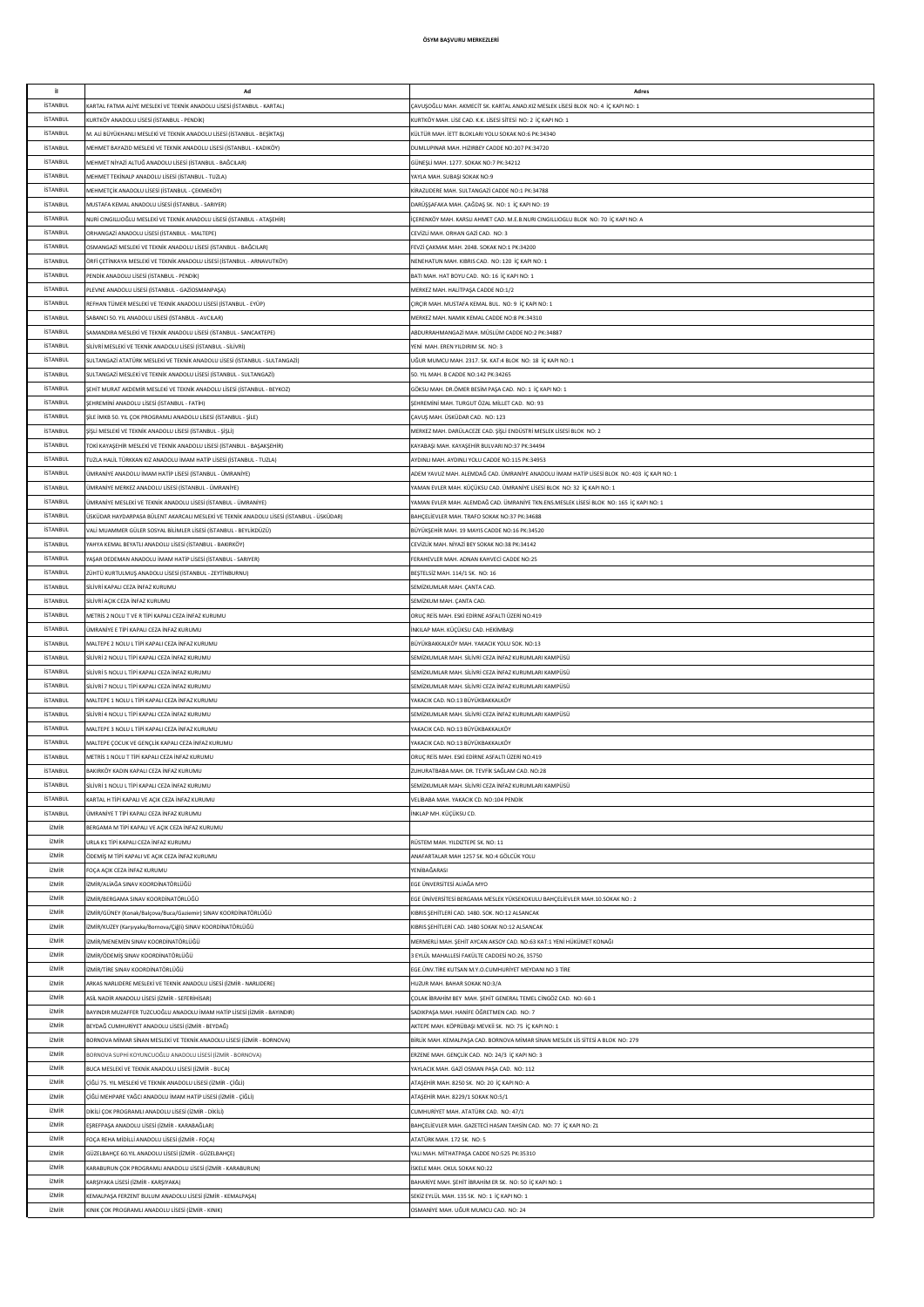| il.             | Ad                                                                                       | Adres                                                                                      |
|-----------------|------------------------------------------------------------------------------------------|--------------------------------------------------------------------------------------------|
|                 |                                                                                          |                                                                                            |
| <b>İSTANBUL</b> | ARTAL FATMA ALİYE MESLEKİ VE TEKNİK ANADOLU LİSESİ (İSTANBUL - KARTAL)                   | ÇAVUŞOĞLU MAH. AKMECİT SK. KARTAL ANAD.KIZ MESLEK LİSESİ BLOK NO: 4  İÇ KAPI NO: 1         |
| <b>İSTANBUL</b> | (URTKÖY ANADOLU LİSESİ (İSTANBUL - PENDİK)                                               | KURTKÖY MAH. LİSE CAD. K.K. LİSESİ SİTESİ NO: 2 İÇ KAPI NO: 1                              |
| <b>İSTANBUL</b> | A. ALİ BÜYÜKHANLI MESLEKİ VE TEKNİK ANADOLU LİSESİ (İSTANBUL - BEŞİKTAŞ)                 | KÜLTÜR MAH. İETT BLOKLARI YOLU SOKAK NO:6 PK:34340                                         |
| <b>İSTANBUL</b> | MEHMET BAYAZID MESLEKİ VE TEKNİK ANADOLU LİSESİ (İSTANBUL - KADIKÖY)                     | DUMLUPINAR MAH. HIZIRBEY CADDE NO:207 PK:34720                                             |
| <b>İSTANBUL</b> |                                                                                          |                                                                                            |
|                 | MEHMET NİYAZİ ALTUĞ ANADOLU LİSESİ (İSTANBUL - BAĞCILAR)                                 | GÜNEŞLİ MAH. 1277. SOKAK NO:7 PK:34212                                                     |
| <b>İSTANBUL</b> | MEHMET TEKİNALP ANADOLU LİSESİ (İSTANBUL - TUZLA)                                        | YAYLA MAH. SUBAŞI SOKAK NO:9                                                               |
| <b>İSTANBUL</b> | MEHMETÇİK ANADOLU LİSESİ (İSTANBUL - ÇEKMEKÖY)                                           | KİRAZLIDERE MAH, SULTANGAZİ CADDE NO:1 PK:34788                                            |
| <b>İSTANBUL</b> | MUSTAFA KEMAL ANADOLU LİSESİ (İSTANBUL - SARIYER)                                        | DARÜŞŞAFAKA MAH. ÇAĞDAŞ SK. NO: 1 İÇ KAPI NO: 19                                           |
| <b>İSTANBUL</b> | IURİ CINGILLIOĞLU MESLEKİ VE TEKNİK ANADOLU LİSESİ (İSTANBUL - ATAŞEHİR)                 | İCERENKÖY MAH, KARSLI AHMET CAD, M.E.B.NURI CINGILLIOGLU BLOK NO: 70 İC KAPI NO: A         |
| <b>İSTANBUL</b> | ORHANGAZİ ANADOLU LİSESİ (İSTANBUL - MALTEPE)                                            | CEVİZLİ MAH. ORHAN GAZİ CAD. NO: 3                                                         |
| <b>İSTANBUL</b> | OSMANGAZİ MESLEKİ VE TEKNİK ANADOLU LİSESİ (İSTANBUL - BAĞCILAR)                         | FEVZİ ÇAKMAK MAH. 2048. SOKAK NO:1 PK:34200                                                |
|                 |                                                                                          |                                                                                            |
| <b>İSTANBUL</b> | ÖRFİ ÇETİNKAYA MESLEKİ VE TEKNİK ANADOLU LİSESİ (İSTANBUL - ARNAVUTKÖY)                  | NENEHATUN MAH. KIBRIS CAD. NO: 120 İÇ KAPI NO: 1                                           |
| <b>İSTANBUL</b> | PENDİK ANADOLU LİSESİ (İSTANBUL - PENDİK)                                                | BATI MAH. HAT BOYU CAD. NO: 16 İÇ KAPI NO: 1                                               |
| <b>İSTANBUL</b> | PLEVNE ANADOLU LİSESİ (İSTANBUL - GAZİOSMANPAŞA)                                         | MERKEZ MAH. HALİTPAŞA CADDE NO:1/2                                                         |
| <b>İSTANBUL</b> | REFHAN TÜMER MESLEKİ VE TEKNİK ANADOLU LİSESİ (İSTANBUL - EYÜP)                          | ÇIRÇIR MAH. MUSTAFA KEMAL BUL. NO: 9 İÇ KAPI NO: 1                                         |
| <b>İSTANBUL</b> | SABANCI 50. YIL ANADOLU LİSESİ (İSTANBUL - AVCILAR)                                      | MERKEZ MAH. NAMIK KEMAL CADDE NO:8 PK:34310                                                |
| <b>İSTANBUL</b> | AMANDIRA MESLEKİ VE TEKNİK ANADOLU LİSESİ (İSTANBUL - SANCAKTEPE)                        | ABDURRAHMANGAZİ MAH. MÜSLÜM CADDE NO:2 PK:34887                                            |
| <b>İSTANBUL</b> | SİLİVRİ MESLEKİ VE TEKNİK ANADOLU LİSESİ (İSTANBUL - SİLİVRİ)                            | YENİ MAH, EREN YILDIRIM SK. NO: 3                                                          |
| <b>İSTANBUL</b> |                                                                                          |                                                                                            |
|                 | SULTANGAZİ ATATÜRK MESLEKİ VE TEKNİK ANADOLU LİSESİ (İSTANBUL - SULTANGAZİ)              | UĞUR MUMCU MAH. 2317. SK. KAT:4 BLOK NO: 18 İÇ KAPI NO: 1                                  |
| <b>İSTANBUL</b> | SULTANGAZİ MESLEKİ VE TEKNİK ANADOLU LİSESİ (İSTANBUL - SULTANGAZİ)                      | 50. YIL MAH. B CADDE NO:142 PK:34265                                                       |
| <b>İSTANBUL</b> | SEHİT MURAT AKDEMİR MESLEKİ VE TEKNİK ANADOLU LİSESİ (İSTANBUL - BEYKOZ)                 | GÖKSLIMAH, DR ÖMER BESİM PASA CAD, NO: 1 İC KAPI NO: 1                                     |
| <b>İSTANBUL</b> | SEHREMİNİ ANADOLU LİSESİ (İSTANBUL - FATİH)                                              | ŞEHREMİNİ MAH. TURGUT ÖZAL MİLLET CAD. NO: 93                                              |
| <b>İSTANBUL</b> | ŞİLE İMKB 50. YIL ÇOK PROGRAMLI ANADOLU LİSESİ (İSTANBUL - ŞİLE)                         | CAVUS MAH, ÜSKÜDAR CAD, NO: 123                                                            |
| <b>İSTANBUL</b> | ŞİŞLİ MESLEKİ VE TEKNİK ANADOLU LİSESİ (İSTANBUL - ŞİŞLİ)                                | MERKEZ MAH. DARÜLACEZE CAD. ŞİŞLİ ENDÜSTRİ MESLEK LİSESİ BLOK NO: 2                        |
| <b>İSTANBUL</b> | OKİ KAYAŞEHİR MESLEKİ VE TEKNİK ANADOLU LİSESİ (İSTANBUL - BAŞAKŞEHİR)                   | KAYABAŞI MAH. KAYAŞEHİR BULVARI NO:37 PK:34494                                             |
| <b>İSTANBUL</b> | UZLA HALİL TÜRKKAN KIZ ANADOLU İMAM HATİP LİSESİ (İSTANBUL - TUZLA)                      | AYDINLI MAH. AYDINLI YOLU CADDE NO:115 PK:34953                                            |
| <b>İSTANBUL</b> | MRANİYE ANADOLU İMAM HATİP LİSESİ (İSTANBUL - ÜMRANİYE)                                  | ADEM YAVUZ MAH. ALEMDAĞ CAD. ÜMRANİYE ANADOLU İMAM HATİP LİSESİ BLOK NO: 403 İÇ KAPI NO: 1 |
|                 |                                                                                          |                                                                                            |
| <b>İSTANBUL</b> | MRANİYE MERKEZ ANADOLU LİSESİ (İSTANBUL - ÜMRANİYE)                                      | AMAN EVLER MAH. KÜÇÜKSU CAD. ÜMRANİYE LİSESİ BLOK NO: 32 İÇ KAPI NO: 1                     |
| <b>İSTANBUL</b> | İMRANİYE MESLEKİ VE TEKNİK ANADOLU LİSESİ (İSTANBUL - ÜMRANİYE)                          | YAMAN EVLER MAH. ALEMDAĞ CAD. ÜMRANİYE TKN.ENS.MESLEK LİSESİ BLOK  NO: 165  İÇ KAPI NO: 1  |
| <b>İSTANBUL</b> | İSKÜDAR HAYDARPASA BÜLENT AKARCALI MESLEKİ VE TEKNİK ANADOLU LİSESİ (İSTANBUL - ÜSKÜDAR) | BAHÇELİEVLER MAH. TRAFO SOKAK NO:37 PK:34688                                               |
| <b>İSTANBUL</b> | ALİ MUAMMER GÜLER SOSYAL BİLİMLER LİSESİ (İSTANBUL - BEYLİKDÜZÜ)                         | BÜYÜKŞEHİR MAH. 19 MAYIS CADDE NO:16 PK:34520                                              |
| <b>İSTANBUL</b> | AHYA KEMAL BEYATLI ANADOLU LİSESİ (İSTANBUL - BAKIRKÖY)                                  | CEVİZLİK MAH, NİYAZİ BEY SOKAK NO:38 PK:34142                                              |
| <b>İSTANBUL</b> | AŞAR DEDEMAN ANADOLU İMAM HATİP LİSESİ (İSTANBUL - SARIYER)                              | FERAHEVLER MAH. ADNAN KAHVECİ CADDE NO:25                                                  |
| <b>İSTANBUL</b> | ZÜHTÜ KURTULMUŞ ANADOLU LİSESİ (İSTANBUL - ZEYTİNBURNU)                                  | BEŞTELSİZ MAH. 114/1 SK. NO: 16                                                            |
|                 |                                                                                          |                                                                                            |
| <b>İSTANBUL</b> | SİLİVRİ KAPALI CEZA İNFAZ KURUMU                                                         | SEMİZKUMLAR MAH. ÇANTA CAD.                                                                |
| <b>İSTANBUL</b> | SİLİVRİ AÇIK CEZA İNFAZ KURUMU                                                           | SEMİZKUM MAH. ÇANTA CAD.                                                                   |
| <b>İSTANBUL</b> | METRÍS 2 NOLU T VE R TÍPÍ KAPALI CEZA ÍNFAZ KURUMU                                       | ORUÇ REİS MAH. ESKİ EDİRNE ASFALTI ÜZERİ NO:419                                            |
| <b>İSTANBUL</b> | JMRANIYE E TİPİ KAPALI CEZA İNFAZ KURUMU                                                 | İNKILAP MAH. KÜÇÜKSU CAD. HEKİMBAŞI                                                        |
| <b>İSTANBUL</b> | MALTEPE 2 NOLU L TİPİ KAPALI CEZA İNFAZ KURUMU                                           | BÜYÜKBAKKALKÖY MAH. YAKACIK YOLU SOK. NO:13                                                |
| <b>İSTANBUL</b> | SİLİVRİ 2 NOLU L TİPİ KAPALI CEZA İNFAZ KURUMU                                           | SEMİZKUMLAR MAH. SİLİVRİ CEZA İNFAZ KURUMLARI KAMPÜSÜ                                      |
| <b>İSTANBUL</b> | SİLİVRİ 5 NOLU L TİPİ KAPALI CEZA İNFAZ KURUMU                                           | SEMİZKUMLAR MAH. SİLİVRİ CEZA İNFAZ KURUMLARI KAMPÜSÜ                                      |
| <b>İSTANBUL</b> |                                                                                          |                                                                                            |
|                 | SİLİVRİ 7 NOLU L TİPİ KAPALI CEZA İNFAZ KURUMU                                           | SEMİZKUMLAR MAH. SİLİVRİ CEZA İNFAZ KURUMLARI KAMPÜSÜ                                      |
| <b>İSTANBUL</b> | MALTEPE 1 NOLU L TİPİ KAPALI CEZA İNFAZ KURUMU                                           | YAKACIK CAD. NO:13 BÜYÜKBAKKALKÖY                                                          |
| <b>İSTANBUL</b> | SİLİVRİ 4 NOLU L TİPİ KAPALI CEZA İNFAZ KURUMU                                           | SEMİZKUMLAR MAH, SİLİVRİ CEZA İNFAZ KURUMLARI KAMPÜSÜ                                      |
| <b>İSTANBUL</b> | MALTEPE 3 NOLU L TİPİ KAPALI CEZA İNFAZ KURUMU                                           | YAKACIK CAD. NO:13 BÜYÜKBAKKALKÖY                                                          |
| <b>İSTANBUL</b> | MALTEPE COCUK VE GENCLİK KAPALI CEZA İNFAZ KURUMU                                        | YAKACIK CAD. NO:13 BÜYÜKBAKKALKÖY                                                          |
| <b>İSTANBUL</b> | METRİS 1 NOLU T TİPİ KAPALI CEZA İNFAZ KURUMU                                            | ORUÇ REİS MAH. ESKİ EDİRNE ASFALTI ÜZERİ NO:419                                            |
| <b>İSTANBUL</b> | BAKIRKÖY KADIN KAPALI CEZA İNFAZ KURUMU                                                  | ZUHURATBABA MAH. DR. TEVFİK SAĞLAM CAD. NO:28                                              |
| <b>İSTANBUL</b> | SİLİVRİ 1 NOLU L TİPİ KAPALI CEZA İNFAZ KURUMU                                           | SEMİZKUMLAR MAH. SİLİVRİ CEZA İNFAZ KURUMLARI KAMPÜSÜ                                      |
| <b>İSTANBUL</b> | (ARTAL H TİPİ KAPALI VE AÇIK CEZA İNFAZ KURUMU                                           | VELİBABA MAH. YAKACIK CD. NO:104 PENDİK                                                    |
|                 |                                                                                          |                                                                                            |
| <b>İSTANBUL</b> | IMRANİYE T TİPİ KAPALI CEZA İNFAZ KURUMU                                                 | İNKLAP MH. KÜÇÜKSU CD.                                                                     |
| <b>İZMİR</b>    | BERGAMA M TİPİ KAPALI VE AÇIK CEZA İNFAZ KURUMU                                          |                                                                                            |
| <b>İZMİR</b>    | JRLA K1 TİPİ KAPALI CEZA İNFAZ KURUMU                                                    | RÜSTEM MAH. YILDIZTEPE SK. NO: 11                                                          |
| <b>İZMİR</b>    | ÖDEMİŞ M TİPİ KAPALI VE AÇIK CEZA İNFAZ KURUMU                                           | ANAFARTALAR MAH 1257 SK. NO:4 GÖLCÜK YOLU                                                  |
| <b>İZMİR</b>    | OÇA AÇIK CEZA İNFAZ KURUMU                                                               | YENİBAĞARASI                                                                               |
| <b>İZMİR</b>    | IZMİR/ALİAĞA SINAV KOORDİNATÖRLÜĞÜ                                                       | EGE ÜNVERSİTESİ ALİAĞA MYO                                                                 |
| <b>İZMİR</b>    | IZMİR/BERGAMA SINAV KOORDİNATÖRLÜĞÜ                                                      | EGE ÜNİVERSİTESİ BERGAMA MESLEK YÜKSEKOKULU BAHÇELİEVLER MAH.10.SOKAK NO : 2               |
| <b>İZMİR</b>    | IZMİR/GÜNEY (Konak/Balçova/Buca/Gaziemir) SINAV KOORDİNATÖRLÜĞÜ                          | KIBRIS SEHİTLERİ CAD. 1480. SOK. NO:12 ALSANCAK                                            |
| <b>İZMİR</b>    |                                                                                          |                                                                                            |
|                 | İZMİR/KUZEY (Karşıyaka/Bornova/Çiğli) SINAV KOORDİNATÖRLÜĞÜ                              | KIBRIS SEHİTLERİ CAD. 1480 SOKAK NO:12 ALSANCAK                                            |
| <b>İZMİR</b>    | ZMİR/MENEMEN SINAV KOORDİNATÖRLÜĞÜ                                                       | MERMERLİ MAH. ŞEHİT AYCAN AKSOY CAD. NO:63 KAT:1 YENİ HÜKÜMET KONAĞI                       |
| <b>İZMİR</b>    | ZMİR/ÖDEMİŞ SINAV KOORDİNATÖRLÜĞÜ                                                        | 3 EYLÜL MAHALLESİ FAKÜLTE CADDESİ NO:26, 35750                                             |
| <b>İ7MİR</b>    | İZMİR/TİRE SINAV KOORDİNATÖRLÜĞÜ                                                         | EGE.ÜNV.TİRE KUTSAN M.Y.O.CUMHURİYET MEYDANI NO 3 TİRE                                     |
| <b>İ7MİR</b>    | ARKAS NARLIDERE MESLEKİ VE TEKNİK ANADOLU LİSESİ (İZMİR - NARLIDERE)                     | HUZUR MAH. BAHAR SOKAK NO:3/A                                                              |
| <b>İ7MİR</b>    | ASİL NADİR ANADOLU LİSESİ (İZMİR - SEFERİHİSAR)                                          | ÇOLAK İBRAHİM BEY MAH. ŞEHİT GENERAL TEMEL CİNGÖZ CAD. NO: 60-1                            |
| <b>İZMİR</b>    | BAYINDIR MUZAFFER TUZCUOĞLU ANADOLU İMAM HATİP LİSESİ (İZMİR - BAYINDIR)                 | SADIKPAŞA MAH. HANİFE ÖĞRETMEN CAD. NO: 7                                                  |
| <b>İZMİR</b>    | BEYDAĞ CUMHURİYET ANADOLU LİSESİ (İZMİR - BEYDAĞ)                                        | AKTEPE MAH. KÖPRÜBAŞI MEVKİİ SK. NO: 75 İÇ KAPI NO: 1                                      |
| <b>İZMİR</b>    | BORNOVA MİMAR SİNAN MESLEKİ VE TEKNİK ANADOLU LİSESİ (İZMİR - BORNOVA)                   | BİRLİK MAH. KEMALPAŞA CAD. BORNOVA MİMAR SİNAN MESLEK LİS SİTESİ A BLOK NO: 279            |
| <b>İZMİR</b>    | BORNOVA SUPHİ KOYUNCUOĞLU ANADOLU LİSESİ (İZMİR - BORNOVA)                               |                                                                                            |
|                 |                                                                                          | ERZENE MAH. GENÇLİK CAD. NO: 24/3 İÇ KAPI NO: 3                                            |
| <b>İZMİR</b>    | BUCA MESLEKİ VE TEKNİK ANADOLU LİSESİ (İZMİR - BUCA)                                     | YAYLACIK MAH. GAZİ OSMAN PAŞA CAD. NO: 112                                                 |
| <b>İZMİR</b>    | ÇİĞLİ 75. YIL MESLEKİ VE TEKNİK ANADOLU LİSESİ (İZMİR - ÇİĞLİ)                           | ATAŞEHİR MAH. 8250 SK. NO: 20 İÇ KAPI NO: A                                                |
| <b>İZMİR</b>    | ÇİĞLİ MEHPARE YAĞCI ANADOLU İMAM HATİP LİSESİ (İZMİR - ÇİĞLİ)                            | ATAŞEHİR MAH. 8229/1 SOKAK NO:5/1                                                          |
| <b>İZMİR</b>    | DİKİLİ ÇOK PROGRAMLI ANADOLU LİSESİ (İZMİR - DİKİLİ)                                     | CUMHURİYET MAH. ATATÜRK CAD. NO: 47/1                                                      |
| <b>İZMİR</b>    | EŞREFPAŞA ANADOLU LİSESİ (İZMİR - KARABAĞLAR)                                            | BAHÇELİEVLER MAH. GAZETECİ HASAN TAHSİN CAD. NO: 77 İÇ KAPI NO: Z1                         |
| <b>İZMİR</b>    | OÇA REHA MİDİLLİ ANADOLU LİSESİ (İZMİR - FOÇA)                                           | ATATÜRK MAH. 172 SK. NO: 5                                                                 |
| <b>İ7MİR</b>    | GÜZELBAHÇE 60.YIL ANADOLU LİSESİ (İZMİR - GÜZELBAHÇE)                                    | YALI MAH. MİTHATPAŞA CADDE NO:525 PK:35310                                                 |
| <b>İZMİR</b>    | ARABURUN ÇOK PROGRAMLI ANADOLU LİSESİ (İZMİR - KARABURUN)                                | <b>İSKELE MAH. OKUL SOKAK NO:22</b>                                                        |
| <b>İ7MİR</b>    |                                                                                          |                                                                                            |
|                 | (ARŞIYAKA LİSESİ (İZMİR - KARŞIYAKA)                                                     | BAHARİYE MAH. ŞEHİT İBRAHİM ER SK. NO: 50 İÇ KAPI NO: 1                                    |
| <b>İZMİR</b>    | KEMALPAŞA FERZENT BULUM ANADOLU LİSESİ (İZMİR - KEMALPAŞA)                               | SEKİZ EYLÜL MAH. 135 SK. NO: 1 İÇ KAPI NO: 1                                               |
| <b>İZMİR</b>    | KINIK ÇOK PROGRAMLI ANADOLU LİSESİ (İZMİR - KINIK)                                       | OSMANİYE MAH. UĞUR MUMCU CAD. NO: 24                                                       |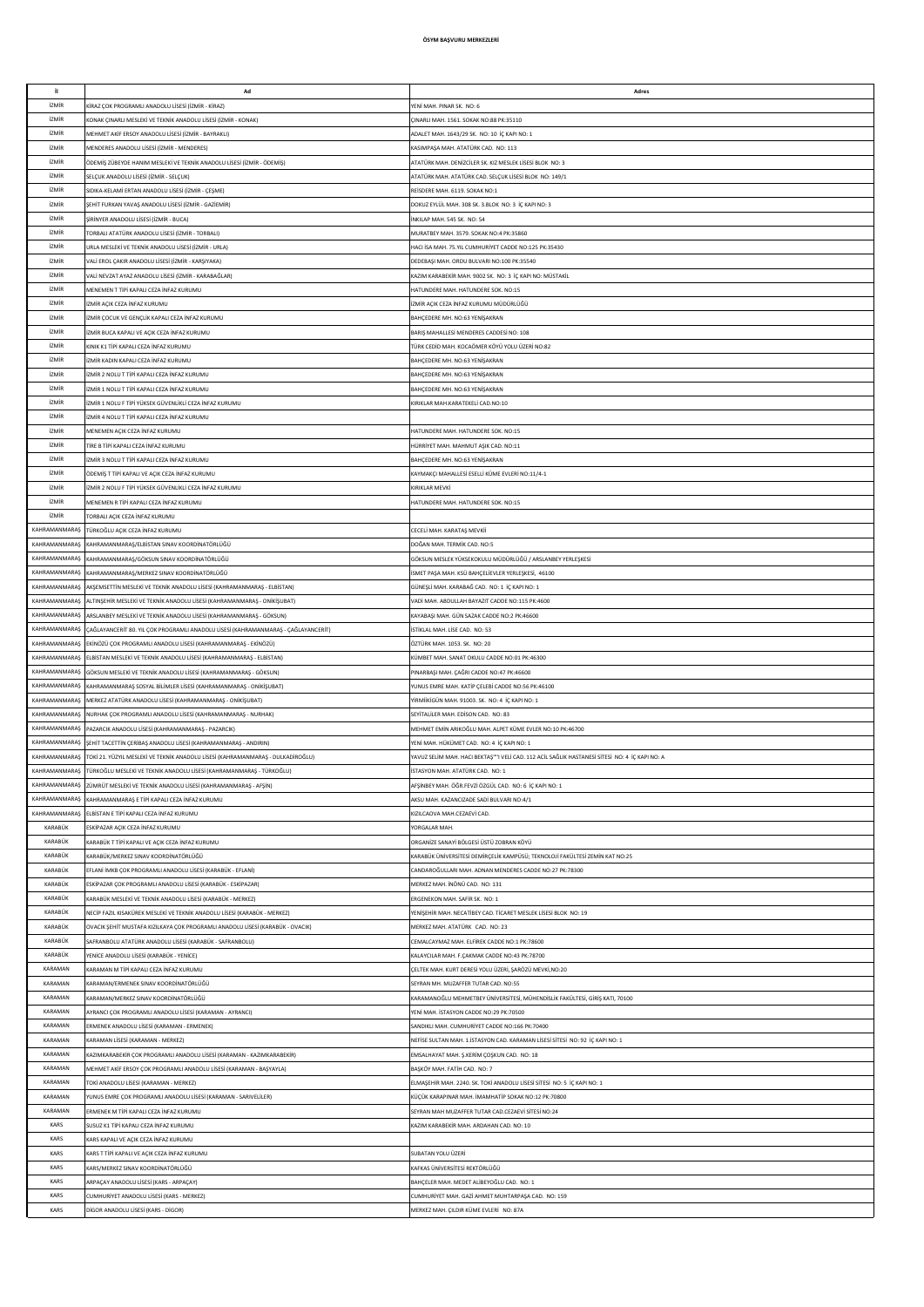| j)                   | Ad                                                                                 | Adres                                                                                           |
|----------------------|------------------------------------------------------------------------------------|-------------------------------------------------------------------------------------------------|
| <b>İZMİR</b>         | KİRAZ COK PROGRAMLI ANADOLU LİSESİ (İZMİR - KİRAZ)                                 | YENİ MAH, PINAR SK. NO: 6                                                                       |
| <b>İZMİR</b>         | KONAK CINARLI MESLEKÎ VE TEKNÎK ANADOLU LÎSESÎ (ÎZMÎR - KONAK)                     | CINARLI MAH. 1561. SOKAK NO:88 PK:35110                                                         |
| <b>İZMİR</b>         |                                                                                    | ADALET MAH. 1643/29 SK. NO: 10 IC KAPLNO: 1                                                     |
|                      | MEHMET AKİF ERSOY ANADOLU LİSESİ (İZMİR - BAYRAKLI)                                |                                                                                                 |
| <b>İZMİR</b>         | MENDERES ANADOLU LİSESİ (İZMİR - MENDERES)                                         | KASIMPAŞA MAH. ATATÜRK CAD. NO: 113                                                             |
| <b>İZMİR</b>         | ÖDEMİŞ ZÜBEYDE HANIM MESLEKİ VE TEKNİK ANADOLU LİSESİ (İZMİR - ÖDEMİŞ)             | ATATÜRK MAH. DENİZCİLER SK. KIZ MESLEK LİSESİ BLOK NO: 3                                        |
| <b>izmir</b>         | SELÇUK ANADOLU LİSESİ (İZMİR - SELÇUK)                                             | ATATÜRK MAH. ATATÜRK CAD. SELÇUK LİSESİ BLOK NO: 149/1                                          |
| <b>İZMİR</b>         | SIDIKA-KELAMİ ERTAN ANADOLU LİSESİ (İZMİR - ÇEŞME)                                 | REISDERE MAH. 6119. SOKAK NO:1                                                                  |
|                      |                                                                                    |                                                                                                 |
| <b>İ7MİR</b>         | ŞEHİT FURKAN YAVAŞ ANADOLU LİSESİ (İZMİR - GAZİEMİR)                               | DOKUZ EYLÜL MAH. 308 SK. 3.BLOK NO: 3 İÇ KAPI NO: 3                                             |
| <b>İ7MİR</b>         | ŞİRİNYER ANADOLU LİSESİ (İZMİR - BUCA)                                             | INKILAP MAH. 545 SK. NO: 54                                                                     |
| <b>İZMİR</b>         | [ORBALI ATATÜRK ANADOLU LİSESİ (İZMİR - TORBALI)                                   | MURATBEY MAH. 3579. SOKAK NO:4 PK:35860                                                         |
| <b>İZMİR</b>         | URLA MESLEKİ VE TEKNİK ANADOLU LİSESİ (İZMİR - URLA)                               | HACI İSA MAH. 75.YIL CUMHURİYET CADDE NO:125 PK:35430                                           |
| <b>İZMİR</b>         | ALİ EROL ÇAKIR ANADOLU LİSESİ (İZMİR - KARŞIYAKA)                                  |                                                                                                 |
|                      |                                                                                    | DEDEBAŞI MAH. ORDU BULVARI NO:100 PK:35540                                                      |
| <b>İZMİR</b>         | VALİ NEVZAT AYAZ ANADOLU LİSESİ (İZMİR - KARABAĞLAR)                               | KAZIM KARAREKÎR MAH, 9002 SK. NO: 3 İC KAPI NO: MÜSTAKİL                                        |
| <b>İZMİR</b>         | MENEMEN T TİPİ KAPALI CEZA İNFAZ KURUMU                                            | HATUNDERE MAH, HATUNDERE SOK, NO:15                                                             |
| <b>İZMİR</b>         | IZMİR AÇIK CEZA İNFAZ KURUMU                                                       | İZMİR ACIK CEZA İNFAZ KURUMU MÜDÜRLÜĞÜ                                                          |
| <b>İZMİR</b>         | ZMİR ÇOCUK VE GENÇLİK KAPALI CEZA İNFAZ KURUMU                                     |                                                                                                 |
|                      |                                                                                    | BAHÇEDERE MH. NO:63 YENİŞAKRAN                                                                  |
| <b>İZMİR</b>         | IZMÎR BUCA KAPALI VE AÇIK CEZA İNFAZ KURUMU                                        | BARIȘ MAHALLESI MENDERES CADDESI NO: 108                                                        |
| <b>İZMİR</b>         | (INIK K1 TİPİ KAPALI CEZA İNFAZ KURUMU                                             | TÜRK CEDİD MAH. KOCAÖMER KÖYÜ YOLU ÜZERİ NO:82                                                  |
| <b>İ7MİR</b>         | IZMİR KADIN KAPALI CEZA İNFAZ KURUMU                                               | BAHÇEDERE MH. NO:63 YENİŞAKRAN                                                                  |
| <b>İZMİR</b>         | ZMÍR 2 NOLU T TÍPÍ KAPALI CEZA ÍNFAZ KURUMU                                        | BAHÇEDERE MH. NO:63 YENİŞAKRAN                                                                  |
| <b>İZMİR</b>         | IZMİR 1 NOLU T TİPİ KAPALI CEZA İNFAZ KURUMU                                       |                                                                                                 |
|                      |                                                                                    | BAHÇEDERE MH. NO:63 YENİŞAKRAN                                                                  |
| <b>İZMİR</b>         | ZMİR 1 NOLU F TİPİ YÜKSEK GÜVENLİKLİ CEZA İNFAZ KURUMU                             | (IRIKLAR MAH.KARATEKELİ CAD.NO:10                                                               |
| <b>İZMİR</b>         | ZMÎR 4 NOLU T TÎPÎ KAPALI CEZA ÎNFAZ KURUMU                                        |                                                                                                 |
| <b>iZMIR</b>         | MENEMEN AÇIK CEZA İNFAZ KURUMU                                                     | HATUNDERE MAH. HATUNDERE SOK. NO:15                                                             |
| <b>İZMİR</b>         | FİRE B TİPİ KAPALI CEZA İNFAZ KURUMU                                               | HÜRRİYET MAH. MAHMUT AŞIK CAD. NO:11                                                            |
|                      |                                                                                    |                                                                                                 |
| <b>İZMİR</b>         | ZMÍR 3 NOLU T TÍPÍ KAPALI CEZA ÍNFAZ KURUMU                                        | <b>BAHCEDERE MH. NO:63 YENİSAKRAN</b>                                                           |
| <b>İZMİR</b>         | ÖDEMİŞ T TİPİ KAPALI VE AÇIK CEZA İNFAZ KURUMU                                     | KAYMAKCI MAHALLESİ ESELLİ KÜME EVLERİ NO:11/4-1                                                 |
| <b>İZMİR</b>         | IZMİR 2 NOLU F TİPİ YÜKSEK GÜVENLİKLİ CEZA İNFAZ KURUMU                            | KIRIKLAR MEVKİ                                                                                  |
| <b>izmir</b>         | MENEMEN R TİPİ KAPALI CEZA İNFAZ KURUMU                                            | HATUNDERE MAH. HATUNDERE SOK. NO:15                                                             |
|                      |                                                                                    |                                                                                                 |
| <b>izmir</b>         | TORBALI AÇIK CEZA İNFAZ KURUMU                                                     |                                                                                                 |
| KAHRAMANMARAS        | TÜRKOĞLU AÇIK CEZA İNFAZ KURUMU                                                    | CECELİ MAH. KARATAŞ MEVKİİ                                                                      |
| KAHRAMANMARAS        | KAHRAMANMARAŞ/ELBİSTAN SINAV KOORDİNATÖRLÜĞÜ                                       | DOĞAN MAH. TERMİK CAD. NO:5                                                                     |
| <b>KAHRAMANMARAŞ</b> | KAHRAMANMARAŞ/GÖKSUN SINAV KOORDİNATÖRLÜĞÜ                                         | GÖKSUN MESLEK YÜKSEKOKULU MÜDÜRLÜĞÜ / ARSLANBEY YERLEŞKESİ                                      |
|                      |                                                                                    |                                                                                                 |
| KAHRAMANMARAŞ        | KAHRAMANMARAŞ/MERKEZ SINAV KOORDİNATÖRLÜĞÜ                                         | İSMET PAŞA MAH. KSÜ BAHÇELİEVLER YERLEŞKESİ, 46100                                              |
| KAHRAMANMARAŞ        | AKŞEMSETTİN MESLEKİ VE TEKNİK ANADOLU LİSESİ (KAHRAMANMARAŞ - ELBİSTAN)            | GÜNEŞLİ MAH. KARABAĞ CAD. NO: 1 İÇ KAPI NO: 1                                                   |
| KAHRAMANMARAŞ        | ALTINŞEHİR MESLEKİ VE TEKNİK ANADOLU LİSESİ (KAHRAMANMARAŞ - ONİKİŞUBAT)           | VADİ MAH. ABDULLAH BAYAZIT CADDE NO:115 PK:4600                                                 |
| KAHRAMANMARAŞ        | ARSLANBEY MESLEKİ VE TEKNİK ANADOLU LİSESİ (KAHRAMANMARAŞ - GÖKSUN)                | KAYABAŞI MAH. GÜN SAZAK CADDE NO:2 PK:46600                                                     |
| KAHRAMANMARAŞ        |                                                                                    | İSTİKLAL MAH, LİSE CAD, NO: 53                                                                  |
|                      | ÇAĞLAYANCERİT 80. YIL ÇOK PROGRAMLI ANADOLU LİSESİ (KAHRAMANMARAŞ - ÇAĞLAYANCERİT) |                                                                                                 |
| KAHRAMANMARAŞ        | EKİNÖZÜ ÇOK PROGRAMLI ANADOLU LİSESİ (KAHRAMANMARAŞ - EKİNÖZÜ)                     | ÖZTÜRK MAH, 1053, SK. NO: 20                                                                    |
| KAHRAMANMARAŞ        | ELBİSTAN MESLEKİ VE TEKNİK ANADOLU LİSESİ (KAHRAMANMARAŞ - ELBİSTAN)               | KÜMBET MAH, SANAT OKULU CADDE NO:01 PK:46300                                                    |
| KAHRAMANMARAS        | GÖKSUN MESLEKİ VE TEKNİK ANADOLU LİSESİ (KAHRAMANMARAŞ - GÖKSUN)                   | PINARBAŞI MAH. ÇAĞRI CADDE NO:47 PK:46600                                                       |
| KAHRAMANMARAS        | KAHRAMANMARAŞ SOSYAL BİLİMLER LİSESİ (KAHRAMANMARAŞ - ONİKİŞUBAT)                  | YUNUS EMRE MAH. KATİP ÇELEBİ CADDE NO:56 PK:46100                                               |
| KAHRAMANMARAS        |                                                                                    |                                                                                                 |
|                      | MERKEZ ATATÜRK ANADOLU LİSESİ (KAHRAMANMARAŞ - ONİKİŞUBAT)                         | YİRMİİKİGÜN MAH. 91003. SK. NO: 4 İÇ KAPI NO: 1                                                 |
| KAHRAMANMARAŞ        | NURHAK ÇOK PROGRAMLI ANADOLU LİSESİ (KAHRAMANMARAŞ - NURHAK)                       | SEYİTALİLER MAH. EDİSON CAD. NO: 83                                                             |
| KAHRAMANMARAS        | PAZARCIK ANADOLU LİSESİ (KAHRAMANMARAŞ - PAZARCIK)                                 | MEHMET EMİN ARIKOĞLU MAH. ALPET KÜME EVLER NO:10 PK:46700                                       |
| KAHRAMANMARAŞ        | ŞEHİT TACETTİN ÇERİBAŞ ANADOLU LİSESİ (KAHRAMANMARAŞ - ANDIRIN)                    | YENİ MAH. HÜKÜMET CAD. NO: 4 İÇ KAPI NO: 1                                                      |
| KAHRAMANMARAŞ        | TOKİ 21. YÜZYIL MESLEKİ VE TEKNİK ANADOLU LİSESİ (KAHRAMANMARAŞ - DULKADİROĞLU)    | AVUZ SELİM MAH. HACI BEKTAŞ''''I VELİ CAD. 112 ACİL SAĞLIK HASTANESİ SİTESİ NO: 4 İÇ KAPI NO: A |
|                      |                                                                                    |                                                                                                 |
| KAHRAMANMARAŞ        | rürkoğlu mesleki ve teknik anadolu lisesi (kahramanmaraş - Türkoğlu)               | STASYON MAH. ATATÜRK CAD. NO: 1                                                                 |
| KAHRAMANMARAŞ        | ZÜMRÜT MESLEKİ VE TEKNİK ANADOLU LİSESİ (KAHRAMANMARAŞ - AFŞİN)                    | AFŞİNBEY MAH. ÖĞR.FEVZİ ÖZGÜL CAD. NO: 6 İÇ KAPI NO: 1                                          |
| KAHRAMANMARAŞ        | KAHRAMANMARAS E TİPİ KAPALI CEZA İNFAZ KURUMU                                      | AKSU MAH. KAZANCIZADE SADİ BULVARI NO:4/1                                                       |
| KAHRAMANMARAŞ        | FI RİSTAN E TİPİ KAPALI CEZA İNFAZ KURUMU                                          | KIZILCAOVA MAH.CEZAEVÍ CAD.                                                                     |
| KARABÜK              | ESKİPAZAR AÇIK CEZA İNFAZ KURUMU                                                   | YORGALAR MAH.                                                                                   |
|                      |                                                                                    |                                                                                                 |
| KARABÜK              | (ARABÜK T TİPİ KAPALI VE AÇIK CEZA İNFAZ KURUMU                                    |                                                                                                 |
| KARABÜK              |                                                                                    | ORGANIZE SANAYİ BÖLGESİ ÜSTÜ ZOBRAN KÖYÜ                                                        |
|                      | KARABÜK/MERKEZ SINAV KOORDİNATÖRLÜĞÜ                                               | KARABÜK ÜNİVERSİTESİ DEMİRÇELİK KAMPÜSÜ; TEKNOLOJİ FAKÜLTESİ ZEMİN KAT NO:25                    |
| KARABÜK              | EFLANİ İMKB ÇOK PROGRAMLI ANADOLU LİSESİ (KARABÜK - EFLANİ)                        | CANDAROĞULLARI MAH. ADNAN MENDERES CADDE NO:27 PK:78300                                         |
| KARABÜK              |                                                                                    |                                                                                                 |
|                      | ESKİPAZAR ÇOK PROGRAMLI ANADOLU LİSESİ (KARABÜK - ESKİPAZAR)                       | MERKEZ MAH. İNÖNÜ CAD. NO: 131                                                                  |
| KARABÜK              | (ARABÜK MESLEKİ VE TEKNİK ANADOLU LİSESİ (KARABÜK - MERKEZ)                        | ERGENEKON MAH. SAFİR SK. NO: 1                                                                  |
| KARABÜK              | NECİP FAZIL KISAKÜREK MESLEKİ VE TEKNİK ANADOLU LİSESİ (KARABÜK - MERKEZ)          | YENİŞEHİR MAH. NECATİBEY CAD. TİCARET MESLEK LİSESİ BLOK NO: 19                                 |
| KARABÜK              | OVACIK ŞEHİT MUSTAFA KIZILKAYA ÇOK PROGRAMLI ANADOLU LİSESİ (KARABÜK - OVACIK)     | MERKEZ MAH. ATATÜRK CAD. NO: 23                                                                 |
| KARABÜK              | SAFRANBOLU ATATÜRK ANADOLU LİSESİ (KARABÜK - SAFRANBOLU)                           | CEMALCAYMAZ MAH. ELFİREK CADDE NO:1 PK:78600                                                    |
|                      |                                                                                    |                                                                                                 |
| KARABÜK              | YENİCE ANADOLU LİSESİ (KARABÜK - YENİCE)                                           | KALAYCILAR MAH. F.ÇAKMAK CADDE NO:43 PK:78700                                                   |
| KARAMAN              | KARAMAN M TİPİ KAPALI CEZA İNFAZ KURUMU                                            | CELTEK MAH. KURT DERESİ YOLU ÜZERİ, ŞARÖZÜ MEVKİ, NO:20                                         |
| KARAMAN              | KARAMAN/ERMENEK SINAV KOORDİNATÖRLÜĞÜ                                              | SEYRAN MH. MUZAFFER TUTAR CAD. NO:55                                                            |
| KARAMAN              | KARAMAN/MERKEZ SINAV KOORDİNATÖRLÜĞÜ                                               | KARAMANOĞLU MEHMETBEY ÜNİVERSİTESİ, MÜHENDİSLİK FAKÜLTESİ, GİRİŞ KATI, 70100                    |
| KARAMAN              | AYRANCI ÇOK PROGRAMLI ANADOLU LİSESİ (KARAMAN - AYRANCI)                           | YENİ MAH. İSTASYON CADDE NO:29 PK:70500                                                         |
|                      |                                                                                    |                                                                                                 |
| KARAMAN              | ERMENEK ANADOLU LİSESİ (KARAMAN - ERMENEK)                                         | SANDIKLI MAH. CUMHURİYET CADDE NO:166 PK:70400                                                  |
| KARAMAN              | KARAMAN LİSESİ (KARAMAN - MERKEZ)                                                  | NEFİSE SULTAN MAH. 1.İSTASYON CAD. KARAMAN LİSESİ SİTESİ NO: 92 İÇ KAPI NO: 1                   |
| KARAMAN              | (AZIMKARABEKİR ÇOK PROGRAMLI ANADOLU LİSESİ (KARAMAN - KAZIMKARABEKİR)             | EMSALHAYAT MAH. Ş.KERİM ÇOŞKUN CAD. NO: 18                                                      |
| KARAMAN              | MEHMET AKİF ERSOY ÇOK PROGRAMLI ANADOLU LİSESİ (KARAMAN - BAŞYAYLA)                | BAŞKÖY MAH. FATİH CAD. NO: 7                                                                    |
|                      |                                                                                    |                                                                                                 |
| KARAMAN              | OKİ ANADOLU LİSESİ (KARAMAN - MERKEZ)                                              | ELMAŞEHİR MAH. 2240. SK. TOKİ ANADOLU LİSESİ SİTESİ NO: 5 İÇ KAPI NO: 1                         |
| KARAMAN              | /UNUS EMRE ÇOK PROGRAMLI ANADOLU LİSESİ (KARAMAN - SARIVELİLER)                    | KÜÇÜK KARAPINAR MAH. İMAMHATİP SOKAK NO:12 PK:70800                                             |
| KARAMAN              | ERMENEK M TİPİ KAPALI CEZA İNFAZ KURUMU                                            | SEYRAN MAH MUZAFFER TUTAR CAD.CEZAEVİ SİTESİ NO:24                                              |
| KARS                 | SUSUZ K1 TİPİ KAPALI CEZA İNFAZ KURUMU                                             | KAZIM KARABEKİR MAH. ARDAHAN CAD. NO: 10                                                        |
| KARS                 | ARS KAPALI VE AÇIK CEZA İNFAZ KURUMU                                               |                                                                                                 |
|                      |                                                                                    |                                                                                                 |
| KARS                 | KARS T TİPİ KAPALI VE AÇIK CEZA İNFAZ KURUMU                                       | SUBATAN YOLU ÜZERİ                                                                              |
| KARS                 | KARS/MERKEZ SINAV KOORDİNATÖRLÜĞÜ                                                  | KAFKAS ÜNİVERSİTESİ REKTÖRLÜĞÜ                                                                  |
| KARS                 | ARPAÇAY ANADOLU LİSESİ (KARS - ARPAÇAY)                                            | BAHCELER MAH, MEDET ALİBEYOĞLU CAD. NO: 1                                                       |
| KARS                 | CUMHURİYET ANADOLU LİSESİ (KARS - MERKEZ)                                          | CUMHURİYET MAH. GAZİ AHMET MUHTARPAŞA CAD. NO: 159                                              |
| KARS                 | DİGOR ANADOLU LİSESİ (KARS - DİGOR)                                                | MERKEZ MAH. ÇILDIR KÜME EVLERİ NO: 87A                                                          |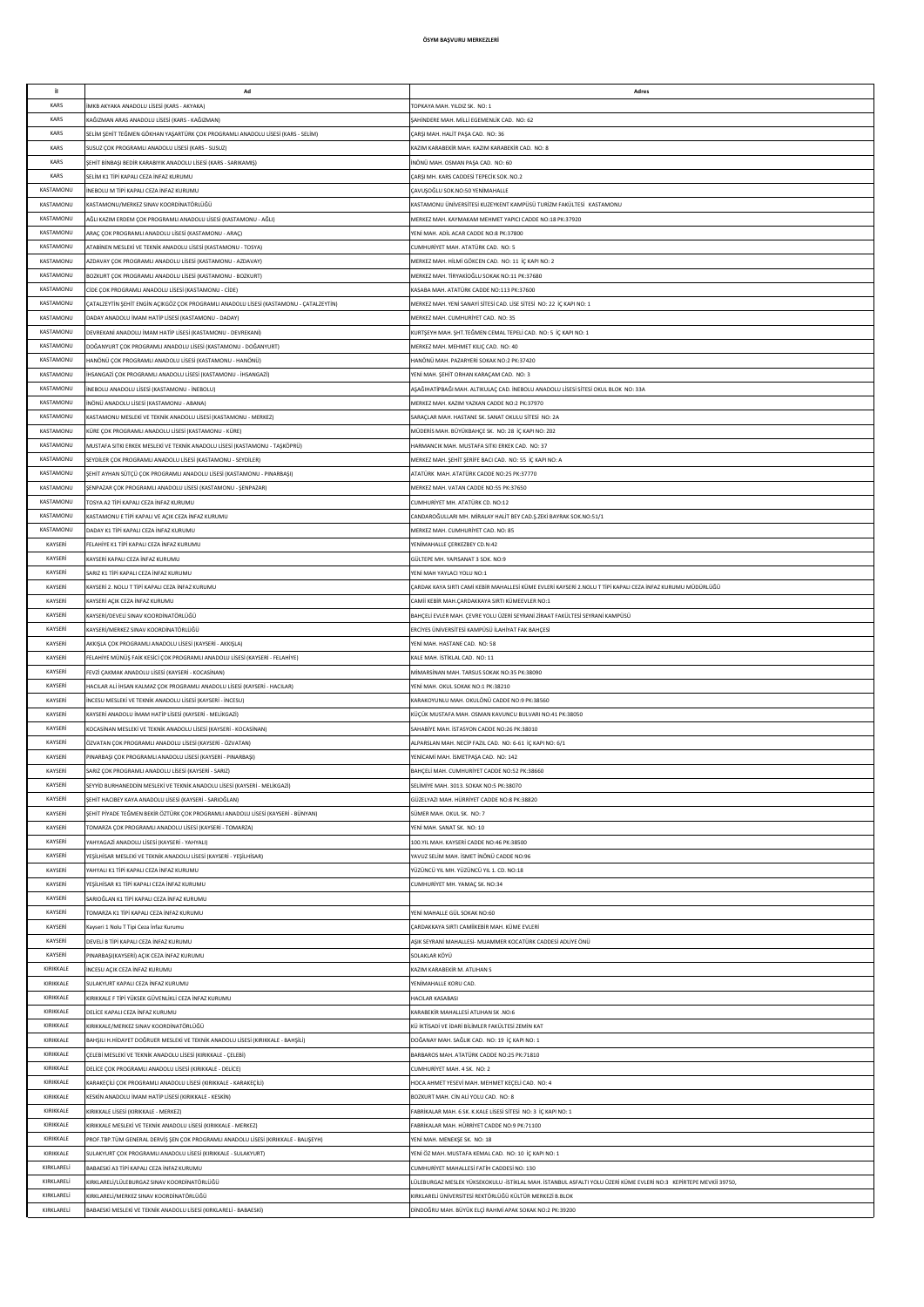| j)                       | Ad                                                                                                           | Adres                                                                                                               |
|--------------------------|--------------------------------------------------------------------------------------------------------------|---------------------------------------------------------------------------------------------------------------------|
| KARS                     | MKB AKYAKA ANADOLU LİSESİ (KARS - AKYAKA)                                                                    | TOPKAYA MAH, YILDIZ SK. NO: 1                                                                                       |
| KARS                     | (AĞIZMAN ARAS ANADOLU LİSESİ (KARS - KAĞIZMAN)                                                               | SAHİNDERE MAH. MİLLİ EGEMENLİK CAD. NO: 62                                                                          |
| KARS                     | SELİM ŞEHİT TEĞMEN GÖKHAN YAŞARTÜRK ÇOK PROGRAMLI ANADOLU LİSESİ (KARS - SELİM)                              | CARSI MAH. HAI İT PASA CAD. NO: 36                                                                                  |
| KARS                     |                                                                                                              | KAZIM KARABEKİR MAH, KAZIM KARABEKİR CAD, NO: 8                                                                     |
|                          | SUSUZ ÇOK PROGRAMLI ANADOLU LİSESİ (KARS - SUSUZ)                                                            |                                                                                                                     |
| KARS                     | ŞEHİT BİNBAŞI BEDİR KARABIYIK ANADOLU LİSESİ (KARS - SARIKAMIŞ)                                              | İNÖNÜ MAH. OSMAN PAŞA CAD. NO: 60                                                                                   |
| KARS                     | SELİM K1 TİPİ KAPALI CEZA İNFAZ KURUMU                                                                       | ÇARŞI MH. KARS CADDESİ TEPECİK SOK. NO.2                                                                            |
| KASTAMONU                | INEBOLU M TİPİ KAPALI CEZA İNFAZ KURUMU                                                                      | ÇAVUŞOĞLU SOK.NO:50 YENİMAHALLE                                                                                     |
| KASTAMONU                | KASTAMONU/MERKEZ SINAV KOORDİNATÖRLÜĞÜ                                                                       | KASTAMONU ÜNİVERSİTESİ KUZEYKENT KAMPÜSÜ TURİZM FAKÜLTESİ KASTAMONU                                                 |
| KASTAMONU                | AĞLI KAZIM ERDEM ÇOK PROGRAMLI ANADOLU LİSESİ (KASTAMONU - AĞLI)                                             | MERKEZ MAH. KAYMAKAM MEHMET YAPICI CADDE NO:18 PK:37920                                                             |
| KASTAMONU                |                                                                                                              | YENİ MAH, ADİL ACAR CADDE NO:8 PK:37800                                                                             |
|                          | ARAÇ ÇOK PROGRAMLI ANADOLU LİSESİ (KASTAMONU - ARAÇ)                                                         |                                                                                                                     |
| KASTAMONU                | ATABİNEN MESLEKİ VE TEKNİK ANADOLU LİSESİ (KASTAMONU - TOSYA)                                                | CUMHURİYET MAH. ATATÜRK CAD. NO: 5                                                                                  |
| KASTAMONU                | AZDAVAY ÇOK PROGRAMLI ANADOLU LİSESİ (KASTAMONU - AZDAVAY)                                                   | MERKEZ MAH. HİLMİ GÖKCEN CAD. NO: 11 İÇ KAPI NO: 2                                                                  |
| KASTAMONU                | BOZKURT ÇOK PROGRAMLI ANADOLU LİSESİ (KASTAMONU - BOZKURT)                                                   | MERKEZ MAH. TİRYAKİOĞLU SOKAK NO:11 PK:37680                                                                        |
| KASTAMONU                | CÍDE ÇOK PROGRAMLI ANADOLU LÍSESÍ (KASTAMONU - CÍDE)                                                         | KASABA MAH, ATATÜRK CADDE NO:113 PK:37600                                                                           |
| KASTAMONU                | ÇATALZEYTİN ŞEHİT ENGİN AÇIKGÖZ ÇOK PROGRAMLI ANADOLU LİSESİ (KASTAMONU - ÇATALZEYTİN)                       | MERKEZ MAH, YENİ SANAYİ SİTESİ CAD, LİSE SİTESİ NO: 22 İC KAPI NO: 1                                                |
| KASTAMONU                | DADAY ANADOLU İMAM HATİP LİSESİ (KASTAMONU - DADAY)                                                          | MERKEZ MAH. CUMHURİYET CAD. NO: 35                                                                                  |
| KASTAMONU                |                                                                                                              |                                                                                                                     |
|                          | DEVREKANİ ANADOLU İMAM HATİP LİSESİ (KASTAMONU - DEVREKANİ)                                                  | KURTŞEYH MAH. ŞHT.TEĞMEN CEMAL TEPELİ CAD. NO: 5 İÇ KAPI NO: 1                                                      |
| KASTAMONU                | DOĞANYURT ÇOK PROGRAMLI ANADOLU LİSESİ (KASTAMONU - DOĞANYURT)                                               | MERKEZ MAH. MEHMET KILIÇ CAD. NO: 40                                                                                |
| KASTAMONU                | HANÖNÜ ÇOK PROGRAMLI ANADOLU LİSESİ (KASTAMONU - HANÖNÜ)                                                     | HANÖNÜ MAH. PAZARYERİ SOKAK NO:2 PK:37420                                                                           |
| KASTAMONU                | HSANGAZİ ÇOK PROGRAMLI ANADOLU LİSESİ (KASTAMONU - İHSANGAZİ)                                                | YENİ MAH. ŞEHİT ORHAN KARAÇAM CAD. NO: 3                                                                            |
| KASTAMONU                | NEBOLU ANADOLU LİSESİ (KASTAMONU - İNEBOLU)                                                                  | AŞAĞIHATİPBAĞI MAH. ALTIKULAÇ CAD. İNEBOLU ANADOLU LİSESİ SİTESİ OKUL BLOK NO: 33A                                  |
| KASTAMONU                | NÖNÜ ANADOLU LİSESİ (KASTAMONU - ABANA)                                                                      | MERKEZ MAH. KAZIM YAZKAN CADDE NO:2 PK:37970                                                                        |
| KASTAMONU                | ASTAMONU MESLEKİ VE TEKNİK ANADOLU LİSESİ (KASTAMONU - MERKEZ)                                               |                                                                                                                     |
|                          |                                                                                                              | SARAÇLAR MAH. HASTANE SK. SANAT OKULU SİTESİ NO: 2A                                                                 |
| KASTAMONU                | (ÜRE ÇOK PROGRAMLI ANADOLU LİSESİ (KASTAMONU - KÜRE)                                                         | MÜDERİS MAH. BÜYÜKBAHÇE SK. NO: 28 İÇ KAPI NO: 202                                                                  |
| KASTAMONU                | MUSTAFA SITKI ERKEK MESLEKÎ VE TEKNÎK ANADOLU LÎSESÎ (KASTAMONU - TAŞKÖPRÜ)                                  | HARMANCIK MAH. MUSTAFA SITKI ERKEK CAD. NO: 37                                                                      |
| KASTAMONU                | SEYDİLER COK PROGRAMLI ANADOLU LİSESİ (KASTAMONU - SEYDİLER)                                                 | MERKEZ MAH. ŞEHİT ŞERİFE BACI CAD. NO: 55 İÇ KAPI NO: A                                                             |
| KASTAMONU                | ŞEHİT AYHAN SÜTÇÜ ÇOK PROGRAMLI ANADOLU LİSESİ (KASTAMONU - PINARBAŞI)                                       | ATATÜRK MAH, ATATÜRK CADDE NO:25 PK:37770                                                                           |
| KASTAMONU                | ŞENPAZAR ÇOK PROGRAMLI ANADOLU LİSESİ (KASTAMONU - ŞENPAZAR)                                                 | MERKEZ MAH, VATAN CADDE NO:55 PK:37650                                                                              |
| KASTAMONU                | TOSYA A2 TİPİ KAPALI CEZA İNFAZ KURUMU                                                                       | CUMHURİYET MH. ATATÜRK CD. NO:12                                                                                    |
| KASTAMONU                | KASTAMONU E TIPI KAPALI VE ACIK CEZA İNFAZ KURUMU                                                            | CANDAROĞULLARI MH. MİRALAY HALİT BEY CAD Ş.ZEKİ BAYRAK SOK.NO:51/1                                                  |
| KASTAMONU                |                                                                                                              |                                                                                                                     |
|                          | DADAY K1 TİPİ KAPALI CEZA İNFAZ KURUMU                                                                       | MERKEZ MAH. CUMHURİYET CAD. NO: 85                                                                                  |
| KAYSERİ                  | FELAHİYE K1 TİPİ KAPALI CEZA İNFAZ KURUMU                                                                    | YENİMAHALLE ÇERKEZBEY CD.N:42                                                                                       |
| KAYSERİ                  | KAYSERİ KAPALI CEZA İNFAZ KURUMU                                                                             | GÜLTEPE MH. YAPISANAT 3 SOK. NO:9                                                                                   |
| KAYSERİ                  | SARIZ K1 TİPİ KAPALI CEZA İNFAZ KURUMU                                                                       | YENİ MAH YAYLACI YOLU NO:1                                                                                          |
| KAYSERİ                  | (AYSERİ 2. NOLU T TİPİ KAPALI CEZA İNFAZ KURUMU                                                              | ÇARDAK KAYA SIRTI CAMİ KEBİR MAHALLESİ KÜME EVLERİ KAYSERİ 2.NOLU T TİPİ KAPALI CEZA İNFAZ KURUMU MÜDÜRLÜĞÜ         |
| KAYSERİ                  | KAYSERİ AÇIK CEZA İNFAZ KURUMU                                                                               | CAMİİ KEBİR MAH.ÇARDAKKAYA SIRTI KÜMEEVLER NO:1                                                                     |
| KAYSERİ                  | KAYSERİ/DEVELİ SINAV KOORDİNATÖRLÜĞÜ                                                                         | BAHÇELİ EVLER MAH. ÇEVRE YOLU ÜZERİ SEYRANİ ZİRAAT FAKÜLTESİ SEYRANİ KAMPÜSÜ                                        |
| KAYSERİ                  | KAYSERİ/MERKEZ SINAV KOORDİNATÖRLÜĞÜ                                                                         | ERCÍYES ÜNİVERSİTESİ KAMPÜSÜ İLAHİYAT FAK BAHÇESİ                                                                   |
| KAYSERİ                  | AKKIŞLA ÇOK PROGRAMLI ANADOLU LİSESİ (KAYSERİ - AKKIŞLA)                                                     | YENİ MAH, HASTANE CAD, NO: 58                                                                                       |
| KAYSERİ                  | FELAHİYE MÜNÜŞ FAİK KESİCİ ÇOK PROGRAMLI ANADOLU LİSESİ (KAYSERİ - FELAHİYE)                                 | KALE MAH, İSTİKLAL CAD. NO: 11                                                                                      |
| KAYSERİ                  |                                                                                                              |                                                                                                                     |
|                          | FEVZİ ÇAKMAK ANADOLU LİSESİ (KAYSERİ - KOCASİNAN)                                                            | MİMARSİNAN MAH. TARSUS SOKAK NO:35 PK:38090                                                                         |
| KAYSERİ                  | HACILAR ALİ İHSAN KALMAZ ÇOK PROGRAMLI ANADOLU LİSESİ (KAYSERİ - HACILAR)                                    | YENİ MAH. OKUL SOKAK NO:1 PK:38210                                                                                  |
| KAYSERİ                  | NCESU MESLEKİ VE TEKNİK ANADOLU LİSESİ (KAYSERİ - İNCESU)                                                    | KARAKOYUNLU MAH. OKULÖNÜ CADDE NO:9 PK:38560                                                                        |
| KAYSERİ                  | (AYSERİ ANADOLU İMAM HATİP LİSESİ (KAYSERİ - MELİKGAZİ)                                                      | KÜÇÜK MUSTAFA MAH. OSMAN KAVUNCU BULVARI NO:41 PK:38050                                                             |
| KAYSERİ                  | (OCASİNAN MESLEKİ VE TEKNİK ANADOLU LİSESİ (KAYSERİ - KOCASİNAN)                                             | SAHABİYE MAH. İSTASYON CADDE NO:26 PK:38010                                                                         |
| KAYSERİ                  | ÖZVATAN ÇOK PROGRAMLI ANADOLU LİSESİ (KAYSERİ - ÖZVATAN)                                                     | ALPARSLAN MAH. NECİP FAZIL CAD. NO: 6-61 İÇ KAPI NO: 6/1                                                            |
| KAYSERİ                  | INARBAŞI ÇOK PROGRAMLI ANADOLU LİSESİ (KAYSERİ - PINARBAŞI)                                                  | YENİCAMİ MAH. İSMETPAŞA CAD. NO: 142                                                                                |
| KAYSERİ                  | ARIZ ÇOK PROGRAMLI ANADOLU LİSESİ (KAYSERİ - SARIZ)                                                          | BAHÇELİ MAH. CUMHURİYET CADDE NO:52 PK:38660                                                                        |
| KAYSERİ                  | SEYYİD BURHANEDDİN MESLEKİ VE TEKNİK ANADOLU LİSESİ (KAYSERİ - MELİKGAZİ)                                    | SELİMİYE MAH. 3013. SOKAK NO:5 PK:38070                                                                             |
| KAYSERİ                  | SEHİT HACIBEY KAYA ANADOLU LİSESİ (KAYSERİ - SARIOĞLAN)                                                      | GÜZELYAZI MAH. HÜRRİYET CADDE NO:8 PK:38820                                                                         |
| KAYSERİ                  | SEHİT PİYADE TEĞMEN BEKİR ÖZTÜRK COK PROGRAMLI ANADOLU LİSESİ (KAYSERİ - BÜNYAN)                             | SÜMER MAH, OKUL SK. NO: 7                                                                                           |
|                          |                                                                                                              |                                                                                                                     |
| KAYSERİ                  | TOMARZA COK PROGRAMLI ANADOLU LİSESİ (KAYSERİ - TOMARZA)                                                     | YENİ MAH, SANAT SK. NO: 10                                                                                          |
| KAYSERİ                  | YAHYAGAZİ ANADOLU LİSESİ (KAYSERİ - YAHYALI)                                                                 | 100.YIL MAH, KAYSERİ CADDE NO:46 PK:38500                                                                           |
| KAYSERİ                  | YEŞİLHİSAR MESLEKİ VE TEKNİK ANADOLU LİSESİ (KAYSERİ - YEŞİLHİSAR)                                           | YAVUZ SELİM MAH. İSMET İNÖNÜ CADDE NO:96                                                                            |
| KAYSERİ                  | AHYALI K1 TİPİ KAPALI CEZA İNFAZ KURUMU                                                                      | YÜZÜNCÜ YIL MH. YÜZÜNCÜ YIL 1. CD. NO:18                                                                            |
| KAYSERİ                  | YEŞİLHİSAR K1 TİPİ KAPALI CEZA İNFAZ KURUMU                                                                  |                                                                                                                     |
| KAYSERİ                  |                                                                                                              | CUMHURİYET MH. YAMAÇ SK. NO:34                                                                                      |
|                          | SARIOĞLAN K1 TİPİ KAPALI CEZA İNFAZ KURUMU                                                                   |                                                                                                                     |
| KAYSERİ                  |                                                                                                              |                                                                                                                     |
|                          | TOMARZA K1 TİPİ KAPALI CEZA İNFAZ KURUMU                                                                     | YENİ MAHALLE GÜL SOKAK NO:60                                                                                        |
| KAYSERİ                  | Kayseri 1 Nolu T Tipi Ceza İnfaz Kurumu                                                                      | ÇARDAKKAYA SIRTI CAMİİKEBİR MAH. KÜME EVLERİ                                                                        |
| KAYSERİ                  | DEVELİ B TİPİ KAPALI CEZA İNFAZ KURUMU                                                                       | AŞIK SEYRANİ MAHALLESİ- MUAMMER KOCATÜRK CADDESİ ADLİYE ÖNÜ                                                         |
| KAYSERİ                  | PINARBAŞI(KAYSERİ) AÇIK CEZA İNFAZ KURUMU                                                                    | SOLAKLAR KÖYÜ                                                                                                       |
| KIRIKKALE                | INCESU AÇIK CEZA İNFAZ KURUMU                                                                                | KAZIM KARABEKİR M. ATLIHAN S                                                                                        |
| KIRIKKALE                | SULAKYURT KAPALI CEZA İNFAZ KURUMU                                                                           | YENİMAHALLE KORU CAD                                                                                                |
| KIRIKKALE                | KIRIKKALE F TİPİ YÜKSEK GÜVENLİKLİ CEZA İNFAZ KURUMU                                                         | <b>HACILAR KASABASI</b>                                                                                             |
| KIRIKKALE                | DELİCE KAPALI CEZA İNFAZ KURUMU                                                                              | KARABEKİR MAHALLESİ ATLIHAN SK .NO:6                                                                                |
| KIRIKKALE                | KIRIKKALE/MERKEZ SINAV KOORDİNATÖRLÜĞÜ                                                                       | KÜ İKTİSADİ VE İDARİ BİLİMLER FAKÜLTESİ ZEMİN KAT                                                                   |
| KIRIKKALE                |                                                                                                              | DOĞANAY MAH. SAĞLIK CAD. NO: 19 İÇ KAPI NO: 1                                                                       |
|                          | BAHŞILI H.HİDAYET DOĞRUER MESLEKİ VE TEKNİK ANADOLU LİSESİ (KIRIKKALE - BAHŞİLİ)                             |                                                                                                                     |
| KIRIKKALE                | ÇELEBİ MESLEKİ VE TEKNİK ANADOLU LİSESİ (KIRIKKALE - ÇELEBİ)                                                 | BARBAROS MAH. ATATÜRK CADDE NO:25 PK:71810                                                                          |
| KIRIKKALE                | DELİCE ÇOK PROGRAMLI ANADOLU LİSESİ (KIRIKKALE - DELİCE)                                                     | CUMHURİYET MAH. 4 SK. NO: 2                                                                                         |
| KIRIKKALE                | ARAKEÇİLİ ÇOK PROGRAMLI ANADOLU LİSESİ (KIRIKKALE - KARAKEÇİLİ)                                              | HOCA AHMET YESEVÎ MAH. MEHMET KEÇELÎ CAD. NO: 4                                                                     |
| KIRIKKALE                | KESKİN ANADOLU İMAM HATİP LİSESİ (KIRIKKALE - KESKİN)                                                        | BOZKURT MAH. CİN ALİ YOLU CAD. NO: 8                                                                                |
| KIRIKKALE                | (IRIKKALE LİSESİ (KIRIKKALE - MERKEZ)                                                                        | FABRİKALAR MAH. 6 SK. K.KALE LİSESİ SİTESİ NO: 3 İÇ KAPI NO: 1                                                      |
| KIRIKKALE                | (IRIKKALE MESLEKÎ VE TEKNÎK ANADOLU LÎSESÎ (KIRIKKALE - MERKEZ)                                              | FABRİKALAR MAH. HÜRRİYET CADDE NO:9 PK:71100                                                                        |
| KIRIKKALE                | ROF.TBP.TÜM GENERAL DERVİŞ ŞEN ÇOK PROGRAMLI ANADOLU LİSESİ (KIRIKKALE - BALIŞEYH)                           | YENİ MAH. MENEKŞE SK. NO: 18                                                                                        |
| KIRIKKALE                | SULAKYURT ÇOK PROGRAMLI ANADOLU LİSESİ (KIRIKKALE - SULAKYURT)                                               | YENİ ÖZ MAH, MUSTAFA KEMAL CAD. NO: 10 İC KAPI NO: 1                                                                |
| KIRKLARELİ               | BABAESKİ A3 TİPİ KAPALI CEZA İNFAZ KURUMU                                                                    | CUMHURİYET MAHALLESİ FATİH CADDESİ NO: 130                                                                          |
| KIRKLARELİ               | KIRKLARELİ/LÜLEBURGAZ SINAV KOORDİNATÖRLÜĞÜ                                                                  | LÜLEBURGAZ MESLEK YÜKSEKOKULU -İSTİKLAL MAH. İSTANBUL ASFALTI YOLU ÜZERİ KÜME EVLERİ NO:3 KEPİRTEPE MEVKİİ 39750,   |
|                          |                                                                                                              |                                                                                                                     |
| KIRKLARELİ<br>KIRKLARELİ | KIRKLARELİ/MERKEZ SINAV KOORDİNATÖRLÜĞÜ<br>BABAESKİ MESLEKİ VE TEKNİK ANADOLU LİSESİ (KIRKLARELİ - BABAESKİ) | KIRKLARELİ ÜNİVERSİTESİ REKTÖRLÜĞÜ KÜLTÜR MERKEZİ B.BLOK<br>DİNDOĞRU MAH. BÜYÜK ELÇİ RAHMİ APAK SOKAK NO:2 PK:39200 |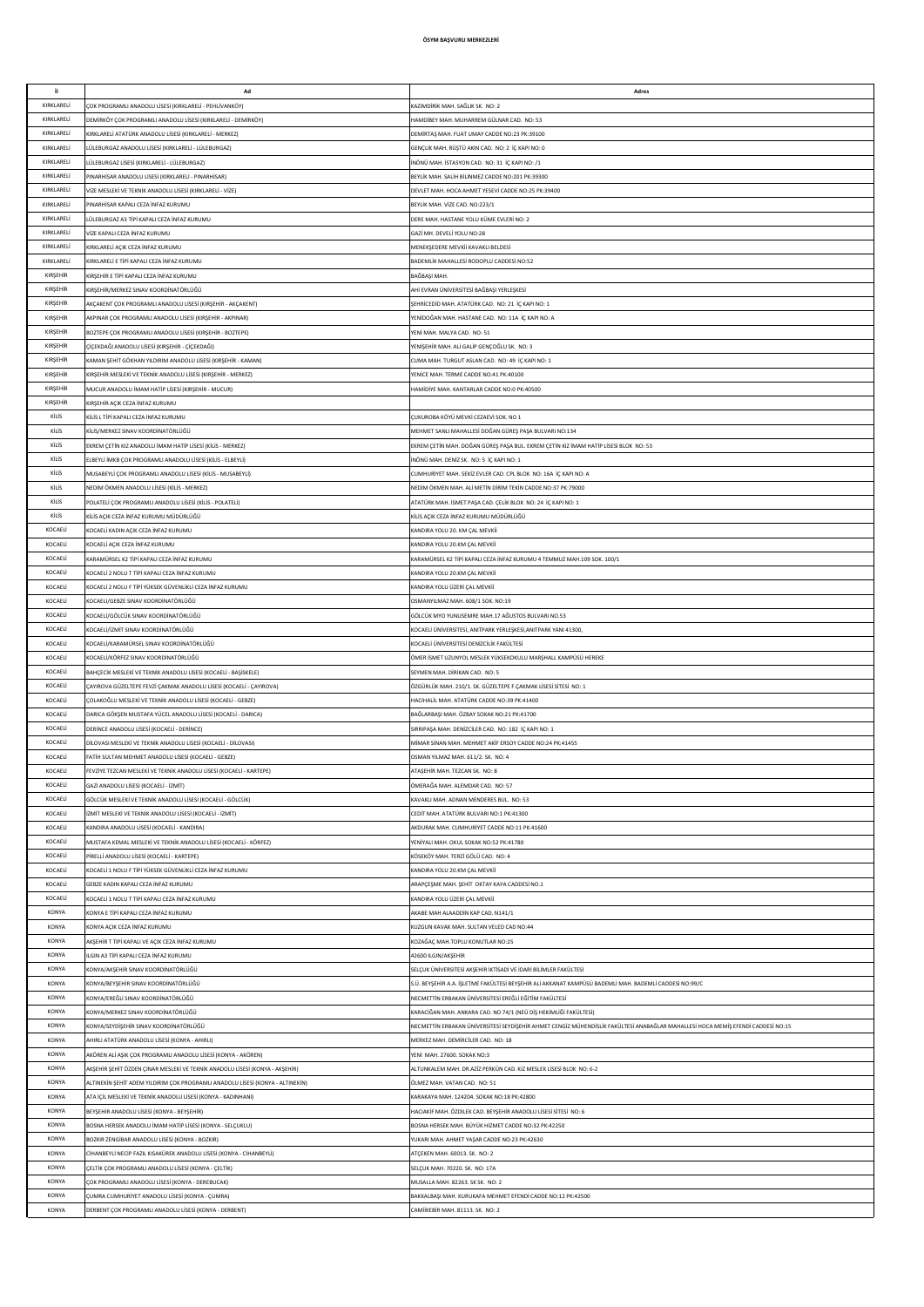| it.                      | Ad                                                                                                                          | Adres                                                                                                                                                            |
|--------------------------|-----------------------------------------------------------------------------------------------------------------------------|------------------------------------------------------------------------------------------------------------------------------------------------------------------|
| KIRKLARELİ               | ÇOK PROGRAMLI ANADOLU LİSESİ (KIRKLARELİ - PEHLİVANKÖY)                                                                     | KAZIMDİRİK MAH. SAĞLIK SK. NO: 2                                                                                                                                 |
| KIRKLARELİ               | DEMİRKÖY ÇOK PROGRAMLI ANADOLU LİSESİ (KIRKLARELİ - DEMİRKÖY)                                                               | HAMDIBEY MAH. MUHARREM GÜLNAR CAD. NO: 53                                                                                                                        |
| KIRKLARELİ               | KIRKLARELİ ATATÜRK ANADOLU LİSESİ (KIRKLARELİ - MERKEZ)                                                                     | DEMİRTAŞ MAH. FUAT UMAY CADDE NO:23 PK:39100                                                                                                                     |
| KIRKLARELİ               | LÜLEBURGAZ ANADOLU LİSESİ (KIRKLARELİ - LÜLEBURGAZ)<br>ÜLEBURGAZ LİSESİ (KIRKLARELİ - LÜLEBURGAZ)                           | GENÇLİK MAH. RÜŞTÜ AKIN CAD. NO: 2 İÇ KAPI NO: 0                                                                                                                 |
| KIRKLARELİ<br>KIRKLARELİ | PINARHÍSAR ANADOLU LÍSESÍ (KIRKLARELÍ - PINARHÍSAR)                                                                         | İNÖNÜ MAH. İSTASYON CAD. NO: 31 İC KAPI NO: /1<br>BEYLİK MAH. SALİH BİLİNMEZ CADDE NO:201 PK:39300                                                               |
| KIRKLARELİ               | VİZE MESLEKİ VE TEKNİK ANADOLU LİSESİ (KIRKLARELİ - VİZE)                                                                   | DEVLET MAH. HOCA AHMET YESEVİ CADDE NO:25 PK:39400                                                                                                               |
| KIRKLARELİ               | PINARHÍSAR KAPALI CEZA ÍNFAZ KURUMU                                                                                         | BEYLİK MAH, VİZE CAD, NO:223/1                                                                                                                                   |
| KIRKLARELİ               | LÜLEBURGAZ A3 TİPİ KAPALI CEZA İNFAZ KURUMU                                                                                 | DERE MAH. HASTANE YOLU KÜME EVLERİ NO: 2                                                                                                                         |
| KIRKLARELİ               | VİZE KAPALI CEZA İNFAZ KURUMU                                                                                               | GAZİ MH. DEVELİ YOLU NO:28                                                                                                                                       |
| KIRKLARELİ               | KIRKLARELİ AÇIK CEZA İNFAZ KURUMU                                                                                           | MENEKŞEDERE MEVKİİ KAVAKLI BELDESİ                                                                                                                               |
| KIRKLARELİ               | KIRKLARELİ E TİPİ KAPALI CEZA İNFAZ KURUMU                                                                                  | BADEMLİK MAHALLESİ RODOPLU CADDESİ NO:52                                                                                                                         |
| KIRŞEHİR<br>KIRŞEHİR     | KIRŞEHİR E TİPİ KAPALI CEZA İNFAZ KURUMU<br>KIRŞEHİR/MERKEZ SINAV KOORDİNATÖRLÜĞÜ                                           | BAĞBAŞI MAH.<br>AHİ EVRAN ÜNİVERSİTESİ BAĞBAŞI YERLEŞKESİ                                                                                                        |
| KIRŞEHİR                 | AKÇAKENT ÇOK PROGRAMLI ANADOLU LİSESİ (KIRŞEHİR - AKÇAKENT)                                                                 | SEHRİCEDİD MAH. ATATÜRK CAD. NO: 21 İÇ KAPI NO: 1                                                                                                                |
| KIRŞEHİR                 | AKPINAR ÇOK PROGRAMLI ANADOLU LİSESİ (KIRŞEHİR - AKPINAR)                                                                   | YENİDOĞAN MAH. HASTANE CAD. NO: 11A İÇ KAPI NO: A                                                                                                                |
| KIRŞEHİR                 | BOZTEPE ÇOK PROGRAMLI ANADOLU LİSESİ (KIRŞEHİR - BOZTEPE)                                                                   | YENİ MAH, MALYA CAD, NO: 51                                                                                                                                      |
| KIRŞEHİR                 | ÇİÇEKDAĞI ANADOLU LİSESİ (KIRŞEHİR - ÇİÇEKDAĞI)                                                                             | YENİSEHİR MAH, ALİ GALİP GENCOĞLU SK. NO: 3                                                                                                                      |
| KIRŞEHİR                 | KAMAN ŞEHİT GÖKHAN YILDIRIM ANADOLU LİSESİ (KIRŞEHİR - KAMAN)                                                               | CUMA MAH. TURGUT ASLAN CAD. NO: 49 IC KAPI NO: 1                                                                                                                 |
| KIRŞEHİR                 | KIRŞEHİR MESLEKİ VE TEKNİK ANADOLU LİSESİ (KIRŞEHİR - MERKEZ)                                                               | YENICE MAH. TERME CADDE NO:41 PK:40100                                                                                                                           |
| KIRSEHİR                 | MUCUR ANADOLU İMAM HATİP LİSESİ (KIRŞEHİR - MUCUR)                                                                          | HAMÍDÍYE MAH. KANTARLAR CADDE NO:0 PK:40500                                                                                                                      |
| KIRŞEHİR<br>KİLİS        | KIRŞEHİR AÇIK CEZA İNFAZ KURUMU<br>KİLİS L TİPİ KAPALI CEZA İNFAZ KURUMU                                                    | ÇUKUROBA KÖYÜ MEVKİ CEZAEVİ SOK. NO 1                                                                                                                            |
| KİLİS                    | KİLİS/MERKEZ SINAV KOORDİNATÖRLÜĞÜ                                                                                          | MEHMET SANLI MAHALLESİ DOĞAN GÜREŞ PAŞA BULVARI NO:134                                                                                                           |
| KİLİS                    | EKREM ÇETİN KIZ ANADOLU İMAM HATİP LİSESİ (KİLİS - MERKEZ)                                                                  | EKREM ÇETİN MAH. DOĞAN GÜREŞ PAŞA BUL. EKREM ÇETİN KIZ İMAM HATİP LİSESİ BLOK NO: 53                                                                             |
| KİLİS                    | ELBEYLİ İMKB ÇOK PROGRAMLI ANADOLU LİSESİ (KİLİS - ELBEYLİ)                                                                 | İNÖNÜ MAH. DENİZ SK. NO: 5 İÇ KAPI NO: 1                                                                                                                         |
| KİLİS                    | MUSABEYLİ ÇOK PROGRAMLI ANADOLU LİSESİ (KİLİS - MUSABEYLİ)                                                                  | CUMHURİYET MAH. SEKİZ EVLER CAD. CPL BLOK NO: 16A İÇ KAPI NO: A                                                                                                  |
| KİLİS                    | NEDİM ÖKMEN ANADOLU LİSESİ (KİLİS - MERKEZ)                                                                                 | NEDİM ÖKMEN MAH. ALİ METİN DİRİM TEKİN CADDE NO:37 PK:79000                                                                                                      |
| KİLİS                    | POLATELİ ÇOK PROGRAMLI ANADOLU LİSESİ (KİLİS - POLATELİ)                                                                    | ATATÜRK MAH, İSMET PASA CAD, CELİK BLOK, NO: 24 İC KAPLNO: 1                                                                                                     |
| KİLİS<br>KOCAELİ         | KİLİS AÇIK CEZA İNFAZ KURUMU MÜDÜRLÜĞÜ<br>KOCAELİ KADIN AÇIK CEZA İNFAZ KURUMU                                              | KİLİS AÇIK CEZA İNFAZ KURUMU MÜDÜRLÜĞÜ<br>KANDIRA YOLU 20, KM CAL MEVKİİ                                                                                         |
| KOCAELİ                  | KOCAELİ AÇIK CEZA İNFAZ KURUMU                                                                                              | KANDIRA YOLU 20.KM CAL MEVKİİ                                                                                                                                    |
| KOCAELİ                  | KARAMÜRSEL K2 TİPİ KAPALI CEZA İNFAZ KURUMU                                                                                 | KARAMÜRSEL K2 TİPİ KAPALI CEZA İNFAZ KURUMU 4 TEMMUZ MAH.109 SOK. 100/1                                                                                          |
| KOCAELİ                  | KOCAELİ 2 NOLU T TİPİ KAPALI CEZA İNFAZ KURUMU                                                                              | KANDIRA YOLU 20.KM CAL MEVKİİ                                                                                                                                    |
| KOCAELİ                  | KOCAELİ 2 NOLU F TİPİ YÜKSEK GÜVENLİKLİ CEZA İNFAZ KURUMU                                                                   | KANDIRA YOLU ÜZERİ ÇAL MEVKİİ                                                                                                                                    |
| KOCAELİ                  | KOCAELİ/GEBZE SINAV KOORDİNATÖRLÜĞÜ                                                                                         | OSMANYILMAZ MAH. 608/1 SOK. NO:19                                                                                                                                |
| KOCAELİ                  | KOCAELİ/GÖLCÜK SINAV KOORDİNATÖRLÜĞÜ                                                                                        | GÖLCÜK MYO YUNUSEMRE MAH.17 AĞUSTOS BULVARI NO.53                                                                                                                |
| KOCAELİ<br>KOCAELİ       | KOCAELİ/İZMİT SINAV KOORDİNATÖRLÜĞÜ<br>KOCAELİ/KARAMÜRSEL SINAV KOORDİNATÖRLÜĞÜ                                             | KOCAELİ ÜNİVERSİTESİ, ANITPARK YERLEŞKESİ, ANITPARK YANI 41300,<br>KOCAELİ ÜNİVERSİTESİ DENİZCİLİK FAKÜLTESİ                                                     |
| KOCAELİ                  | KOCAELİ/KÖRFEZ SINAV KOORDİNATÖRLÜĞÜ                                                                                        | ÖMER İSMET UZUNYOL MESLEK YÜKSEKOKULU MARŞHALL KAMPÜSÜ HEREKE                                                                                                    |
| KOCAELİ                  | BAHÇECİK MESLEKİ VE TEKNİK ANADOLU LİSESİ (KOCAELİ - BAŞİSKELE)                                                             | SEYMEN MAH, DİRİKAN CAD, NO: 5                                                                                                                                   |
| KOCAELİ                  | CAYIROVA GÜZELTEPE FEVZİ ÇAKMAK ANADOLU LİSESİ (KOCAELİ - ÇAYIROVA)                                                         | ÖZGÜRLÜK MAH. 210/1. SK. GÜZELTEPE F.ÇAKMAK LİSESİ SİTESİ NO: 1                                                                                                  |
| KOCAELİ                  | ÇOLAKOĞLU MESLEKİ VE TEKNİK ANADOLU LİSESİ (KOCAELİ - GEBZE)                                                                | HACIHALİL MAH, ATATÜRK CADDE NO:39 PK:41400                                                                                                                      |
| KOCAELİ                  | DARICA GÖKŞEN MUSTAFA YÜCEL ANADOLU LİSESİ (KOCAELİ - DARICA)                                                               | BAĞLARBASI MAH, ÖZBAY SOKAK NO:21 PK:41700                                                                                                                       |
| KOCAEL                   | DERÍNCE ANADOLU LÍSESÍ (KOCAELÍ - DERÍNCE)                                                                                  | SIRRIPAŞA MAH. DENİZCİLER CAD. NO: 182 İÇ KAPI NO: 1                                                                                                             |
| KOCAEL<br>KOCAEL         | DİLOVASI MESLEKİ VE TEKNİK ANADOLLI I İSESİ (KOCAFLİ - DİLOVASI)                                                            | MİMAR SİNAN MAH, MEHMET AKİF ERSOY CADDE NO:24 PK:41455                                                                                                          |
| KOCAEL                   | FATİH SULTAN MEHMET ANADOLU LİSESİ (KOCAELİ - GEBZE)<br>FEVZİYE TEZCAN MESLEKİ VE TEKNİK ANADOLU LİSESİ (KOCAELİ - KARTEPE) | OSMAN YILMAZ MAH. 611/2. SK. NO: 4<br>ATAŞEHİR MAH. TEZCAN SK. NO: 8                                                                                             |
| KOCAELİ                  | GAZİ ANADOLU LİSESİ (KOCAELİ - İZMİT)                                                                                       | ÖMERAĞA MAH. ALEMDAR CAD. NO: 57                                                                                                                                 |
| KOCAELİ                  | GÖLCÜK MESLEKİ VE TEKNİK ANADOLU LİSESİ (KOCAELİ - GÖLCÜK)                                                                  | KAVAKLI MAH. ADNAN MENDERES BUL. NO: 53                                                                                                                          |
| KOCAELİ                  | İZMİT MESLEKİ VE TEKNİK ANADOLU LİSESİ (KOCAELİ - İZMİT)                                                                    | CEDİT MAH. ATATÜRK BULVARI NO:1 PK:41300                                                                                                                         |
| KOCAELİ                  | KANDIRA ANADOLU LİSESİ (KOCAELİ - KANDIRA)                                                                                  | AKDURAK MAH. CUMHURİYET CADDE NO:11 PK:41600                                                                                                                     |
| KOCAELİ                  | MUSTAFA KEMAL MESLEKİ VE TEKNİK ANADOLU LİSESİ (KOCAELİ - KÖRFEZ)                                                           | YENİYALI MAH, OKUL SOKAK NO:52 PK:41780                                                                                                                          |
| KOCAELİ<br>KOCAELİ       | PİRELLİ ANADOLU LİSESİ (KOCAELİ - KARTEPE)<br>KOCAELİ 1 NOLU F TİPİ YÜKSEK GÜVENLİKLİ CEZA İNFAZ KURUMU                     | KÖSEKÖY MAH. TERZİ GÖLÜ CAD. NO: 4<br>KANDIRA YOLU 20.KM CAL MEVKİİ                                                                                              |
| KOCAELİ                  | GEBZE KADIN KAPALI CEZA İNFAZ KURUMU                                                                                        | ARAPÇEŞME MAH. ŞEHİT OKTAY KAYA CADDESİ NO.1                                                                                                                     |
| KOCAELİ                  | KOCAELİ 1 NOLU T TİPİ KAPALI CEZA İNFAZ KURUMU                                                                              | KANDIRA YOLU ÜZERİ ÇAL MEVKİİ                                                                                                                                    |
| KONYA                    | KONYA E TİPİ KAPALI CEZA İNFAZ KURUMU                                                                                       | AKABE MAH ALAADDİN KAP CAD. N141/1                                                                                                                               |
| KONYA                    | KONYA AÇIK CEZA İNFAZ KURUMU                                                                                                | KUZGUN KAVAK MAH. SULTAN VELED CAD NO:44                                                                                                                         |
| KONYA                    | AKŞEHİR T TİPİ KAPALI VE AÇIK CEZA İNFAZ KURUMU                                                                             | KOZAĞAÇ MAH.TOPLU KONUTLAR NO:25                                                                                                                                 |
| KONYA                    | ILGIN A3 TİPİ KAPALI CEZA İNFAZ KURUMU                                                                                      | 42600 ILGIN/AKŞEHİR                                                                                                                                              |
| KONYA<br>KONYA           | KONYA/AKŞEHİR SINAV KOORDİNATÖRLÜĞÜ                                                                                         | SELÇUK ÜNİVERSİTESİ AKŞEHİR İKTİSADİ VE İDARİ BİLİMLER FAKÜLTESİ                                                                                                 |
| KONYA                    | KONYA/BEYŞEHİR SINAV KOORDİNATÖRLÜĞÜ<br>KONYA/EREĞLİ SINAV KOORDİNATÖRLÜĞÜ                                                  | S.Ü. BEYŞEHİR A.A. İŞLETME FAKÜLTESİ BEYŞEHİR ALİ AKKANAT KAMPÜSÜ BADEMLİ MAH. BADEMLİ CADDESİ NO:99/C<br>NECMETTİN ERBAKAN ÜNİVERSİTESİ EREĞLİ EĞİTİM FAKÜLTESİ |
| KONYA                    | KONYA/MERKEZ SINAV KOORDİNATÖRLÜĞÜ                                                                                          | KARACİĞAN MAH. ANKARA CAD. NO 74/1 (NEÜ DİŞ HEKİMLİĞİ FAKÜLTESİ)                                                                                                 |
| KONYA                    | KONYA/SEYDİŞEHİR SINAV KOORDİNATÖRLÜĞÜ                                                                                      | NECMETTIN ERBAKAN ÜNIVERSITESI SEYDIŞEHIR AHMET CENGİZ MÜHENDISLİK FAKÜLTESI ANABAĞLAR MAHALLESI HOCA MEMİŞ EFENDI CADDESI NO:15                                 |
| KONYA                    | AHIRLI ATATÜRK ANADOLU LİSESİ (KONYA - AHIRLI)                                                                              | MERKEZ MAH, DEMIRCILER CAD, NO: 18                                                                                                                               |
| KONYA                    | AKÖREN ALİ AŞIK ÇOK PROGRAMLI ANADOLU LİSESİ (KONYA - AKÖREN)                                                               | YENİ MAH. 27600. SOKAK NO:3                                                                                                                                      |
| KONYA                    | AKŞEHİR ŞEHİT ÖZDEN ÇINAR MESLEKİ VE TEKNİK ANADOLU LİSESİ (KONYA - AKŞEHİR)                                                | ALTUNKALEM MAH. DR.AZİZ PERKÜN CAD. KIZ MESLEK LİSESİ BLOK NO: 6-2                                                                                               |
| KONYA                    | ALTINEKİN ŞEHİT ADEM YILDIRIM ÇOK PROGRAMLI ANADOLU LİSESİ (KONYA - ALTINEKİN)                                              | ÖLMEZ MAH, VATAN CAD, NO: 51                                                                                                                                     |
| KONYA<br>KONYA           | ATA İÇİL MESLEKİ VE TEKNİK ANADOLU LİSESİ (KONYA - KADINHANI)<br>BEYŞEHİR ANADOLU LİSESİ (KONYA - BEYŞEHİR)                 | KARAKAYA MAH. 124204. SOKAK NO:18 PK:42800<br>HACIAKİF MAH. ÖZDİLEK CAD. BEYŞEHİR ANADOLU LİSESİ SİTESİ NO: 6                                                    |
| KONYA                    | BOSNA HERSEK ANADOLU İMAM HATİP LİSESİ (KONYA - SELÇUKLU)                                                                   | BOSNA HERSEK MAH. BÜYÜK HİZMET CADDE NO:32 PK:42250                                                                                                              |
| KONYA                    | BOZKIR ZENGİBAR ANADOLU LİSESİ (KONYA - BOZKIR)                                                                             | YUKARI MAH. AHMET YAŞAR CADDE NO:23 PK:42630                                                                                                                     |
| KONYA                    | CİHANBEYLİ NECİP FAZIL KISAKÜREK ANADOLU LİSESİ (KONYA - CİHANBEYLİ)                                                        | ATÇEKEN MAH. 60013. SK. NO: 2                                                                                                                                    |
| KONYA                    | ÇELTİK ÇOK PROGRAMLI ANADOLU LİSESİ (KONYA - ÇELTİK)                                                                        | SELÇUK MAH. 70220. SK. NO: 17A                                                                                                                                   |
| KONYA                    | ÇOK PROGRAMLI ANADOLU LİSESİ (KONYA - DEREBUCAK)                                                                            | MUSALLA MAH. 82263. SK SK. NO: 2                                                                                                                                 |
| KONYA                    | CUMRA CUMHURİYET ANADOLU LİSESİ (KONYA - CUMRA)                                                                             | BAKKALBAŞI MAH. KURUKAFA MEHMET EFENDİ CADDE NO:12 PK:42500                                                                                                      |
| KONYA                    | DERBENT ÇOK PROGRAMLI ANADOLU LİSESİ (KONYA - DERBENT)                                                                      | CAMİİKEBİR MAH. 81113. SK. NO: 2                                                                                                                                 |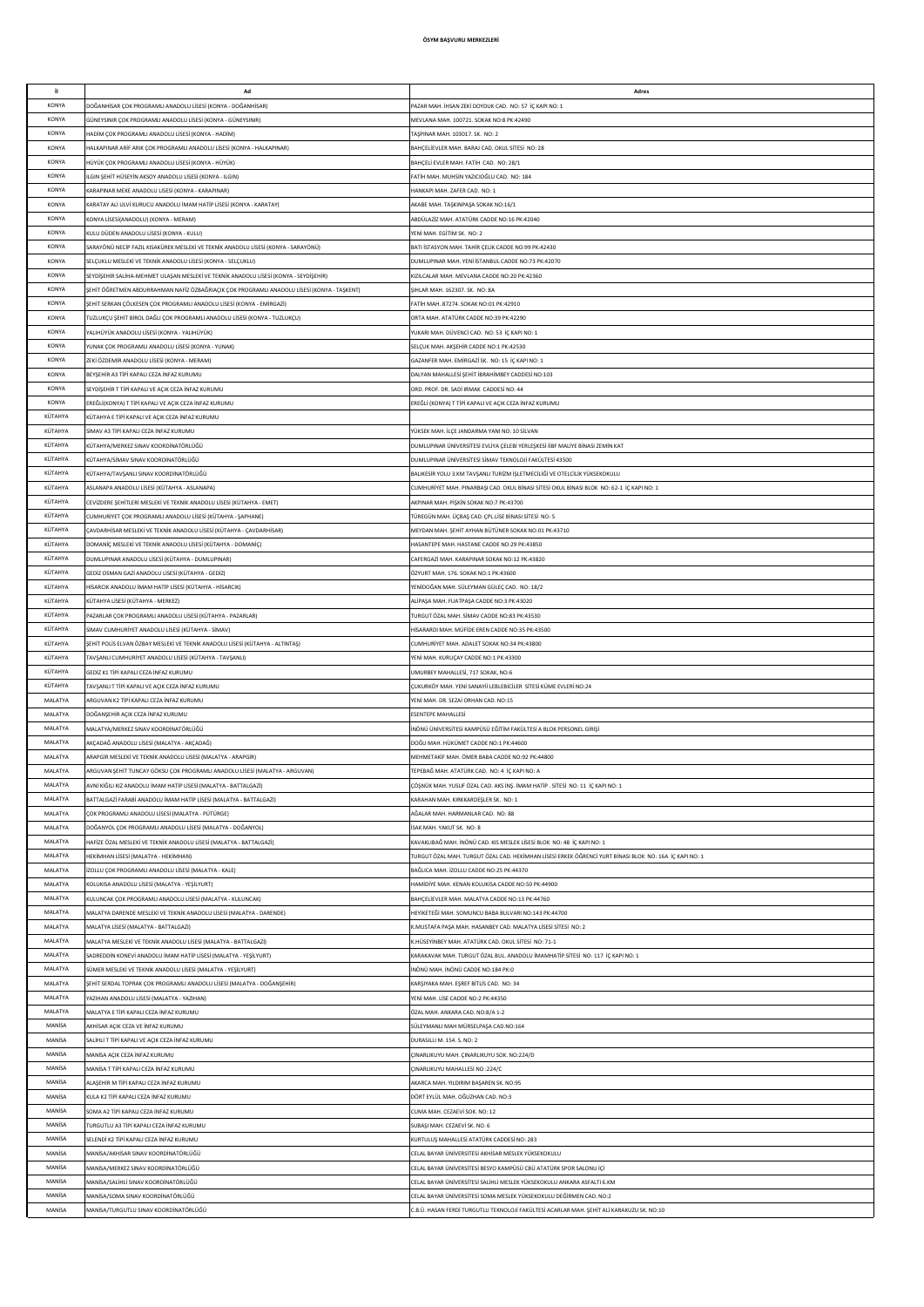| it.                | Ad                                                                                                                                      | Adres                                                                                                                |
|--------------------|-----------------------------------------------------------------------------------------------------------------------------------------|----------------------------------------------------------------------------------------------------------------------|
| KONYA              | 00 ĞANHİSAR ÇOK PROGRAMLI ANADOLU LİSESİ (KONYA - DOĞANHİSAR)                                                                           | PAZAR MAH. İHSAN ZEKİ DOYDUK CAD. NO: 57 İÇ KAPI NO: 1                                                               |
| KONYA              | SÜNEYSINIR ÇOK PROGRAMLI ANADOLU LİSESİ (KONYA - GÜNEYSINIR)                                                                            | MEVLANA MAH. 100721. SOKAK NO:8 PK:42490                                                                             |
| KONYA              | ADİM ÇOK PROGRAMLI ANADOLU LİSESİ (KONYA - HADİM)                                                                                       | FAŞPINAR MAH. 103017. SK. NO: 2                                                                                      |
| KONYA              | HALKAPINAR ARİF ARIK ÇOK PROGRAMLI ANADOLU LİSESİ (KONYA - HALKAPINAR)                                                                  | BAHÇELİEVLER MAH. BARAJ CAD. OKUL SİTESİ NO: 28                                                                      |
| KONYA              | IÜYÜK ÇOK PROGRAMLI ANADOLU LİSESİ (KONYA - HÜYÜK)                                                                                      | BAHCELİ EVLER MAH, FATİH CAD, NO: 28/1                                                                               |
| KONYA              | LGIN SEHİT HÜSEYİN AKSOY ANADOLU LİSESİ (KONYA - ILGIN)                                                                                 | FATİH MAH. MUHSİN YAZICIOĞLU CAD. NO: 184                                                                            |
| <b>KONYA</b>       | (ARAPINAR MEKE ANADOLU LİSESİ (KONYA - KARAPINAR)                                                                                       | HANKAPI MAH. ZAFER CAD. NO: 1                                                                                        |
| KONYA              | (ARATAY ALI ULVI KURUCU ANADOLU İMAM HATİP LİSESİ (KONYA - KARATAY)                                                                     | AKABE MAH. TAŞKINPAŞA SOKAK NO:16/1                                                                                  |
| KONYA              | (ONYA LİSESİ(ANADOLU) (KONYA - MERAM)                                                                                                   | ABDÜLAZİZ MAH. ATATÜRK CADDE NO:16 PK:42040                                                                          |
| <b>KONYA</b>       | KULU DÜDEN ANADOLU LİSESİ (KONYA - KULU)                                                                                                | YENİ MAH. EGİTİM SK. NO: 2                                                                                           |
| <b>KONYA</b>       | ARAYÖNÜ NECİP FAZIL KISAKÜREK MESLEKİ VE TEKNİK ANADOLU LİSESİ (KONYA - SARAYÖNÜ)                                                       | BATI İSTASYON MAH. TAHİR ÇELİK CADDE NO:99 PK:42430                                                                  |
| <b>KONYA</b>       | SELÇUKLU MESLEKİ VE TEKNİK ANADOLU LİSESİ (KONYA - SELÇUKLU)                                                                            | DUMLUPINAR MAH. YENİ İSTANBUL CADDE NO:73 PK:42070                                                                   |
| KONYA              | SEYDİŞEHİR SALİHA-MEHMET ULAŞAN MESLEKİ VE TEKNİK ANADOLU LİSESİ (KONYA - SEYDİŞEHİR)                                                   | KIZILCALAR MAH. MEVLANA CADDE NO:20 PK:42360                                                                         |
| KONYA              | ŞEHİT ÖĞRETMEN ABDURRAHMAN NAFİZ ÖZBAĞRIAÇIK ÇOK PROGRAMLI ANADOLU LİSESİ (KONYA - TAŞKENT)                                             | SIHLAR MAH. 162307. SK. NO: 8A                                                                                       |
| KONYA              | ŞEHİT SERKAN ÇÖLKESEN ÇOK PROGRAMLI ANADOLU LİSESİ (KONYA - EMİRGAZİ)                                                                   | FATİH MAH. 87274. SOKAK NO:01 PK:42910                                                                               |
| KONYA              | UZLUKÇU ŞEHİT BİROL DAĞLI ÇOK PROGRAMLI ANADOLU LİSESİ (KONYA - TUZLUKÇU)                                                               | ORTA MAH, ATATÜRK CADDE NO:39 PK:42290                                                                               |
| KONYA              | ALIHÜYÜK ANADOLU LİSESİ (KONYA - YALIHÜYÜK)                                                                                             | YUKARI MAH, DÜVENCİ CAD, NO: 53 İC KAPI NO: 1                                                                        |
| KONYA              | UNAK COK PROGRAMLI ANADOLU LİSESİ (KONYA - YUNAK)                                                                                       | SELÇUK MAH. AKŞEHİR CADDE NO:1 PK:42530                                                                              |
| KONYA              | ZEKİ ÖZDEMİR ANADOLU LİSESİ (KONYA - MERAM)                                                                                             | GAZANFER MAH. EMİRGAZİ SK. NO: 15 İÇ KAPI NO: 1                                                                      |
| KONYA              | BEYŞEHİR A3 TİPİ KAPALI CEZA İNFAZ KURUMU                                                                                               | DALYAN MAHALLESİ ŞEHİT İBRAHİMBEY CADDESİ NO:103                                                                     |
| KONYA              | SEYDİŞEHİR T TİPİ KAPALI VE AÇIK CEZA İNFAZ KURUMU                                                                                      | ORD. PROF. DR. SADİ IRMAK CADDESİ NO: 44                                                                             |
| KONYA              | REĞLİ(KONYA) T TİPİ KAPALI VE AÇIK CEZA İNFAZ KURUMU                                                                                    | EREĞLİ (KONYA) T TİPİ KAPALI VE AÇIK CEZA İNFAZ KURUMU                                                               |
| KÜTAHYA            | (ÜTAHYA E TİPİ KAPALI VE AÇIK CEZA İNFAZ KURUMU                                                                                         |                                                                                                                      |
| KÜTAHYA            | iMAV A3 TİPİ KAPALI CEZA İNFAZ KURUMU                                                                                                   | YÜKSEK MAH. İLÇE JANDARMA YANI NO: 10 SİLVAN                                                                         |
| KÜTAHYA            | (ÜTAHYA/MERKEZ SINAV KOORDİNATÖRLÜĞÜ                                                                                                    | DUMLUPINAR ÜNİVERSİTESİ EVLİYA ÇELEBİ YERLEŞKESİ İİBF MALİYE BİNASI ZEMİN KAT                                        |
| KÜTAHYA            | (ÜTAHYA/SİMAV SINAV KOORDİNATÖRLÜĞÜ                                                                                                     | DUMLUPINAR ÜNİVERSİTESİ SİMAV TEKNOLOJİ FAKÜLTESİ 43500                                                              |
| KÜTAHYA            | (ÜTAHYA/TAVŞANLI SINAV KOORDİNATÖRLÜĞÜ                                                                                                  | BALIKESİR YOLU 3.KM TAVŞANLI TURİZM İŞLETMECİLİĞİ VE OTELCİLİK YÜKSEKOKULU                                           |
| KÜTAHYA            | SLANAPA ANADOLU LİSESİ (KÜTAHYA - ASLANAPA)<br>CEVİZDERE SEHİTLERİ MESLEKİ VE TEKNİK ANADOLU LİSESİ (KÜTAHYA - EMET)                    | CUMHURİYET MAH. PINARBAŞI CAD. OKUL BİNASI SİTESİ OKUL BİNASI BLOK NO: 62-1 İÇ KAPI NO: 1                            |
| KÜTAHYA            |                                                                                                                                         | AKPINAR MAH. PİŞKİN SOKAK NO:7 PK:43700                                                                              |
| KÜTAHYA            | CUMHURİYET ÇOK PROGRAMLI ANADOLU LİSESİ (KÜTAHYA - ŞAPHANE)                                                                             | TÜREGÜN MAH. ÜÇBAŞ CAD. ÇPL.LİSE BİNASI SİTESİ NO: 5                                                                 |
| KÜTAHYA            | AVDARHÍSAR MESLEKÍ VE TEKNÍK ANADOLU LÍSESÍ (KÜTAHYA - ÇAVDARHÍSAR)                                                                     | MEYDAN MAH, SEHİT AYHAN BÜTÜNER SOKAK NO:01 PK:43710                                                                 |
| KÜTAHYA            | DOMANİÇ MESLEKİ VE TEKNİK ANADOLU LİSESİ (KÜTAHYA - DOMANİÇ)                                                                            | HASANTEPE MAH. HASTANE CADDE NO:29 PK:43850                                                                          |
| KÜTAHYA            | DUMLUPINAR ANADOLU LİSESİ (KÜTAHYA - DUMLUPINAR)                                                                                        | CAFERGAZİ MAH, KARAPINAR SOKAK NO:12 PK:43820                                                                        |
| KÜTAHYA            | SEDİZ OSMAN GAZİ ANADOLU LİSESİ (KÜTAHYA - GEDİZ)                                                                                       | ÖZYURT MAH. 176. SOKAK NO:1 PK:43600                                                                                 |
| KÜTAHYA            | IİSARCIK ANADOLU İMAM HATİP LİSESİ (KÜTAHYA - HİSARCIK)                                                                                 | YENİDOĞAN MAH. SÜLEYMAN GÜLEÇ CAD. NO: 18/2                                                                          |
| KÜTAHYA            | KÜTAHYA LİSESİ (KÜTAHYA - MERKEZ)                                                                                                       | ALİPAŞA MAH. FUATPAŞA CADDE NO:3 PK:43020                                                                            |
| KÜTAHYA            | AZARLAR ÇOK PROGRAMLI ANADOLU LİSESİ (KÜTAHYA - PAZARLAR)                                                                               | TURGUT ÖZAL MAH. SİMAV CADDE NO:83 PK:43530                                                                          |
| KÜTAHYA            | SİMAV CUMHURİYET ANADOLU LİSESİ (KÜTAHYA - SİMAV)                                                                                       | HİSARARDI MAH, MÜFİDE EREN CADDE NO:35 PK:43500                                                                      |
| KÜTAHYA            | ŞEHİT POLİS ELVAN ÖZBAY MESLEKİ VE TEKNİK ANADOLU LİSESİ (KÜTAHYA - ALTINTAŞ)                                                           | CUMHURİYET MAH. ADALET SOKAK NO:34 PK:43800                                                                          |
|                    |                                                                                                                                         |                                                                                                                      |
| KÜTAHYA            | AVŞANLI CUMHURİYET ANADOLU LİSESİ (KÜTAHYA - TAVŞANLI)                                                                                  | YENİ MAH. KURUÇAY CADDE NO:1 PK:43300                                                                                |
| KÜTAHYA            | GEDİZ K1 TİPİ KAPALI CEZA İNFAZ KURUMU                                                                                                  | UMURBEY MAHALLESİ, 717 SOKAK, NO:6                                                                                   |
| KÜTAHYA            | <b>FAVSANLI T TIPI KAPALI VE ACIK CEZA İNFAZ KURUMU</b>                                                                                 | CUKURKÖY MAH, YENİ SANAYİİ LEBLEBİCİLER SİTESİ KÜME EVLERİ NO:24                                                     |
| MALATYA            | <b>IRGUVAN K2 TİPİ KAPALI CEZA İNFAZ KURUMU</b>                                                                                         | YENİ MAH. DR. SEZAİ ORHAN CAD. NO:15                                                                                 |
| MALATYA            | DOĞANŞEHİR AÇIK CEZA İNFAZ KURUMU                                                                                                       | <b>ESENTEPE MAHALLES</b>                                                                                             |
| MALATYA            | VALATYA/MERKEZ SINAV KOORDİNATÖRLÜĞÜ                                                                                                    | İNÖNÜ ÜNİVERSİTESİ KAMPÜSÜ EĞİTİM FAKÜLTESİ A BLOK PERSONEL GİRİŞİ                                                   |
| MALATYA            | IKÇADAĞ ANADOLU LİSESİ (MALATYA - AKÇADAĞ)                                                                                              | DOĞU MAH. HÜKÜMET CADDE NO:1 PK:44600                                                                                |
| MALATYA            | ARAPGİR MESLEKİ VE TEKNİK ANADOLU LİSESİ (MALATYA - ARAPGİR)                                                                            | MEHMETAKİF MAH. ÖMER BABA CADDE NO:92 PK:44800                                                                       |
| MALATYA            | RGUVAN ŞEHİT TUNCAY GÖKSU ÇOK PROGRAMLI ANADOLU LİSESİ (MALATYA - ARGUVAN)                                                              | TEPEBAĞ MAH. ATATÜRK CAD. NO: 4 İÇ KAPI NO: A                                                                        |
| MALATYA            | VNİ KİĞILI KIZ ANADOLU İMAM HATİP LİSESİ (MALATYA - BATTALGAZİ)                                                                         | ÇÖŞNÜK MAH. YUSUF ÖZAL CAD. AKS İNŞ. İMAM HATİP . SİTESİ NO: 11 İÇ KAPI NO: 1                                        |
| MALATYA            | BATTALGAZİ FARABİ ANADOLU İMAM HATİP LİSESİ (MALATYA - BATTALGAZİ)                                                                      | KARAHAN MAH. KIRKKARDEŞLER SK. NO: 1                                                                                 |
| MALATYA<br>MALATYA | ÇOK PROGRAMLI ANADOLU LİSESİ (MALATYA - PÜTÜRGE)<br>DOĞANYOL ÇOK PROGRAMLI ANADOLU LİSESİ (MALATYA - DOĞANYOL)                          | AĞALAR MAH. HARMANLAR CAD. NO: 88<br>SAK MAH, YAKLIT SK. NO: 8                                                       |
|                    |                                                                                                                                         | KAVAKLIBAĞ MAH, İNÖNÜ CAD, KIS MESLEK LİSESİ BLOK NO: 48 İC KAPI NO: 1                                               |
| MALATYA<br>MALATYA | IAFİZE ÖZAL MESLEKİ VE TEKNİK ANADOLU LİSESİ (MALATYA - BATTALGAZİ)<br>HEKİMHAN LİSESİ (MALATYA - HEKİMHAN)                             | TURGUT ÖZAL MAH. TURGUT ÖZAL CAD. HEKİMHAN LİSESİ ERKEK ÖĞRENCİ YURT BİNASI BLOK NO: 16A İÇ KAPI NO: 1               |
| MALATYA            | IZOLLU COK PROGRAMLI ANADOLU LISESI (MALATYA - KALE)                                                                                    | BAĞLICA MAH. İZOLLU CADDE NO:25 PK:44370                                                                             |
| MALATYA            |                                                                                                                                         | HAMİDİYE MAH, KENAN KOLUKISA CADDE NO:50 PK:44900                                                                    |
| MALATYA            | KOLUKISA ANADOLU LİSESİ (MALATYA - YEŞİLYURT)<br>(ULUNCAK ÇOK PROGRAMLI ANADOLU LİSESİ (MALATYA - KULUNCAK)                             | BAHCELİEVLER MAH, MALATYA CADDE NO:13 PK:44760                                                                       |
| MALATYA            | MALATYA DARENDE MESLEKİ VE TEKNİK ANADOLU LİSESİ (MALATYA - DARENDE)                                                                    | HEYİKETEĞİ MAH. SOMUNCU BABA BULVARI NO:143 PK:44700                                                                 |
| MALATYA            |                                                                                                                                         |                                                                                                                      |
| MALATYA            | <b>MALATYA LİSESİ (MALATYA - BATTALGAZİ)</b><br>MALATYA MESLEKİ VE TEKNİK ANADOLU LİSESİ (MALATYA - BATTALGAZİ)                         | K.MUSTAFA PAŞA MAH. HASANBEY CAD. MALATYA LİSESİ SİTESİ NO: 2<br>K.HÜSEYİNBEY MAH. ATATÜRK CAD. OKUL SİTESİ NO: 71-1 |
| MALATYA            | SADREDDİN KONEVİ ANADOLU İMAM HATİP LİSESİ (MALATYA - YEŞİLYURT)                                                                        | KARAKAVAK MAH. TURGUT ÖZAL BUL. ANADOLU İMAMHATİP SİTESİ NO: 117 İÇ KAPI NO: 1                                       |
| MALATYA            |                                                                                                                                         | INÔNH MAH, INÔNH CADDE NO:184 PK:0                                                                                   |
| MALATYA            | SÜMER MESLEKİ VE TEKNİK ANADOLU LİSESİ (MALATYA - YEŞİLYURT)<br>ŞEHİT SERDAL TOPRAK ÇOK PROGRAMLI ANADOLU LİSESİ (MALATYA - DOĞANŞEHİR) | KARŞIYAKA MAH. EŞREF BİTLİS CAD. NO: 34                                                                              |
| MALATYA            | AZIHAN ANADOLU LİSESİ (MALATYA - YAZIHAN)                                                                                               | YENİ MAH. LİSE CADDE NO:2 PK:44350                                                                                   |
| MALATYA            |                                                                                                                                         | ÖZAL MAH, ANKARA CAD, NO:8/A 1-2                                                                                     |
| MANISA             | MALATYA E TİPİ KAPALI CEZA İNFAZ KURUMU<br>AKHISAR AÇIK CEZA VE İNFAZ KURUMU                                                            | SÜLEYMANLI MAH MÜRSELPAŞA CAD.NO:164                                                                                 |
| MANISA             | SALİHLİ T TİPİ KAPALI VE AÇIK CEZA İNFAZ KURUMU                                                                                         | DURASILLI M. 154, S. NO: 2                                                                                           |
| MANISA             | MANÍSA AÇIK CEZA İNFAZ KURUMU                                                                                                           | CINARLIKUYU MAH. CINARLIKUYU SOK. NO:224/D                                                                           |
| MANISA             | MANISA T TIPI KAPALI CEZA INFAZ KURUMU                                                                                                  | CINARLIKUYU MAHALLESİ NO :224/C                                                                                      |
| MANISA             | ALAŞEHİR M TİPİ KAPALI CEZA İNFAZ KURUMU                                                                                                | AKARCA MAH. YILDIRIM BAŞAREN SK. NO:95                                                                               |
| MANISA             | KULA K2 TİPİ KAPALI CEZA İNFAZ KURUMU                                                                                                   | DÖRT EYLÜL MAH, OĞUZHAN CAD, NO:3                                                                                    |
| MANISA             | SOMA A2 TİPİ KAPALI CEZA İNFAZ KURUMU                                                                                                   | CUMA MAH. CEZAEVİ SOK. NO: 12                                                                                        |
| MANISA             | URGUTLU A3 TİPİ KAPALI CEZA İNFAZ KURUMU                                                                                                | SUBAŞI MAH. CEZAEVİ SK. NO. 6                                                                                        |
| MANISA             | SELENDİ K2 TİPİ KAPALI CEZA İNFAZ KURUMU                                                                                                | KURTULUŞ MAHALLESİ ATATÜRK CADDESİ NO: 283                                                                           |
| MANISA             | VANİSA/AKHİSAR SINAV KOORDİNATÖRLÜĞÜ                                                                                                    | CELAL BAYAR ÜNİVERSİTESİ AKHİSAR MESLEK YÜKSEKOKULU                                                                  |
| MANISA             | VANİSA/MERKEZ SINAV KOORDİNATÖRLÜĞÜ                                                                                                     | CELAL BAYAR ÜNİVERSİTESİ BESYO KAMPÜSÜ CBÜ ATATÜRK SPOR SALONU İÇİ                                                   |
| MANISA             | VANİSA/SALİHLİ SINAV KOORDİNATÖRLÜĞÜ                                                                                                    | CELAL BAYAR ÜNİVERSİTESİ SALİHLİ MESLEK YÜKSEKOKULU ANKARA ASFALTI 6.KM                                              |
| MANISA             | VANÍSA/SOMA SINAV KOORDÍNATÖRLÜĞÜ                                                                                                       | CELAL BAYAR ÜNİVERSİTESİ SOMA MESLEK YÜKSEKOKULU DEĞİRMEN CAD. NO:2                                                  |
| MANISA             | MANİSA/TURGUTLU SINAV KOORDİNATÖRLÜĞÜ                                                                                                   | C.B.Ü. HASAN FERDİ TURGUTLU TEKNOLOJİ FAKÜLTESİ ACARLAR MAH. ŞEHİT ALİ KARAKUZU SK. NO:10                            |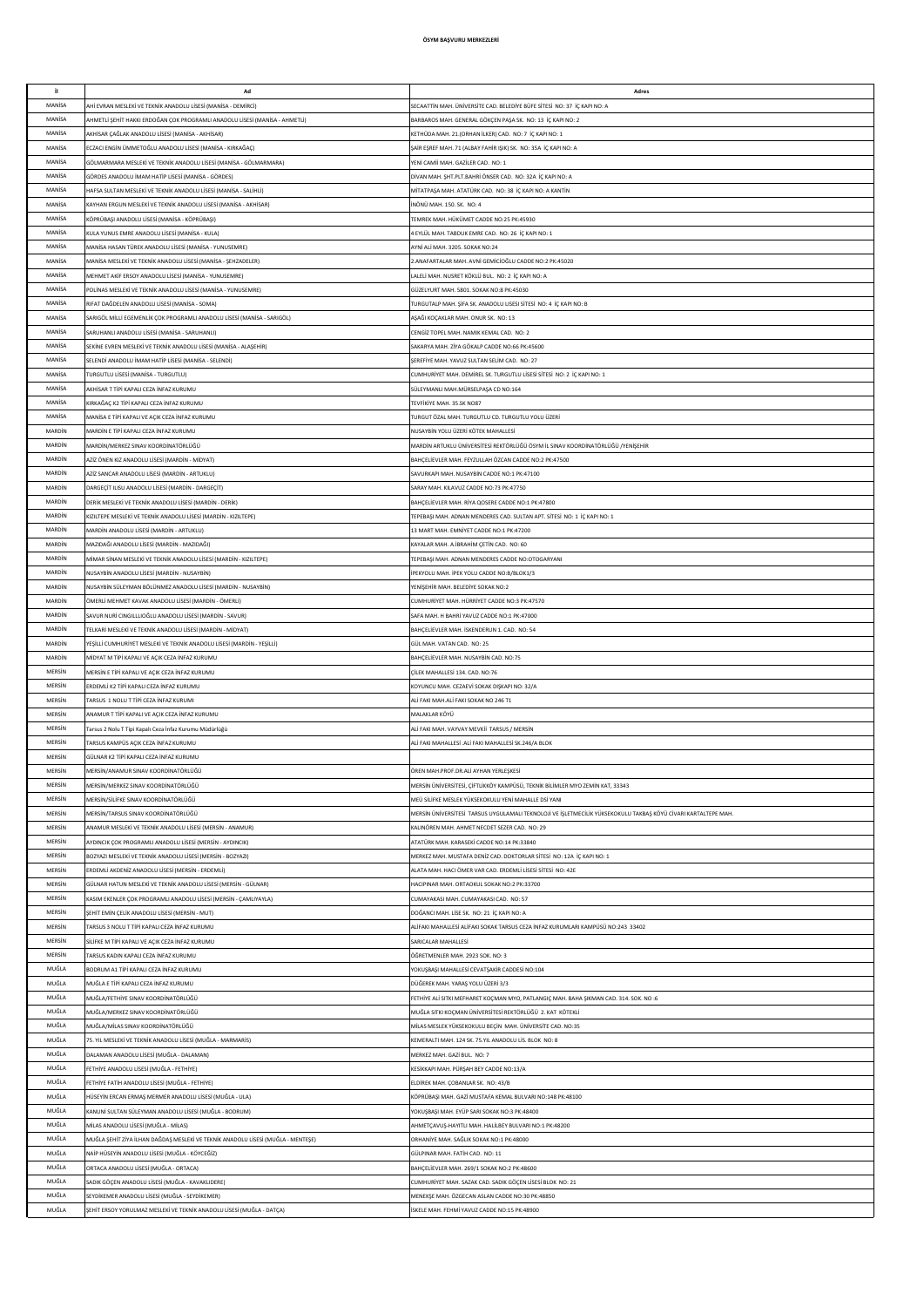| il.            |                                                                                                                         |                                                                                                                |
|----------------|-------------------------------------------------------------------------------------------------------------------------|----------------------------------------------------------------------------------------------------------------|
|                | Ad                                                                                                                      | Adres                                                                                                          |
| MANISA         | Hİ EVRAN MESLEKİ VE TEKNİK ANADOLU LİSESİ (MANİSA - DEMİRCİ)                                                            | SECAATTİN MAH. ÜNİVERSİTE CAD. BELEDİYE BÜFE SİTESİ NO: 37 İÇ KAPI NO: A                                       |
| MANISA         | HMETLİ ŞEHİT HAKKI ERDOĞAN ÇOK PROGRAMLI ANADOLU LİSESİ (MANİSA - AHMETLİ)                                              | BARBAROS MAH. GENERAL GÖKÇEN PAŞA SK. NO: 13 İÇ KAPI NO: 2                                                     |
|                |                                                                                                                         |                                                                                                                |
| MANISA         | KHİSAR ÇAĞLAK ANADOLU LİSESİ (MANİSA - AKHİSAR)                                                                         | KETHÜDA MAH. 21.(ORHAN İLKER) CAD. NO: 7 İÇ KAPI NO: 1                                                         |
| MANISA         | CZACI ENGİN ÜMMETOĞLU ANADOLU LİSESİ (MANİSA - KIRKAĞAÇ)                                                                | ŞAİR EŞREF MAH. 71 (ALBAY FAHİR IŞIK) SK. NO: 35A İÇ KAPI NO: A                                                |
| MANISA         | GÖLMARMARA MESLEKİ VE TEKNİK ANADOLU LİSESİ (MANİSA - GÖLMARMARA)                                                       | YENİ CAMİİ MAH. GAZİLER CAD. NO: 1                                                                             |
|                |                                                                                                                         |                                                                                                                |
| MANISA         | GÖRDES ANADOLU İMAM HATİP LİSESİ (MANİSA - GÖRDES)                                                                      | DİVAN MAH. ŞHT.PLT.BAHRİ ÖNSER CAD. NO: 32A İÇ KAPI NO: A                                                      |
| MANISA         | JAFSA SULTAN MESLEKİ VE TEKNİK ANADOLU LİSESİ (MANİSA - SALİHLİ)                                                        | MİTATPASA MAH, ATATÜRK CAD. NO: 38 İC KAPI NO: A KANTİN                                                        |
| MANISA         | KAYHAN ERGUN MESLEKÎ VE TEKNÎK ANADOLU LÎSESÎ (MANÎSA - AKHÎSAR)                                                        | İNÖNÜ MAH. 150. SK. NO: 4                                                                                      |
| MANISA         | KÖPRÜBAŞI ANADOLU LİSESİ (MANİSA - KÖPRÜBAŞI)                                                                           | TEMREK MAH, HÜKÜMET CADDE NO:25 PK:45930                                                                       |
|                |                                                                                                                         |                                                                                                                |
| MANISA         | KULA YUNUS EMRE ANADOLU LİSESİ (MANİSA - KULA)                                                                          | 4 EYLÜL MAH. TABDUK EMRE CAD. NO: 26 İÇ KAPI NO: 1                                                             |
| MANISA         | MANİSA HASAN TÜREK ANADOLU LİSESİ (MANİSA - YUNUSEMRE)                                                                  | AYNİ ALİ MAH. 3205. SOKAK NO:24                                                                                |
| MANISA         | MANÍSA MESLEKÍ VE TEKNÍK ANADOLU LÍSESÍ (MANÍSA - SEHZADELER)                                                           | 2.ANAFARTALAR MAH. AVNİ GEMİCİOĞLU CADDE NO:2 PK:45020                                                         |
|                |                                                                                                                         |                                                                                                                |
| MANISA         | MEHMET AKİF ERSOY ANADOLU LİSESİ (MANİSA - YUNUSEMRE)                                                                   | LALELİ MAH. NUSRET KÖKLÜ BUL. NO: 2 İÇ KAPI NO: A                                                              |
| MANISA         | POLİNAS MESLEKİ VE TEKNİK ANADOLU LİSESİ (MANİSA - YUNUSEMRE)                                                           | GÜZELYURT MAH. 5801. SOKAK NO:8 PK:45030                                                                       |
| MANISA         | RIFAT DAĞDELEN ANADOLU LİSESİ (MANİSA - SOMA)                                                                           | TURGUTALP MAH. ŞİFA SK. ANADOLU LISESI SİTESİ NO: 4 İÇ KAPI NO: B                                              |
| MANISA         |                                                                                                                         |                                                                                                                |
|                | SARIGÖL MİLLİ EGEMENLİK ÇOK PROGRAMLI ANADOLU LİSESİ (MANİSA - SARIGÖL)                                                 | AŞAĞI KOÇAKLAR MAH. ONUR SK. NO: 13                                                                            |
| MANISA         | ARUHANLI ANADOLU LİSESİ (MANİSA - SARUHANLI)                                                                            | CENGİZ TOPEL MAH. NAMIK KEMAL CAD. NO: 2                                                                       |
| MANISA         | SEKİNE EVREN MESLEKİ VE TEKNİK ANADOLU LİSESİ (MANİSA - ALAŞEHİR)                                                       | SAKARYA MAH. ZİYA GÖKALP CADDE NO:66 PK:45600                                                                  |
| MANISA         | SELENDİ ANADOLU İMAM HATİP LİSESİ (MANİSA - SELENDİ)                                                                    | SEREFIYE MAH. YAVUZ SULTAN SELİM CAD. NO: 27                                                                   |
|                |                                                                                                                         |                                                                                                                |
| MANISA         | URGUTLU LİSESİ (MANİSA - TURGUTLU)                                                                                      | CUMHURİYET MAH. DEMİREL SK. TURGUTLU LİSESİ SİTESİ NO: 2 İÇ KAPI NO: 1                                         |
| MANISA         | KHISAR T TIPI KAPALI CEZA INFAZ KURUMU                                                                                  | SÜLEYMANLI MAH.MÜRSELPAŞA CD NO:164                                                                            |
| MANISA         | (IRKAĞAÇ K2 TİPİ KAPALI CEZA İNFAZ KURUMU                                                                               | TEVFİKİYE MAH, 35.SK NO87                                                                                      |
| MANISA         | MANÍSA E TÍPÍ KAPALI VE ACIK CEZA ÍNFAZ KURUMU                                                                          | TURGUT ÖZAL MAH. TURGUTLU CD. TURGUTLU YOLU ÜZERİ                                                              |
|                |                                                                                                                         |                                                                                                                |
| MARDÍN         | <b><i>JARDÍN E TÍPÍ KAPALI CEZA İNFAZ KURUMU</i></b>                                                                    | NUSAYBİN YOLU ÜZERİ KÖTEK MAHALLESİ                                                                            |
| MARDIN         | MARDİN/MERKEZ SINAV KOORDİNATÖRLÜĞÜ                                                                                     | MARDİN ARTUKLU ÜNİVERSİTESİ REKTÖRLÜĞÜ ÖSYM İL SINAV KOORDİNATÖRLÜĞÜ /YENİŞEHİR                                |
| MARDIN         | ZİZ ÖNEN KIZ ANADOLU LİSESİ (MARDİN - MİDYAT)                                                                           | BAHÇELİEVLER MAH. FEYZULLAH ÖZCAN CADDE NO:2 PK:47500                                                          |
| MARDIN         |                                                                                                                         |                                                                                                                |
|                | ZİZ SANCAR ANADOLU LİSESİ (MARDİN - ARTUKLU)                                                                            | SAVURKAPI MAH. NUSAYBİN CADDE NO:1 PK:47100                                                                    |
| MARDIN         | ARGEÇİT ILISU ANADOLU LİSESİ (MARDİN - DARGEÇİT)                                                                        | SARAY MAH. KILAVUZ CADDE NO:73 PK:47750                                                                        |
| MARDIN         | DERİK MESLEKİ VE TEKNİK ANADOLU LİSESİ (MARDİN - DERİK)                                                                 | BAHÇELİEVLER MAH. RİYA QOSERE CADDE NO:1 PK:47800                                                              |
| MARDIN         | (IZILTEPE MESLEKİ VE TEKNİK ANADOLU LİSESİ (MARDİN - KIZILTEPE)                                                         | TEPEBAŞI MAH. ADNAN MENDERES CAD. SULTAN APT. SİTESİ NO: 1 İÇ KAPI NO: 1                                       |
|                |                                                                                                                         |                                                                                                                |
| MARDIN         | <b>MARDIN ANADOLU LISESI (MARDIN - ARTUKLU)</b>                                                                         | 13 MART MAH. EMNİYET CADDE NO:1 PK:47200                                                                       |
| MARDIN         | MAZIDAĞI ANADOLU LİSESİ (MARDİN - MAZIDAĞI)                                                                             | KAYALAR MAH, A.İBRAHİM CETİN CAD. NO: 60                                                                       |
| MARDÍN         | MİMAR SİNAN MESLEKİ VE TEKNİK ANADOLU LİSESİ (MARDİN - KIZILTEPE)                                                       | TEPEBASI MAH. ADNAN MENDERES CADDE NO:OTOGARYANI                                                               |
| MARDÍN         |                                                                                                                         |                                                                                                                |
|                | JUSAYBİN ANADOLU LİSESİ (MARDİN - NUSAYBİN)                                                                             | IPEKYOLU MAH. IPEK YOLU CADDE NO:B/BLOK1/3                                                                     |
| MARDÍN         | NUSAYBİN SÜLEYMAN BÖLÜNMEZ ANADOLU LİSESİ (MARDİN - NUSAYBİN)                                                           | YENİŞEHİR MAH. BELEDİYE SOKAK NO:2                                                                             |
| MARDÍN         | )MERLİ MEHMET KAVAK ANADOLU LİSESİ (MARDİN - ÖMERLİ)                                                                    | CUMHURİYET MAH. HÜRRİYET CADDE NO:3 PK:47570                                                                   |
| MARDÍN         | SAVUR NURİ CINGILLLIOĞLU ANADOLU LİSESİ (MARDİN - SAVUR)                                                                | SAFA MAH. H BAHRİ YAVUZ CADDE NO:1 PK:47000                                                                    |
| MARDIN         |                                                                                                                         |                                                                                                                |
|                | ELKARİ MESLEKİ VE TEKNİK ANADOLU LİSESİ (MARDİN - MİDYAT)                                                               | BAHÇELİEVLER MAH. İSKENDERUN 1. CAD. NO: 54                                                                    |
| MARDIN         | 'EŞİLLİ CUMHURİYET MESLEKİ VE TEKNİK ANADOLU LİSESİ (MARDİN - YEŞİLLİ)                                                  | GÜL MAH. VATAN CAD. NO: 25                                                                                     |
|                |                                                                                                                         |                                                                                                                |
| MARDIN         | MİDYAT M TİPİ KAPALI VE AÇIK CEZA İNFAZ KURUMU                                                                          | BAHÇELİEVLER MAH. NUSAYBİN CAD. NO:75                                                                          |
| MERSIN         | MERSÎN E TÎPÎ KAPALI VE AÇIK CEZA ÎNFAZ KURUMU                                                                          | ÇİLEK MAHALLESİ 134. CAD. NO:76                                                                                |
|                |                                                                                                                         |                                                                                                                |
| MERSIN         | ERDEMLİ K2 TİPİ KAPALI CEZA İNFAZ KURUMU                                                                                | KOYUNCU MAH. CEZAEVİ SOKAK DIŞKAPI NO: 32/A                                                                    |
| MERSIN         | ARSUS 1 NOLU T TİPİ CEZA İNFAZ KURUMI                                                                                   | ALİ FAKI MAH.ALİ FAKI SOKAK NO 246 T1                                                                          |
| MERSIN         | ANAMUR T TİPİ KAPALI VE ACIK CEZA İNFAZ KURUMU                                                                          | MALAKLAR KÖYÜ                                                                                                  |
| MERSIN         | 'arsus 2 Nolu T Tipi Kapalı Ceza İnfaz Kurumu Müdürlüğü                                                                 | ALİ FAKI MAH. VAYVAY MEVKİİ TARSUS / MERSİN                                                                    |
|                |                                                                                                                         |                                                                                                                |
| MERSIN         | ARSUS KAMPÜS AÇIK CEZA İNFAZ KURUMU                                                                                     | ALİ FAKI MAHALLESİ .ALİ FAKI MAHALLESİ SK.246/A BLOK                                                           |
| MERSIN         | GÜLNAR K2 TİPİ KAPALI CEZA İNFAZ KURUMU                                                                                 |                                                                                                                |
| MERSIN         | MERSİN/ANAMUR SINAV KOORDİNATÖRLÜĞÜ                                                                                     | ÖREN MAH.PROF.DR.ALİ AYHAN YERLESKESİ                                                                          |
| MERSIN         | MERSİN/MERKEZ SINAV KOORDİNATÖRLÜĞÜ                                                                                     | MERSİN ÜNİVERSİTESİ, ÇİFTLİKKÖY KAMPÜSÜ, TEKNİK BİLİMLER MYO ZEMİN KAT, 33343                                  |
|                |                                                                                                                         |                                                                                                                |
| MERSIN         | VERSİN/SİLİFKE SINAV KOORDİNATÖRLÜĞÜ                                                                                    | MEÜ SİLİFKE MESLEK YÜKSEKOKULU YENİ MAHALLE DSİ YANI                                                           |
| MERSIN         | VERSİN/TARSUS SINAV KOORDİNATÖRLÜĞÜ                                                                                     | MERSİN ÜNİVERSİTESİ TARSUS UYGULAMALI TEKNOLOJİ VE İŞLETMECİLİK YÜKSEKOKULU TAKBAŞ KÖYÜ CİVARI KARTALTEPE MAH. |
| MERSIN         | NAMUR MESLEKİ VE TEKNİK ANADOLU LİSESİ (MERSİN - ANAMUR)                                                                | KALINÖREN MAH. AHMET NECDET SEZER CAD. NO: 29                                                                  |
| MERSIN         | VDINCIK ÇOK PROGRAMLI ANADOLU LİSESİ (MERSİN - AYDINCIK)                                                                | ATATÜRK MAH. KARASEKİ CADDE NO:14 PK:33840                                                                     |
|                |                                                                                                                         |                                                                                                                |
| MERSIN         | BOZYAZI MESLEKİ VE TEKNİK ANADOLU LİSESİ (MERSİN - BOZYAZI)                                                             | MERKEZ MAH. MUSTAFA DENİZ CAD. DOKTORLAR SİTESİ NO: 12A İÇ KAPI NO: 1                                          |
| MERSIN         | RDEMLİ AKDENİZ ANADOLU LİSESİ (MERSİN - ERDEMLİ)                                                                        | ALATA MAH. HACI ÖMER VAR CAD. ERDEMLİ LİSESİ SİTESİ NO: 42E                                                    |
| MERSIN         | GÜLNAR HATUN MESLEKİ VE TEKNİK ANADOLU LİSESİ (MERSİN - GÜLNAR)                                                         | HACIPINAR MAH, ORTAOKUL SOKAK NO:2 PK:33700                                                                    |
| MERSIN         | (ASIM EKENLER ÇOK PROGRAMLI ANADOLU LİSESİ (MERSİN - ÇAMLIYAYLA)                                                        | CUMAYAKASI MAH, CUMAYAKASI CAD, NO: 57                                                                         |
|                |                                                                                                                         |                                                                                                                |
| MERSIN         | SEHİT EMİN CELİK ANADOLLI LİSESİ (MERSİN - MUT)                                                                         | DOĞANCI MAH, LİSE SK. NO: 21 İC KAPI NO: A                                                                     |
| MERSIN         | ARSUS 3 NOLUT TİPİ KAPALI CEZA İNFAZ KURUMU                                                                             | ALİFAKI MAHALLESİ ALİFAKI SOKAK TARSUS CEZA İNFAZ KURUMLARI KAMPÜSÜ NO:243 33402                               |
| MERSIN         | SİLİFKE M TİPİ KAPALI VE AÇIK CEZA İNFAZ KURUMU                                                                         | SARICALAR MAHALLESİ                                                                                            |
| MERSIN         | ARSUS KADIN KAPALI CEZA İNFAZ KURUMU                                                                                    | ÖĞRETMENLER MAH. 2923 SOK. NO: 3                                                                               |
|                |                                                                                                                         |                                                                                                                |
| MUĞLA          | BODRUM A1 TİPİ KAPALI CEZA İNFAZ KURUMU                                                                                 | YOKUŞBAŞI MAHALLESİ CEVATŞAKİR CADDESİ NO:104                                                                  |
| MUĞLA          | MUĞLA E TİPİ KAPALI CEZA İNFAZ KURUMU                                                                                   | DÜĞEREK MAH. YARAŞ YOLU ÜZERİ 3/3                                                                              |
| MUĞLA          | MUĞLA/FETHİYE SINAV KOORDİNATÖRLÜĞÜ                                                                                     | FETHIYE ALİ SITKI MEFHARET KOÇMAN MYO, PATLANGIÇ MAH. BAHA ŞIKMAN CAD. 314. SOK. NO :6                         |
| MUĞLA          | MUĞLA/MERKEZ SINAV KOORDİNATÖRLÜĞÜ                                                                                      | MUĞLA SITKI KOÇMAN ÜNİVERSİTESİ REKTÖRLÜĞÜ 2. KAT KÖTEKLİ                                                      |
|                |                                                                                                                         |                                                                                                                |
| MUĞLA          | MUĞLA/MİLAS SINAV KOORDİNATÖRLÜĞÜ                                                                                       | MİLAS MESLEK YÜKSEKOKULU BEÇİN MAH. ÜNİVERSİTE CAD. NO:35                                                      |
| MUĞLA          | 75. YIL MESLEKİ VE TEKNİK ANADOLU LİSESİ (MUĞLA - MARMARİS)                                                             | KEMERALTI MAH. 124 SK. 75.YIL ANADOLU LİS. BLOK NO: 8                                                          |
| MUĞLA          | DALAMAN ANADOLU LİSESİ (MUĞLA - DALAMAN)                                                                                | MERKEZ MAH, GAZİ BUL, NO: 7                                                                                    |
| MUĞLA          |                                                                                                                         |                                                                                                                |
|                | FETHİYE ANADOLU LİSESİ (MUĞLA - FETHİYE)                                                                                | KESİKKAPI MAH. PÜRŞAH BEY CADDE NO:13/A                                                                        |
| MUĞLA          | FETHİYE FATİH ANADOLU LİSESİ (MUĞLA - FETHİYE)                                                                          | ELDİREK MAH. ÇOBANLAR SK. NO: 43/B                                                                             |
| MUĞLA          | HÜSEYİN ERCAN ERMAŞ MERMER ANADOLU LİSESİ (MUĞLA - ULA)                                                                 | KÖPRÜBAŞI MAH. GAZİ MUSTAFA KEMAL BULVARI NO:148 PK:48100                                                      |
| MUĞLA          | KANUNİ SULTAN SÜLEYMAN ANADOLU LİSESİ (MUĞLA - BODRUM)                                                                  | YOKUŞBAŞI MAH. EYÜP SARI SOKAK NO:3 PK:48400                                                                   |
| MUĞLA          | MİLAS ANADOLU LİSESİ (MUĞLA - MİLAS)                                                                                    | AHMETÇAVUŞ-HAYITLI MAH. HALİLBEY BULVARI NO:1 PK:48200                                                         |
| MUĞLA          |                                                                                                                         |                                                                                                                |
|                | MUĞLA ŞEHİT ZİYA İLHAN DAĞDAŞ MESLEKİ VE TEKNİK ANADOLU LİSESİ (MUĞLA - MENTEŞE)                                        | ORHANİYE MAH. SAĞLIK SOKAK NO:1 PK:48000                                                                       |
| MUĞLA          | NAİP HÜSEYİN ANADOLU LİSESİ (MUĞLA - KÖYCEĞİZ)                                                                          | GÜLPINAR MAH. FATİH CAD. NO: 11                                                                                |
| MUĞLA          | <b>DRTACA ANADOLU LİSESİ (MUĞLA - ORTACA)</b>                                                                           | BAHÇELİEVLER MAH. 269/1 SOKAK NO:2 PK:48600                                                                    |
| MUĞLA          | SADIK GÖÇEN ANADOLU LİSESİ (MUĞLA - KAVAKLIDERE)                                                                        | CUMHURİYET MAH. SAZAK CAD. SADIK GÖÇEN LİSESİ BLOK NO: 21                                                      |
|                |                                                                                                                         |                                                                                                                |
| MUĞLA<br>MUĞLA | SEYDİKEMER ANADOLU LİSESİ (MUĞLA - SEYDİKEMER)<br>ŞEHİT ERSOY YORULMAZ MESLEKİ VE TEKNİK ANADOLU LİSESİ (MUĞLA - DATÇA) | MENEKŞE MAH. ÖZGECAN ASLAN CADDE NO:30 PK:48850<br>İSKELE MAH. FEHMİ YAVUZ CADDE NO:15 PK:48900                |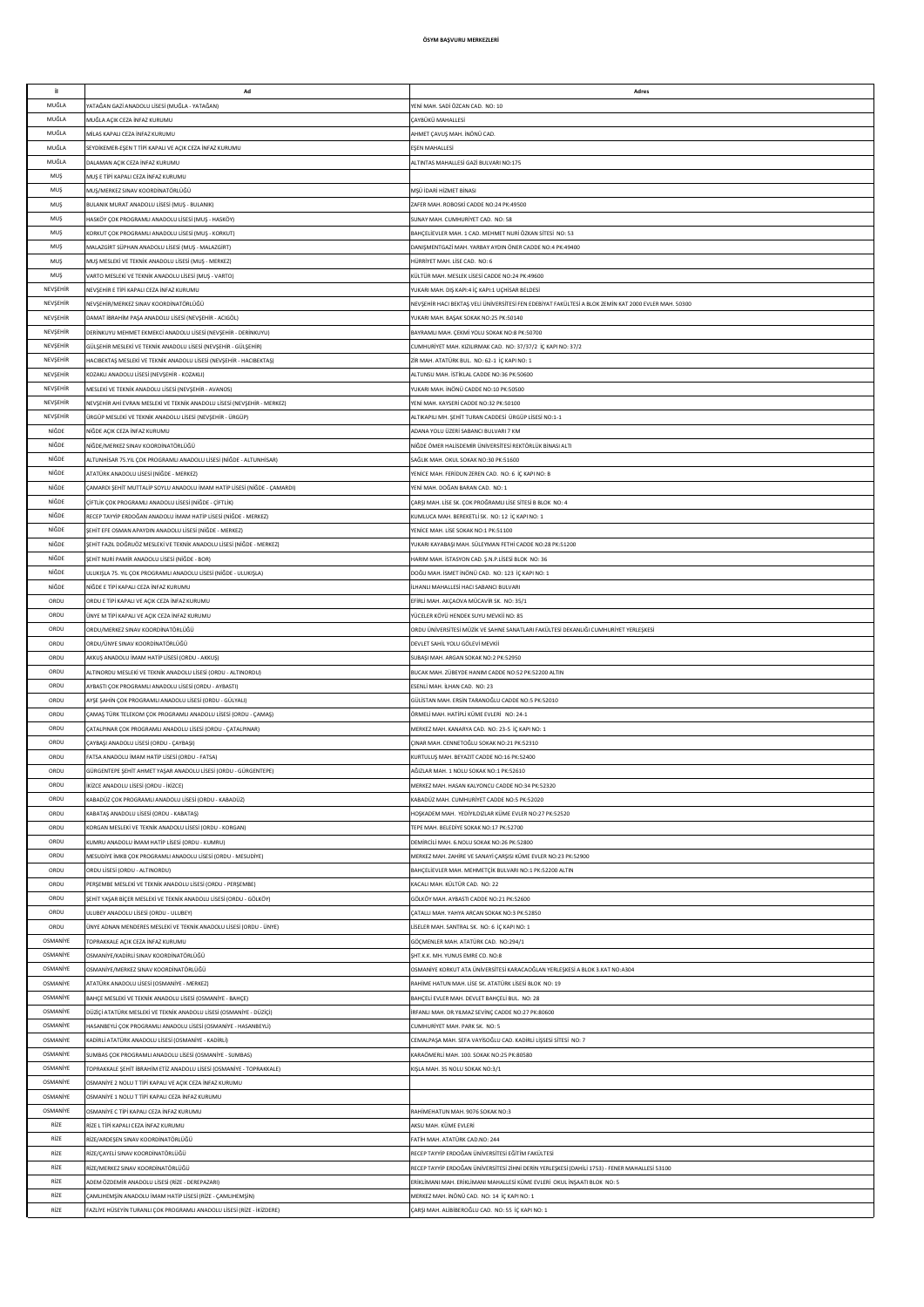| il.                         | Ad                                                                                                                               | Adres                                                                                                        |
|-----------------------------|----------------------------------------------------------------------------------------------------------------------------------|--------------------------------------------------------------------------------------------------------------|
| MUĞLA                       | /ATAĞAN GAZİ ANADOLU LİSESİ (MUĞLA - YATAĞAN)                                                                                    | YENİ MAH, SADİ ÖZCAN CAD, NO: 10                                                                             |
| MUĞLA                       | MUĞLA AÇIK CEZA İNFAZ KURUMU                                                                                                     | CAYBÜKÜ MAHALLESİ                                                                                            |
| MUĞLA                       | MİLAS KAPALI CEZA İNFAZ KURUMU                                                                                                   | AHMET ÇAVUŞ MAH. İNÖNÜ CAD.                                                                                  |
| MUĞLA                       | SEYDİKEMER-EŞEN T TİPİ KAPALI VE AÇIK CEZA İNFAZ KURUMU                                                                          | EŞEN MAHALLESİ                                                                                               |
| MUĞLA                       | DALAMAN AÇIK CEZA İNFAZ KURUMU                                                                                                   | ALTINTAS MAHALLESİ GAZİ BULVARI NO:175                                                                       |
| MUS                         | MUŞ E TİPİ KAPALI CEZA İNFAZ KURUMU                                                                                              |                                                                                                              |
| MUŞ                         | MUŞ/MERKEZ SINAV KOORDİNATÖRLÜĞÜ                                                                                                 | MŞÜ İDARİ HİZMET BİNASI                                                                                      |
| MUŞ                         | BULANIK MURAT ANADOLU LİSESİ (MUŞ - BULANIK)                                                                                     | ZAFER MAH. ROBOSKİ CADDE NO:24 PK:49500                                                                      |
| MUŞ<br>MUŞ                  | HASKÖY ÇOK PROGRAMLI ANADOLU LİSESİ (MUŞ - HASKÖY)<br>KORKUT ÇOK PROGRAMLI ANADOLU LİSESİ (MUŞ - KORKUT)                         | SUNAY MAH. CUMHURİYET CAD. NO: 58<br>BAHCELİEVLER MAH. 1 CAD, MEHMET NURİ ÖZKAN SİTESİ NO: 53                |
| MUŞ                         | MALAZGİRT SÜPHAN ANADOLU LİSESİ (MUŞ - MALAZGİRT)                                                                                | DANISMENTGAZİ MAH. YARBAY AYDIN ÖNER CADDE NO:4 PK:49400                                                     |
| MUŞ                         | MUŞ MESLEKİ VE TEKNİK ANADOLU LİSESİ (MUŞ - MERKEZ)                                                                              | HÜRRİYET MAH. LİSE CAD. NO: 6                                                                                |
| MUŞ                         | VARTO MESLEKİ VE TEKNİK ANADOLU LİSESİ (MUŞ - VARTO)                                                                             | KÜLTÜR MAH. MESLEK LİSESİ CADDE NO:24 PK:49600                                                               |
| NEVSEHİR                    | NEVSEHİR E TİPİ KAPALI CEZA İNFAZ KURUMU                                                                                         | YUKARI MAH. DIŞ KAPI:4 İÇ KAPI:1 UÇHİSAR BELDESİ                                                             |
| NEVSEHİR                    | NEVŞEHİR/MERKEZ SINAV KOORDİNATÖRLÜĞÜ                                                                                            | NEVŞEHİR HACI BEKTAŞ VELİ ÜNİVERSİTESİ FEN EDEBİYAT FAKÜLTESİ A BLOK ZEMİN KAT 2000 EVLER MAH. 50300         |
| NEVSEHIR                    | DAMAT İBRAHİM PAŞA ANADOLU LİSESİ (NEVŞEHİR - ACIGÖL)                                                                            | YUKARI MAH. BAŞAK SOKAK NO:25 PK:50140                                                                       |
| NEVSEHIR                    | DERİNKUYU MEHMET EKMEKCİ ANADOLU LİSESİ (NEVŞEHİR - DERİNKUYU)                                                                   | BAYRAMLI MAH. ÇEKMİ YOLU SOKAK NO:8 PK:50700                                                                 |
| NEVSEHIR                    | GÜLŞEHİR MESLEKİ VE TEKNİK ANADOLU LİSESİ (NEVŞEHİR - GÜLŞEHİR)                                                                  | CUMHURİYET MAH. KIZILIRMAK CAD. NO: 37/37/2 İÇ KAPI NO: 37/2                                                 |
| NEVŞEHİR                    | HACIBEKTAŞ MESLEKİ VE TEKNİK ANADOLU LİSESİ (NEVŞEHİR - HACIBEKTAŞ)                                                              | ZİR MAH. ATATÜRK BUL. NO: 62-1 İÇ KAPI NO: 1                                                                 |
| NEVŞEHİR                    | KOZAKLI ANADOLU LİSESİ (NEVŞEHİR - KOZAKLI)                                                                                      | ALTUNSU MAH. İSTİKLAL CADDE NO:36 PK:50600                                                                   |
| NEVŞEHİR<br>NEVŞEHİR        | MESLEKİ VE TEKNİK ANADOLU LİSESİ (NEVŞEHİR - AVANOS)<br>NEVŞEHİR AHİ EVRAN MESLEKİ VE TEKNİK ANADOLU LİSESİ (NEVŞEHİR - MERKEZ)  | YUKARI MAH. İNÖNÜ CADDE NO:10 PK:50500<br>YENİ MAH. KAYSERİ CADDE NO:32 PK:50100                             |
| NEVŞEHİR                    | ÜRGÜP MESLEKİ VE TEKNİK ANADOLU LİSESİ (NEVŞEHİR - ÜRGÜP)                                                                        | ALTIKAPILI MH. ŞEHİT TURAN CADDESİ ÜRGÜP LİSESİ NO:1-1                                                       |
| NİĞDE                       | NİĞDE AÇIK CEZA İNFAZ KURUMU                                                                                                     | ADANA YOLU ÜZERİ SABANCI BULVARI 7 KM                                                                        |
| NIĞDE                       | NİĞDE/MERKEZ SINAV KOORDİNATÖRLÜĞÜ                                                                                               | NİĞDE ÖMER HALİSDEMİR ÜNİVERSİTESİ REKTÖRLÜK BİNASI ALTI                                                     |
| NIĞDE                       | ALTUNHİSAR 75.YIL ÇOK PROGRAMLI ANADOLU LİSESİ (NİĞDE - ALTUNHİSAR)                                                              | SAĞLIK MAH. OKUL SOKAK NO:30 PK:51600                                                                        |
| NIĞDE                       | ATATÜRK ANADOLU LİSESİ (NİĞDE - MERKEZ)                                                                                          | YENİCE MAH. FERİDUN ZEREN CAD. NO: 6 İÇ KAPI NO: B                                                           |
| NIĞDE                       | ÇAMARDI ŞEHİT MUTTALİP SOYLU ANADOLU İMAM HATİP LİSESİ (NİĞDE - ÇAMARDI)                                                         | YENİ MAH. DOĞAN BARAN CAD. NO: 1                                                                             |
| NİĞDE                       | ÇİFTLİK ÇOK PROGRAMLI ANADOLU LİSESİ (NİĞDE - ÇİFTLİK)                                                                           | ÇARŞI MAH. LİSE SK. ÇOK PROĞRAMLI LİSE SİTESİ B BLOK NO: 4                                                   |
| NİĞDE                       | RECEP TAYYİP ERDOĞAN ANADOLU İMAM HATİP LİSESİ (NİĞDE - MERKEZ)                                                                  | KUMLUCA MAH. BEREKETLİ SK. NO: 12 İÇ KAPI NO: 1                                                              |
| NIĞDE                       | ŞEHİT EFE OSMAN APAYDIN ANADOLU LİSESİ (NİĞDE - MERKEZ)                                                                          | YENİCE MAH. LİSE SOKAK NO:1 PK:51100                                                                         |
| NIĞDE                       | ŞEHİT FAZIL DOĞRUÖZ MESLEKİ VE TEKNİK ANADOLU LİSESİ (NİĞDE - MERKEZ)                                                            | YUKARI KAYABAŞI MAH. SÜLEYMAN FETHİ CADDE NO:28 PK:51200                                                     |
| NIĞDE<br>NIĞDE              | ŞEHİT NURİ PAMİR ANADOLU LİSESİ (NİĞDE - BOR)<br>JLUKIŞLA 75. YIL ÇOK PROGRAMLI ANADOLU LİSESİ (NİĞDE - ULUKIŞLA)                | HARIM MAH. İSTASYON CAD. Ş.N.P.LİSESİ BLOK NO: 36<br>DOĞU MAH. İSMET İNÖNÜ CAD. NO: 123 İÇ KAPI NO: 1        |
| NIĞDE                       | NİĞDE E TİPİ KAPALI CEZA İNFAZ KURUMU                                                                                            | İLHANLI MAHALLESİ HACI SABANCI BULVARI                                                                       |
| ORDU                        | ORDU E TÎPÎ KAPALI VE ACIK CEZA ÎNFAZ KURUMU                                                                                     | EFİRLİ MAH, AKCAOVA MÜCAVİR SK. NO: 35/1                                                                     |
| ORDU                        | ÜNYE M TİPİ KAPALI VE AÇIK CEZA İNFAZ KURUMU                                                                                     | YÜCELER KÖYÜ HENDEK SUYU MEVKİİ NO: 85                                                                       |
| ORDU                        | ORDU/MERKEZ SINAV KOORDİNATÖRLÜĞÜ                                                                                                | ORDU ÜNİVERSİTESİ MÜZİK VE SAHNE SANATLARI FAKÜLTESİ DEKANLIĞI CUMHURİYET YERLEŞKESİ                         |
| ORDU                        | ORDU/ÜNYE SINAV KOORDİNATÖRLÜĞÜ                                                                                                  | DEVLET SAHİL YOLU GÖLEVİ MEVKİİ                                                                              |
| ORDU                        | AKKUŞ ANADOLU İMAM HATİP LİSESİ (ORDU - AKKUŞ)                                                                                   | SUBASI MAH. ARGAN SOKAK NO:2 PK:52950                                                                        |
| ORDU                        | ALTINORDU MESLEKİ VE TEKNİK ANADOLU LİSESİ (ORDU - ALTINORDU)                                                                    | BUCAK MAH. ZÜBEYDE HANIM CADDE NO:52 PK:52200 ALTIN                                                          |
| ORDU<br>ORDU                | AYBASTI ÇOK PROGRAMLI ANADOLU LİSESİ (ORDU - AYBASTI)<br>AYSE SAHİN ÇOK PROGRAMLI ANADOLU LİSESİ (ORDU - GÜLYALI)                | ESENLİ MAH. İLHAN CAD. NO: 23                                                                                |
| ORDU                        | CAMAS TÜRK TELEKOM ÇOK PROGRAMLI ANADOLU LİSESİ (ORDU - ÇAMAŞ)                                                                   | GÜLİSTAN MAH. ERSİN TARANOĞLU CADDE NO:5 PK:52010<br>ÖRMELİ MAH. HATİPLİ KÜME EVLERİ NO: 24-1                |
| ORDU                        | ÇATALPINAR ÇOK PROGRAMLI ANADOLU LİSESİ (ORDU - ÇATALPINAR)                                                                      | MERKEZ MAH. KANARYA CAD. NO: 23-5 İÇ KAPI NO: 1                                                              |
| ORDU                        | CAYBAŞI ANADOLU LİSESİ (ORDU - CAYBAŞI)                                                                                          | CINAR MAH. CENNETOĞLU SOKAK NO:21 PK:52310                                                                   |
| ORDU                        | FATSA ANADOLU İMAM HATİP LİSESİ (ORDU - FATSA)                                                                                   | KURTULUS MAH. BEYAZIT CADDE NO:16 PK:52400                                                                   |
| ORDU                        | GÜRGENTEPE SEHİT AHMET YASAR ANADOLU LİSESİ (ORDU - GÜRGENTEPE)                                                                  | AĞIZLAR MAH. 1 NOLU SOKAK NO:1 PK:52610                                                                      |
| ORDU                        | İKİZCE ANADOLU LİSESİ (ORDU - İKİZCE)                                                                                            | MERKEZ MAH. HASAN KALYONCU CADDE NO:34 PK:52320                                                              |
| ORDU                        | KABADÜZ ÇOK PROGRAMLI ANADOLU LİSESİ (ORDU - KABADÜZ)                                                                            | KABADÜZ MAH. CUMHURİYET CADDE NO:5 PK:52020                                                                  |
| ORDU                        | (ABATAŞ ANADOLU LİSESİ (ORDU - KABATAŞ)                                                                                          | HOŞKADEM MAH. YEDİYILDIZLAR KÜME EVLER NO:27 PK:52520                                                        |
| ORDU<br>ORDU                | KORGAN MESLEKİ VE TEKNİK ANADOLU LİSESİ (ORDU - KORGAN)<br>KUMRU ANADOLU İMAM HATİP LİSESİ (ORDU - KUMRU)                        | TEPE MAH. BELEDİYE SOKAK NO:17 PK:52700                                                                      |
| ORDU                        | MESUDÍYE İMKB ÇOK PROGRAMLI ANADOLU LİSESİ (ORDU - MESUDİYE)                                                                     | DEMİRCİLİ MAH. 6.NOLU SOKAK NO:26 PK:52800<br>MERKEZ MAH. ZAHİRE VE SANAYİ ÇARŞISI KÜME EVLER NO:23 PK:52900 |
| ORDU                        | ORDU LİSESİ (ORDU - ALTINORDU)                                                                                                   | BAHÇELİEVLER MAH. MEHMETÇİK BULVARI NO:1 PK:52200 ALTIN                                                      |
| ORDU                        | PERŞEMBE MESLEKİ VE TEKNİK ANADOLU LİSESİ (ORDU - PERŞEMBE)                                                                      | KACALI MAH. KÜLTÜR CAD. NO: 22                                                                               |
| ORDU                        | ŞEHİT YAŞAR BİÇER MESLEKİ VE TEKNİK ANADOLU LİSESİ (ORDU - GÖLKÖY)                                                               | GÖLKÖY MAH. AYBASTI CADDE NO:21 PK:52600                                                                     |
| ORDU                        | ULUBEY ANADOLU LİSESİ (ORDU - ULUBEY)                                                                                            | ÇATALLI MAH. YAHYA ARCAN SOKAK NO:3 PK:52850                                                                 |
| ORDU                        | ÜNYE ADNAN MENDERES MESLEKİ VE TEKNİK ANADOLU LİSESİ (ORDU - ÜNYE)                                                               | LİSELER MAH, SANTRAL SK. NO: 6 İC KAPI NO: 1                                                                 |
| OSMANİYE                    | TOPRAKKALE ACIK CEZA İNFAZ KURUMU                                                                                                | GÖCMENLER MAH, ATATÜRK CAD. NO:294/1                                                                         |
| OSMANİYE                    | OSMANÍYE/KADÍRLÍ SINAV KOORDÍNATÖRI ÚĞÜ                                                                                          | SHT K.K. MH. YUNUS EMRE CD. NO:8                                                                             |
| OSMANİYE                    | OSMANÍYE/MERKEZ SINAV KOORDÍNATÖRI ÜĞÜ                                                                                           | OSMANÍYE KORKUT ATA ÜNİVERSİTESİ KARACAOĞLAN YERLEŞKESİ A BLOK 3.KAT NO:A304                                 |
| <b>OSMANIYE</b><br>OSMANİYE | ATATÜRK ANADOLU LİSESİ (OSMANİYE - MERKEZ)                                                                                       | RAHİME HATUN MAH, LİSE SK, ATATÜRK LİSESİ BLOK NO: 19<br>BAHÇELİ EVLER MAH. DEVLET BAHÇELİ BUL. NO: 28       |
| OSMANİYE                    | BAHÇE MESLEKİ VE TEKNİK ANADOLU LİSESİ (OSMANİYE - BAHÇE)<br>DÜZİÇİ ATATÜRK MESLEKİ VE TEKNİK ANADOLU LİSESİ (OSMANİYE - DÜZİÇİ) | İRFANLI MAH. DR.YILMAZ SEVİNÇ CADDE NO:27 PK:80600                                                           |
| OSMANIYE                    | HASANBEYLİ ÇOK PROGRAMLI ANADOLU LİSESİ (OSMANİYE - HASANBEYLİ)                                                                  | CUMHURİYET MAH. PARK SK. NO: 5                                                                               |
| OSMANIYE                    | KADİRLİ ATATÜRK ANADOLU LİSESİ (OSMANİYE - KADİRLİ)                                                                              | CEMALPAŞA MAH. SEFA VAYİSOĞLU CAD. KADİRLİ LİŞSESİ SİTESİ NO: 7                                              |
| OSMANİYE                    | SUMBAS ÇOK PROGRAMLI ANADOLU LİSESİ (OSMANİYE - SUMBAS)                                                                          | KARAÖMERLİ MAH. 100. SOKAK NO:25 PK:80580                                                                    |
| OSMANİYE                    | TOPRAKKALE ŞEHİT İBRAHİM ETİZ ANADOLU LİSESİ (OSMANİYE - TOPRAKKALE)                                                             | KIŞLA MAH. 35 NOLU SOKAK NO:3/1                                                                              |
| OSMANİYE                    | OSMANÍYE 2 NOLU T TÍPÍ KAPALI VE AÇIK CEZA İNFAZ KURUMU                                                                          |                                                                                                              |
| OSMANİYE                    | OSMANÍYE 1 NOLU T TÍPÍ KAPALI CEZA İNFAZ KURUMU                                                                                  |                                                                                                              |
| OSMANİYE                    | OSMANÍYE C TÍPÍ KAPALI CEZA İNFAZ KURUMU                                                                                         | RAHİMEHATUN MAH. 9076 SOKAK NO:3                                                                             |
| RİZE<br>RİZE                | RİZE L TİPİ KAPALI CEZA İNFAZ KURUMU<br>RİZE/ARDEŞEN SINAV KOORDİNATÖRLÜĞÜ                                                       | AKSU MAH, KÜME EVLERİ<br>FATİH MAH, ATATÜRK CAD, NO: 244                                                     |
| RİZE                        | RİZE/ÇAYELİ SINAV KOORDİNATÖRLÜĞÜ                                                                                                | RECEP TAYYİP ERDOĞAN ÜNİVERSİTESİ EĞİTİM FAKÜLTESİ                                                           |
| RİZE                        | RİZE/MERKEZ SINAV KOORDİNATÖRLÜĞÜ                                                                                                | RECEP TAYYİP ERDOĞAN ÜNİVERSİTESİ ZİHNİ DERİN YERLEŞKESİ (DAHİLİ 1753) - FENER MAHALLESİ 53100               |
| RİZE                        | ADEM ÖZDEMİR ANADOLU LİSESİ (RİZE - DEREPAZARI)                                                                                  | ERİKLİMANI MAH. ERİKLİMANI MAHALLESİ KÜME EVLERİ OKUL İNŞAATI BLOK NO: 5                                     |
| RİZE                        | CAMLIHEMŞİN ANADOLU İMAM HATİP LİSESİ (RİZE - ÇAMLIHEMŞİN)                                                                       | MERKEZ MAH. İNÖNÜ CAD. NO: 14 İÇ KAPI NO: 1                                                                  |
| RİZE                        | AZLİYE HÜSEYİN TURANLI ÇOK PROGRAMLI ANADOLU LİSESİ (RİZE - İKİZDERE)                                                            | ÇARŞI MAH. ALİBİBEROĞLU CAD. NO: 55 İÇ KAPI NO: 1                                                            |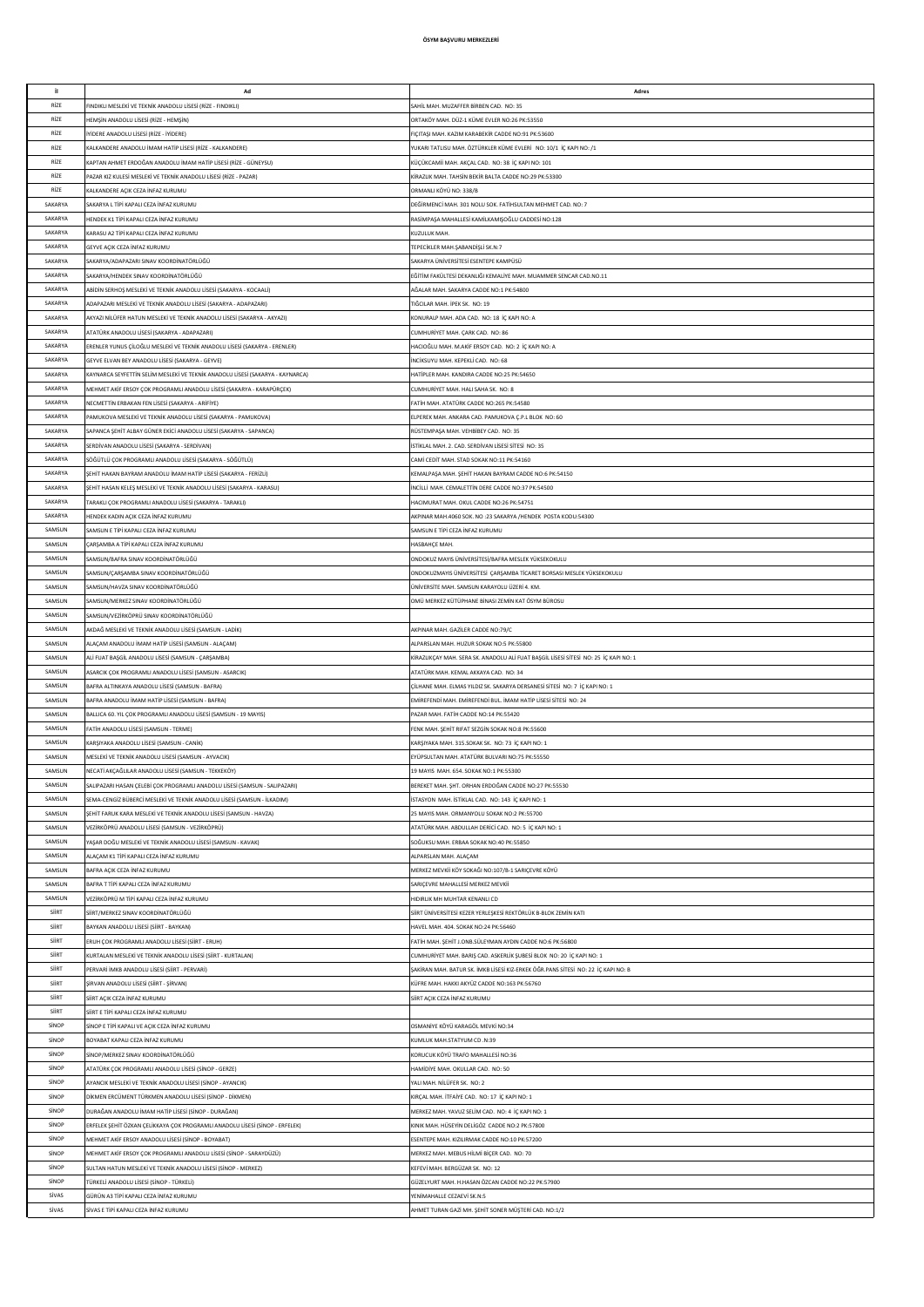| j.      | Ad                                                                             | Adres                                                                                |
|---------|--------------------------------------------------------------------------------|--------------------------------------------------------------------------------------|
|         |                                                                                |                                                                                      |
| RİZE    | FINDIKLI MESLEKÎ VE TEKNÎK ANADOLLI LÎSESÎ (RÎZE - FINDIKLI)                   | SAHİL MAH, MUZAFFER BİRBEN CAD, NO: 35                                               |
| RİZE    | HEMȘİN ANADOLU LİSESİ (RİZE - HEMŞİN)                                          | ORTAKÖY MAH. DÜZ-1 KÜME EVLER NO:26 PK:53550                                         |
| RİZE    | IYIDERE ANADOLU LISESİ (RİZE - İYIDERE)                                        | FICITASI MAH. KAZIM KARABEKİR CADDE NO:91 PK:53600                                   |
| RİZE    | KALKANDERE ANADOLU İMAM HATİP LİSESİ (RİZE - KALKANDERE)                       | YUKARI TATLISU MAH. ÖZTÜRKLER KÜME EVLERİ NO: 10/1 İÇ KAPI NO: /1                    |
| RİZE    | KAPTAN AHMET ERDOĞAN ANADOLU İMAM HATİP LİSESİ (RİZE - GÜNEYSU)                | KÜÇÜKCAMİİ MAH. AKÇAL CAD. NO: 38 İÇ KAPI NO: 101                                    |
| RİZE    | PAZAR KIZ KULESİ MESLEKİ VE TEKNİK ANADOLU LİSESİ (RİZE - PAZAR)               | KİRAZLIK MAH. TAHSİN BEKİR BALTA CADDE NO:29 PK:53300                                |
|         |                                                                                |                                                                                      |
| RİZE    | KALKANDERE AÇIK CEZA İNFAZ KURUMU                                              | ORMANLI KÖYÜ NO: 338/B                                                               |
| SAKARYA | SAKARYA L TİPİ KAPALI CEZA İNFAZ KURUMU                                        | DEĞİRMENCİ MAH. 301 NOLU SOK. FATİHSULTAN MEHMET CAD. NO: 7                          |
| SAKARYA | HENDEK K1 TİPİ KAPALI CEZA İNFAZ KURUMU                                        | RASİMPAŞA MAHALLESİ KAMİLKAMIŞOĞLU CADDESİ NO:128                                    |
| SAKARYA | KARASU A2 TİPİ KAPALI CEZA İNFAZ KURUMU                                        | KUZULUK MAH.                                                                         |
| SAKARYA | GEYVE AÇIK CEZA İNFAZ KURUMU                                                   | TEPECİKLER MAH.ŞABANDİŞLİ SK.N:7                                                     |
| SAKARYA | SAKARYA/ADAPAZARI SINAV KOORDİNATÖRLÜĞÜ                                        | SAKARYA ÜNİVERSİTESİ ESENTEPE KAMPÜSÜ                                                |
|         |                                                                                |                                                                                      |
| SAKARYA | SAKARYA/HENDEK SINAV KOORDİNATÖRLÜĞÜ                                           | EĞİTİM FAKÜLTESİ DEKANLIĞI KEMALİYE MAH. MUAMMER SENCAR CAD.NO.11                    |
| SAKARYA | ABÍDÍN SERHOS MESLEKÍ VE TEKNÍK ANADOLU LÍSESÍ (SAKARYA - KOCAALÍ)             | AĞALAR MAH, SAKARYA CADDE NO:1 PK:54800                                              |
| SAKARYA | ADAPAZARI MESLEKİ VE TEKNİK ANADOLU LİSESİ (SAKARYA - ADAPAZARI)               | TIĞCILAR MAH, İPEK SK. NO: 19                                                        |
| SAKARYA | AKYAZI NİLÜFER HATUN MESLEKİ VE TEKNİK ANADOLU LİSESİ (SAKARYA - AKYAZI)       | KONURALP MAH. ADA CAD. NO: 18 İÇ KAPI NO: A                                          |
| SAKARYA | ATATÜRK ANADOLU LİSESİ (SAKARYA - ADAPAZARI)                                   | CUMHURİYET MAH. ÇARK CAD. NO: 86                                                     |
| SAKARYA | ERENLER YUNUS ÇİLOĞLU MESLEKİ VE TEKNİK ANADOLU LİSESİ (SAKARYA - ERENLER)     | HACIOĞLU MAH. M.AKİF ERSOY CAD. NO: 2 İÇ KAPI NO: A                                  |
| SAKARYA |                                                                                |                                                                                      |
|         | GEYVE ELVAN BEY ANADOLU LİSESİ (SAKARYA - GEYVE)                               | INCIKSUYU MAH. KEPEKLİ CAD. NO: 68                                                   |
| SAKARYA | KAYNARCA SEYFETTİN SELİM MESLEKİ VE TEKNİK ANADOLU LİSESİ (SAKARYA - KAYNARCA) | HATİPLER MAH. KANDIRA CADDE NO:25 PK:54650                                           |
| SAKARYA | MEHMET AKİF ERSOY ÇOK PROGRAMLI ANADOLU LİSESİ (SAKARYA - KARAPÜRÇEK)          | CUMHURİYET MAH. HALI SAHA SK. NO: 8                                                  |
| SAKARYA | NECMETTİN ERBAKAN FEN LİSESİ (SAKARYA - ARİFİYE)                               | FATİH MAH. ATATÜRK CADDE NO:265 PK:54580                                             |
| SAKARYA | PAMUKOVA MESLEKİ VE TEKNİK ANADOLU LİSESİ (SAKARYA - PAMUKOVA)                 | ELPEREK MAH. ANKARA CAD. PAMUKOVA Ç.P.L BLOK NO: 60                                  |
| SAKARYA | SAPANCA ŞEHİT ALBAY GÜNER EKİCİ ANADOLU LİSESİ (SAKARYA - SAPANCA)             | RÜSTEMPAŞA MAH. VEHBİBEY CAD. NO: 35                                                 |
| SAKARYA | SERDİVAN ANADOLU LİSESİ (SAKARYA - SERDİVAN)                                   | İSTİKLAL MAH. 2. CAD. SERDİVAN LİSESİ SİTESİ NO: 35                                  |
|         |                                                                                |                                                                                      |
| SAKARYA | SÖĞÜTLÜ COK PROGRAMLI ANADOLU LİSESİ (SAKARYA - SÖĞÜTLÜ)                       | CAMİ CEDİT MAH. STAD SOKAK NO:11 PK:54160                                            |
| SAKARYA | SEHİT HAKAN BAYRAM ANADOLU İMAM HATİP LİSESİ (SAKARYA - FERİZLİ)               | KEMALPAŞA MAH. ŞEHİT HAKAN BAYRAM CADDE NO:6 PK:54150                                |
| SAKARYA | SEHİT HASAN KELEŞ MESLEKİ VE TEKNİK ANADOLU LİSESİ (SAKARYA - KARASU)          | INCILLI MAH, CEMALETTIN DERE CADDE NO:37 PK:54500                                    |
| SAKARYA | TARAKLI ÇOK PROGRAMLI ANADOLU LİSESİ (SAKARYA - TARAKLI)                       | HACIMURAT MAH, OKUL CADDE NO:26 PK:54751                                             |
| SAKARYA | HENDEK KADIN AÇIK CEZA İNFAZ KURUMU                                            | AKPINAR MAH.4060 SOK. NO :23 SAKARYA /HENDEK POSTA KODU:54300                        |
| SAMSUN  |                                                                                |                                                                                      |
|         | SAMSUN E TİPİ KAPALI CEZA İNFAZ KURUMU                                         | SAMSUN E TİPİ CEZA İNFAZ KURUMU                                                      |
| SAMSUN  | ÇARŞAMBA A TİPİ KAPALI CEZA İNFAZ KURUMU                                       | <b>HASBAHCE MAH</b>                                                                  |
| SAMSUN  | SAMSUN/BAFRA SINAV KOORDİNATÖRLÜĞÜ                                             | ONDOKUZ MAYIS ÜNİVERSİTESİ/BAFRA MESLEK YÜKSEKOKULU                                  |
| SAMSUN  | SAMSUN/ÇARŞAMBA SINAV KOORDİNATÖRLÜĞÜ                                          | ONDOKUZMAYIS ÜNİVERSİTESİ ÇARŞAMBA TİCARET BORSASI MESLEK YÜKSEKOKULU                |
| SAMSUN  | SAMSUN/HAVZA SINAV KOORDİNATÖRLÜĞÜ                                             | ÜNİVERSİTE MAH. SAMSUN KARAYOLU ÜZERİ 4. KM.                                         |
|         |                                                                                |                                                                                      |
| SAMSUN  | SAMSUN/MERKEZ SINAV KOORDİNATÖRLÜĞÜ                                            | OMÜ MERKEZ KÜTÜPHANE BİNASI ZEMİN KAT ÖSYM BÜROSU                                    |
| SAMSUN  | SAMSUN/VEZİRKÖPRÜ SINAV KOORDİNATÖRLÜĞÜ                                        |                                                                                      |
| SAMSUN  | AKDAĞ MESLEKİ VE TEKNİK ANADOLU LİSESİ (SAMSUN - LADİK)                        | AKPINAR MAH, GAZİLER CADDE NO:79/C                                                   |
| SAMSUN  | ALACAM ANADOLU İMAM HATİP LİSESİ (SAMSUN - ALAÇAM)                             | ALPARSLAN MAH. HUZUR SOKAK NO:5 PK:55800                                             |
| SAMSUN  | ALİ FUAT BASGİL ANADOLU LİSESİ (SAMSUN - CARSAMBA)                             | KİRAZLIKÇAY MAH. SERA SK. ANADOLU ALİ FUAT BAŞGİL LİSESİ SİTESİ NO: 25 İÇ KAPI NO: 1 |
| SAMSUN  | ASARCIK ÇOK PROGRAMLI ANADOLU LİSESİ (SAMSUN - ASARCIK)                        | ATATÜRK MAH. KEMAL AKKAYA CAD. NO: 34                                                |
| SAMSUN  |                                                                                |                                                                                      |
|         | BAFRA ALTINKAYA ANADOLU LİSESİ (SAMSUN - BAFRA)                                | CİLHANE MAH. ELMAS YILDIZ SK. SAKARYA DERSANESİ SİTESİ NO: 7 İÇ KAPI NO: 1           |
| SAMSUN  | BAFRA ANADOLU İMAM HATİP LİSESİ (SAMSUN - BAFRA)                               | EMİREFENDİ MAH, EMİREFENDİ RUL İMAM HATİP LİSESİ SİTESİ, NO: 24                      |
| SAMSUN  | BALLICA 60. YIL COK PROGRAMLI ANADOLU LİSESİ (SAMSUN - 19 MAYIS)               | PAZAR MAH. FATİH CADDE NO:14 PK:55420                                                |
| SAMSUN  | FATİH ANADOLU LİSESİ (SAMSUN - TERME)                                          | FENK MAH. ŞEHİT RIFAT SEZGİN SOKAK NO:8 PK:55600                                     |
| SAMSUN  | KARŞIYAKA ANADOLU LİSESİ (SAMSUN - CANİK)                                      | KARŞIYAKA MAH. 315.SOKAK SK. NO: 73 İÇ KAPI NO: 1                                    |
| SAMSUN  | MESLEKİ VE TEKNİK ANADOLU LİSESİ (SAMSUN - AYVACIK)                            | EYÜPSULTAN MAH. ATATÜRK BULVARI NO:75 PK:55550                                       |
|         | NECATİ AKÇAĞLILAR ANADOLU LİSESİ (SAMSUN - TEKKEKÖY)                           |                                                                                      |
| SAMSUN  |                                                                                | 19 MAYIS MAH. 654. SOKAK NO:1 PK:55300                                               |
| SAMSUN  | SALIPAZARI HASAN ÇELEBİ ÇOK PROGRAMLI ANADOLU LİSESİ (SAMSUN - SALIPAZARI)     | BEREKET MAH. ŞHT. ORHAN ERDOĞAN CADDE NO:27 PK:55530                                 |
| SAMSUN  | SEMA-CENGİZ BÜBERCİ MESLEKİ VE TEKNİK ANADOLU LİSESİ (SAMSUN - İLKADIM)        | İSTASYON MAH, İSTİKLAL CAD, NO: 143 İC KAPI NO: 1                                    |
| SAMSUN  | SEHİT FARUK KARA MESLEKİ VE TEKNİK ANADOLU LİSESİ (SAMSUN - HAVZA)             | 25 MAYIS MAH, ORMANYOLU SOKAK NO:2 PK:55700                                          |
| SAMSUN  | VEZİRKÖPRÜ ANADOLU LİSESİ (SAMSUN - VEZİRKÖPRÜ)                                | ATATÜRK MAH. ABDULLAH DERİCİ CAD. NO: 5 İÇ KAPI NO: 1                                |
| SAMSUN  | YAŞAR DOĞU MESLEKİ VE TEKNİK ANADOLU LİSESİ (SAMSUN - KAVAK)                   | SOĞUKSU MAH. ERBAA SOKAK NO:40 PK:55850                                              |
| SAMSUN  | ALACAM K1 TİPİ KAPALI CEZA İNFAZ KURUMU                                        |                                                                                      |
|         |                                                                                | ALPARSLAN MAH. ALACAM                                                                |
| SAMSUN  | BAFRA AÇIK CEZA İNFAZ KURUMU                                                   | MERKEZ MEVKİİ KÖY SOKAĞI NO:107/B-1 SARIÇEVRE KÖYÜ                                   |
| SAMSUN  | BAFRA T TİPİ KAPALI CEZA İNFAZ KURUMU                                          | SARIÇEVRE MAHALLESİ MERKEZ MEVKİİ                                                    |
| SAMSUN  | VEZİRKÖPRÜ M TİPİ KAPALI CEZA İNFAZ KURUMU                                     | HIDIRLIK MH MUHTAR KENANLI CD                                                        |
| SİİRT   | SİİRT/MERKEZ SINAV KOORDİNATÖRLÜĞÜ                                             | SİİRT ÜNİVERSİTESİ KEZER YERLEŞKESİ REKTÖRLÜK B-BLOK ZEMİN KATI                      |
| SİİRT   | BAYKAN ANADOLU LİSESİ (SİİRT - BAYKAN)                                         | HAVEL MAH. 404. SOKAK NO:24 PK:56460                                                 |
|         |                                                                                |                                                                                      |
| SİİRT   | ERUH ÇOK PROGRAMLI ANADOLU LİSESİ (SİİRT - ERUH)                               | FATİH MAH. ŞEHİT J.ONB.SÜLEYMAN AYDIN CADDE NO:6 PK:56800                            |
| SİİRT   | KURTALAN MESLEKİ VE TEKNİK ANADOLU LİSESİ (SİİRT - KURTALAN)                   | CUMHURİYET MAH. BARIŞ CAD. ASKERLİK ŞUBESİ BLOK NO: 20 İÇ KAPI NO: 1                 |
| SİİRT   | PERVARİ İMKB ANADOLU LİSESİ (SİİRT - PERVARİ)                                  | SAKİRAN MAH. BATUR SK. İMKB LİSESİ KIZ-ERKEK ÖĞR.PANS SİTESİ NO: 22 İÇ KAPI NO: B    |
| SİİRT   | SİRVAN ANADOLU LİSESİ (SİİRT - ŞİRVAN)                                         | KÜFRE MAH, HAKKI AKYÜZ CADDE NO:163 PK:56760                                         |
| SİİRT   | SİİRT AÇIK CEZA İNFAZ KURUMU                                                   | SİİRT ACIK CEZA İNFAZ KURUMU                                                         |
| SİİRT   | SİİRT E TİPİ KAPALI CEZA İNFAZ KURUMU                                          |                                                                                      |
| SINOP   |                                                                                |                                                                                      |
|         | SİNOP E TİPİ KAPALI VE AÇIK CEZA İNFAZ KURUMU                                  | OSMANİYE KÖYÜ KARAGÖL MEVKİ NO:34                                                    |
| SINOP   | BOYABAT KAPALI CEZA İNFAZ KURUMU                                               | KUMLUK MAH.STATYUM CD.N:39                                                           |
| SINOP   | SİNOP/MERKEZ SINAV KOORDİNATÖRLÜĞÜ                                             | KORUCUK KÖYÜ TRAFO MAHALLESİ NO:36                                                   |
| SINOP   | ATATÜRK ÇOK PROGRAMLI ANADOLU LİSESİ (SİNOP - GERZE)                           | HAMİDİYE MAH. OKULLAR CAD. NO: 50                                                    |
| SINOP   |                                                                                |                                                                                      |
|         |                                                                                |                                                                                      |
| SİNOP   | AYANCIK MESLEKİ VE TEKNİK ANADOLU LİSESİ (SİNOP - AYANCIK)                     | YALI MAH. NİLÜFER SK. NO: 2                                                          |
|         | DİKMEN ERCÜMENT TÜRKMEN ANADOLU LİSESİ (SİNOP - DİKMEN)                        | KIRÇAL MAH. İTFAİYE CAD. NO: 17 İÇ KAPI NO: 1                                        |
| SİNOP   | DURAĞAN ANADOLU İMAM HATİP LİSESİ (SİNOP - DURAĞAN)                            | MERKEZ MAH. YAVUZ SELİM CAD. NO: 4 İÇ KAPI NO: 1                                     |
| SİNOP   | ERFELEK ŞEHİT ÖZKAN ÇELİKKAYA ÇOK PROGRAMLI ANADOLU LİSESİ (SİNOP - ERFELEK)   | KINIK MAH. HÜSEYİN DELİGÖZ CADDE NO:2 PK:57800                                       |
| SİNOP   | MEHMET AKİF ERSOY ANADOLU LİSESİ (SİNOP - BOYABAT)                             | ESENTEPE MAH. KIZILIRMAK CADDE NO:10 PK:57200                                        |
| SINOP   | MEHMET AKİF ERSOY ÇOK PROGRAMLI ANADOLU LİSESİ (SİNOP - SARAYDÜZÜ)             | MERKEZ MAH. MEBUS HİLMİ BİÇER CAD. NO: 70                                            |
|         |                                                                                |                                                                                      |
| SİNOP   | SULTAN HATUN MESLEKİ VE TEKNİK ANADOLU LİSESİ (SİNOP - MERKEZ)                 | KEFEVİ MAH, BERGÜZAR SK. NO: 12                                                      |
| SİNOP   | TÜRKELİ ANADOLU LİSESİ (SİNOP - TÜRKELİ)                                       | GÜZELYURT MAH. H.HASAN ÖZCAN CADDE NO:22 PK:57900                                    |
| SİVAS   | GÜRÜN A3 TİPİ KAPALI CEZA İNFAZ KURUMU                                         | YENİMAHALLE CEZAEVİ SK.N:S                                                           |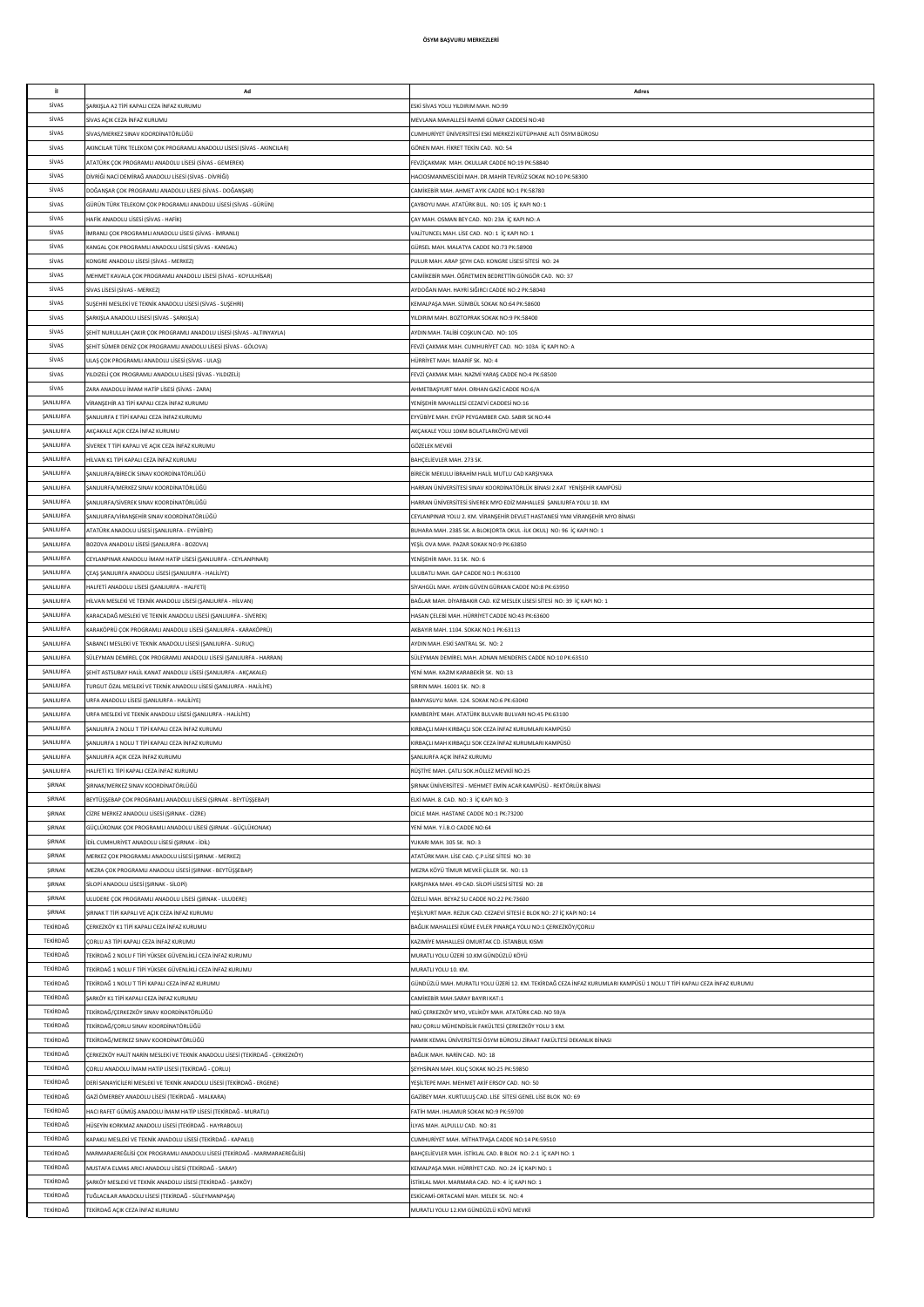| it.                                  | Ad                                                                                                                                     | Adres                                                                                                                       |
|--------------------------------------|----------------------------------------------------------------------------------------------------------------------------------------|-----------------------------------------------------------------------------------------------------------------------------|
| Sivas                                | ARKIŞLA A2 TİPİ KAPALI CEZA İNFAZ KURUMU                                                                                               | ESKÍ SÍVAS YOLU YILDIRIM MAH. NO:99                                                                                         |
| Sivas                                | SİVAS AÇIK CEZA İNFAZ KURUMU                                                                                                           | MEVLANA MAHALLESİ RAHMİ GÜNAY CADDESİ NO:40                                                                                 |
| Sivas<br>Sivas                       | İVAS/MERKEZ SINAV KOORDİNATÖRLÜĞÜ<br>AKINCILAR TÜRK TELEKOM ÇOK PROGRAMLI ANADOLU LİSESİ (SİVAS - AKINCILAR)                           | CUMHURİYET ÜNİVERSİTESİ ESKİ MERKEZİ KÜTÜPHANE ALTI ÖSYM BÜROSU<br>GÖNEN MAH. FİKRET TEKİN CAD. NO: 54                      |
| SİVAS                                | <b>ITATÜRK ÇOK PROGRAMLI ANADOLU LİSESİ (SİVAS - GEMEREK)</b>                                                                          | FEVZİCAKMAK MAH, OKULLAR CADDE NO:19 PK:58840                                                                               |
| Sivas                                | DİVRİĞİ NACİ DEMİRAĞ ANADOLU LİSESİ (SİVAS - DİVRİĞİ)                                                                                  | HACIOSMANMESCÍDÍ MAH. DR MAHÍR TEVRÚZ SOKAK NO:10 PK:58300                                                                  |
| SiVAS                                | DOĞANSAR COK PROGRAMLI ANADOLU LİSESİ (SİVAS - DOĞANSAR)                                                                               | CAMİKERİR MAH, AHMET AYIK CADDE NO:1 PK:58780                                                                               |
| SİVAS<br>SiVAS                       | SÜRÜN TÜRK TELEKOM ÇOK PROGRAMLI ANADOLU LİSESİ (SİVAS - GÜRÜN)                                                                        | ÇAYBOYU MAH. ATATÜRK BUL. NO: 105 İÇ KAPI NO: 1                                                                             |
| SİVAS                                | HAFİK ANADOLU LİSESİ (SİVAS - HAFİK)<br>MRANLI ÇOK PROGRAMLI ANADOLU LİSESİ (SİVAS - İMRANLI)                                          | ÇAY MAH. OSMAN BEY CAD. NO: 23A İÇ KAPI NO: A<br>VALÍTUNCEL MAH. LÍSE CAD. NO: 1 İÇ KAPI NO: 1                              |
| SİVAS                                | (ANGAL COK PROGRAMLI ANADOLU LİSESİ (SİVAS - KANGAL)                                                                                   | GÜRSEL MAH. MALATYA CADDE NO:73 PK:58900                                                                                    |
| SİVAS                                | (ONGRE ANADOLU LİSESİ (SİVAS - MERKEZ)                                                                                                 | PULUR MAH. ARAP ŞEYH CAD. KONGRE LİSESİ SİTESİ NO: 24                                                                       |
| Sivas                                | MEHMET KAVALA ÇOK PROGRAMLI ANADOLU LİSESİ (SİVAS - KOYULHİSAR)                                                                        | CAMİİKEBİR MAH. ÖĞRETMEN BEDRETTİN GÜNGÖR CAD. NO: 37                                                                       |
| Sivas                                | SİVAS LİSESİ (SİVAS - MERKEZ)                                                                                                          | AYDOĞAN MAH. HAYRİ SIĞIRCI CADDE NO:2 PK:58040                                                                              |
| Sivas<br>SİVAS                       | SUŞEHRİ MESLEKİ VE TEKNİK ANADOLU LİSESİ (SİVAS - SUŞEHRİ)<br>ARKIŞLA ANADOLU LİSESİ (SİVAS - ŞARKIŞLA)                                | KEMALPAŞA MAH. SÜMBÜL SOKAK NO:64 PK:58600<br>YILDIRIM MAH, BOZTOPRAK SOKAK NO:9 PK:58400                                   |
| SİVAS                                | ŞEHİT NURULLAH ÇAKIR ÇOK PROGRAMLI ANADOLU LİSESİ (SİVAS - ALTINYAYLA)                                                                 | AYDIN MAH, TALIBİ COSKUN CAD. NO: 105                                                                                       |
| SİVAS                                | EHİT SÜMER DENİZ ÇOK PROGRAMLI ANADOLU LİSESİ (SİVAS - GÖLOVA)                                                                         | FEVZİ CAKMAK MAH, CUMHURİYET CAD, NO: 103A İC KAPI NO: A                                                                    |
| SiVAS                                | JLAS ÇOK PROGRAMLI ANADOLU LİSESİ (SİVAS - ULAŞ)                                                                                       | HÜRRİYET MAH. MAARİF SK. NO: 4                                                                                              |
| SiVAS<br>SiVAS                       | ILDIZELİ ÇOK PROGRAMLI ANADOLU LİSESİ (SİVAS - YILDIZELİ)                                                                              | FEVZİ ÇAKMAK MAH. NAZMİ YARAŞ CADDE NO:4 PK:58500                                                                           |
| ŞANLIURFA                            | ARA ANADOLU İMAM HATİP LİSESİ (SİVAS - ZARA)<br>IRANŞEHİR A3 TİPİ KAPALI CEZA İNFAZ KURUMU                                             | AHMETBAŞYURT MAH. ORHAN GAZİ CADDE NO:6/A<br>YENİŞEHİR MAHALLESİ CEZAEVİ CADDESİ NO:16                                      |
| SANLIURFA                            | ANLIURFA E TİPİ KAPALI CEZA İNFAZ KURUMU                                                                                               | EYYÜBİYE MAH. EYÜP PEYGAMBER CAD. SABIR SK NO:44                                                                            |
| ŞANLIURFA                            | KÇAKALE AÇIK CEZA İNFAZ KURUMU                                                                                                         | AKÇAKALE YOLU 10KM BOLATLARKÖYÜ MEVKİİ                                                                                      |
| <b><i>ŞANLIURFA</i></b>              | SİVEREK T TİPİ KAPALI VE AÇIK CEZA İNFAZ KURUMU                                                                                        | GÖZELEK MEVKİİ                                                                                                              |
| ŞANLIURFA                            | IİLVAN K1 TİPİ KAPALI CEZA İNFAZ KURUMU                                                                                                | BAHÇELİEVLER MAH. 273 SK.                                                                                                   |
| <b><i>ŞANLIURFA</i></b><br>ŞANLIURFA | ANLIURFA/BİRECİK SINAV KOORDİNATÖRLÜĞÜ<br>ANLIURFA/MERKEZ SINAV KOORDİNATÖRLÜĞÜ                                                        | BİRECİK MEKULU İBRAHİM HALİL MUTLU CAD KARŞIYAKA<br>HARRAN ÜNİVERSİTESİ SINAV KOORDİNATÖRLÜK BİNASI 2.KAT YENİŞEHİR KAMPÜSÜ |
| <b>ŞANLIURFA</b>                     | ŞANLIURFA/SİVEREK SINAV KOORDİNATÖRLÜĞÜ                                                                                                | HARRAN ÜNİVERSİTESİ SİVEREK MYO EDİZ MAHALLESİ ŞANLIURFA YOLU 10. KM                                                        |
| SANLIURFA                            | ANLIURFA/VİRANŞEHİR SINAV KOORDİNATÖRLÜĞÜ                                                                                              | CEYLANPINAR YOLU 2. KM. VİRANŞEHİR DEVLET HASTANESİ YANI VİRANŞEHİR MYO BİNASI                                              |
| SANLIURFA                            | ATATÜRK ANADOLU LİSESİ (ŞANLIURFA - EYYÜBİYE)                                                                                          | BUHARA MAH. 2385 SK. A BLOKIORTA OKUL -İLK OKUL) NO: 96 İC KAPI NO: 1                                                       |
| SANLIURFA                            | BOZOVA ANADOLU LİSESİ (ŞANLIURFA - BOZOVA)                                                                                             | YEŞİL OVA MAH. PAZAR SOKAK NO:9 PK:63850                                                                                    |
| SANLIURFA                            | CEYLANPINAR ANADOLU İMAM HATİP LİSESİ (ŞANLIURFA - CEYLANPINAR)                                                                        | YENİŞEHİR MAH. 31 SK. NO: 6                                                                                                 |
| SANLIURFA<br>SANLIURFA               | ÇEAŞ ŞANLIURFA ANADOLU LİSESİ (ŞANLIURFA - HALİLİYE)<br>IALFETİ ANADOLU LİSESİ (ŞANLIURFA - HALFETİ)                                   | ULUBATLI MAH. GAP CADDE NO:1 PK:63100<br>SİYAHGÜL MAH. AYDIN GÜVEN GÜRKAN CADDE NO:8 PK:63950                               |
| ŞANLIURFA                            | IİLVAN MESLEKİ VE TEKNİK ANADOLU LİSESİ (ŞANLIURFA - HİLVAN)                                                                           | BAĞLAR MAH. DİYARBAKIR CAD. KIZ MESLEK LİSESİ SİTESİ NO: 39 İÇ KAPI NO: 1                                                   |
| ŞANLIURFA                            | (ARACADAĞ MESLEKİ VE TEKNİK ANADOLU LİSESİ (ŞANLIURFA - SİVEREK)                                                                       | HASAN ÇELEBİ MAH. HÜRRİYET CADDE NO:43 PK:63600                                                                             |
| ŞANLIURFA                            | (ARAKÖPRÜ ÇOK PROGRAMLI ANADOLU LİSESİ (ŞANLIURFA - KARAKÖPRÜ)                                                                         | AKBAYIR MAH. 1104. SOKAK NO:1 PK:63113                                                                                      |
| ŞANLIURFA                            | SABANCI MESLEKİ VE TEKNİK ANADOLU LİSESİ (ŞANLIURFA - SURUÇ)                                                                           | AYDIN MAH. ESKİ SANTRAL SK. NO: 2                                                                                           |
| ŞANLIURFA<br>SANLIURFA               | SÜLEYMAN DEMİREL ÇOK PROGRAMLI ANADOLU LİSESİ (ŞANLIURFA - HARRAN)<br>ŞEHİT ASTSUBAY HALİL KANAT ANADOLU LİSESİ (ŞANLIURFA - AKÇAKALE) | SÜLEYMAN DEMİREL MAH. ADNAN MENDERES CADDE NO:10 PK:63510<br>YENİ MAH, KAZIM KARABEKİR SK. NO: 13                           |
| SANLIURFA                            | FURGUT ÖZAL MESLEKİ VE TEKNİK ANADOLU LİSESİ (ŞANLIURFA - HALİLİYE)                                                                    | SIRRIN MAH, 16001 SK. NO: 8                                                                                                 |
| SANLIURFA                            | JRFA ANADOLU LİSESİ (ŞANLIURFA - HALİLİYE)                                                                                             | BAMYASUYU MAH. 124. SOKAK NO:6 PK:63040                                                                                     |
| SANLIURFA                            | JRFA MESLEKÎ VE TEKNÎK ANADOLU LÎSESÎ (ŞANLIURFA - HALÎLÎYE)                                                                           | KAMBERİYE MAH. ATATÜRK BULVARI BULVARI NO:45 PK:63100                                                                       |
| SANLIURFA                            | SANLIURFA 2 NOLU T TİPİ KAPALI CEZA İNFAZ KURUMU                                                                                       | KIRBAÇLI MAH KIRBAÇLI SOK CEZA İNFAZ KURUMLARI KAMPÜSÜ                                                                      |
| SANLIURFA<br>ŞANLIURFA               | SANLIURFA 1 NOLU T TİPİ KAPALI CEZA İNFAZ KURUMU<br>ANLIURFA AÇIK CEZA İNFAZ KURUMU                                                    | KIRBAÇLI MAH KIRBAÇLI SOK CEZA İNFAZ KURUMLARI KAMPÜSÜ<br>ŞANLIURFA AÇIK İNFAZ KURUMU                                       |
| <b>ŞANLIURFA</b>                     | IALFETİ K1 TİPİ KAPALI CEZA İNFAZ KURUMU                                                                                               | RÜŞTİYE MAH. ÇATLI SOK.HÖLLEZ MEVKİİ NO:25                                                                                  |
| SIRNAK                               | IRNAK/MERKEZ SINAV KOORDİNATÖRLÜĞÜ                                                                                                     | ŞIRNAK ÜNİVERSİTESİ - MEHMET EMİN ACAR KAMPÜSÜ - REKTÖRLÜK BİNASI                                                           |
| ŞIRNAK                               | BEYTÜŞŞEBAP ÇOK PROGRAMLI ANADOLU LİSESİ (ŞIRNAK - BEYTÜŞŞEBAP)                                                                        | ELKÍ MAH. 8. CAD. NO: 3 İÇ KAPI NO: 3                                                                                       |
| ŞIRNAK                               | CİZRE MERKEZ ANADOLU LİSESİ (ŞIRNAK - CİZRE)                                                                                           | DİCLE MAH. HASTANE CADDE NO:1 PK:73200                                                                                      |
| ŞIRNAK                               | GÜÇLÜKONAK ÇOK PROGRAMLI ANADOLU LİSESİ (ŞIRNAK - GÜÇLÜKONAK)                                                                          | YENİ MAH, Y İ.B.O CADDE NO:64                                                                                               |
| ŞIRNAK<br>ŞIRNAK                     | DİL CUMHURİYET ANADOLU LİSESİ (SIRNAK - İDİL)<br>MERKEZ ÇOK PROGRAMLI ANADOLU LİSESİ (ŞIRNAK - MERKEZ)                                 | YUKARI MAH, 305 SK. NO: 3<br>ATATÜRK MAH. LİSE CAD. Ç.P.LİSE SİTESİ NO: 30                                                  |
| ŞIRNAK                               | MEZRA ÇOK PROGRAMLI ANADOLU LİSESİ (ŞIRNAK - BEYTÜŞŞEBAP)                                                                              | MEZRA KÖYÜ TİMLIR MEVKİİ CİLLER SK. NO: 13                                                                                  |
| SIRNAK                               | SİLOPİ ANADOLU LİSESİ (ŞIRNAK - SİLOPİ)                                                                                                | KARŞIYAKA MAH. 49 CAD. SİLOPİ LİSESİ SİTESİ NO: 28                                                                          |
| SIRNAK                               | JLUDERE COK PROGRAMLI ANADOLU LİSESİ (SIRNAK - ULUDERE)                                                                                | ÖZELLİ MAH, BEYAZ SU CADDE NO:22 PK:73600                                                                                   |
| SIRNAK                               | SIRNAK T TİPİ KAPALI VE AÇIK CEZA İNFAZ KURUMU                                                                                         | YEŞİLYURT MAH. REZUK CAD. CEZAEVİ SİTESİ E BLOK NO: 27 İÇ KAPI NO: 14                                                       |
| TEKİRDAĞ<br>TEKİRDAĞ                 | CERKEZKÖY K1 TİPİ KAPALI CEZA İNFAZ KURUMU<br>ÇORLU A3 TİPİ KAPALI CEZA İNFAZ KURUMU                                                   | BAĞLIK MAHALLESİ KÜME EVLER PINARÇA YOLU NO:1 ÇERKEZKÖY/ÇORLU<br>KAZIMİYE MAHALLESİ OMURTAK CD. İSTANBUL KISMI              |
| TEKİRDAĞ                             | FEKÎRDAĞ 2 NOLU F TÎPÎ YÜKSEK GÜVENLÎKLÎ CEZA ÎNFAZ KURUMU                                                                             | MURATLI YOLU ÜZERİ 10.KM GÜNDÜZLÜ KÖYÜ                                                                                      |
| TEKİRDAĞ                             | FEKÎRDAĞ 1 NOLU F TÎPÎ YÜKSEK GÜVENLÎKLÎ CEZA ÎNFAZ KURUMU                                                                             | MURATLI YOLU 10. KM.                                                                                                        |
| TEKİRDAĞ                             | FEKÎRDAĞ 1 NOLU T TÎPÎ KAPALI CEZA İNFAZ KURUMU                                                                                        | GÜNDÜZLÜ MAH. MURATLI YOLU ÜZERİ 12. KM. TEKİRDAĞ CEZA İNFAZ KURUMLARI KAMPÜSÜ 1 NOLU T TİPİ KAPALI CEZA İNFAZ KURUMU       |
| TEKİRDAĞ                             | ARKÖY K1 TİPİ KAPALI CEZA İNFAZ KURUMU                                                                                                 | CAMİKEBİR MAH.SARAY BAYIRI KAT:1                                                                                            |
| TEKİRDAĞ<br>TEKİRDAĞ                 | FEKİRDAĞ/ÇERKEZKÖY SINAV KOORDİNATÖRLÜĞÜ<br>TEKİRDAĞ/ÇORLU SINAV KOORDİNATÖRLÜĞÜ                                                       | NKÜ ÇERKEZKÖY MYO, VELİKÖY MAH. ATATÜRK CAD. NO 59/A<br>NKU ÇORLU MÜHENDİSLİK FAKÜLTESİ ÇERKEZKÖY YOLU 3 KM.                |
| TEKİRDAĞ                             | FEKİRDAĞ/MERKEZ SINAV KOORDİNATÖRLÜĞÜ                                                                                                  | NAMIK KEMAL ÜNİVERSİTESİ ÖSYM BÜROSU ZİRAAT FAKÜLTESİ DEKANLIK BİNASI                                                       |
| TEKİRDAĞ                             | ÇERKEZKÖY HALİT NARİN MESLEKİ VE TEKNİK ANADOLU LİSESİ (TEKİRDAĞ - ÇERKEZKÖY)                                                          | BAĞLIK MAH. NARİN CAD. NO: 18                                                                                               |
| TEKİRDAĞ                             | ÇORLU ANADOLU İMAM HATİP LİSESİ (TEKİRDAĞ - ÇORLU)                                                                                     | SEYHSİNAN MAH. KILIÇ SOKAK NO:25 PK:59850                                                                                   |
| TEKİRDAĞ                             | DERİ SANAYİCİLERİ MESLEKİ VE TEKNİK ANADOLU LİSESİ (TEKİRDAĞ - ERGENE)                                                                 | YEŞİLTEPE MAH. MEHMET AKİF ERSOY CAD. NO: 50                                                                                |
| TEKİRDAĞ<br>TEKİRDAĞ                 | SAZİ ÖMERBEY ANADOLU LİSESİ (TEKİRDAĞ - MALKARA)                                                                                       | GAZİBEY MAH. KURTULUŞ CAD. LİSE SİTESİ GENEL LİSE BLOK NO: 69                                                               |
| TEKİRDAĞ                             | IACI RAFET GÜMÜŞ ANADOLU İMAM HATİP LİSESİ (TEKİRDAĞ - MURATLI)<br>IÜSEYİN KORKMAZ ANADOLU LİSESİ (TEKİRDAĞ - HAYRABOLU)               | FATİH MAH. IHLAMUR SOKAK NO:9 PK:59700<br>LYAS MAH. ALPULLU CAD. NO: 81                                                     |
| TEKİRDAĞ                             | APAKLI MESLEKİ VE TEKNİK ANADOLU LİSESİ (TEKİRDAĞ - KAPAKLI)                                                                           | CUMHURİYET MAH. MİTHATPAŞA CADDE NO:14 PK:59510                                                                             |
| TEKİRDAĞ                             | MARMARAEREĞLİSİ ÇOK PROGRAMLI ANADOLU LİSESİ (TEKİRDAĞ - MARMARAEREĞLİSİ)                                                              | BAHÇELİEVLER MAH. İSTİKLAL CAD. B BLOK NO: 2-1 İÇ KAPI NO: 1                                                                |
| TEKİRDAĞ                             | MUSTAFA ELMAS ARICI ANADOLU LİSESİ (TEKİRDAĞ - SARAY)                                                                                  | KEMALPAŞA MAH. HÜRRİYET CAD. NO: 24 İÇ KAPI NO: 1                                                                           |
| TEKİRDAĞ                             | ARKÖY MESLEKİ VE TEKNİK ANADOLU LİSESİ (TEKİRDAĞ - ŞARKÖY)                                                                             | İSTİKLAL MAH. MARMARA CAD. NO: 4 İÇ KAPI NO: 1                                                                              |
| TEKİRDAĞ<br>TEKİRDAĞ                 | UĞLACILAR ANADOLU LİSESİ (TEKİRDAĞ - SÜLEYMANPASA)<br>FEKÎRDAĞ AÇIK CEZA İNFAZ KURUMU                                                  | ESKİCAMİ-ORTACAMİ MAH, MELEK SK. NO: 4<br>MURATLI YOLU 12.KM GÜNDÜZLÜ KÖYÜ MEVKİİ                                           |
|                                      |                                                                                                                                        |                                                                                                                             |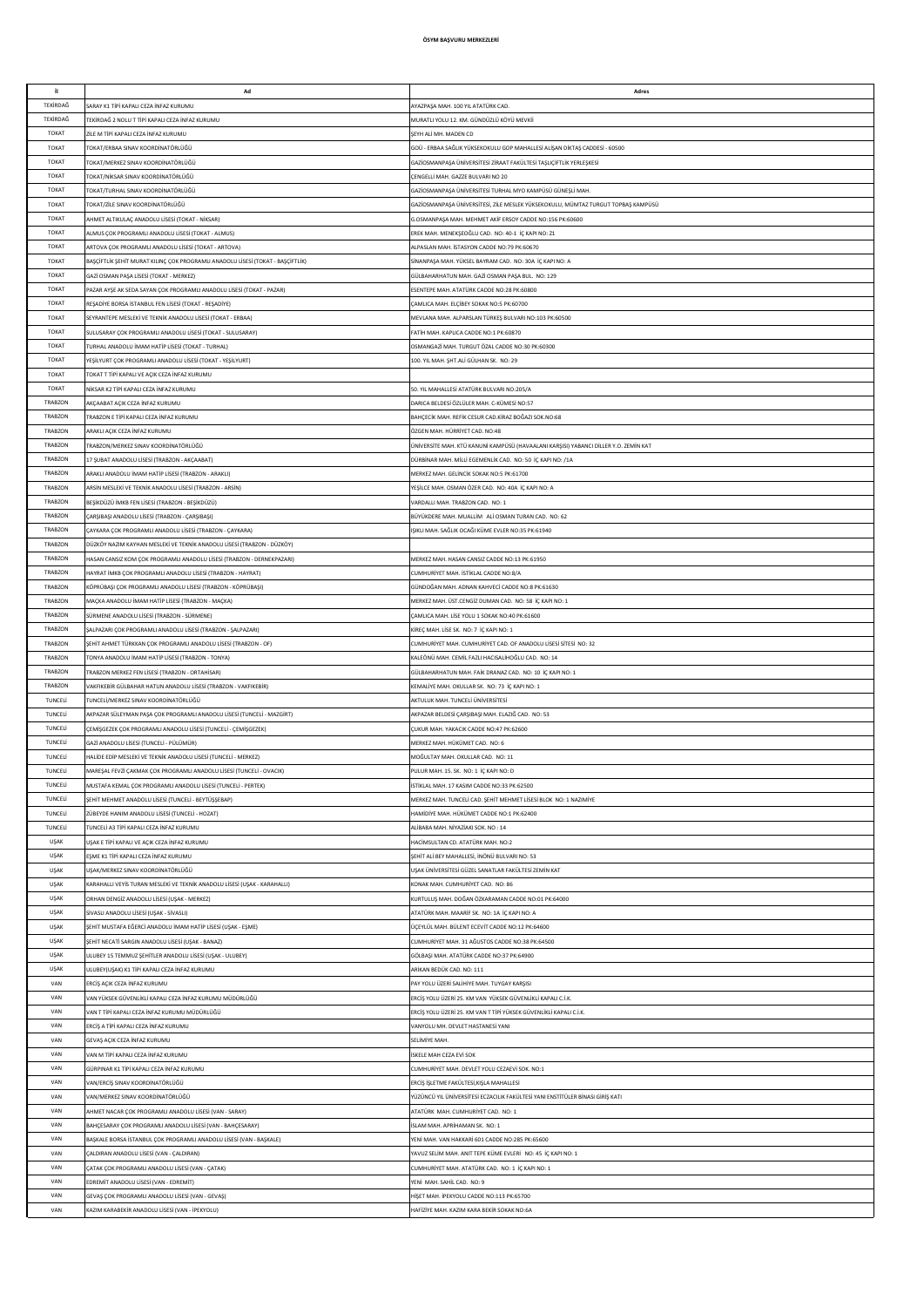| il.            | Ad                                                                              | Adres                                                                                |
|----------------|---------------------------------------------------------------------------------|--------------------------------------------------------------------------------------|
| TEKİRDAĞ       |                                                                                 |                                                                                      |
|                | ARAY K1 TİPİ KAPALI CEZA İNFAZ KURUMU                                           | AYAZPAŞA MAH. 100 YIL ATATÜRK CAD.                                                   |
| TEKİRDAĞ       | EKÎRDAĞ 2 NOLU T TİPİ KAPALI CEZA İNFAZ KURUMU                                  | MURATLI YOLU 12. KM. GÜNDÜZLÜ KÖYÜ MEVKİİ                                            |
| <b>TOKAT</b>   | ZİLE M TİPİ KAPALI CEZA İNFAZ KURUMU                                            | SEYH ALI MH. MADEN CD                                                                |
| TOKAT          | OKAT/ERBAA SINAV KOORDİNATÖRLÜĞÜ                                                | GOÜ - ERBAA SAĞLIK YÜKSEKOKULU GOP MAHALLESİ ALİŞAN DİKTAŞ CADDESİ - 60500           |
| TOKAT          | OKAT/MERKEZ SINAV KOORDİNATÖRLÜĞÜ                                               | GAZİOSMANPAŞA ÜNİVERSİTESİ ZİRAAT FAKÜLTESİ TAŞLIÇİFTLİK YERLEŞKESİ                  |
| TOKAT          | OKAT/NİKSAR SINAV KOORDİNATÖRLÜĞÜ                                               | CENGELLI MAH. GAZZE BULVARI NO 20                                                    |
| TOKAT          | OKAT/TURHAL SINAV KOORDİNATÖRLÜĞÜ                                               | GAZİOSMANPAŞA ÜNİVERSİTESİ TURHAL MYO KAMPÜSÜ GÜNEŞLİ MAH.                           |
| TOKAT          | OKAT/ZİLE SINAV KOORDİNATÖRLÜĞÜ                                                 | GAZİOSMANPAŞA ÜNİVERSİTESİ, ZİLE MESLEK YÜKSEKOKULU, MÜMTAZ TURGUT TOPBAŞ KAMPÜSÜ    |
| TOKAT          | IHMET ALTIKULAÇ ANADOLU LİSESİ (TOKAT - NİKSAR)                                 | G.OSMANPASA MAH. MEHMET AKİF ERSOY CADDE NO:156 PK:60600                             |
| TOKAT          | ALMUS ÇOK PROGRAMLI ANADOLU LİSESİ (TOKAT - ALMUS)                              | EREK MAH. MENEKSEOĞLU CAD. NO: 40-1 İÇ KAPI NO: Z1                                   |
| TOKAT          | ARTOVA ÇOK PROGRAMLI ANADOLU LİSESİ (TOKAT - ARTOVA)                            | ALPASLAN MAH. İSTASYON CADDE NO:79 PK:60670                                          |
| TOKAT          | BAŞÇİFTLİK ŞEHİT MURAT KILINÇ ÇOK PROGRAMLI ANADOLU LİSESİ (TOKAT - BAŞÇİFTLİK) | SİNANPASA MAH, YÜKSEL BAYRAM CAD. NO: 30A İC KAPI NO: A                              |
| <b>TOKAT</b>   | GAZİ OSMAN PAŞA LİSESİ (TOKAT - MERKEZ)                                         | GÜLBAHARHATUN MAH. GAZİ OSMAN PAŞA BUL. NO: 129                                      |
| <b>TOKAT</b>   | AZAR AYŞE AK SEDA SAYAN ÇOK PROGRAMLI ANADOLU LİSESİ (TOKAT - PAZAR)            | ESENTEPE MAH. ATATÜRK CADDE NO:28 PK:60800                                           |
| TOKAT          | REŞADİYE BORSA İSTANBUL FEN LİSESİ (TOKAT - REŞADİYE)                           | ÇAMLICA MAH. ELÇİBEY SOKAK NO:5 PK:60700                                             |
| TOKAT          | SEYRANTEPE MESLEKİ VE TEKNİK ANADOLU LİSESİ (TOKAT - ERBAA)                     | MEVLANA MAH. ALPARSLAN TÜRKEŞ BULVARI NO:103 PK:60500                                |
| TOKAT          | SULUSARAY ÇOK PROGRAMLI ANADOLU LİSESİ (TOKAT - SULUSARAY)                      | FATİH MAH. KAPLICA CADDE NO:1 PK:60870                                               |
| TOKAT          | URHAL ANADOLU İMAM HATİP LİSESİ (TOKAT - TURHAL)                                | OSMANGAZİ MAH. TURGUT ÖZAL CADDE NO:30 PK:60300                                      |
|                |                                                                                 |                                                                                      |
| TOKAT          | YEŞİLYURT ÇOK PROGRAMLI ANADOLU LİSESİ (TOKAT - YEŞİLYURT)                      | 100. YIL MAH, SHT, ALİ GÜLHAN SK. NO: 29                                             |
| TOKAT          | OKAT T TİPİ KAPALI VE AÇIK CEZA İNFAZ KURUMU                                    |                                                                                      |
| TOKAT          | NİKSAR K2 TİPİ KAPALI CEZA İNFAZ KURUMU                                         | 50. YIL MAHALLESİ ATATÜRK BULVARI NO:205/A                                           |
| TRABZON        | <b>IKCAABAT AÇIK CEZA İNFAZ KURUMU</b>                                          | DARICA BELDESİ ÖZLÜLER MAH, C-KÜMESİ NO:57                                           |
| TRABZON        | RABZON E TİPİ KAPALI CEZA İNFAZ KURUML                                          | BAHÇECİK MAH. REFİK CESUR CAD.KİRAZ BOĞAZI SOK.NO:68                                 |
| TRABZON        | <b>RAKLI ACIK CEZA İNFAZ KURUMU</b>                                             | ÖZGEN MAH, HÜRRİYET CAD, NO:48                                                       |
| <b>TRABZON</b> | RABZON/MERKEZ SINAV KOORDİNATÖRLÜĞÜ                                             | ÜNİVERSİTE MAH. KTÜ KANUNİ KAMPÜSÜ (HAVAALANI KARŞISI) YABANCI DİLLER Y.O. ZEMİN KAT |
| <b>TRABZON</b> | 17 ŞUBAT ANADOLU LİSESİ (TRABZON - AKÇAABAT)                                    | DÜRBİNAR MAH. MİLLİ EGEMENLİK CAD. NO: 50 İÇ KAPI NO: /1A                            |
| <b>TRABZON</b> | <b>IRAKLI ANADOLU İMAM HATİP LİSESİ (TRABZON - ARAKLI)</b>                      | MERKEZ MAH. GELİNCİK SOKAK NO:S PK:61700                                             |
| <b>TRABZON</b> | RSİN MESLEKİ VE TEKNİK ANADOLU LİSESİ (TRABZON - ARSİN)                         | YEŞİLCE MAH. OSMAN ÖZER CAD. NO: 40A İÇ KAPI NO: A                                   |
| TRABZON        | BEŞİKDÜZÜ İMKB FEN LİSESİ (TRABZON - BEŞİKDÜZÜ)                                 | VARDALLI MAH. TRABZON CAD. NO: 1                                                     |
| TRABZON        | ARŞIBAŞI ANADOLU LİSESİ (TRABZON - ÇARŞIBAŞI)                                   | BÜYÜKDERE MAH. MUALLİM ALİ OSMAN TURAN CAD. NO: 62                                   |
| TRABZON        | AYKARA ÇOK PROGRAMLI ANADOLU LİSESİ (TRABZON - ÇAYKARA)                         | IŞIKLI MAH. SAĞLIK OCAĞI KÜME EVLER NO:35 PK:61940                                   |
| TRABZON        | DÜZKÖY NAZIM KAYHAN MESLEKİ VE TEKNİK ANADOLU LİSESİ (TRABZON - DÜZKÖY)         |                                                                                      |
| <b>TRABZON</b> | HASAN CANSIZ KOM ÇOK PROGRAMLI ANADOLU LİSESİ (TRABZON - DERNEKPAZARI)          | MERKEZ MAH. HASAN CANSIZ CADDE NO:13 PK:61950                                        |
| TRABZON        | IAYRAT İMKB ÇOK PROGRAMLI ANADOLU LİSESİ (TRABZON - HAYRAT)                     | CUMHURİYET MAH. İSTİKLAL CADDE NO:8/A                                                |
| <b>TRABZON</b> | KÖPRÜBAŞI ÇOK PROGRAMLI ANADOLU LİSESİ (TRABZON - KÖPRÜBAŞI)                    | GÜNDOĞAN MAH, ADNAN KAHVECİ CADDE NO:8 PK:61630                                      |
| TRABZON        | MAÇKA ANADOLU İMAM HATİP LİSESİ (TRABZON - MAÇKA)                               | MERKEZ MAH. ÜST.CENGİZ DUMAN CAD. NO: 58 İÇ KAPI NO: 1                               |
| <b>TRABZON</b> |                                                                                 |                                                                                      |
|                | SÜRMENE ANADOLU LİSESİ (TRABZON - SÜRMENE)                                      | ÇAMLICA MAH. LİSE YOLU 1 SOKAK NO:40 PK:61600                                        |
| <b>TRABZON</b> | ALPAZARI ÇOK PROGRAMLI ANADOLU LİSESİ (TRABZON - ŞALPAZARI)                     | KİREÇ MAH. LİSE SK. NO: 7 İÇ KAPI NO: 1                                              |
| <b>TRABZON</b> | ŞEHİT AHMET TÜRKKAN ÇOK PROGRAMLI ANADOLU LİSESİ (TRABZON - OF)                 | CUMHURİYET MAH. CUMHURİYET CAD. OF ANADOLU LİSESİ SİTESİ NO: 32                      |
| <b>TRABZON</b> | TONYA ANADOLU İMAM HATİP LİSESİ (TRABZON - TONYA)                               | KALEÖNÜ MAH. CEMİL FAZLI HACISALİHOĞLU CAD. NO: 14                                   |
| TRABZON        | TRABZON MERKEZ FEN LİSESİ (TRABZON - ORTAHİSAR)                                 | GÜLBAHARHATUN MAH. FAİK DRANAZ CAD. NO: 10 İÇ KAPI NO: 1                             |
| TRABZON        | VAKFIKEBİR GÜLBAHAR HATUN ANADOLU LİSESİ (TRABZON - VAKFIKEBİR)                 | KEMALİYE MAH. OKULLAR SK. NO: 73 İÇ KAPI NO: 1                                       |
| TUNCELİ        | UNCELİ/MERKEZ SINAV KOORDİNATÖRLÜĞÜ                                             | AKTULUK MAH. TUNCELİ ÜNİVERSİTESİ                                                    |
| TUNCELİ        | AKPAZAR SÜLEYMAN PAŞA ÇOK PROGRAMLI ANADOLU LİSESİ (TUNCELİ - MAZGİRT)          | AKPAZAR BELDESİ ÇARŞIBAŞI MAH. ELAZIĞ CAD. NO: 53                                    |
| TUNCELİ        | CEMİŞGEZEK ÇOK PROGRAMLI ANADOLU LİSESİ (TUNCELİ - CEMİŞGEZEK)                  | CUKUR MAH, YAKACIK CADDE NO:47 PK:62600                                              |
| TUNCELİ        | GAZİ ANADOLU LİSESİ (TUNCELİ - PÜLÜMÜR)                                         | MERKEZ MAH. HÜKÜMET CAD. NO: 6                                                       |
| TUNCELI        | ALIDE EDIP MESLEKI VE TEKNIK ANADOLU LISESI (TUNCELI - MERKEZ)                  | MOĞULTAY MAH, OKULLAR CAD, NO: 11                                                    |
| TUNCELİ        | MAREŞAL FEVZİ ÇAKMAK ÇOK PROGRAMLI ANADOLU LİSESİ (TUNCELİ - OVACIK)            | PULUR MAH, 15, SK, NO: 1 İC KAPI NO: D                                               |
| TUNCELİ        | MUSTAFA KEMAL ÇOK PROGRAMLI ANADOLU LİSESİ (TUNCELİ - PERTEK)                   | İSTİKLAL MAH. 17 KASIM CADDE NO:33 PK:62500                                          |
| TUNCEL         | ŞEHİT MEHMET ANADOLU LİSESİ (TUNCELİ - BEYTÜŞŞEBAP)                             | MERKEZ MAH. TUNCELİ CAD. ŞEHİT MEHMET LİSESİ BLOK NO: 1 NAZIMİYE                     |
| TUNCEL         | ÜBEYDE HANIM ANADOLU LİSESİ (TUNCELİ - HOZAT)                                   | HAMİDİYE MAH. HÜKÜMET CADDE NO:1 PK:62400                                            |
| TUNCEL         | UNCELÍ A3 TÍPÍ KAPALI CEZA ÍNFAZ KURUMU                                         | ALİBABA MAH. NİYAZİAKI SOK. NO: 14                                                   |
| <b>USAK</b>    | JŞAK E TİPİ KAPALI VE AÇIK CEZA İNFAZ KURUMU                                    | HACİMSULTAN CD. ATATÜRK MAH. NO:2                                                    |
| <b>USAK</b>    | EŞME K1 TİPİ KAPALI CEZA İNFAZ KURUMU                                           | ŞEHİT ALİ BEY MAHALLESİ, İNÖNÜ BULVARI NO: 53                                        |
| <b>USAK</b>    | JSAK/MERKEZ SINAV KOORDİNATÖRLÜĞÜ                                               | UŞAK ÜNİVERSİTESİ GÜZEL SANATLAR FAKÜLTESİ ZEMİN KAT                                 |
| <b>USAK</b>    | KARAHALLI VEYİS TURAN MESLEKİ VE TEKNİK ANADOLU LİSESİ (UŞAK - KARAHALLI)       | KONAK MAH, CUMHURİYET CAD, NO: 86                                                    |
| UŞAK           | ORHAN DENGİZ ANADOLU LİSESİ (UŞAK - MERKEZ)                                     | KURTULUS MAH. DOĞAN ÖZKARAMAN CADDE NO:01 PK:64000                                   |
| <b>USAK</b>    |                                                                                 | ATATÜRK MAH. MAARİF SK. NO: 1A İÇ KAPI NO: A                                         |
|                | SİVASLI ANADOLU LİSESİ (UŞAK - SİVASLI)                                         |                                                                                      |
| <b>USAK</b>    | ŞEHİT MUSTAFA EĞERCİ ANADOLU İMAM HATİP LİSESİ (UŞAK - EŞME)                    | ÜÇEYLÜL MAH. BÜLENT ECEVİT CADDE NO:12 PK:64600                                      |
| <b>USAK</b>    | ŞEHİT NECATİ SARGIN ANADOLU LİSESİ (UŞAK - BANAZ)                               | CUMHURİYET MAH. 31 AĞUSTOS CADDE NO:38 PK:64500                                      |
| <b>USAK</b>    | ULUBEY 15 TEMMUZ ŞEHİTLER ANADOLU LİSESİ (UŞAK - ULUBEY)                        | GÖLBAŞI MAH. ATATÜRK CADDE NO:37 PK:64900                                            |
| UŞAK           | ULUBEY(UŞAK) K1 TİPİ KAPALI CEZA İNFAZ KURUMU                                   | ARİKAN BEDÜK CAD. NO: 111                                                            |
| VAN            | ERCİŞ AÇIK CEZA İNFAZ KURUMU                                                    | PAY YOLU ÜZERİ SALİHİYE MAH. TUYGAY KARŞISI                                          |
| VAN            | VAN YÜKSEK GÜVENLİKLİ KAPALI CEZA İNFAZ KURUMU MÜDÜRLÜĞÜ                        | ERCİŞ YOLU ÜZERİ 25. KM VAN YÜKSEK GÜVENLİKLİ KAPALI C.İ.K.                          |
| VAN            | VAN T TİPİ KAPALI CEZA İNFAZ KURUMU MÜDÜRLÜĞÜ                                   | ERCİŞ YOLU ÜZERİ 25. KM VAN T TİPİ YÜKSEK GÜVENLİKLİ KAPALI C.İ.K.                   |
| VAN            | ERCİŞ A TİPİ KAPALI CEZA İNFAZ KURUMU                                           | VANYOLU MH. DEVLET HASTANESİ YANI                                                    |
| VAN            | GEVAŞ AÇIK CEZA İNFAZ KURUMU                                                    | SELİMİYE MAH.                                                                        |
| VAN            | VAN M TİPİ KAPALI CEZA İNFAZ KURUMU                                             | <b>İSKELE MAH CEZA EVİ SOK</b>                                                       |
| VAN            | GÜRPINAR K1 TİPİ KAPALI CEZA İNFAZ KURUMU                                       | CUMHURİYET MAH. DEVLET YOLU CEZAEVİ SOK. NO:1                                        |
| VAN            | VAN/ERCİŞ SINAV KOORDİNATÖRLÜĞÜ                                                 | ERCİŞ İŞLETME FAKÜLTESİ, KIŞLA MAHALLESİ                                             |
| VAN            | VAN/MERKEZ SINAV KOORDINATÖRLÜĞÜ                                                | YÜZÜNCÜ YIL ÜNİVERSİTESİ ECZACILIK FAKÜLTESİ YANI ENSTİTÜLER BİNASI GİRİŞ KATI       |
| VAN            | AHMET NACAR ÇOK PROGRAMLI ANADOLU LİSESİ (VAN - SARAY)                          | ATATÜRK MAH. CUMHURİYET CAD. NO: 1                                                   |
| VAN            | BAHÇESARAY ÇOK PROGRAMLI ANADOLU LİSESİ (VAN - BAHÇESARAY)                      | <b>İSLAM MAH. APRİHAMAN SK. NO: 1</b>                                                |
| VAN            | BAŞKALE BORSA İSTANBUL ÇOK PROGRAMLI ANADOLU LİSESİ (VAN - BAŞKALE)             | YENİ MAH. VAN HAKKARİ 601 CADDE NO:285 PK:65600                                      |
| VAN            | ÇALDIRAN ANADOLU LİSESİ (VAN - ÇALDIRAN)                                        | YAVUZ SELİM MAH. ANIT TEPE KÜME EVLERİ NO: 45 İÇ KAPI NO: 1                          |
| VAN            | ATAK ÇOK PROGRAMLI ANADOLU LİSESİ (VAN - ÇATAK)                                 | CUMHURİYET MAH. ATATÜRK CAD. NO: 1 İÇ KAPI NO: 1                                     |
| VAN            | EDREMÍT ANADOLU LÍSESÍ (VAN - EDREMÍT)                                          | YENİ MAH. SAHİL CAD. NO: 9                                                           |
|                |                                                                                 |                                                                                      |
| VAN            | GEVAŞ ÇOK PROGRAMLI ANADOLU LİSESİ (VAN - GEVAŞ)                                | HİŞET MAH. İPEKYOLU CADDE NO:113 PK:65700                                            |
| VAN            | KAZIM KARABEKİR ANADOLU LİSESİ (VAN - İPEKYOLU)                                 | HAFİZİYE MAH. KAZIM KARA BEKİR SOKAK NO:6A                                           |